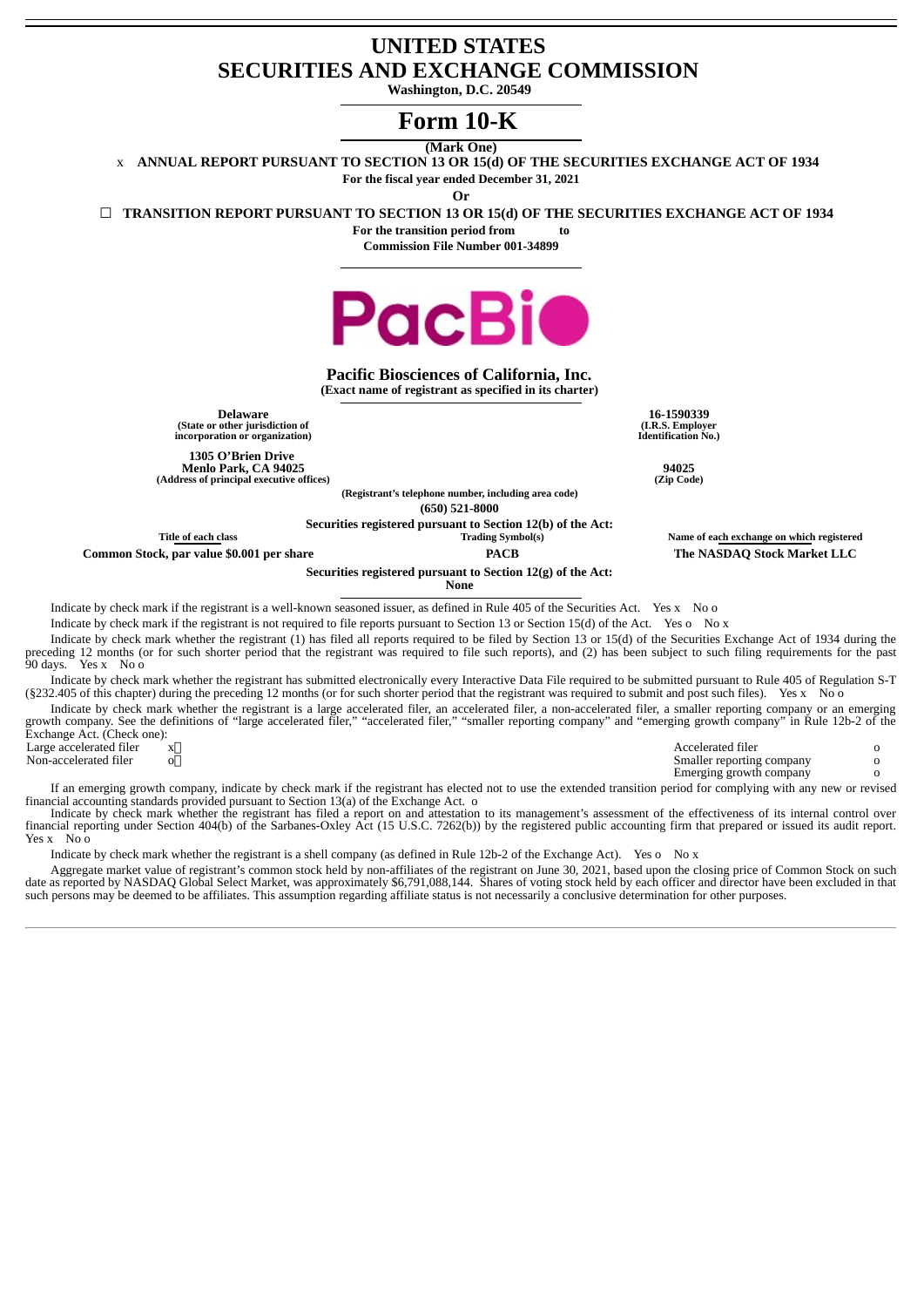# **UNITED STATES SECURITIES AND EXCHANGE COMMISSION**

**Washington, D.C. 20549**

# **Form 10-K**

## **(Mark One)**

x **ANNUAL REPORT PURSUANT TO SECTION 13 OR 15(d) OF THE SECURITIES EXCHANGE ACT OF 1934**

**For the fiscal year ended December 31, 2021**

**Or**

☐ **TRANSITION REPORT PURSUANT TO SECTION 13 OR 15(d) OF THE SECURITIES EXCHANGE ACT OF 1934**

**For the transition period from to**

**Commission File Number 001-34899**



## **Pacific Biosciences of California, Inc. (Exact name of registrant as specified in its charter)**

**Delaware 16-1590339 (State or other jurisdiction of incorporation or organization)**

**1305 O'Brien Drive**

**Menlo Park, CA 94025 94025 (Address of principal executive offices) (Zip Code)**

**(Registrant's telephone number, including area code) (650) 521-8000**

**Securities registered pursuant to Section 12(b) of the Act: Title of each class Name of each class Name of each exchange on which registered** 

**Securities registered pursuant to Section 12(g) of the Act:**

**None**

Indicate by check mark if the registrant is a well-known seasoned issuer, as defined in Rule 405 of the Securities Act. Yes x No o

Indicate by check mark if the registrant is not required to file reports pursuant to Section 13 or Section 15(d) of the Act. Yes o No x

Indicate by check mark whether the registrant (1) has filed all reports required to be filed by Section 13 or 15(d) of the Securities Exchange Act of 1934 during the preceding 12 months (or for such shorter period that the registrant was required to file such reports), and (2) has been subject to such filing requirements for the past 90 days. Yes x No o

Indicate by check mark whether the registrant has submitted electronically every Interactive Data File required to be submitted pursuant to Rule 405 of Regulation S-T (§232.405 of this chapter) during the preceding 12 months (or for such shorter period that the registrant was required to submit and post such files). Yes xNo o

Indicate by check mark whether the registrant is a large accelerated filer, an accelerated filer, anon-accelerated filer, a smaller reporting company or an emerging growth company. See the definitions of "large accelerated filer," "accelerated filer," "smaller reporting company" and "emerging growth company" in Rule 12b-2 of the Exchange Act. (Check one):

Large accelerated filer  $\begin{array}{cc} \times \end{array}$  O<br>  $\begin{array}{cc} \text{O} & \text{O} \end{array}$   $\begin{array}{cc} \text{O} & \text{O} \end{array}$   $\begin{array}{cc} \text{A} & \text{C} & \text{C} \end{array}$   $\begin{array}{cc} \text{O} & \text{O} \end{array}$   $\begin{array}{cc} \text{O} & \text{S} \end{array}$   $\begin{array}{cc} \text{O} & \text{S} \end{array}$   $\begin{array}{cc} \text{O} & \text$ Non-accelerated filer only only and some states of the Smaller reporting company only of the Smaller reporting company only of the state of the state of the state of the state of the state of the state of the state of the Emerging growth company o

If an emerging growth company, indicate by check mark if the registrant has elected not to use the extended transition period for complying with any new or revised financial accounting standards provided pursuant to Section 13(a) of the Exchange Act. o

Indicate by check mark whether the registrant has filed a report on and attestation to its management's assessment of the effectiveness of its internal control over financial reporting under Section 404(b) of the Sarbanes-Oxley Act (15 U.S.C. 7262(b)) by the registered public accounting firm that prepared or issued its audit report. Yes x No o

Indicate by check mark whether the registrant is a shell company (as defined in Rule 12b-2 of the Exchange Act). Yes oNo x

Aggregate market value of registrant's common stock held by non-affiliates of the registrant on June 30, 2021, based upon the closing price of Common Stock on such date as reported by NASDAQ Global Select Market, was approximately \$6,791,088,144. Shares of voting stock held by each officer and director have been excluded in that such persons may be deemed to be affiliates. This assumption regarding affiliate status is not necessarily a conclusive determination for other purposes.

**(I.R.S. Employer Identification No.)**

**Common Stock, par value \$0.001 per share PACB The NASDAQ Stock Market LLC**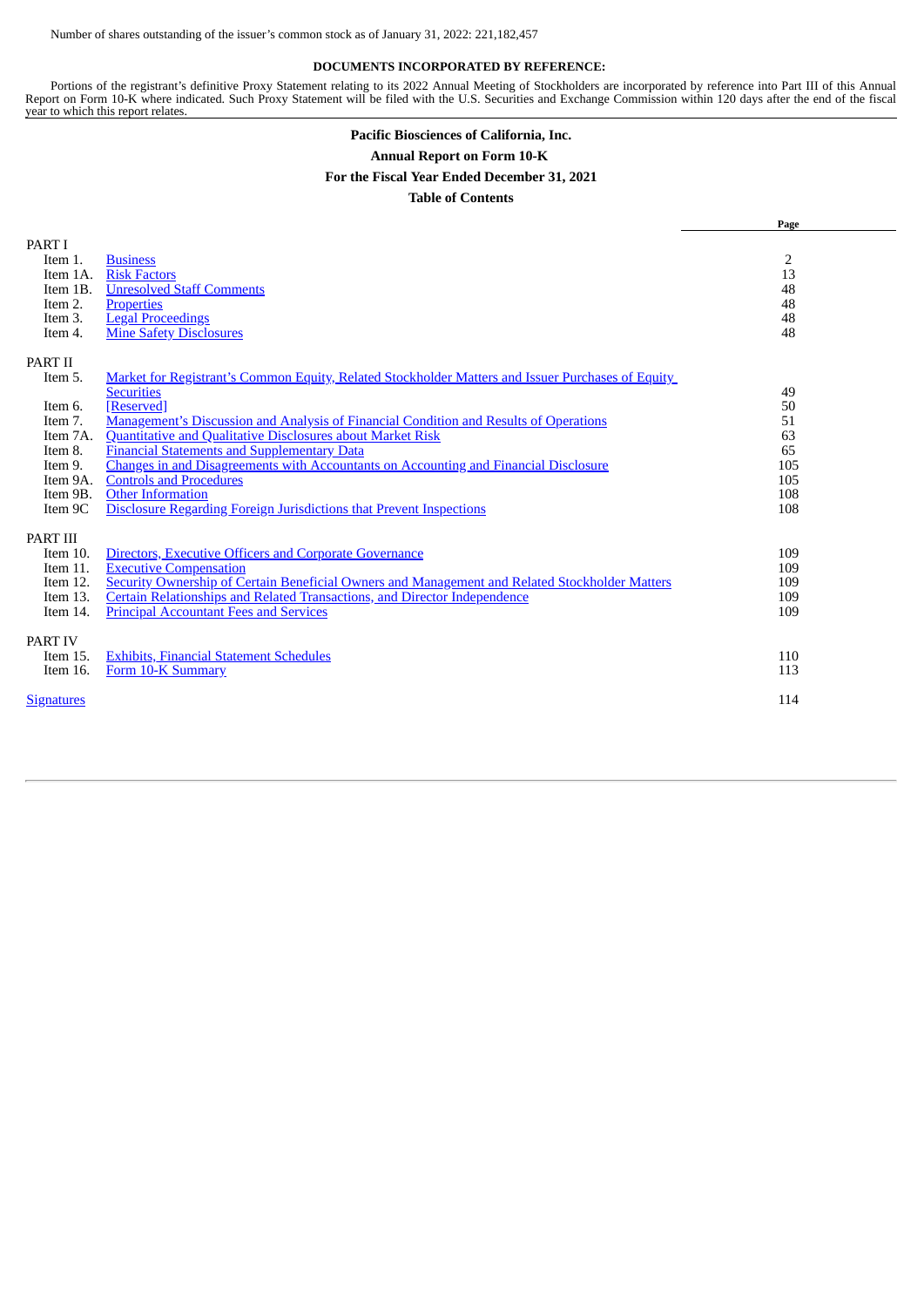## **DOCUMENTS INCORPORATED BY REFERENCE:**

Portions of the registrant's definitive Proxy Statement relating to its 2022 Annual Meeting of Stockholders are incorporated by reference into Part III of this Annual Report on Form 10-K where indicated. Such Proxy Statement will be filed with the U.S. Securities and Exchange Commission within 120 days after the end of the fiscal year to which this report relates.

## **Pacific Biosciences of California, Inc. Annual Report on Form 10-K For the Fiscal Year Ended December 31, 2021 Table of Contents**

|                   |                                                                                                   | Page |
|-------------------|---------------------------------------------------------------------------------------------------|------|
| <b>PART I</b>     |                                                                                                   |      |
| Item 1.           | <b>Business</b>                                                                                   | 2    |
| Item 1A.          | <b>Risk Factors</b>                                                                               | 13   |
| Item 1B.          | <b>Unresolved Staff Comments</b>                                                                  | 48   |
| Item 2.           | <b>Properties</b>                                                                                 | 48   |
| Item 3.           | <b>Legal Proceedings</b>                                                                          | 48   |
| Item 4.           | <b>Mine Safety Disclosures</b>                                                                    | 48   |
|                   |                                                                                                   |      |
| PART II           |                                                                                                   |      |
| Item 5.           | Market for Registrant's Common Equity, Related Stockholder Matters and Issuer Purchases of Equity |      |
|                   | <b>Securities</b>                                                                                 | 49   |
| Item 6.           | Reservedl                                                                                         | 50   |
| Item 7.           | Management's Discussion and Analysis of Financial Condition and Results of Operations             | 51   |
| Item 7A.          | <b>Quantitative and Qualitative Disclosures about Market Risk</b>                                 | 63   |
| Item 8.           | <b>Financial Statements and Supplementary Data</b>                                                | 65   |
| Item 9.           | Changes in and Disagreements with Accountants on Accounting and Financial Disclosure              | 105  |
| Item 9A.          | <b>Controls and Procedures</b>                                                                    | 105  |
| Item 9B.          | <b>Other Information</b>                                                                          | 108  |
| Item 9C           | Disclosure Regarding Foreign Jurisdictions that Prevent Inspections                               | 108  |
|                   |                                                                                                   |      |
| PART III          |                                                                                                   |      |
| Item 10.          | Directors, Executive Officers and Corporate Governance                                            | 109  |
| Item 11.          | <b>Executive Compensation</b>                                                                     | 109  |
| Item 12.          | Security Ownership of Certain Beneficial Owners and Management and Related Stockholder Matters    | 109  |
| Item 13.          | Certain Relationships and Related Transactions, and Director Independence                         | 109  |
| Item 14.          | <b>Principal Accountant Fees and Services</b>                                                     | 109  |
|                   |                                                                                                   |      |
| PART IV           |                                                                                                   |      |
| Item 15.          | <b>Exhibits, Financial Statement Schedules</b>                                                    | 110  |
| Item 16.          | Form 10-K Summary                                                                                 | 113  |
|                   |                                                                                                   |      |
| <b>Signatures</b> |                                                                                                   | 114  |
|                   |                                                                                                   |      |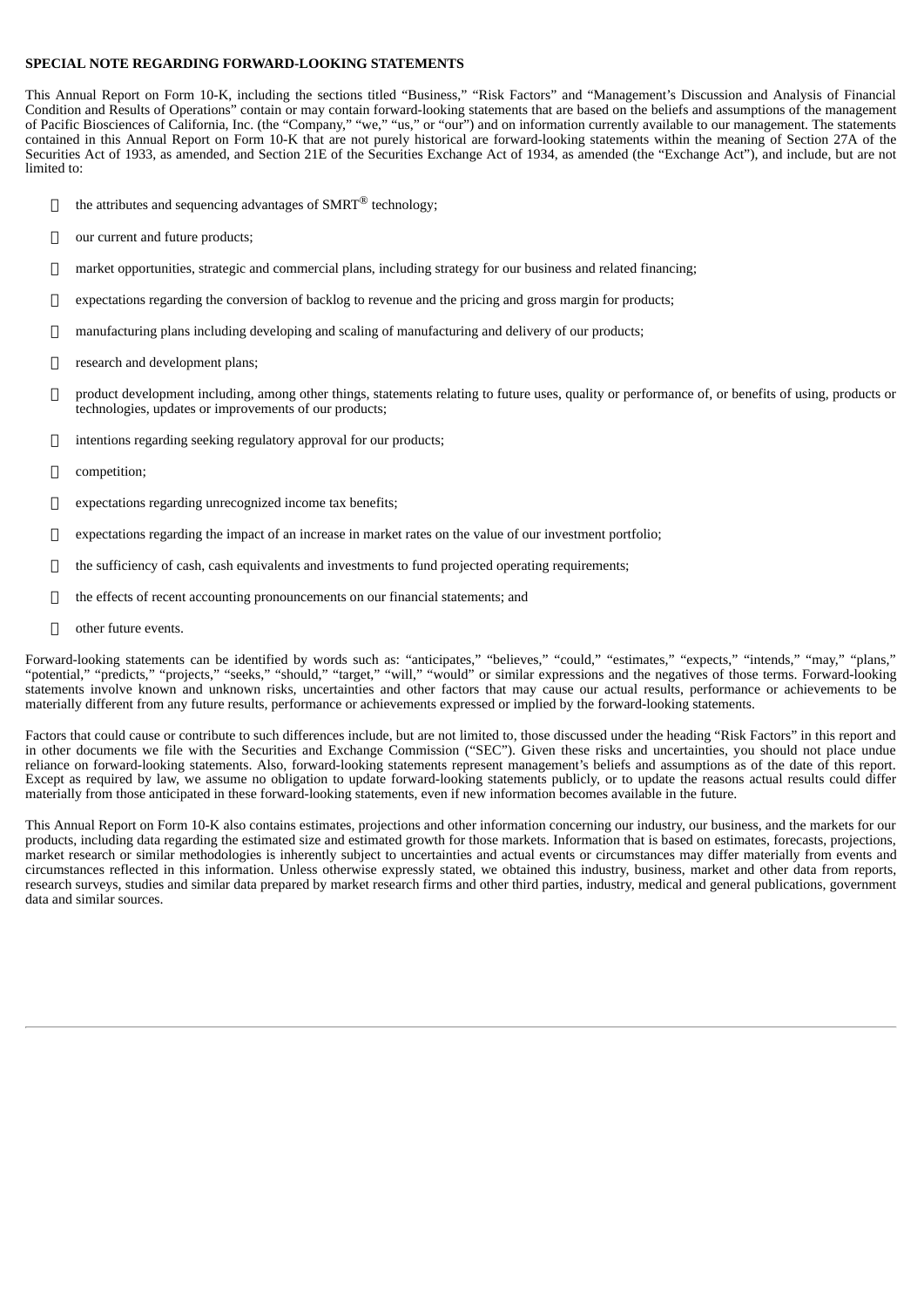## **SPECIAL NOTE REGARDING FORWARD-LOOKING STATEMENTS**

This Annual Report on Form 10-K, including the sections titled "Business," "Risk Factors" and "Management's Discussion and Analysis of Financial Condition and Results of Operations" contain or may contain forward-looking statements that are based on the beliefs and assumptions of the management of Pacific Biosciences of California, Inc. (the "Company," "we," "us," or "our") and on information currently available to our management. The statements contained in this Annual Report on Form 10-K that are not purely historical are forward-looking statements within the meaning of Section 27A of the Securities Act of 1933, as amended, and Section 21E of the Securities Exchange Act of 1934, as amended (the "Exchange Act"), and include, but are not limited to:

- $\Box$  the attributes and sequencing advantages of SMRT<sup>®</sup> technology;
- our current and future products;
- $\Box$  market opportunities, strategic and commercial plans, including strategy for our business and related financing;
- $\Box$  expectations regarding the conversion of backlog to revenue and the pricing and gross margin for products;
- manufacturing plans including developing and scaling of manufacturing and delivery of our products;
- research and development plans;
- product development including, among other things, statements relating to future uses, quality or performance of, or benefits of using, products or technologies, updates or improvements of our products;
- $\Box$  intentions regarding seeking regulatory approval for our products;
- competition;
- $\Box$  expectations regarding unrecognized income tax benefits;
- expectations regarding the impact of an increase in market rates on the value of our investment portfolio;
- $\Box$  the sufficiency of cash, cash equivalents and investments to fund projected operating requirements;
- the effects of recent accounting pronouncements on our financial statements; and
- other future events.

Forward-looking statements can be identified by words such as: "anticipates," "believes," "could," "estimates," "expects," "intends," "may," "plans," "potential," "predicts," "projects," "seeks," "should," "target," "will," "would" or similar expressions and the negatives of those terms. Forward-looking statements involve known and unknown risks, uncertainties and other factors that may cause our actual results, performance or achievements to be materially different from any future results, performance or achievements expressed or implied by the forward-looking statements.

Factors that could cause or contribute to such differences include, but are not limited to, those discussed under the heading "Risk Factors" in this report and in other documents we file with the Securities and Exchange Commission ("SEC"). Given these risks and uncertainties, you should not place undue reliance on forward-looking statements. Also, forward-looking statements represent management's beliefs and assumptions as of the date of this report. Except as required by law, we assume no obligation to update forward-looking statements publicly, or to update the reasons actual results could differ materially from those anticipated in these forward-looking statements, even if new information becomes available in the future.

This Annual Report on Form 10-K also contains estimates, projections and other information concerning our industry, our business, and the markets for our products, including data regarding the estimated size and estimated growth for those markets. Information that is based on estimates, forecasts, projections, market research or similar methodologies is inherently subject to uncertainties and actual events or circumstances may differ materially from events and circumstances reflected in this information. Unless otherwise expressly stated, we obtained this industry, business, market and other data from reports, research surveys, studies and similar data prepared by market research firms and other third parties, industry, medical and general publications, government data and similar sources.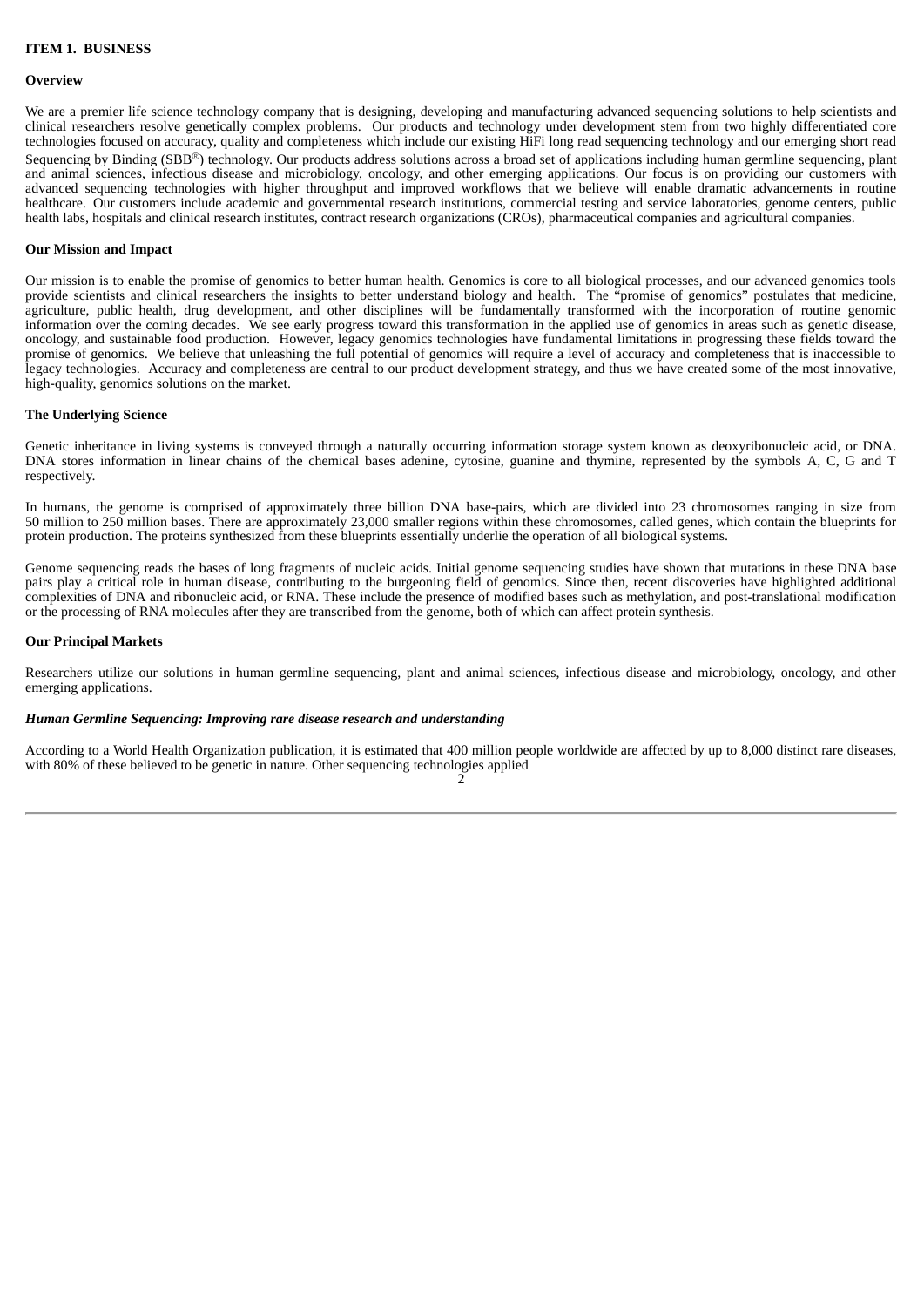## <span id="page-3-0"></span>**Overview**

We are a premier life science technology company that is designing, developing and manufacturing advanced sequencing solutions to help scientists and clinical researchers resolve genetically complex problems. Our products and technology under development stem from two highly differentiated core technologies focused on accuracy, quality and completeness which include our existing HiFi long read sequencing technology and our emerging short read Sequencing by Binding (SBB®) technology. Our products address solutions across a broad set of applications including human germline sequencing, plant and animal sciences, infectious disease and microbiology, oncology, and other emerging applications. Our focus is on providing our customers with advanced sequencing technologies with higher throughput and improved workflows that we believe will enable dramatic advancements in routine healthcare. Our customers include academic and governmental research institutions, commercial testing and service laboratories, genome centers, public health labs, hospitals and clinical research institutes, contract research organizations (CROs), pharmaceutical companies and agricultural companies.

## **Our Mission and Impact**

Our mission is to enable the promise of genomics to better human health. Genomics is core to all biological processes, and our advanced genomics tools provide scientists and clinical researchers the insights to better understand biology and health. The "promise of genomics" postulates that medicine, agriculture, public health, drug development, and other disciplines will be fundamentally transformed with the incorporation of routine genomic information over the coming decades. We see early progress toward this transformation in the applied use of genomics in areas such as genetic disease, oncology, and sustainable food production. However, legacy genomics technologies have fundamental limitations in progressing these fields toward the promise of genomics. We believe that unleashing the full potential of genomics will require a level of accuracy and completeness that is inaccessible to legacy technologies. Accuracy and completeness are central to our product development strategy, and thus we have created some of the most innovative, high-quality, genomics solutions on the market.

## **The Underlying Science**

Genetic inheritance in living systems is conveyed through a naturally occurring information storage system known as deoxyribonucleic acid, or DNA. DNA stores information in linear chains of the chemical bases adenine, cytosine, guanine and thymine, represented by the symbols A, C, G and T respectively.

In humans, the genome is comprised of approximately three billion DNA base-pairs, which are divided into 23 chromosomes ranging in size from 50 million to 250 million bases. There are approximately 23,000 smaller regions within these chromosomes, called genes, which contain the blueprints for protein production. The proteins synthesized from these blueprints essentially underlie the operation of all biological systems.

Genome sequencing reads the bases of long fragments of nucleic acids. Initial genome sequencing studies have shown that mutations in these DNA base pairs play a critical role in human disease, contributing to the burgeoning field of genomics. Since then, recent discoveries have highlighted additional complexities of DNA and ribonucleic acid, or RNA. These include the presence of modified bases such as methylation, and post-translational modification or the processing of RNA molecules after they are transcribed from the genome, both of which can affect protein synthesis.

## **Our Principal Markets**

Researchers utilize our solutions in human germline sequencing, plant and animal sciences, infectious disease and microbiology, oncology, and other emerging applications.

## *Human Germline Sequencing: Improving rare disease research and understanding*

According to a World Health Organization publication, it is estimated that 400 million people worldwide are affected by up to 8,000 distinct rare diseases, with 80% of these believed to be genetic in nature. Other sequencing technologies applied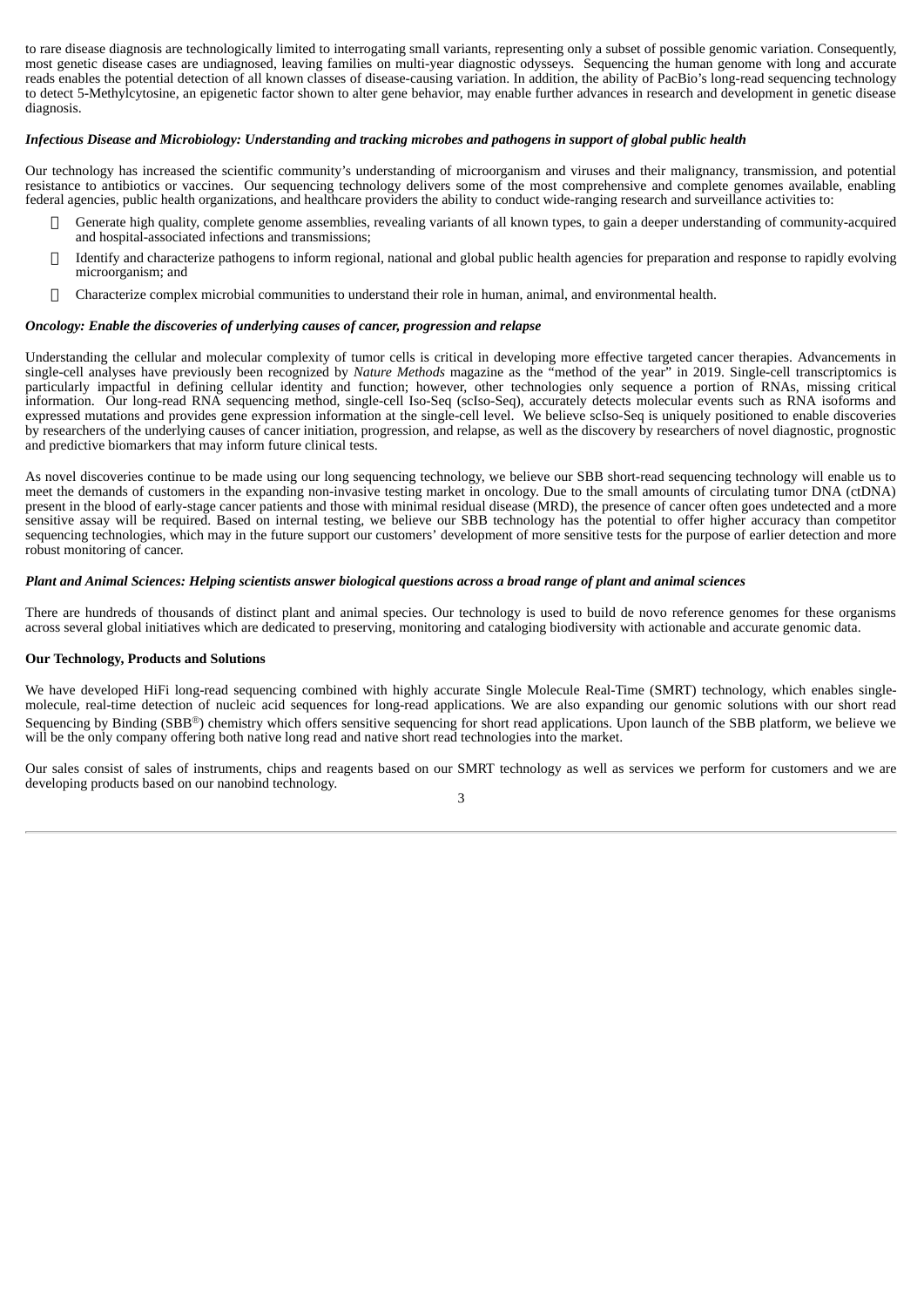to rare disease diagnosis are technologically limited to interrogating small variants, representing only a subset of possible genomic variation. Consequently, most genetic disease cases are undiagnosed, leaving families on multi-year diagnostic odysseys. Sequencing the human genome with long and accurate reads enables the potential detection of all known classes of disease-causing variation. In addition, the ability of PacBio's long-read sequencing technology to detect 5-Methylcytosine, an epigenetic factor shown to alter gene behavior, may enable further advances in research and development in genetic disease diagnosis.

## Infectious Disease and Microbiology: Understanding and tracking microbes and pathogens in support of global public health

Our technology has increased the scientific community's understanding of microorganism and viruses and their malignancy, transmission, and potential resistance to antibiotics or vaccines. Our sequencing technology delivers some of the most comprehensive and complete genomes available, enabling federal agencies, public health organizations, and healthcare providers the ability to conduct wide-ranging research and surveillance activities to:

- Generate high quality, complete genome assemblies, revealing variants of all known types, to gain a deeper understanding of community-acquired and hospital-associated infections and transmissions;
- $\Box$  Identify and characterize pathogens to inform regional, national and global public health agencies for preparation and response to rapidly evolving microorganism; and
- Characterize complex microbial communities to understand their role in human, animal, and environmental health.

## *Oncology: Enable the discoveries of underlying causes of cancer, progression and relapse*

Understanding the cellular and molecular complexity of tumor cells is critical in developing more effective targeted cancer therapies. Advancements in single-cell analyses have previously been recognized by *Nature Methods* magazine as the "method of the year" in 2019. Single-cell transcriptomics is particularly impactful in defining cellular identity and function; however, other technologies only sequence a portion of RNAs, missing critical information. Our long-read RNA sequencing method, single-cell Iso-Seq (scIso-Seq), accurately detects molecular events such as RNA isoforms and expressed mutations and provides gene expression information at the single-cell level. We believe scIso-Seq is uniquely positioned to enable discoveries by researchers of the underlying causes of cancer initiation, progression, and relapse, as well as the discovery by researchers of novel diagnostic, prognostic and predictive biomarkers that may inform future clinical tests.

As novel discoveries continue to be made using our long sequencing technology, we believe our SBB short-read sequencing technology will enable us to meet the demands of customers in the expanding non-invasive testing market in oncology. Due to the small amounts of circulating tumor DNA (ctDNA) present in the blood of early-stage cancer patients and those with minimal residual disease (MRD), the presence of cancer often goes undetected and a more sensitive assay will be required. Based on internal testing, we believe our SBB technology has the potential to offer higher accuracy than competitor sequencing technologies, which may in the future support our customers' development of more sensitive tests for the purpose of earlier detection and more robust monitoring of cancer.

## Plant and Animal Sciences: Helping scientists answer biological questions across a broad range of plant and animal sciences

There are hundreds of thousands of distinct plant and animal species. Our technology is used to build de novo reference genomes for these organisms across several global initiatives which are dedicated to preserving, monitoring and cataloging biodiversity with actionable and accurate genomic data.

## **Our Technology, Products and Solutions**

We have developed HiFi long-read sequencing combined with highly accurate Single Molecule Real-Time (SMRT) technology, which enables singlemolecule, real-time detection of nucleic acid sequences for long-read applications. We are also expanding our genomic solutions with our short read Sequencing by Binding (SBB®) chemistry which offers sensitive sequencing for short read applications. Upon launch of the SBB platform, we believe we will be the only company offering both native long read and native short read technologies into the market.

Our sales consist of sales of instruments, chips and reagents based on our SMRT technology as well as services we perform for customers and we are developing products based on our nanobind technology.

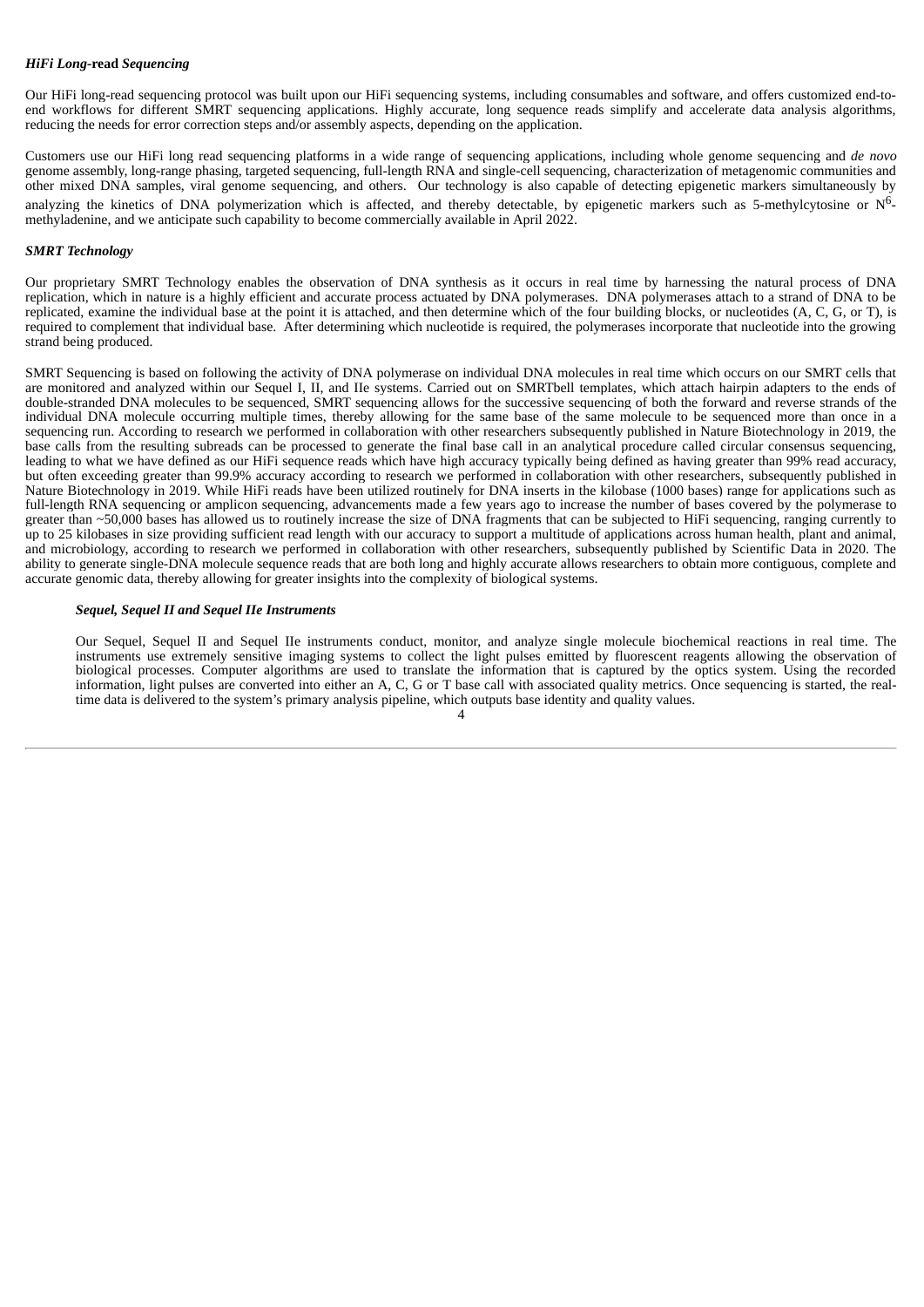## *HiFi Long-***read** *Sequencing*

Our HiFi long-read sequencing protocol was built upon our HiFi sequencing systems, including consumables and software, and offers customized end-toend workflows for different SMRT sequencing applications. Highly accurate, long sequence reads simplify and accelerate data analysis algorithms, reducing the needs for error correction steps and/or assembly aspects, depending on the application.

Customers use our HiFi long read sequencing platforms in a wide range of sequencing applications, including whole genome sequencing and *de novo* genome assembly, long-range phasing, targeted sequencing, full-length RNA and single-cell sequencing, characterization of metagenomic communities and other mixed DNA samples, viral genome sequencing, and others. Our technology is also capable of detecting epigenetic markers simultaneously by analyzing the kinetics of DNA polymerization which is affected, and thereby detectable, by epigenetic markers such as 5-methylcytosine or  $N^6$ methyladenine, and we anticipate such capability to become commercially available in April 2022.

## *SMRT Technology*

Our proprietary SMRT Technology enables the observation of DNA synthesis as it occurs in real time by harnessing the natural process of DNA replication, which in nature is a highly efficient and accurate process actuated by DNA polymerases. DNA polymerases attach to a strand of DNA to be replicated, examine the individual base at the point it is attached, and then determine which of the four building blocks, or nucleotides (A, C, G, or T), is required to complement that individual base. After determining which nucleotide is required, the polymerases incorporate that nucleotide into the growing strand being produced.

SMRT Sequencing is based on following the activity of DNA polymerase on individual DNA molecules in real time which occurs on our SMRT cells that are monitored and analyzed within our Sequel I, II, and IIe systems. Carried out on SMRTbell templates, which attach hairpin adapters to the ends of double-stranded DNA molecules to be sequenced, SMRT sequencing allows for the successive sequencing of both the forward and reverse strands of the individual DNA molecule occurring multiple times, thereby allowing for the same base of the same molecule to be sequenced more than once in a sequencing run. According to research we performed in collaboration with other researchers subsequently published in Nature Biotechnology in 2019, the base calls from the resulting subreads can be processed to generate the final base call in an analytical procedure called circular consensus sequencing, leading to what we have defined as our HiFi sequence reads which have high accuracy typically being defined as having greater than 99% read accuracy, but often exceeding greater than 99.9% accuracy according to research we performed in collaboration with other researchers, subsequently published in Nature Biotechnology in 2019. While HiFi reads have been utilized routinely for DNA inserts in the kilobase (1000 bases) range for applications such as full-length RNA sequencing or amplicon sequencing, advancements made a few years ago to increase the number of bases covered by the polymerase to greater than ~50,000 bases has allowed us to routinely increase the size of DNA fragments that can be subjected to HiFi sequencing, ranging currently to up to 25 kilobases in size providing sufficient read length with our accuracy to support a multitude of applications across human health, plant and animal, and microbiology, according to research we performed in collaboration with other researchers, subsequently published by Scientific Data in 2020. The ability to generate single-DNA molecule sequence reads that are both long and highly accurate allows researchers to obtain more contiguous, complete and accurate genomic data, thereby allowing for greater insights into the complexity of biological systems.

## *Sequel, Sequel II and Sequel IIe Instruments*

Our Sequel, Sequel II and Sequel IIe instruments conduct, monitor, and analyze single molecule biochemical reactions in real time. The instruments use extremely sensitive imaging systems to collect the light pulses emitted by fluorescent reagents allowing the observation of biological processes. Computer algorithms are used to translate the information that is captured by the optics system. Using the recorded information, light pulses are converted into either an A, C, G or T base call with associated quality metrics. Once sequencing is started, the realtime data is delivered to the system's primary analysis pipeline, which outputs base identity and quality values.

<sup>4</sup>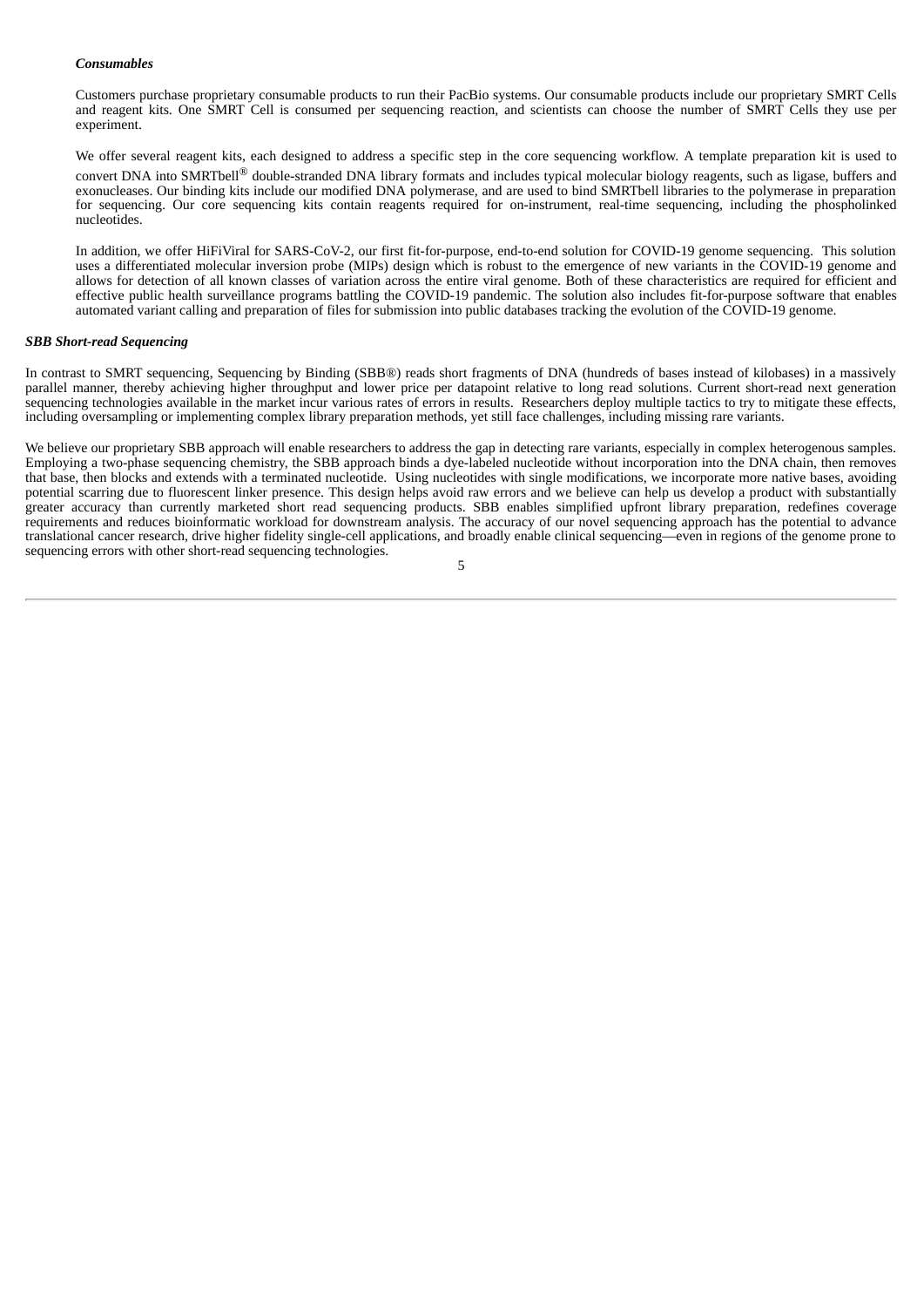## *Consumables*

Customers purchase proprietary consumable products to run their PacBio systems. Our consumable products include our proprietary SMRT Cells and reagent kits. One SMRT Cell is consumed per sequencing reaction, and scientists can choose the number of SMRT Cells they use per experiment.

We offer several reagent kits, each designed to address a specific step in the core sequencing workflow. A template preparation kit is used to convert DNA into SMRTbell® double-stranded DNA library formats and includes typical molecular biology reagents, such as ligase, buffers and exonucleases. Our binding kits include our modified DNA polymerase, and are used to bind SMRTbell libraries to the polymerase in preparation for sequencing. Our core sequencing kits contain reagents required for on-instrument, real-time sequencing, including the phospholinked nucleotides.

In addition, we offer HiFiViral for SARS-CoV-2, our first fit-for-purpose, end-to-end solution for COVID-19 genome sequencing. This solution uses a differentiated molecular inversion probe (MIPs) design which is robust to the emergence of new variants in the COVID-19 genome and allows for detection of all known classes of variation across the entire viral genome. Both of these characteristics are required for efficient and effective public health surveillance programs battling the COVID-19 pandemic. The solution also includes fit-for-purpose software that enables automated variant calling and preparation of files for submission into public databases tracking the evolution of the COVID-19 genome.

## *SBB Short-read Sequencing*

In contrast to SMRT sequencing, Sequencing by Binding (SBB®) reads short fragments of DNA (hundreds of bases instead of kilobases) in a massively parallel manner, thereby achieving higher throughput and lower price per datapoint relative to long read solutions. Current short-read next generation sequencing technologies available in the market incur various rates of errors in results. Researchers deploy multiple tactics to try to mitigate these effects, including oversampling or implementing complex library preparation methods, yet still face challenges, including missing rare variants.

We believe our proprietary SBB approach will enable researchers to address the gap in detecting rare variants, especially in complex heterogenous samples. Employing a two-phase sequencing chemistry, the SBB approach binds a dye-labeled nucleotide without incorporation into the DNA chain, then removes that base, then blocks and extends with a terminated nucleotide. Using nucleotides with single modifications, we incorporate more native bases, avoiding potential scarring due to fluorescent linker presence. This design helps avoid raw errors and we believe can help us develop a product with substantially greater accuracy than currently marketed short read sequencing products. SBB enables simplified upfront library preparation, redefines coverage requirements and reduces bioinformatic workload for downstream analysis. The accuracy of our novel sequencing approach has the potential to advance translational cancer research, drive higher fidelity single-cell applications, and broadly enable clinical sequencing—even in regions of the genome prone to sequencing errors with other short-read sequencing technologies.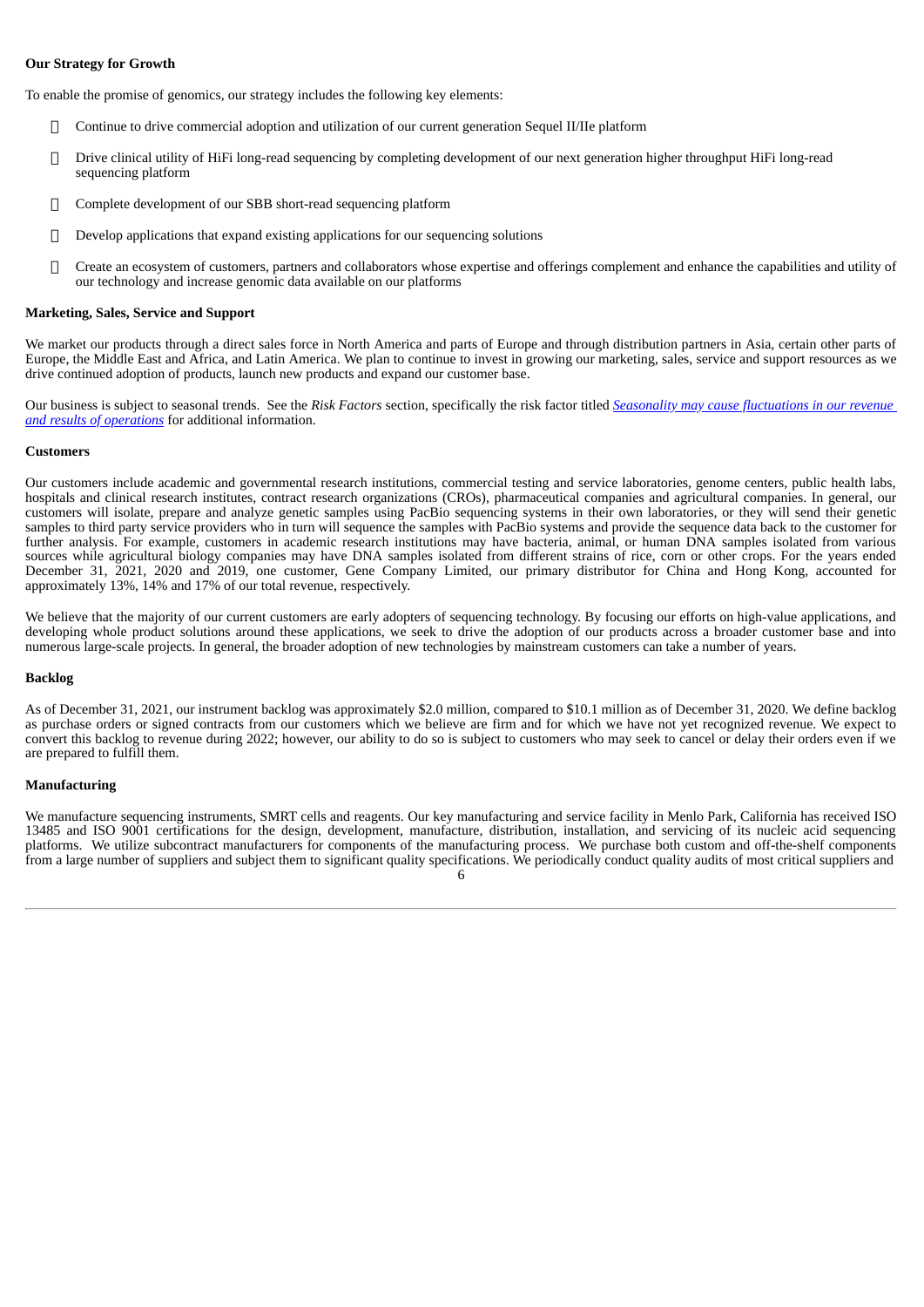## **Our Strategy for Growth**

To enable the promise of genomics, our strategy includes the following key elements:

- Continue to drive commercial adoption and utilization of our current generation Sequel II/IIe platform
- Drive clinical utility of HiFi long-read sequencing by completing development of our next generation higher throughput HiFi long-read sequencing platform
- □ Complete development of our SBB short-read sequencing platform
- $\Box$  Develop applications that expand existing applications for our sequencing solutions
- Create an ecosystem of customers, partners and collaborators whose expertise and offerings complement and enhance the capabilities and utility of our technology and increase genomic data available on our platforms

## **Marketing, Sales, Service and Support**

We market our products through a direct sales force in North America and parts of Europe and through distribution partners in Asia, certain other parts of Europe, the Middle East and Africa, and Latin America. We plan to continue to invest in growing our marketing, sales, service and support resources as we drive continued adoption of products, launch new products and expand our customer base.

Our business is subject to seasonal trends. See the *Risk Factors* section, specifically the risk factor titled *Seasonality may cause fluctuations in our revenue and results of operations* for additional [information.](#page-28-0)

## **Customers**

Our customers include academic and governmental research institutions, commercial testing and service laboratories, genome centers, public health labs, hospitals and clinical research institutes, contract research organizations (CROs), pharmaceutical companies and agricultural companies. In general, our customers will isolate, prepare and analyze genetic samples using PacBio sequencing systems in their own laboratories, or they will send their genetic samples to third party service providers who in turn will sequence the samples with PacBio systems and provide the sequence data back to the customer for further analysis. For example, customers in academic research institutions may have bacteria, animal, or human DNA samples isolated from various sources while agricultural biology companies may have DNA samples isolated from different strains of rice, corn or other crops. For the years ended December 31, 2021, 2020 and 2019, one customer, Gene Company Limited, our primary distributor for China and Hong Kong, accounted for approximately 13%, 14% and 17% of our total revenue, respectively.

We believe that the majority of our current customers are early adopters of sequencing technology. By focusing our efforts on high-value applications, and developing whole product solutions around these applications, we seek to drive the adoption of our products across a broader customer base and into numerous large-scale projects. In general, the broader adoption of new technologies by mainstream customers can take a number of years.

## **Backlog**

As of December 31, 2021, our instrument backlog was approximately \$2.0 million, compared to \$10.1 million as of December 31, 2020. We define backlog as purchase orders or signed contracts from our customers which we believe are firm and for which we have not yet recognized revenue. We expect to convert this backlog to revenue during 2022; however, our ability to do so is subject to customers who may seek to cancel or delay their orders even if we are prepared to fulfill them.

## **Manufacturing**

We manufacture sequencing instruments, SMRT cells and reagents. Our key manufacturing and service facility in Menlo Park, California has received ISO 13485 and ISO 9001 certifications for the design, development, manufacture, distribution, installation, and servicing of its nucleic acid sequencing platforms. We utilize subcontract manufacturers for components of the manufacturing process. We purchase both custom and off-the-shelf components from a large number of suppliers and subject them to significant quality specifications. We periodically conduct quality audits of most critical suppliers and 6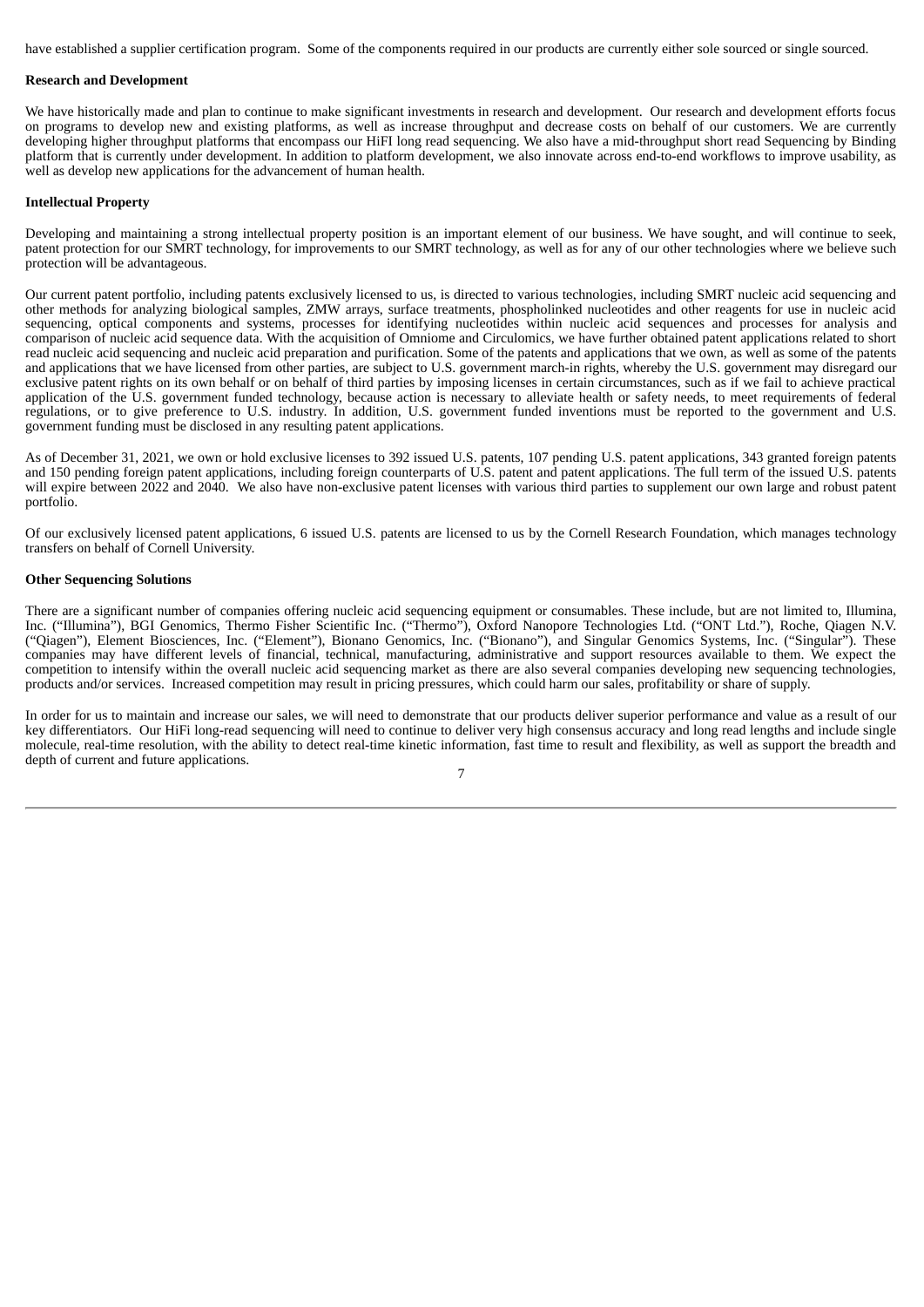have established a supplier certification program. Some of the components required in our products are currently either sole sourced or single sourced.

## **Research and Development**

We have historically made and plan to continue to make significant investments in research and development. Our research and development efforts focus on programs to develop new and existing platforms, as well as increase throughput and decrease costs on behalf of our customers. We are currently developing higher throughput platforms that encompass our HiFI long read sequencing. We also have a mid-throughput short read Sequencing by Binding platform that is currently under development. In addition to platform development, we also innovate across end-to-end workflows to improve usability, as well as develop new applications for the advancement of human health.

## **Intellectual Property**

Developing and maintaining a strong intellectual property position is an important element of our business. We have sought, and will continue to seek, patent protection for our SMRT technology, for improvements to our SMRT technology, as well as for any of our other technologies where we believe such protection will be advantageous.

Our current patent portfolio, including patents exclusively licensed to us, is directed to various technologies, including SMRT nucleic acid sequencing and other methods for analyzing biological samples, ZMW arrays, surface treatments, phospholinked nucleotides and other reagents for use in nucleic acid sequencing, optical components and systems, processes for identifying nucleotides within nucleic acid sequences and processes for analysis and comparison of nucleic acid sequence data. With the acquisition of Omniome and Circulomics, we have further obtained patent applications related to short read nucleic acid sequencing and nucleic acid preparation and purification. Some of the patents and applications that we own, as well as some of the patents and applications that we have licensed from other parties, are subject to U.S. government march-in rights, whereby the U.S. government may disregard our exclusive patent rights on its own behalf or on behalf of third parties by imposing licenses in certain circumstances, such as if we fail to achieve practical application of the U.S. government funded technology, because action is necessary to alleviate health or safety needs, to meet requirements of federal regulations, or to give preference to U.S. industry. In addition, U.S. government funded inventions must be reported to the government and U.S. government funding must be disclosed in any resulting patent applications.

As of December 31, 2021, we own or hold exclusive licenses to 392 issued U.S. patents, 107 pending U.S. patent applications, 343 granted foreign patents and 150 pending foreign patent applications, including foreign counterparts of U.S. patent and patent applications. The full term of the issued U.S. patents will expire between 2022 and 2040. We also have non-exclusive patent licenses with various third parties to supplement our own large and robust patent portfolio.

Of our exclusively licensed patent applications, 6 issued U.S. patents are licensed to us by the Cornell Research Foundation, which manages technology transfers on behalf of Cornell University.

#### **Other Sequencing Solutions**

There are a significant number of companies offering nucleic acid sequencing equipment or consumables. These include, but are not limited to, Illumina, Inc. ("Illumina"), BGI Genomics, Thermo Fisher Scientific Inc. ("Thermo"), Oxford Nanopore Technologies Ltd. ("ONT Ltd."), Roche, Qiagen N.V. ("Qiagen"), Element Biosciences, Inc. ("Element"), Bionano Genomics, Inc. ("Bionano"), and Singular Genomics Systems, Inc. ("Singular"). These companies may have different levels of financial, technical, manufacturing, administrative and support resources available to them. We expect the competition to intensify within the overall nucleic acid sequencing market as there are also several companies developing new sequencing technologies, products and/or services. Increased competition may result in pricing pressures, which could harm our sales, profitability or share of supply.

In order for us to maintain and increase our sales, we will need to demonstrate that our products deliver superior performance and value as a result of our key differentiators. Our HiFi long-read sequencing will need to continue to deliver very high consensus accuracy and long read lengths and include single molecule, real-time resolution, with the ability to detect real-time kinetic information, fast time to result and flexibility, as well as support the breadth and depth of current and future applications. 7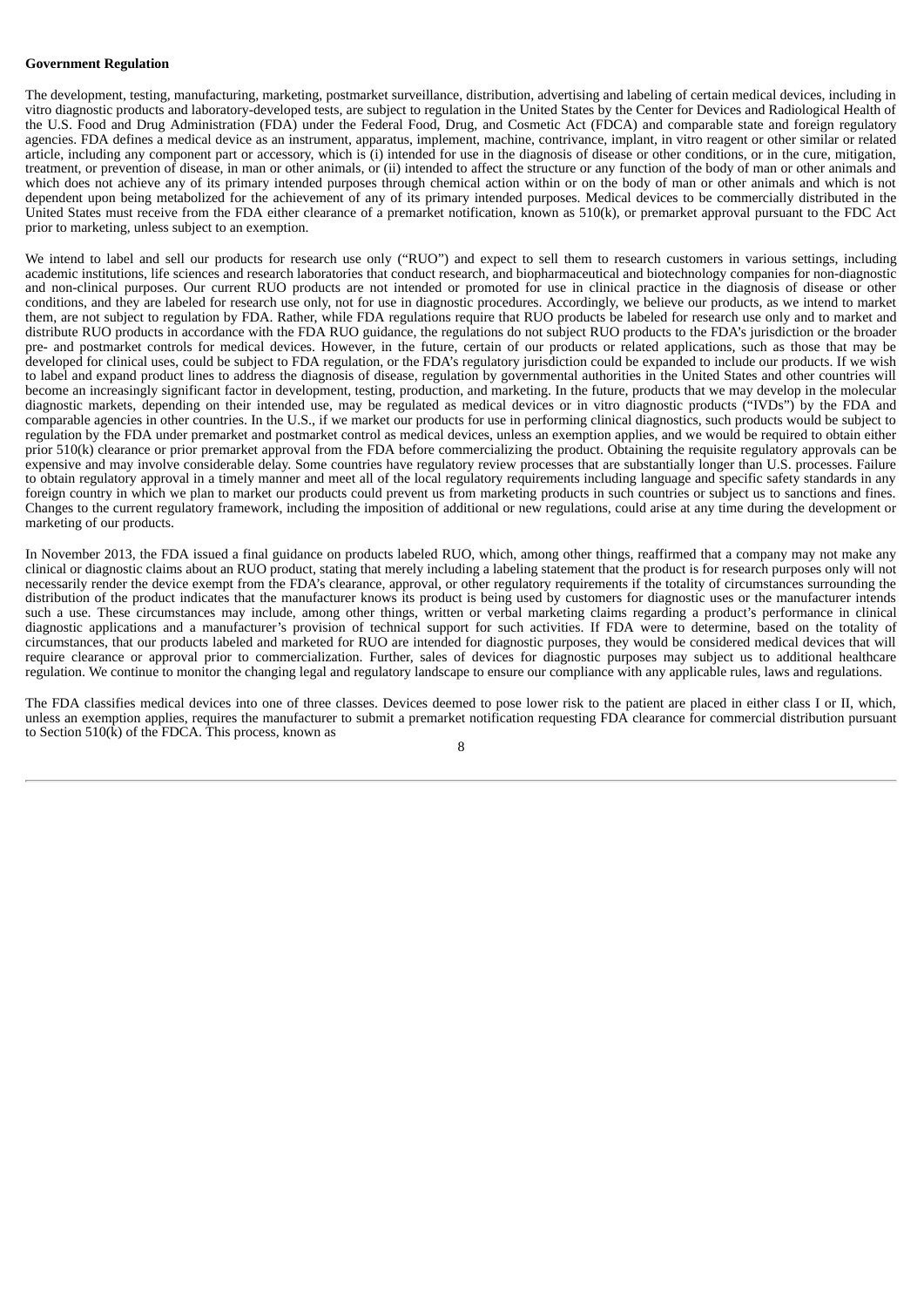#### **Government Regulation**

The development, testing, manufacturing, marketing, postmarket surveillance, distribution, advertising and labeling of certain medical devices, including in vitro diagnostic products and laboratory-developed tests, are subject to regulation in the United States by the Center for Devices and Radiological Health of the U.S. Food and Drug Administration (FDA) under the Federal Food, Drug, and Cosmetic Act (FDCA) and comparable state and foreign regulatory agencies. FDA defines a medical device as an instrument, apparatus, implement, machine, contrivance, implant, in vitro reagent or other similar or related article, including any component part or accessory, which is (i) intended for use in the diagnosis of disease or other conditions, or in the cure, mitigation, treatment, or prevention of disease, in man or other animals, or (ii) intended to affect the structure or any function of the body of man or other animals and which does not achieve any of its primary intended purposes through chemical action within or on the body of man or other animals and which is not dependent upon being metabolized for the achievement of any of its primary intended purposes. Medical devices to be commercially distributed in the United States must receive from the FDA either clearance of a premarket notification, known as 510(k), or premarket approval pursuant to the FDC Act prior to marketing, unless subject to an exemption.

We intend to label and sell our products for research use only ("RUO") and expect to sell them to research customers in various settings, including academic institutions, life sciences and research laboratories that conduct research, and biopharmaceutical and biotechnology companies for non-diagnostic and non-clinical purposes. Our current RUO products are not intended or promoted for use in clinical practice in the diagnosis of disease or other conditions, and they are labeled for research use only, not for use in diagnostic procedures. Accordingly, we believe our products, as we intend to market them, are not subject to regulation by FDA. Rather, while FDA regulations require that RUO products be labeled for research use only and to market and distribute RUO products in accordance with the FDA RUO guidance, the regulations do not subject RUO products to the FDA's jurisdiction or the broader pre- and postmarket controls for medical devices. However, in the future, certain of our products or related applications, such as those that may be developed for clinical uses, could be subject to FDA regulation, or the FDA's regulatory jurisdiction could be expanded to include our products. If we wish to label and expand product lines to address the diagnosis of disease, regulation by governmental authorities in the United States and other countries will become an increasingly significant factor in development, testing, production, and marketing. In the future, products that we may develop in the molecular diagnostic markets, depending on their intended use, may be regulated as medical devices or in vitro diagnostic products ("IVDs") by the FDA and comparable agencies in other countries. In the U.S., if we market our products for use in performing clinical diagnostics, such products would be subject to regulation by the FDA under premarket and postmarket control as medical devices, unless an exemption applies, and we would be required to obtain either prior 510(k) clearance or prior premarket approval from the FDA before commercializing the product. Obtaining the requisite regulatory approvals can be expensive and may involve considerable delay. Some countries have regulatory review processes that are substantially longer than U.S. processes. Failure to obtain regulatory approval in a timely manner and meet all of the local regulatory requirements including language and specific safety standards in any foreign country in which we plan to market our products could prevent us from marketing products in such countries or subject us to sanctions and fines. Changes to the current regulatory framework, including the imposition of additional or new regulations, could arise at any time during the development or marketing of our products.

In November 2013, the FDA issued a final guidance on products labeled RUO, which, among other things, reaffirmed that a company may not make any clinical or diagnostic claims about an RUO product, stating that merely including a labeling statement that the product is for research purposes only will not necessarily render the device exempt from the FDA's clearance, approval, or other regulatory requirements if the totality of circumstances surrounding the distribution of the product indicates that the manufacturer knows its product is being used by customers for diagnostic uses or the manufacturer intends such a use. These circumstances may include, among other things, written or verbal marketing claims regarding a product's performance in clinical diagnostic applications and a manufacturer's provision of technical support for such activities. If FDA were to determine, based on the totality of circumstances, that our products labeled and marketed for RUO are intended for diagnostic purposes, they would be considered medical devices that will require clearance or approval prior to commercialization. Further, sales of devices for diagnostic purposes may subject us to additional healthcare regulation. We continue to monitor the changing legal and regulatory landscape to ensure our compliance with any applicable rules, laws and regulations.

The FDA classifies medical devices into one of three classes. Devices deemed to pose lower risk to the patient are placed in either class I or II, which, unless an exemption applies, requires the manufacturer to submit a premarket notification requesting FDA clearance for commercial distribution pursuant to Section 510(k) of the FDCA. This process, known as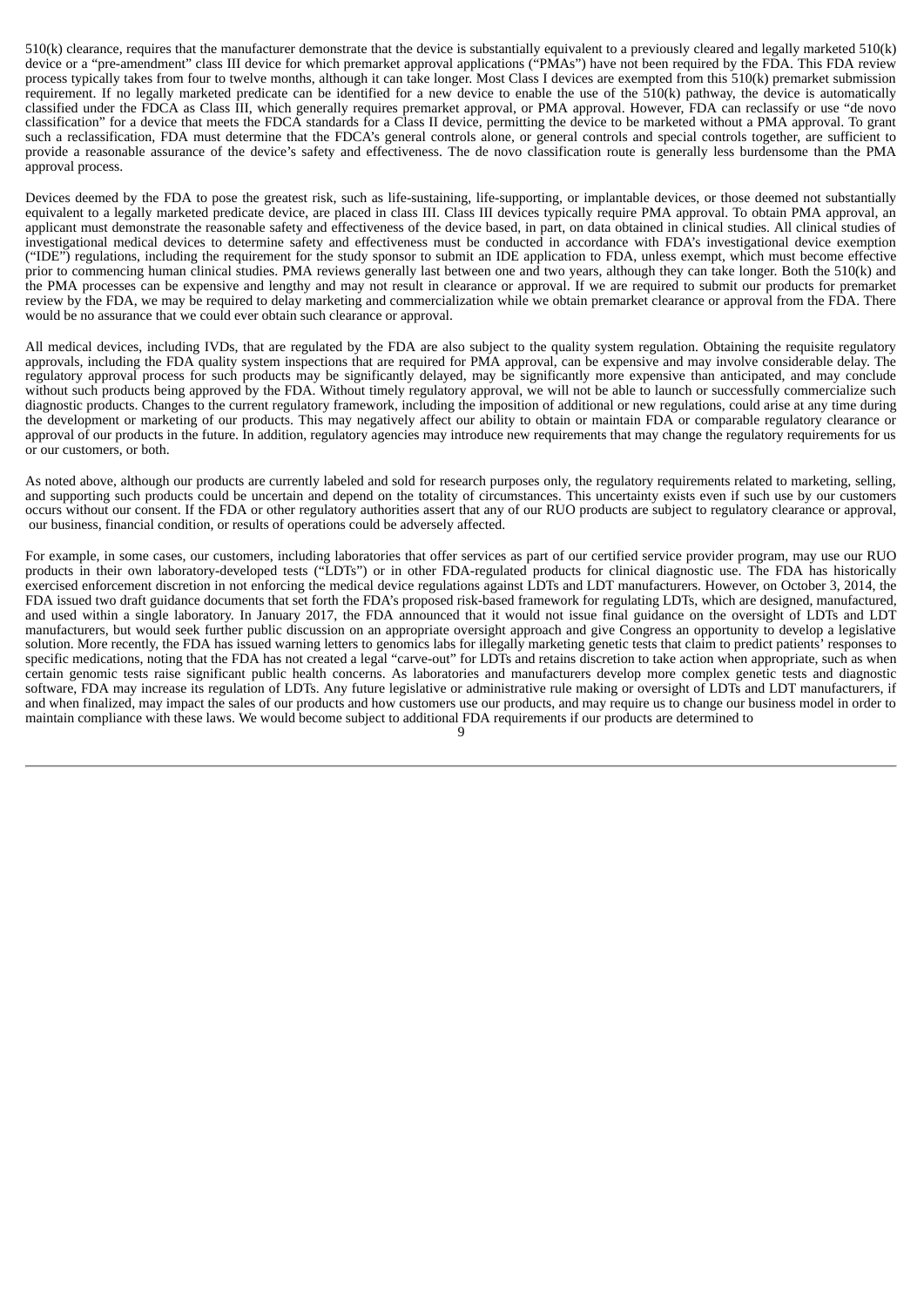510(k) clearance, requires that the manufacturer demonstrate that the device is substantially equivalent to a previously cleared and legally marketed 510(k) device or a "pre-amendment" class III device for which premarket approval applications ("PMAs") have not been required by the FDA. This FDA review process typically takes from four to twelve months, although it can take longer. Most Class I devices are exempted from this 510(k) premarket submission requirement. If no legally marketed predicate can be identified for a new device to enable the use of the 510(k) pathway, the device is automatically classified under the FDCA as Class III, which generally requires premarket approval, or PMA approval. However, FDA can reclassify or use "de novo classification" for a device that meets the FDCA standards for a Class II device, permitting the device to be marketed without a PMA approval. To grant such a reclassification, FDA must determine that the FDCA's general controls alone, or general controls and special controls together, are sufficient to provide a reasonable assurance of the device's safety and effectiveness. The de novo classification route is generally less burdensome than the PMA approval process.

Devices deemed by the FDA to pose the greatest risk, such as life-sustaining, life-supporting, or implantable devices, or those deemed not substantially equivalent to a legally marketed predicate device, are placed in class III. Class III devices typically require PMA approval. To obtain PMA approval, an applicant must demonstrate the reasonable safety and effectiveness of the device based, in part, on data obtained in clinical studies. All clinical studies of investigational medical devices to determine safety and effectiveness must be conducted in accordance with FDA's investigational device exemption ("IDE") regulations, including the requirement for the study sponsor to submit an IDE application to FDA, unless exempt, which must become effective prior to commencing human clinical studies. PMA reviews generally last between one and two years, although they can take longer. Both the 510(k) and the PMA processes can be expensive and lengthy and may not result in clearance or approval. If we are required to submit our products for premarket review by the FDA, we may be required to delay marketing and commercialization while we obtain premarket clearance or approval from the FDA. There would be no assurance that we could ever obtain such clearance or approval.

All medical devices, including IVDs, that are regulated by the FDA are also subject to the quality system regulation. Obtaining the requisite regulatory approvals, including the FDA quality system inspections that are required for PMA approval, can be expensive and may involve considerable delay. The regulatory approval process for such products may be significantly delayed, may be significantly more expensive than anticipated, and may conclude without such products being approved by the FDA. Without timely regulatory approval, we will not be able to launch or successfully commercialize such diagnostic products. Changes to the current regulatory framework, including the imposition of additional or new regulations, could arise at any time during the development or marketing of our products. This may negatively affect our ability to obtain or maintain FDA or comparable regulatory clearance or approval of our products in the future. In addition, regulatory agencies may introduce new requirements that may change the regulatory requirements for us or our customers, or both.

As noted above, although our products are currently labeled and sold for research purposes only, the regulatory requirements related to marketing, selling, and supporting such products could be uncertain and depend on the totality of circumstances. This uncertainty exists even if such use by our customers occurs without our consent. If the FDA or other regulatory authorities assert that any of our RUO products are subject to regulatory clearance or approval, our business, financial condition, or results of operations could be adversely affected.

For example, in some cases, our customers, including laboratories that offer services as part of our certified service provider program, may use our RUO products in their own laboratory-developed tests ("LDTs") or in other FDA-regulated products for clinical diagnostic use. The FDA has historically exercised enforcement discretion in not enforcing the medical device regulations against LDTs and LDT manufacturers. However, on October 3, 2014, the FDA issued two draft guidance documents that set forth the FDA's proposed risk-based framework for regulating LDTs, which are designed, manufactured, and used within a single laboratory. In January 2017, the FDA announced that it would not issue final guidance on the oversight of LDTs and LDT manufacturers, but would seek further public discussion on an appropriate oversight approach and give Congress an opportunity to develop a legislative solution. More recently, the FDA has issued warning letters to genomics labs for illegally marketing genetic tests that claim to predict patients' responses to specific medications, noting that the FDA has not created a legal "carve-out" for LDTs and retains discretion to take action when appropriate, such as when certain genomic tests raise significant public health concerns. As laboratories and manufacturers develop more complex genetic tests and diagnostic software, FDA may increase its regulation of LDTs. Any future legislative or administrative rule making or oversight of LDTs and LDT manufacturers, if and when finalized, may impact the sales of our products and how customers use our products, and may require us to change our business model in order to maintain compliance with these laws. We would become subject to additional FDA requirements if our products are determined to 9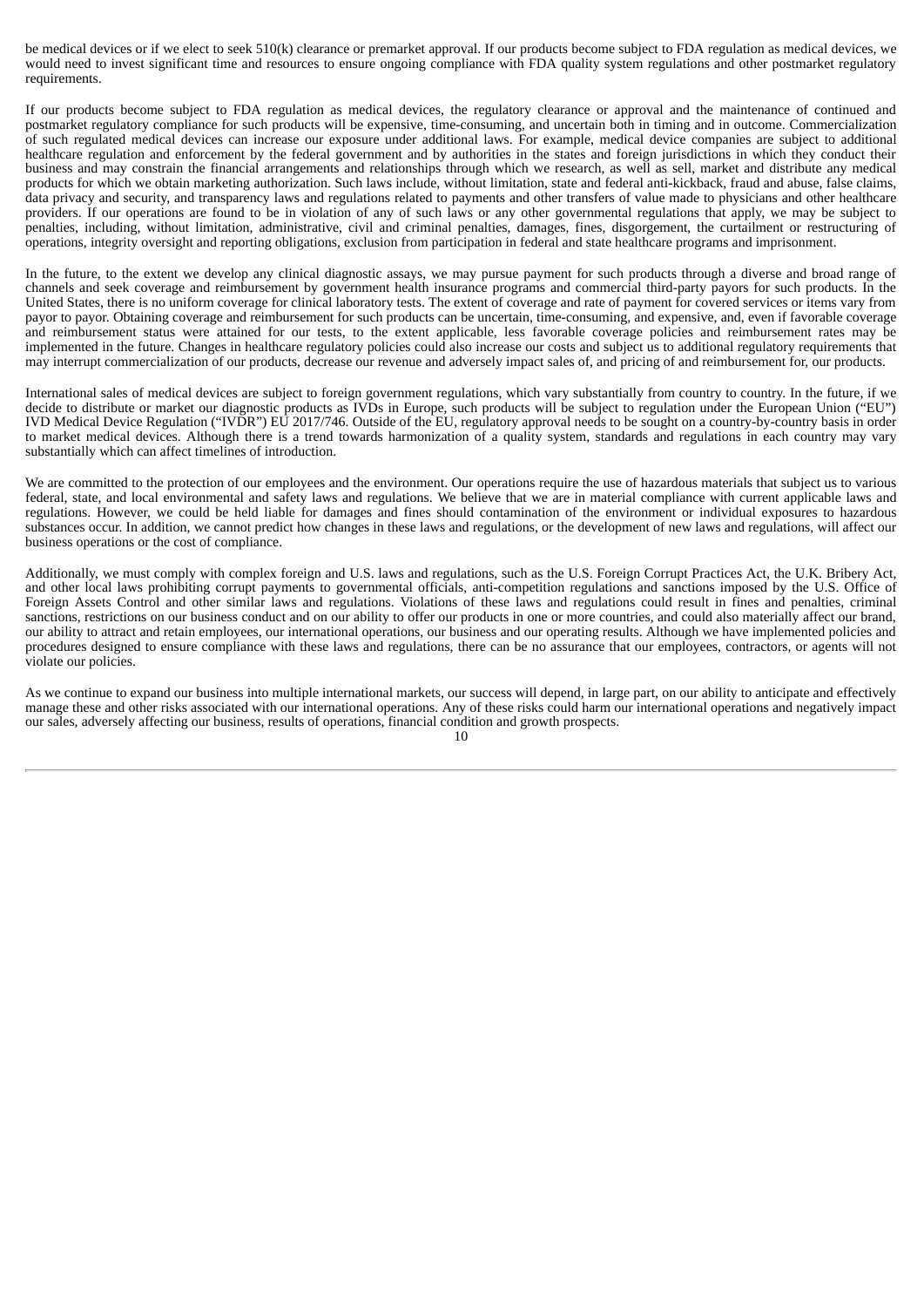be medical devices or if we elect to seek 510(k) clearance or premarket approval. If our products become subject to FDA regulation as medical devices, we would need to invest significant time and resources to ensure ongoing compliance with FDA quality system regulations and other postmarket regulatory requirements.

If our products become subject to FDA regulation as medical devices, the regulatory clearance or approval and the maintenance of continued and postmarket regulatory compliance for such products will be expensive, time-consuming, and uncertain both in timing and in outcome. Commercialization of such regulated medical devices can increase our exposure under additional laws. For example, medical device companies are subject to additional healthcare regulation and enforcement by the federal government and by authorities in the states and foreign jurisdictions in which they conduct their business and may constrain the financial arrangements and relationships through which we research, as well as sell, market and distribute any medical products for which we obtain marketing authorization. Such laws include, without limitation, state and federal anti-kickback, fraud and abuse, false claims, data privacy and security, and transparency laws and regulations related to payments and other transfers of value made to physicians and other healthcare providers. If our operations are found to be in violation of any of such laws or any other governmental regulations that apply, we may be subject to penalties, including, without limitation, administrative, civil and criminal penalties, damages, fines, disgorgement, the curtailment or restructuring of operations, integrity oversight and reporting obligations, exclusion from participation in federal and state healthcare programs and imprisonment.

In the future, to the extent we develop any clinical diagnostic assays, we may pursue payment for such products through a diverse and broad range of channels and seek coverage and reimbursement by government health insurance programs and commercial third-party payors for such products. In the United States, there is no uniform coverage for clinical laboratory tests. The extent of coverage and rate of payment for covered services or items vary from payor to payor. Obtaining coverage and reimbursement for such products can be uncertain, time-consuming, and expensive, and, even if favorable coverage and reimbursement status were attained for our tests, to the extent applicable, less favorable coverage policies and reimbursement rates may be implemented in the future. Changes in healthcare regulatory policies could also increase our costs and subject us to additional regulatory requirements that may interrupt commercialization of our products, decrease our revenue and adversely impact sales of, and pricing of and reimbursement for, our products.

International sales of medical devices are subject to foreign government regulations, which vary substantially from country to country. In the future, if we decide to distribute or market our diagnostic products as IVDs in Europe, such products will be subject to regulation under the European Union ("EU") IVD Medical Device Regulation ("IVDR") EU 2017/746. Outside of the EU, regulatory approval needs to be sought on a country-by-country basis in order to market medical devices. Although there is a trend towards harmonization of a quality system, standards and regulations in each country may vary substantially which can affect timelines of introduction.

We are committed to the protection of our employees and the environment. Our operations require the use of hazardous materials that subject us to various federal, state, and local environmental and safety laws and regulations. We believe that we are in material compliance with current applicable laws and regulations. However, we could be held liable for damages and fines should contamination of the environment or individual exposures to hazardous substances occur. In addition, we cannot predict how changes in these laws and regulations, or the development of new laws and regulations, will affect our business operations or the cost of compliance.

Additionally, we must comply with complex foreign and U.S. laws and regulations, such as the U.S. Foreign Corrupt Practices Act, the U.K. Bribery Act, and other local laws prohibiting corrupt payments to governmental officials, anti-competition regulations and sanctions imposed by the U.S. Office of Foreign Assets Control and other similar laws and regulations. Violations of these laws and regulations could result in fines and penalties, criminal sanctions, restrictions on our business conduct and on our ability to offer our products in one or more countries, and could also materially affect our brand, our ability to attract and retain employees, our international operations, our business and our operating results. Although we have implemented policies and procedures designed to ensure compliance with these laws and regulations, there can be no assurance that our employees, contractors, or agents will not violate our policies.

As we continue to expand our business into multiple international markets, our success will depend, in large part, on our ability to anticipate and effectively manage these and other risks associated with our international operations. Any of these risks could harm our international operations and negatively impact our sales, adversely affecting our business, results of operations, financial condition and growth prospects.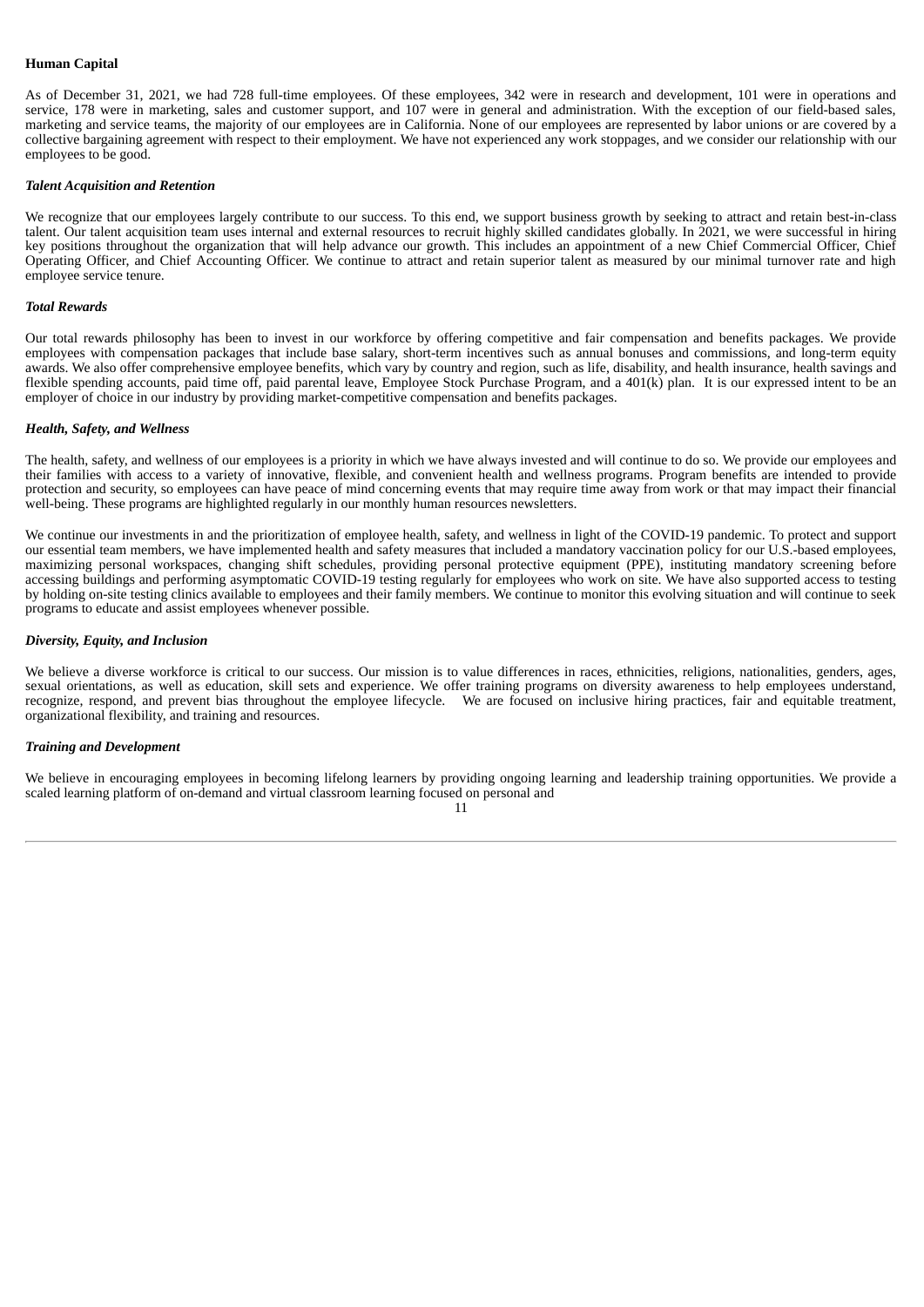## **Human Capital**

As of December 31, 2021, we had 728 full-time employees. Of these employees, 342 were in research and development, 101 were in operations and service, 178 were in marketing, sales and customer support, and 107 were in general and administration. With the exception of our field-based sales, marketing and service teams, the majority of our employees are in California. None of our employees are represented by labor unions or are covered by a collective bargaining agreement with respect to their employment. We have not experienced any work stoppages, and we consider our relationship with our employees to be good.

#### *Talent Acquisition and Retention*

We recognize that our employees largely contribute to our success. To this end, we support business growth by seeking to attract and retain best-in-class talent. Our talent acquisition team uses internal and external resources to recruit highly skilled candidates globally. In 2021, we were successful in hiring key positions throughout the organization that will help advance our growth. This includes an appointment of a new Chief Commercial Officer, Chief Operating Officer, and Chief Accounting Officer. We continue to attract and retain superior talent as measured by our minimal turnover rate and high employee service tenure.

#### *Total Rewards*

Our total rewards philosophy has been to invest in our workforce by offering competitive and fair compensation and benefits packages. We provide employees with compensation packages that include base salary, short-term incentives such as annual bonuses and commissions, and long-term equity awards. We also offer comprehensive employee benefits, which vary by country and region, such as life, disability, and health insurance, health savings and flexible spending accounts, paid time off, paid parental leave, Employee Stock Purchase Program, and a 401(k) plan. It is our expressed intent to be an employer of choice in our industry by providing market-competitive compensation and benefits packages.

#### *Health, Safety, and Wellness*

The health, safety, and wellness of our employees is a priority in which we have always invested and will continue to do so. We provide our employees and their families with access to a variety of innovative, flexible, and convenient health and wellness programs. Program benefits are intended to provide protection and security, so employees can have peace of mind concerning events that may require time away from work or that may impact their financial well-being. These programs are highlighted regularly in our monthly human resources newsletters.

We continue our investments in and the prioritization of employee health, safety, and wellness in light of the COVID-19 pandemic. To protect and support our essential team members, we have implemented health and safety measures that included a mandatory vaccination policy for our U.S.-based employees, maximizing personal workspaces, changing shift schedules, providing personal protective equipment (PPE), instituting mandatory screening before accessing buildings and performing asymptomatic COVID-19 testing regularly for employees who work on site. We have also supported access to testing by holding on-site testing clinics available to employees and their family members. We continue to monitor this evolving situation and will continue to seek programs to educate and assist employees whenever possible.

## *Diversity, Equity, and Inclusion*

We believe a diverse workforce is critical to our success. Our mission is to value differences in races, ethnicities, religions, nationalities, genders, ages, sexual orientations, as well as education, skill sets and experience. We offer training programs on diversity awareness to help employees understand, recognize, respond, and prevent bias throughout the employee lifecycle. We are focused on inclusive hiring practices, fair and equitable treatment, organizational flexibility, and training and resources.

## *Training and Development*

We believe in encouraging employees in becoming lifelong learners by providing ongoing learning and leadership training opportunities. We provide a scaled learning platform of on-demand and virtual classroom learning focused on personal and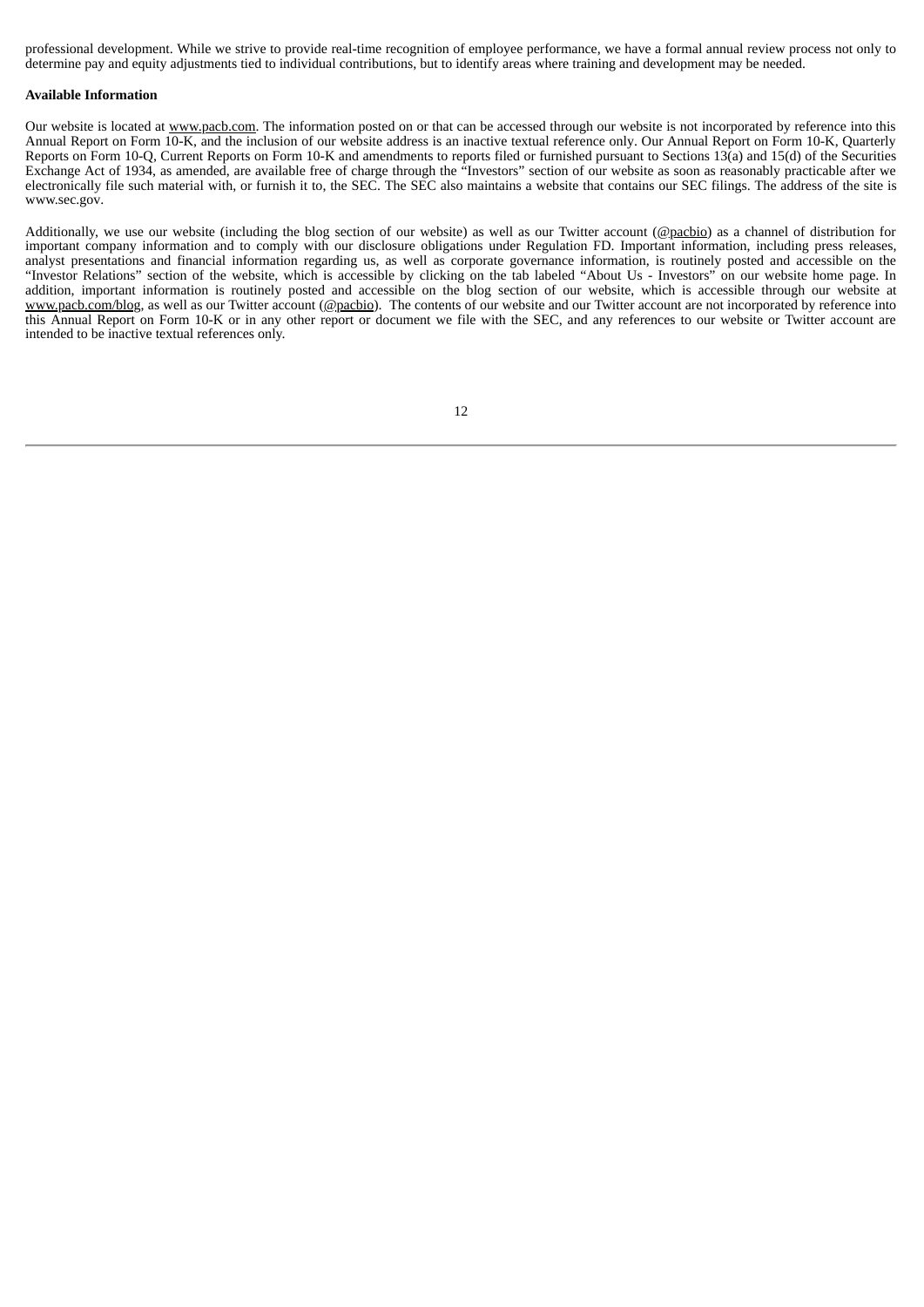professional development. While we strive to provide real-time recognition of employee performance, we have a formal annual review process not only to determine pay and equity adjustments tied to individual contributions, but to identify areas where training and development may be needed.

## **Available Information**

Our website is located at www.pacb.com. The information posted on or that can be accessed through our website is not incorporated by reference into this Annual Report on Form 10-K, and the inclusion of our website address is an inactive textual reference only. Our Annual Report on Form 10-K, Quarterly Reports on Form 10-Q, Current Reports on Form 10-K and amendments to reports filed or furnished pursuant to Sections 13(a) and 15(d) of the Securities Exchange Act of 1934, as amended, are available free of charge through the "Investors" section of our website as soon as reasonably practicable after we electronically file such material with, or furnish it to, the SEC. The SEC also maintains a website that contains our SEC filings. The address of the site is www.sec.gov.

<span id="page-13-0"></span>Additionally, we use our website (including the blog section of our website) as well as our Twitter account (@pacbio) as a channel of distribution for important company information and to comply with our disclosure obligations under Regulation FD. Important information, including press releases, analyst presentations and financial information regarding us, as well as corporate governance information, is routinely posted and accessible on the "Investor Relations" section of the website, which is accessible by clicking on the tab labeled "About Us - Investors" on our website home page. In addition, important information is routinely posted and accessible on the blog section of our website, which is accessible through our website at www.pacb.com/blog, as well as our Twitter account (@pacbio). The contents of our website and our Twitter account are not incorporated by reference into this Annual Report on Form 10-K or in any other report or document we file with the SEC, and any references to our website or Twitter account are intended to be inactive textual references only.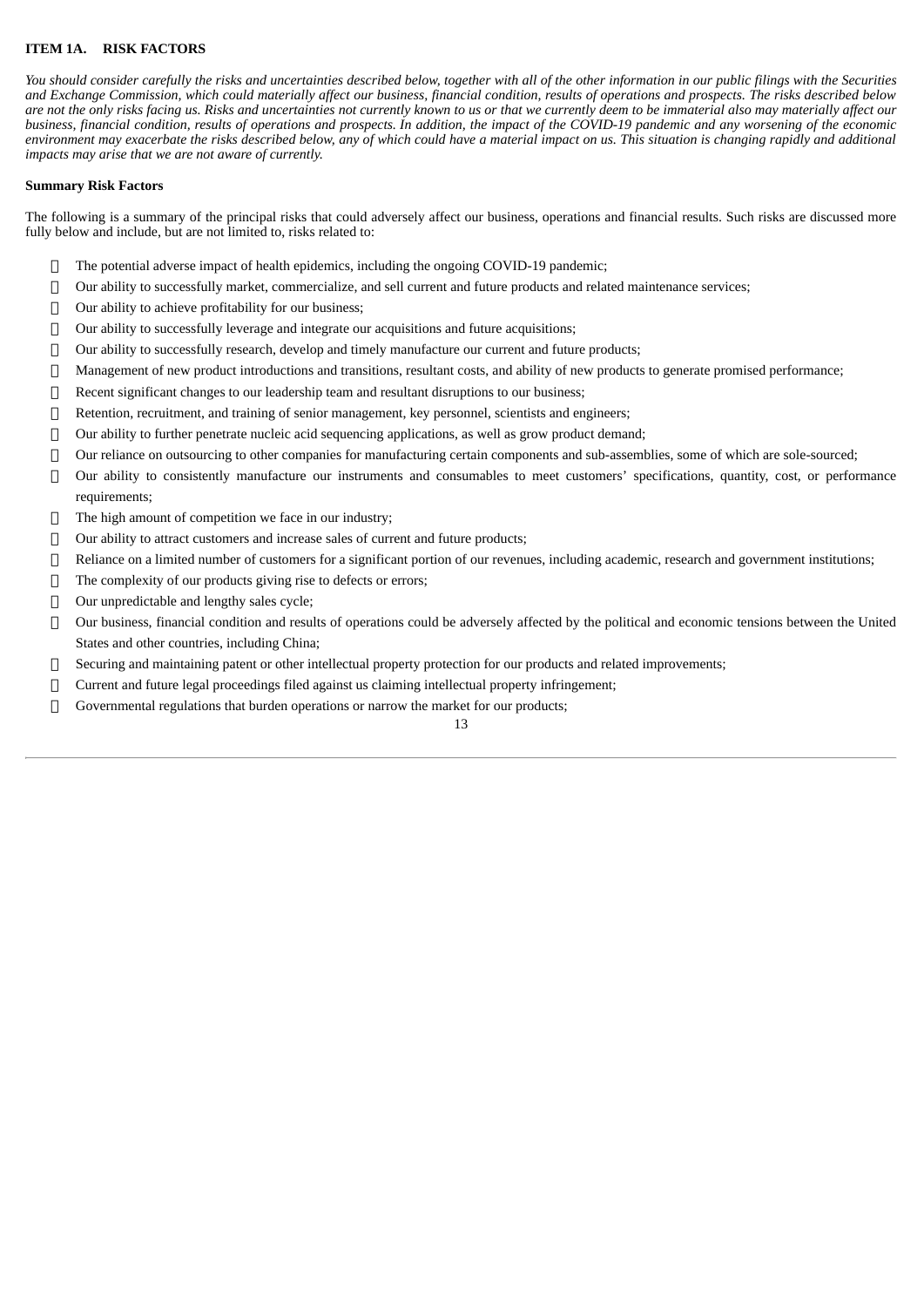## **ITEM 1A. RISK FACTORS**

You should consider carefully the risks and uncertainties described below, together with all of the other information in our public filings with the Securities and Exchange Commission, which could materially affect our business, financial condition, results of operations and prospects. The risks described below are not the only risks facing us. Risks and uncertainties not currently known to us or that we currently deem to be immaterial also may materially affect our business, financial condition, results of operations and prospects. In addition, the impact of the COVID-19 pandemic and any worsening of the economic environment may exacerbate the risks described below, any of which could have a material impact on us. This situation is changing rapidly and additional *impacts may arise that we are not aware of currently.*

## **Summary Risk Factors**

The following is a summary of the principal risks that could adversely affect our business, operations and financial results. Such risks are discussed more fully below and include, but are not limited to, risks related to:

- $\Box$  The potential adverse impact of health epidemics, including the ongoing COVID-19 pandemic;
- $\Box$  Our ability to successfully market, commercialize, and sell current and future products and related maintenance services;
- □ Our ability to achieve profitability for our business;
- Our ability to successfully leverage and integrate our acquisitions and future acquisitions;
- $\Box$  Our ability to successfully research, develop and timely manufacture our current and future products;
- Management of new product introductions and transitions, resultant costs, and ability of new products to generate promised performance;
- Recent significant changes to our leadership team and resultant disruptions to our business;
- Retention, recruitment, and training of senior management, key personnel, scientists and engineers;
- Our ability to further penetrate nucleic acid sequencing applications, as well as grow product demand;
- Our reliance on outsourcing to other companies for manufacturing certain components and sub-assemblies, some of which are sole-sourced;
- Our ability to consistently manufacture our instruments and consumables to meet customers' specifications, quantity, cost, or performance requirements;
- $\Box$  The high amount of competition we face in our industry;
- $\Box$  Our ability to attract customers and increase sales of current and future products;
- Reliance on a limited number of customers for a significant portion of our revenues, including academic, research and government institutions;
- $\Box$  The complexity of our products giving rise to defects or errors;
- □ Our unpredictable and lengthy sales cycle;
- $\Box$  Our business, financial condition and results of operations could be adversely affected by the political and economic tensions between the United States and other countries, including China;
- Securing and maintaining patent or other intellectual property protection for our products and related improvements;
- Current and future legal proceedings filed against us claiming intellectual property infringement;
- $\Box$  Governmental regulations that burden operations or narrow the market for our products;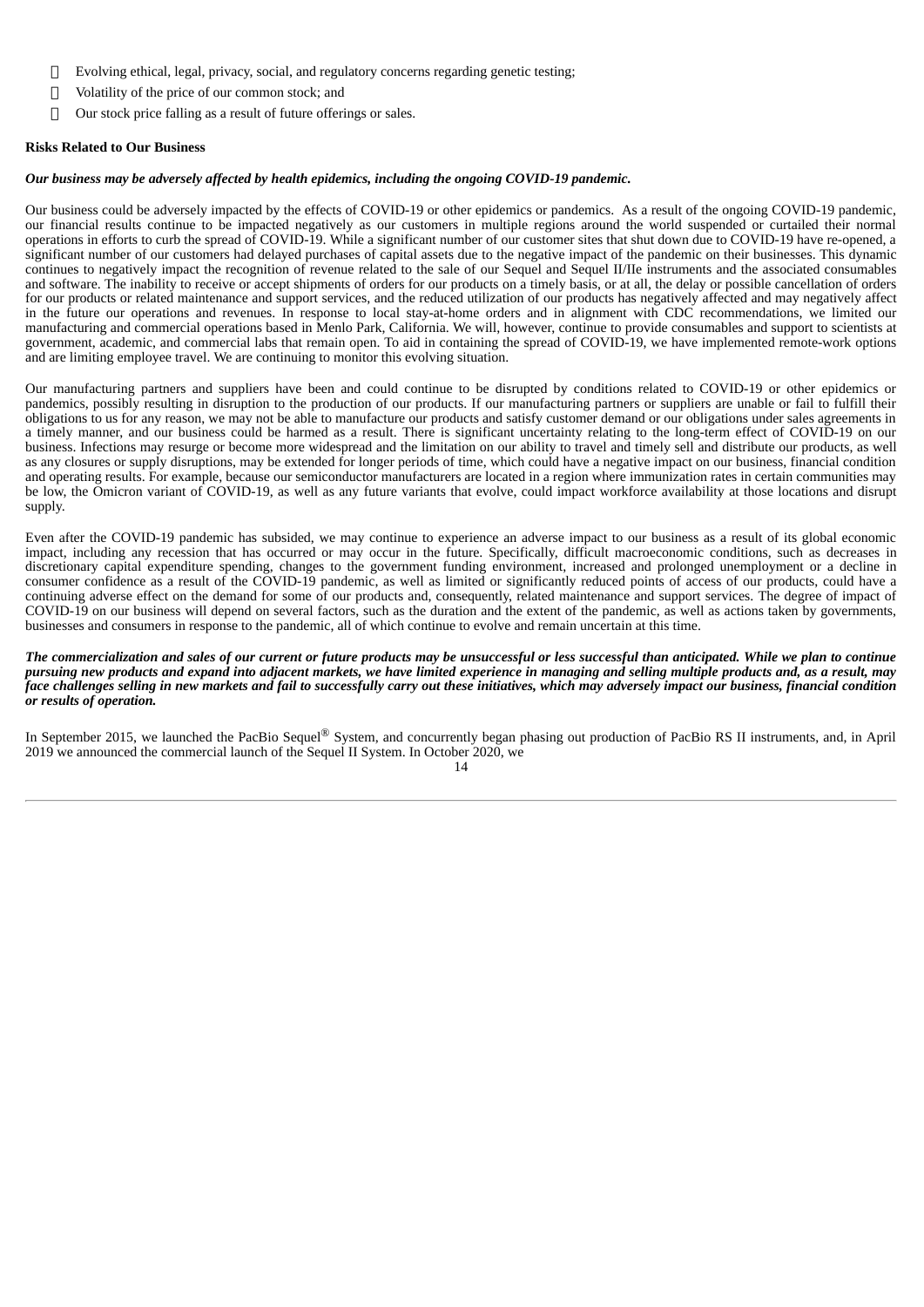- Evolving ethical, legal, privacy, social, and regulatory concerns regarding genetic testing;
- □ Volatility of the price of our common stock; and
- $\Box$  Our stock price falling as a result of future offerings or sales.

## **Risks Related to Our Business**

## *Our business may be adversely affected by health epidemics, including the ongoing COVID-19 pandemic.*

Our business could be adversely impacted by the effects of COVID-19 or other epidemics or pandemics. As a result of the ongoing COVID-19 pandemic, our financial results continue to be impacted negatively as our customers in multiple regions around the world suspended or curtailed their normal operations in efforts to curb the spread of COVID-19. While a significant number of our customer sites that shut down due to COVID-19 have re-opened, a significant number of our customers had delayed purchases of capital assets due to the negative impact of the pandemic on their businesses. This dynamic continues to negatively impact the recognition of revenue related to the sale of our Sequel and Sequel II/IIe instruments and the associated consumables and software. The inability to receive or accept shipments of orders for our products on a timely basis, or at all, the delay or possible cancellation of orders for our products or related maintenance and support services, and the reduced utilization of our products has negatively affected and may negatively affect in the future our operations and revenues. In response to local stay-at-home orders and in alignment with CDC recommendations, we limited our manufacturing and commercial operations based in Menlo Park, California. We will, however, continue to provide consumables and support to scientists at government, academic, and commercial labs that remain open. To aid in containing the spread of COVID-19, we have implemented remote-work options and are limiting employee travel. We are continuing to monitor this evolving situation.

Our manufacturing partners and suppliers have been and could continue to be disrupted by conditions related to COVID-19 or other epidemics or pandemics, possibly resulting in disruption to the production of our products. If our manufacturing partners or suppliers are unable or fail to fulfill their obligations to us for any reason, we may not be able to manufacture our products and satisfy customer demand or our obligations under sales agreements in a timely manner, and our business could be harmed as a result. There is significant uncertainty relating to the long-term effect of COVID-19 on our business. Infections may resurge or become more widespread and the limitation on our ability to travel and timely sell and distribute our products, as well as any closures or supply disruptions, may be extended for longer periods of time, which could have a negative impact on our business, financial condition and operating results. For example, because our semiconductor manufacturers are located in a region where immunization rates in certain communities may be low, the Omicron variant of COVID-19, as well as any future variants that evolve, could impact workforce availability at those locations and disrupt supply.

Even after the COVID-19 pandemic has subsided, we may continue to experience an adverse impact to our business as a result of its global economic impact, including any recession that has occurred or may occur in the future. Specifically, difficult macroeconomic conditions, such as decreases in discretionary capital expenditure spending, changes to the government funding environment, increased and prolonged unemployment or a decline in consumer confidence as a result of the COVID-19 pandemic, as well as limited or significantly reduced points of access of our products, could have a continuing adverse effect on the demand for some of our products and, consequently, related maintenance and support services. The degree of impact of COVID-19 on our business will depend on several factors, such as the duration and the extent of the pandemic, as well as actions taken by governments, businesses and consumers in response to the pandemic, all of which continue to evolve and remain uncertain at this time.

## The commercialization and sales of our current or future products may be unsuccessful or less successful than anticipated. While we plan to continue pursuing new products and expand into adjacent markets, we have limited experience in managing and selling multiple products and, as a result, may face challenges selling in new markets and fail to successfully carry out these initiatives, which may adversely impact our business, financial condition *or results of operation.*

In September 2015, we launched the PacBio Sequel® System, and concurrently began phasing out production of PacBio RS II instruments, and, in April 2019 we announced the commercial launch of the Sequel II System. In October 2020, we

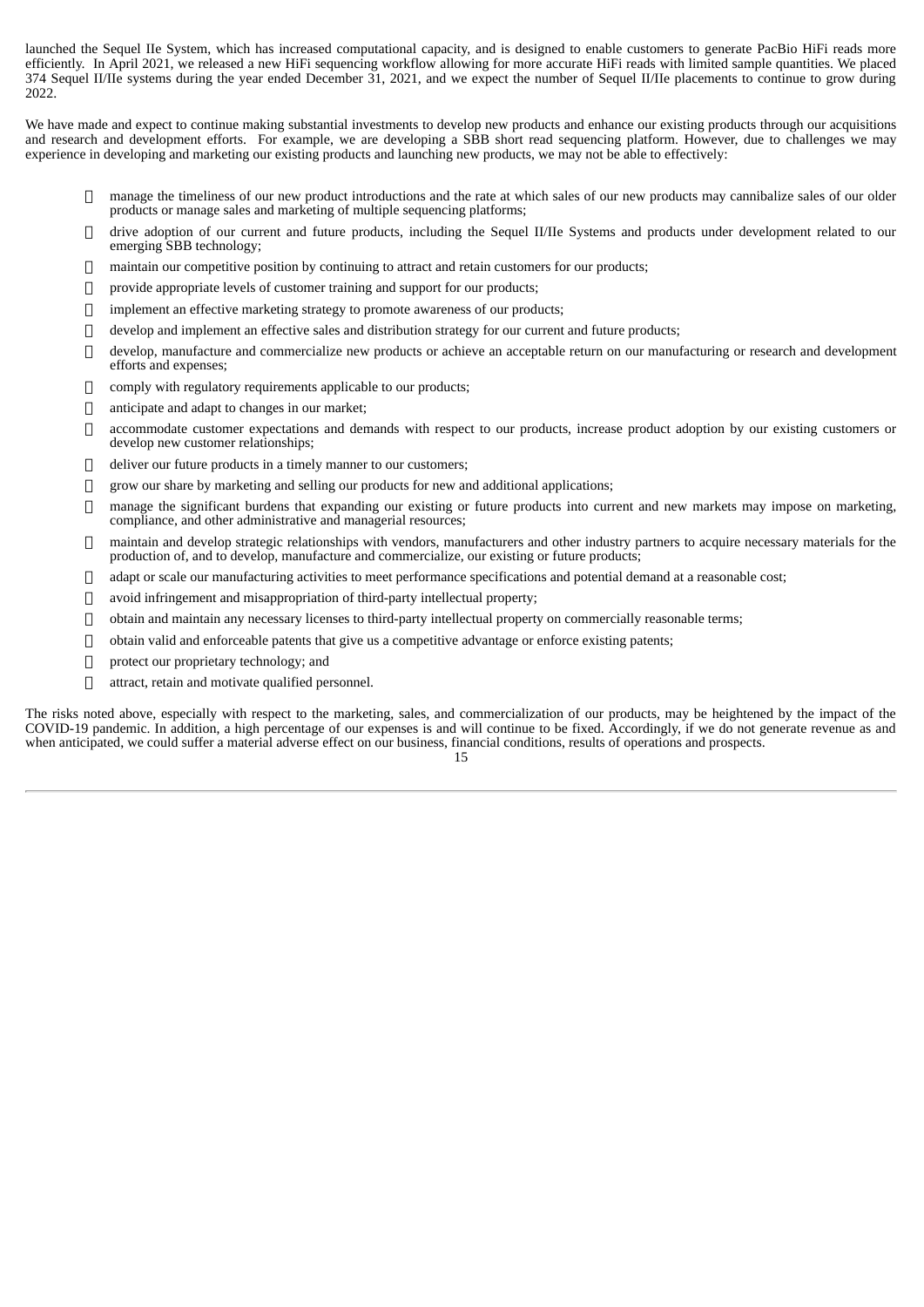launched the Sequel IIe System, which has increased computational capacity, and is designed to enable customers to generate PacBio HiFi reads more efficiently. In April 2021, we released a new HiFi sequencing workflow allowing for more accurate HiFi reads with limited sample quantities. We placed 374 Sequel II/IIe systems during the year ended December 31, 2021, and we expect the number of Sequel II/IIe placements to continue to grow during 2022.

We have made and expect to continue making substantial investments to develop new products and enhance our existing products through our acquisitions and research and development efforts. For example, we are developing a SBB short read sequencing platform. However, due to challenges we may experience in developing and marketing our existing products and launching new products, we may not be able to effectively:

- manage the timeliness of our new product introductions and the rate at which sales of our new products may cannibalize sales of our older products or manage sales and marketing of multiple sequencing platforms;
- drive adoption of our current and future products, including the Sequel II/IIe Systems and products under development related to our emerging SBB technology;
- maintain our competitive position by continuing to attract and retain customers for our products;
- $\Box$  provide appropriate levels of customer training and support for our products;
- implement an effective marketing strategy to promote awareness of our products;
- develop and implement an effective sales and distribution strategy for our current and future products;
- $\Box$  develop, manufacture and commercialize new products or achieve an acceptable return on our manufacturing or research and development efforts and expenses;
- $\Box$  comply with regulatory requirements applicable to our products;
- □ anticipate and adapt to changes in our market;
- accommodate customer expectations and demands with respect to our products, increase product adoption by our existing customers or develop new customer relationships;
- $\Box$  deliver our future products in a timely manner to our customers;
- $\Box$  grow our share by marketing and selling our products for new and additional applications;
- $\Box$  manage the significant burdens that expanding our existing or future products into current and new markets may impose on marketing, compliance, and other administrative and managerial resources;
- $\Box$  maintain and develop strategic relationships with vendors, manufacturers and other industry partners to acquire necessary materials for the production of, and to develop, manufacture and commercialize, our existing or future products;
- $\Box$  adapt or scale our manufacturing activities to meet performance specifications and potential demand at a reasonable cost;
- avoid infringement and misappropriation of third-party intellectual property;
- $\Box$  obtain and maintain any necessary licenses to third-party intellectual property on commercially reasonable terms;
- $\Box$  obtain valid and enforceable patents that give us a competitive advantage or enforce existing patents;
- □ protect our proprietary technology; and
- □ attract, retain and motivate qualified personnel.

The risks noted above, especially with respect to the marketing, sales, and commercialization of our products, may be heightened by the impact of the COVID-19 pandemic. In addition, a high percentage of our expenses is and will continue to be fixed. Accordingly, if we do not generate revenue as and when anticipated, we could suffer a material adverse effect on our business, financial conditions, results of operations and prospects.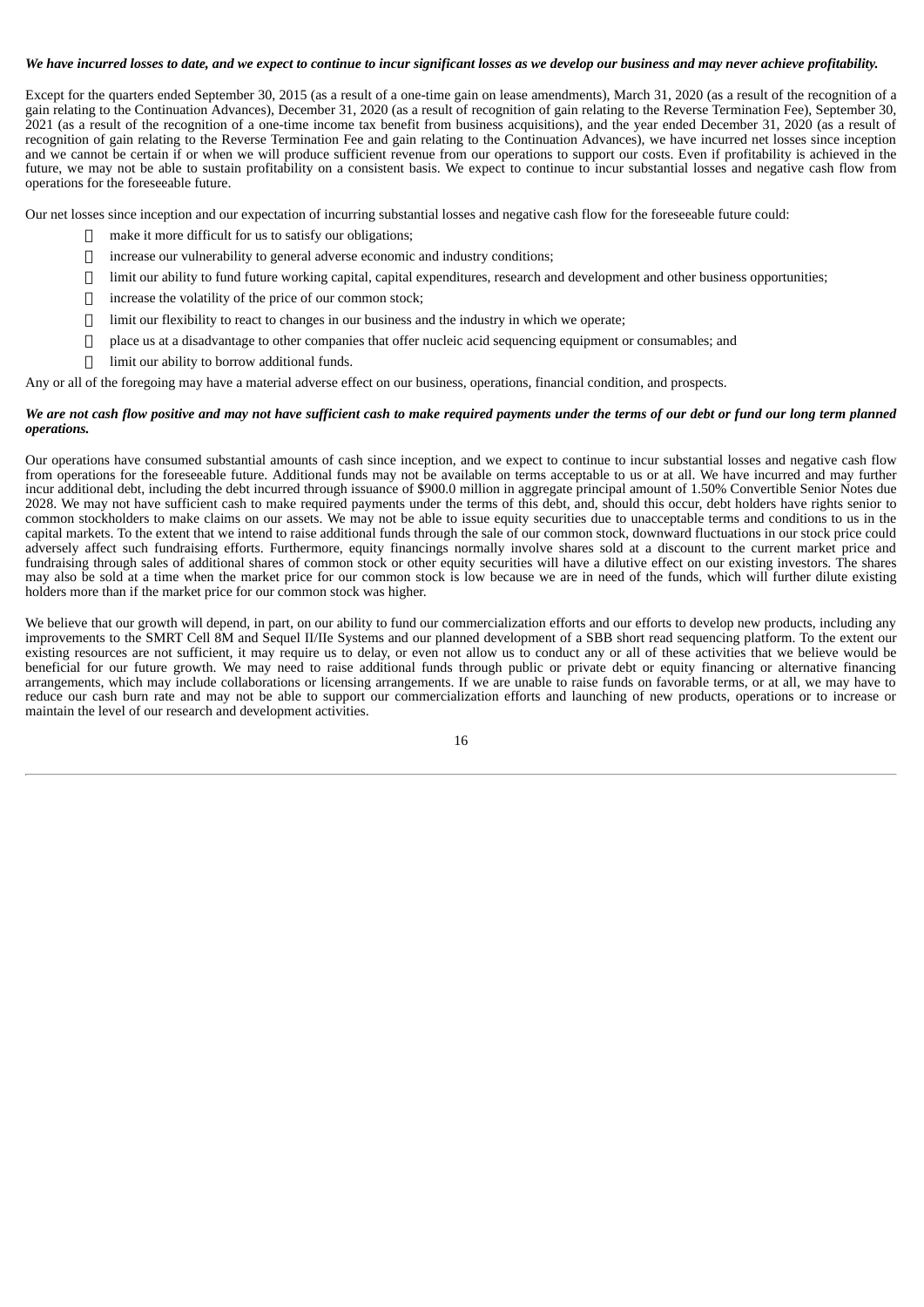#### We have incurred losses to date, and we expect to continue to incur significant losses as we develop our business and may never achieve profitability.

Except for the quarters ended September 30, 2015 (as a result of a one-time gain on lease amendments), March 31, 2020 (as a result of the recognition of a gain relating to the Continuation Advances), December 31, 2020 (as a result of recognition of gain relating to the Reverse Termination Fee), September 30, 2021 (as a result of the recognition of a one-time income tax benefit from business acquisitions), and the year ended December 31, 2020 (as a result of recognition of gain relating to the Reverse Termination Fee and gain relating to the Continuation Advances), we have incurred net losses since inception and we cannot be certain if or when we will produce sufficient revenue from our operations to support our costs. Even if profitability is achieved in the future, we may not be able to sustain profitability on a consistent basis. We expect to continue to incur substantial losses and negative cash flow from operations for the foreseeable future.

Our net losses since inception and our expectation of incurring substantial losses and negative cash flow for the foreseeable future could:

- $\Box$  make it more difficult for us to satisfy our obligations;
- $\Box$  increase our vulnerability to general adverse economic and industry conditions;
- limit our ability to fund future working capital, capital expenditures, research and development and other business opportunities;
- $\Box$  increase the volatility of the price of our common stock;
- limit our flexibility to react to changes in our business and the industry in which we operate;
- $\Box$  place us at a disadvantage to other companies that offer nucleic acid sequencing equipment or consumables; and
- $\Box$  limit our ability to borrow additional funds.

Any or all of the foregoing may have a material adverse effect on our business, operations, financial condition, and prospects.

## We are not cash flow positive and may not have sufficient cash to make required payments under the terms of our debt or fund our long term planned *operations.*

Our operations have consumed substantial amounts of cash since inception, and we expect to continue to incur substantial losses and negative cash flow from operations for the foreseeable future. Additional funds may not be available on terms acceptable to us or at all. We have incurred and may further incur additional debt, including the debt incurred through issuance of \$900.0 million in aggregate principal amount of 1.50% Convertible Senior Notes due 2028. We may not have sufficient cash to make required payments under the terms of this debt, and, should this occur, debt holders have rights senior to common stockholders to make claims on our assets. We may not be able to issue equity securities due to unacceptable terms and conditions to us in the capital markets. To the extent that we intend to raise additional funds through the sale of our common stock, downward fluctuations in our stock price could adversely affect such fundraising efforts. Furthermore, equity financings normally involve shares sold at a discount to the current market price and fundraising through sales of additional shares of common stock or other equity securities will have a dilutive effect on our existing investors. The shares may also be sold at a time when the market price for our common stock is low because we are in need of the funds, which will further dilute existing holders more than if the market price for our common stock was higher.

We believe that our growth will depend, in part, on our ability to fund our commercialization efforts and our efforts to develop new products, including any improvements to the SMRT Cell 8M and Sequel II/IIe Systems and our planned development of a SBB short read sequencing platform. To the extent our existing resources are not sufficient, it may require us to delay, or even not allow us to conduct any or all of these activities that we believe would be beneficial for our future growth. We may need to raise additional funds through public or private debt or equity financing or alternative financing arrangements, which may include collaborations or licensing arrangements. If we are unable to raise funds on favorable terms, or at all, we may have to reduce our cash burn rate and may not be able to support our commercialization efforts and launching of new products, operations or to increase or maintain the level of our research and development activities.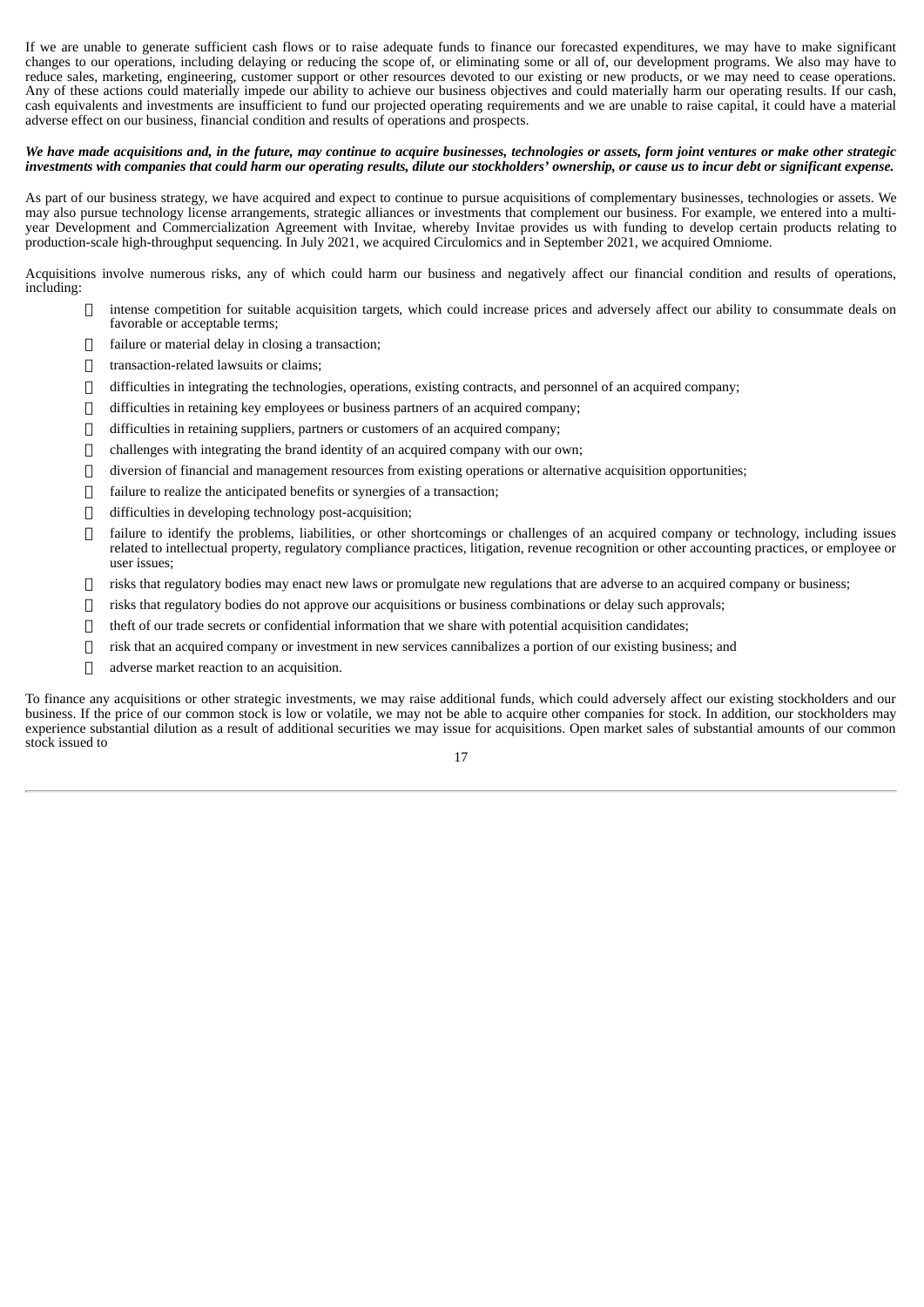If we are unable to generate sufficient cash flows or to raise adequate funds to finance our forecasted expenditures, we may have to make significant changes to our operations, including delaying or reducing the scope of, or eliminating some or all of, our development programs. We also may have to reduce sales, marketing, engineering, customer support or other resources devoted to our existing or new products, or we may need to cease operations. Any of these actions could materially impede our ability to achieve our business objectives and could materially harm our operating results. If our cash, cash equivalents and investments are insufficient to fund our projected operating requirements and we are unable to raise capital, it could have a material adverse effect on our business, financial condition and results of operations and prospects.

## We have made acquisitions and, in the future, may continue to acquire businesses, technologies or assets, form joint ventures or make other strategic investments with companies that could harm our operating results, dilute our stockholders' ownership, or cause us to incur debt or significant expense.

As part of our business strategy, we have acquired and expect to continue to pursue acquisitions of complementary businesses, technologies or assets. We may also pursue technology license arrangements, strategic alliances or investments that complement our business. For example, we entered into a multiyear Development and Commercialization Agreement with Invitae, whereby Invitae provides us with funding to develop certain products relating to production-scale high-throughput sequencing. In July 2021, we acquired Circulomics and in September 2021, we acquired Omniome.

Acquisitions involve numerous risks, any of which could harm our business and negatively affect our financial condition and results of operations, including:

- intense competition for suitable acquisition targets, which could increase prices and adversely affect our ability to consummate deals on favorable or acceptable terms;
- $\Box$  failure or material delay in closing a transaction;
- transaction-related lawsuits or claims;
- $\Box$  difficulties in integrating the technologies, operations, existing contracts, and personnel of an acquired company;
- $\Box$  difficulties in retaining key employees or business partners of an acquired company;
- $\Box$  difficulties in retaining suppliers, partners or customers of an acquired company;
- $\Box$  challenges with integrating the brand identity of an acquired company with our own;
- $\Box$  diversion of financial and management resources from existing operations or alternative acquisition opportunities;
- $\Box$  failure to realize the anticipated benefits or synergies of a transaction;
- $\Box$  difficulties in developing technology post-acquisition;
- $\Box$  failure to identify the problems, liabilities, or other shortcomings or challenges of an acquired company or technology, including issues related to intellectual property, regulatory compliance practices, litigation, revenue recognition or other accounting practices, or employee or user issues;
- $\Box$  risks that regulatory bodies may enact new laws or promulgate new regulations that are adverse to an acquired company or business;
- $\Box$  risks that regulatory bodies do not approve our acquisitions or business combinations or delay such approvals;
- $\Box$  theft of our trade secrets or confidential information that we share with potential acquisition candidates;
- $\Box$  risk that an acquired company or investment in new services cannibalizes a portion of our existing business; and
- adverse market reaction to an acquisition.

To finance any acquisitions or other strategic investments, we may raise additional funds, which could adversely affect our existing stockholders and our business. If the price of our common stock is low or volatile, we may not be able to acquire other companies for stock. In addition, our stockholders may experience substantial dilution as a result of additional securities we may issue for acquisitions. Open market sales of substantial amounts of our common stock issued to

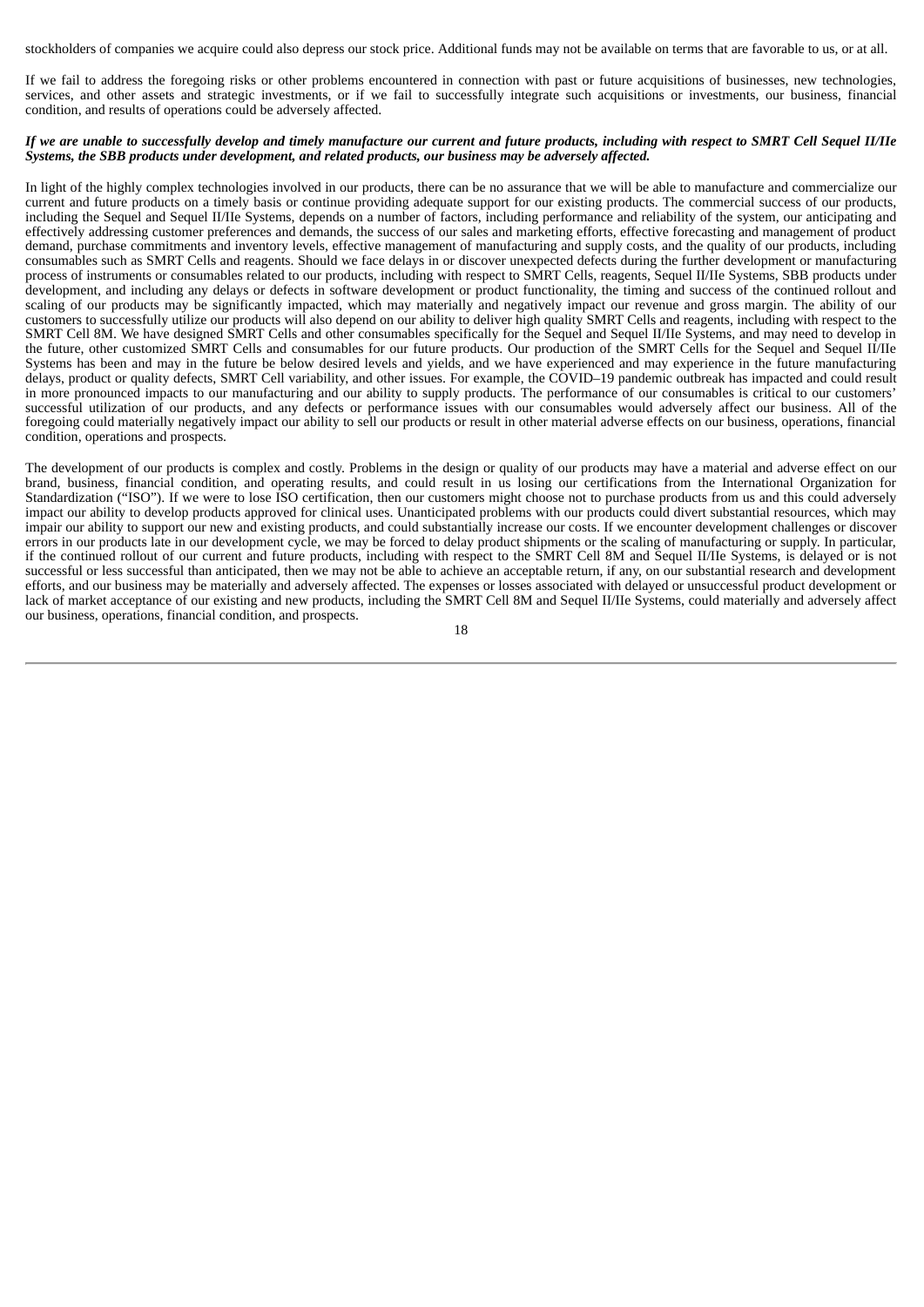stockholders of companies we acquire could also depress our stock price. Additional funds may not be available on terms that are favorable to us, or at all.

If we fail to address the foregoing risks or other problems encountered in connection with past or future acquisitions of businesses, new technologies, services, and other assets and strategic investments, or if we fail to successfully integrate such acquisitions or investments, our business, financial condition, and results of operations could be adversely affected.

## If we are unable to successfully develop and timely manufacture our current and future products, including with respect to SMRT Cell Sequel II/IIe *Systems, the SBB products under development, and related products, our business may be adversely affected.*

In light of the highly complex technologies involved in our products, there can be no assurance that we will be able to manufacture and commercialize our current and future products on a timely basis or continue providing adequate support for our existing products. The commercial success of our products, including the Sequel and Sequel II/IIe Systems, depends on a number of factors, including performance and reliability of the system, our anticipating and effectively addressing customer preferences and demands, the success of our sales and marketing efforts, effective forecasting and management of product demand, purchase commitments and inventory levels, effective management of manufacturing and supply costs, and the quality of our products, including consumables such as SMRT Cells and reagents. Should we face delays in or discover unexpected defects during the further development or manufacturing process of instruments or consumables related to our products, including with respect to SMRT Cells, reagents, Sequel II/IIe Systems, SBB products under development, and including any delays or defects in software development or product functionality, the timing and success of the continued rollout and scaling of our products may be significantly impacted, which may materially and negatively impact our revenue and gross margin. The ability of our customers to successfully utilize our products will also depend on our ability to deliver high quality SMRT Cells and reagents, including with respect to the SMRT Cell 8M. We have designed SMRT Cells and other consumables specifically for the Sequel and Sequel II/IIe Systems, and may need to develop in the future, other customized SMRT Cells and consumables for our future products. Our production of the SMRT Cells for the Sequel and Sequel II/IIe Systems has been and may in the future be below desired levels and yields, and we have experienced and may experience in the future manufacturing delays, product or quality defects, SMRT Cell variability, and other issues. For example, the COVID–19 pandemic outbreak has impacted and could result in more pronounced impacts to our manufacturing and our ability to supply products. The performance of our consumables is critical to our customers' successful utilization of our products, and any defects or performance issues with our consumables would adversely affect our business. All of the foregoing could materially negatively impact our ability to sell our products or result in other material adverse effects on our business, operations, financial condition, operations and prospects.

The development of our products is complex and costly. Problems in the design or quality of our products may have a material and adverse effect on our brand, business, financial condition, and operating results, and could result in us losing our certifications from the International Organization for Standardization ("ISO"). If we were to lose ISO certification, then our customers might choose not to purchase products from us and this could adversely impact our ability to develop products approved for clinical uses. Unanticipated problems with our products could divert substantial resources, which may impair our ability to support our new and existing products, and could substantially increase our costs. If we encounter development challenges or discover errors in our products late in our development cycle, we may be forced to delay product shipments or the scaling of manufacturing or supply. In particular, if the continued rollout of our current and future products, including with respect to the SMRT Cell 8M and Sequel II/IIe Systems, is delayed or is not successful or less successful than anticipated, then we may not be able to achieve an acceptable return, if any, on our substantial research and development efforts, and our business may be materially and adversely affected. The expenses or losses associated with delayed or unsuccessful product development or lack of market acceptance of our existing and new products, including the SMRT Cell 8M and Sequel II/IIe Systems, could materially and adversely affect our business, operations, financial condition, and prospects.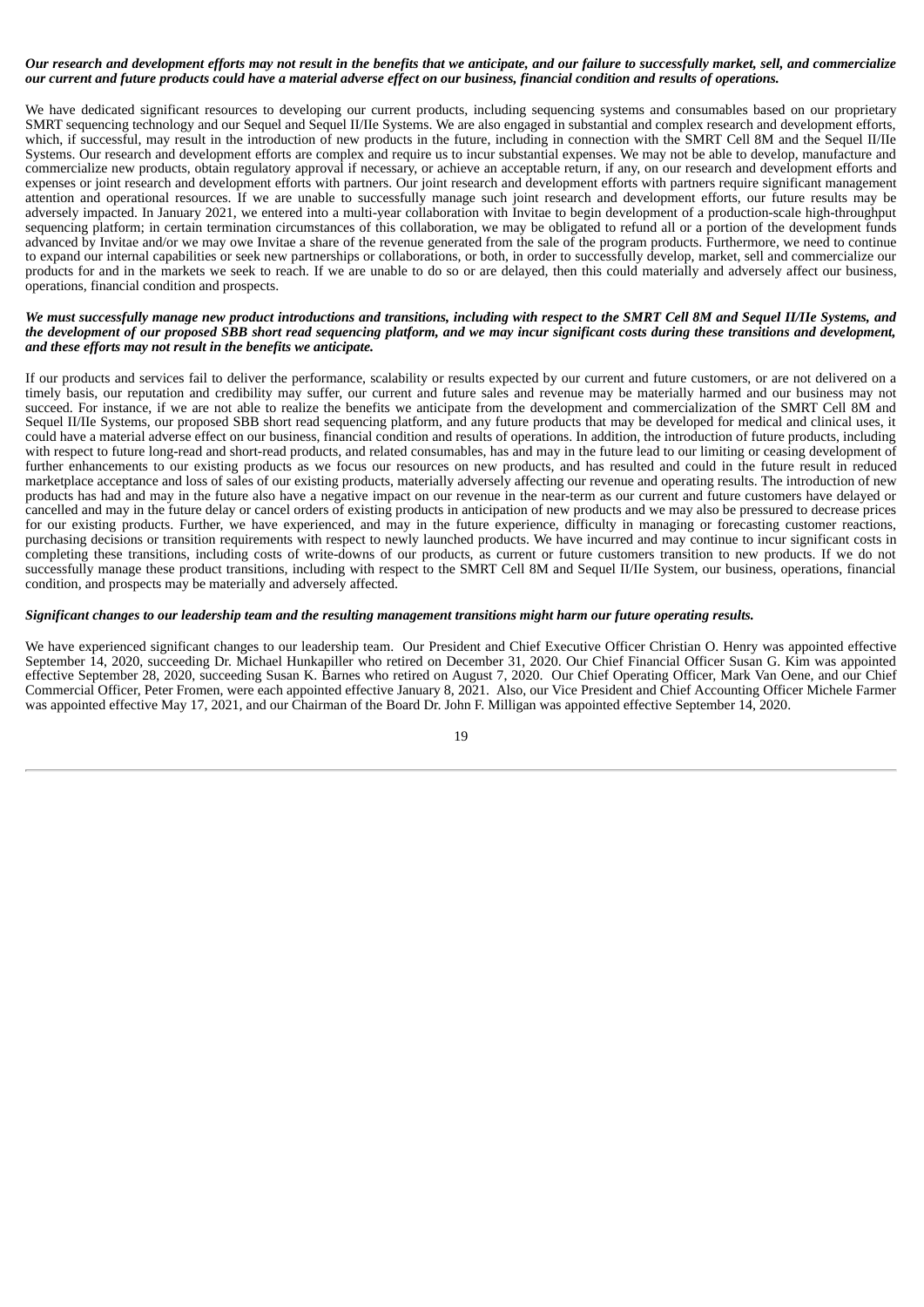## Our research and development efforts may not result in the benefits that we anticipate, and our failure to successfully market, sell, and commercialize our current and future products could have a material adverse effect on our business, financial condition and results of operations.

We have dedicated significant resources to developing our current products, including sequencing systems and consumables based on our proprietary SMRT sequencing technology and our Sequel and Sequel II/IIe Systems. We are also engaged in substantial and complex research and development efforts, which, if successful, may result in the introduction of new products in the future, including in connection with the SMRT Cell 8M and the Sequel II/IIe Systems. Our research and development efforts are complex and require us to incur substantial expenses. We may not be able to develop, manufacture and commercialize new products, obtain regulatory approval if necessary, or achieve an acceptable return, if any, on our research and development efforts and expenses or joint research and development efforts with partners. Our joint research and development efforts with partners require significant management attention and operational resources. If we are unable to successfully manage such joint research and development efforts, our future results may be adversely impacted. In January 2021, we entered into a multi-year collaboration with Invitae to begin development of a production-scale high-throughput sequencing platform; in certain termination circumstances of this collaboration, we may be obligated to refund all or a portion of the development funds advanced by Invitae and/or we may owe Invitae a share of the revenue generated from the sale of the program products. Furthermore, we need to continue to expand our internal capabilities or seek new partnerships or collaborations, or both, in order to successfully develop, market, sell and commercialize our products for and in the markets we seek to reach. If we are unable to do so or are delayed, then this could materially and adversely affect our business, operations, financial condition and prospects.

### We must successfully manage new product introductions and transitions, including with respect to the SMRT Cell 8M and Sequel II/IIe Systems, and the development of our proposed SBB short read sequencing platform, and we may incur significant costs during these transitions and development, *and these efforts may not result in the benefits we anticipate.*

If our products and services fail to deliver the performance, scalability or results expected by our current and future customers, or are not delivered on a timely basis, our reputation and credibility may suffer, our current and future sales and revenue may be materially harmed and our business may not succeed. For instance, if we are not able to realize the benefits we anticipate from the development and commercialization of the SMRT Cell 8M and Sequel II/IIe Systems, our proposed SBB short read sequencing platform, and any future products that may be developed for medical and clinical uses, it could have a material adverse effect on our business, financial condition and results of operations. In addition, the introduction of future products, including with respect to future long-read and short-read products, and related consumables, has and may in the future lead to our limiting or ceasing development of further enhancements to our existing products as we focus our resources on new products, and has resulted and could in the future result in reduced marketplace acceptance and loss of sales of our existing products, materially adversely affecting our revenue and operating results. The introduction of new products has had and may in the future also have a negative impact on our revenue in the near-term as our current and future customers have delayed or cancelled and may in the future delay or cancel orders of existing products in anticipation of new products and we may also be pressured to decrease prices for our existing products. Further, we have experienced, and may in the future experience, difficulty in managing or forecasting customer reactions, purchasing decisions or transition requirements with respect to newly launched products. We have incurred and may continue to incur significant costs in completing these transitions, including costs of write-downs of our products, as current or future customers transition to new products. If we do not successfully manage these product transitions, including with respect to the SMRT Cell 8M and Sequel II/IIe System, our business, operations, financial condition, and prospects may be materially and adversely affected.

## Significant changes to our leadership team and the resulting manggement transitions might harm our future operating results.

We have experienced significant changes to our leadership team. Our President and Chief Executive Officer Christian O. Henry was appointed effective September 14, 2020, succeeding Dr. Michael Hunkapiller who retired on December 31, 2020. Our Chief Financial Officer Susan G. Kim was appointed effective September 28, 2020, succeeding Susan K. Barnes who retired on August 7, 2020. Our Chief Operating Officer, Mark Van Oene, and our Chief Commercial Officer, Peter Fromen, were each appointed effective January 8, 2021. Also, our Vice President and Chief Accounting Officer Michele Farmer was appointed effective May 17, 2021, and our Chairman of the Board Dr. John F. Milligan was appointed effective September 14, 2020.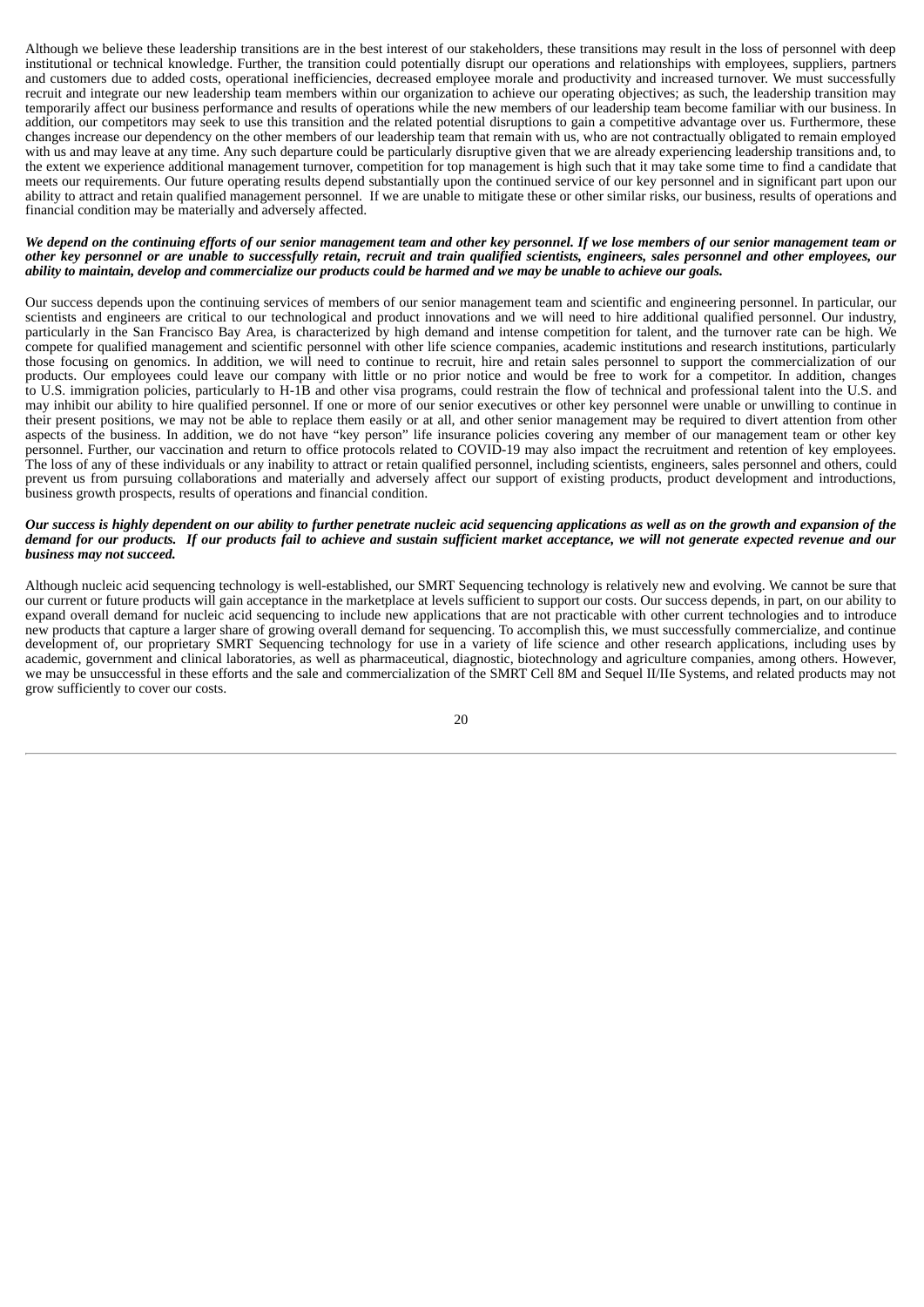Although we believe these leadership transitions are in the best interest of our stakeholders, these transitions may result in the loss of personnel with deep institutional or technical knowledge. Further, the transition could potentially disrupt our operations and relationships with employees, suppliers, partners and customers due to added costs, operational inefficiencies, decreased employee morale and productivity and increased turnover. We must successfully recruit and integrate our new leadership team members within our organization to achieve our operating objectives; as such, the leadership transition may temporarily affect our business performance and results of operations while the new members of our leadership team become familiar with our business. In addition, our competitors may seek to use this transition and the related potential disruptions to gain a competitive advantage over us. Furthermore, these changes increase our dependency on the other members of our leadership team that remain with us, who are not contractually obligated to remain employed with us and may leave at any time. Any such departure could be particularly disruptive given that we are already experiencing leadership transitions and, to the extent we experience additional management turnover, competition for top management is high such that it may take some time to find a candidate that meets our requirements. Our future operating results depend substantially upon the continued service of our key personnel and in significant part upon our ability to attract and retain qualified management personnel. If we are unable to mitigate these or other similar risks, our business, results of operations and financial condition may be materially and adversely affected.

#### We depend on the continuing efforts of our senior management team and other key personnel. If we lose members of our senior management team or other key personnel or are unable to successfully retain, recruit and train qualified scientists, engineers, sales personnel and other employees, our ability to maintain, develop and commercialize our products could be harmed and we may be unable to achieve our goals.

Our success depends upon the continuing services of members of our senior management team and scientific and engineering personnel. In particular, our scientists and engineers are critical to our technological and product innovations and we will need to hire additional qualified personnel. Our industry, particularly in the San Francisco Bay Area, is characterized by high demand and intense competition for talent, and the turnover rate can be high. We compete for qualified management and scientific personnel with other life science companies, academic institutions and research institutions, particularly those focusing on genomics. In addition, we will need to continue to recruit, hire and retain sales personnel to support the commercialization of our products. Our employees could leave our company with little or no prior notice and would be free to work for a competitor. In addition, changes to U.S. immigration policies, particularly to H-1B and other visa programs, could restrain the flow of technical and professional talent into the U.S. and may inhibit our ability to hire qualified personnel. If one or more of our senior executives or other key personnel were unable or unwilling to continue in their present positions, we may not be able to replace them easily or at all, and other senior management may be required to divert attention from other aspects of the business. In addition, we do not have "key person" life insurance policies covering any member of our management team or other key personnel. Further, our vaccination and return to office protocols related to COVID-19 may also impact the recruitment and retention of key employees. The loss of any of these individuals or any inability to attract or retain qualified personnel, including scientists, engineers, sales personnel and others, could prevent us from pursuing collaborations and materially and adversely affect our support of existing products, product development and introductions, business growth prospects, results of operations and financial condition.

## Our success is highly dependent on our ability to further penetrate nucleic acid sequencing applications as well as on the growth and expansion of the demand for our products. If our products fail to achieve and sustain sufficient market acceptance, we will not generate expected revenue and our *business may not succeed.*

Although nucleic acid sequencing technology is well-established, our SMRT Sequencing technology is relatively new and evolving. We cannot be sure that our current or future products will gain acceptance in the marketplace at levels sufficient to support our costs. Our success depends, in part, on our ability to expand overall demand for nucleic acid sequencing to include new applications that are not practicable with other current technologies and to introduce new products that capture a larger share of growing overall demand for sequencing. To accomplish this, we must successfully commercialize, and continue development of, our proprietary SMRT Sequencing technology for use in a variety of life science and other research applications, including uses by academic, government and clinical laboratories, as well as pharmaceutical, diagnostic, biotechnology and agriculture companies, among others. However, we may be unsuccessful in these efforts and the sale and commercialization of the SMRT Cell 8M and Sequel II/IIe Systems, and related products may not grow sufficiently to cover our costs.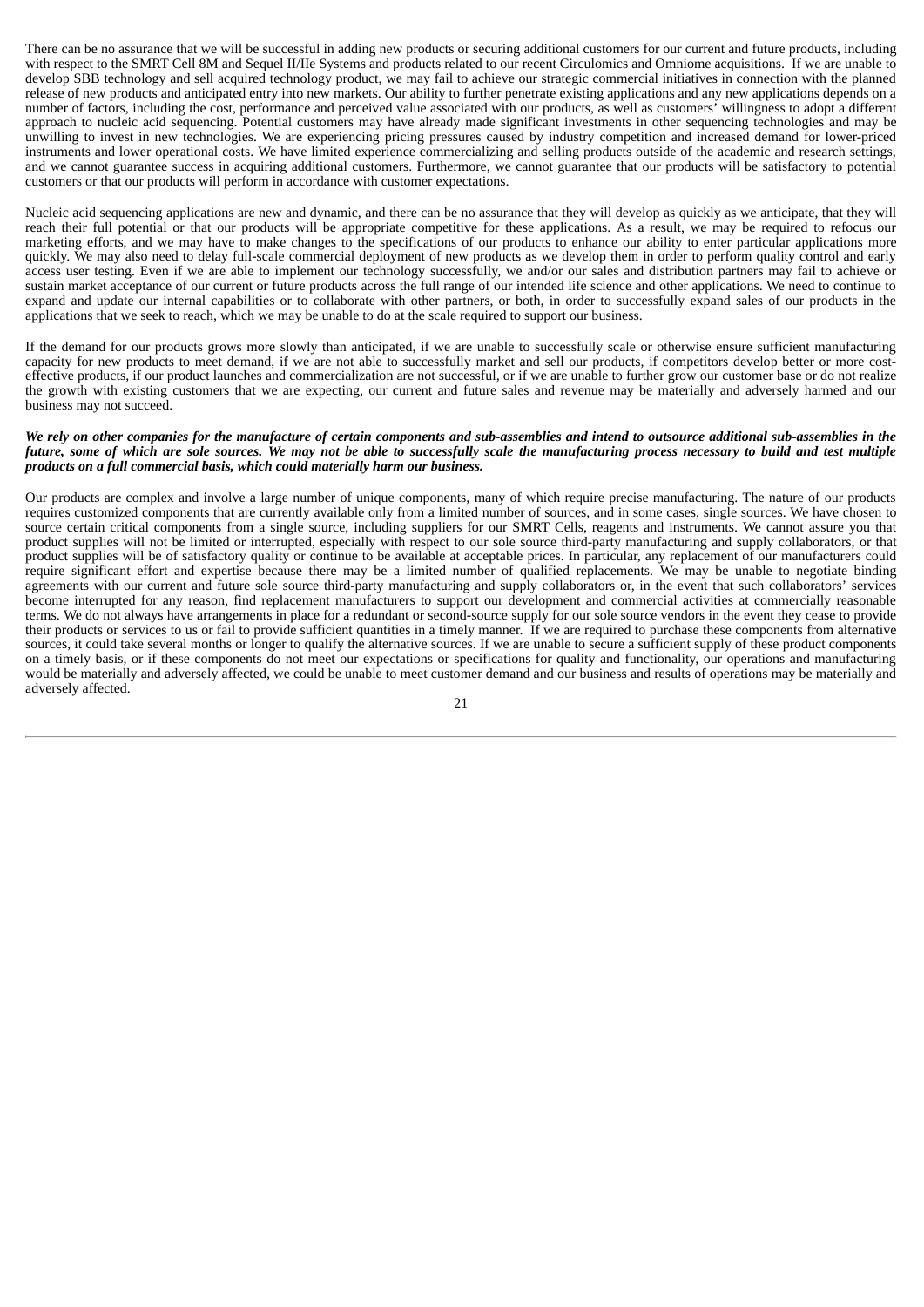There can be no assurance that we will be successful in adding new products or securing additional customers for our current and future products, including with respect to the SMRT Cell 8M and Sequel II/IIe Systems and products related to our recent Circulomics and Omniome acquisitions. If we are unable to develop SBB technology and sell acquired technology product, we may fail to achieve our strategic commercial initiatives in connection with the planned release of new products and anticipated entry into new markets. Our ability to further penetrate existing applications and any new applications depends on a number of factors, including the cost, performance and perceived value associated with our products, as well as customers' willingness to adopt a different approach to nucleic acid sequencing. Potential customers may have already made significant investments in other sequencing technologies and may be unwilling to invest in new technologies. We are experiencing pricing pressures caused by industry competition and increased demand for lower-priced instruments and lower operational costs. We have limited experience commercializing and selling products outside of the academic and research settings, and we cannot guarantee success in acquiring additional customers. Furthermore, we cannot guarantee that our products will be satisfactory to potential customers or that our products will perform in accordance with customer expectations.

Nucleic acid sequencing applications are new and dynamic, and there can be no assurance that they will develop as quickly as we anticipate, that they will reach their full potential or that our products will be appropriate competitive for these applications. As a result, we may be required to refocus our marketing efforts, and we may have to make changes to the specifications of our products to enhance our ability to enter particular applications more quickly. We may also need to delay full-scale commercial deployment of new products as we develop them in order to perform quality control and early access user testing. Even if we are able to implement our technology successfully, we and/or our sales and distribution partners may fail to achieve or sustain market acceptance of our current or future products across the full range of our intended life science and other applications. We need to continue to expand and update our internal capabilities or to collaborate with other partners, or both, in order to successfully expand sales of our products in the applications that we seek to reach, which we may be unable to do at the scale required to support our business.

If the demand for our products grows more slowly than anticipated, if we are unable to successfully scale or otherwise ensure sufficient manufacturing capacity for new products to meet demand, if we are not able to successfully market and sell our products, if competitors develop better or more costeffective products, if our product launches and commercialization are not successful, or if we are unable to further grow our customer base or do not realize the growth with existing customers that we are expecting, our current and future sales and revenue may be materially and adversely harmed and our business may not succeed.

## We rely on other companies for the manufacture of certain components and sub-assemblies and intend to outsource additional sub-assemblies in the future, some of which are sole sources. We may not be able to successfully scale the manufacturing process necessary to build and test multiple *products on a full commercial basis, which could materially harm our business.*

Our products are complex and involve a large number of unique components, many of which require precise manufacturing. The nature of our products requires customized components that are currently available only from a limited number of sources, and in some cases, single sources. We have chosen to source certain critical components from a single source, including suppliers for our SMRT Cells, reagents and instruments. We cannot assure you that product supplies will not be limited or interrupted, especially with respect to our sole source third-party manufacturing and supply collaborators, or that product supplies will be of satisfactory quality or continue to be available at acceptable prices. In particular, any replacement of our manufacturers could require significant effort and expertise because there may be a limited number of qualified replacements. We may be unable to negotiate binding agreements with our current and future sole source third-party manufacturing and supply collaborators or, in the event that such collaborators' services become interrupted for any reason, find replacement manufacturers to support our development and commercial activities at commercially reasonable terms. We do not always have arrangements in place for a redundant or second-source supply for our sole source vendors in the event they cease to provide their products or services to us or fail to provide sufficient quantities in a timely manner. If we are required to purchase these components from alternative sources, it could take several months or longer to qualify the alternative sources. If we are unable to secure a sufficient supply of these product components on a timely basis, or if these components do not meet our expectations or specifications for quality and functionality, our operations and manufacturing would be materially and adversely affected, we could be unable to meet customer demand and our business and results of operations may be materially and adversely affected.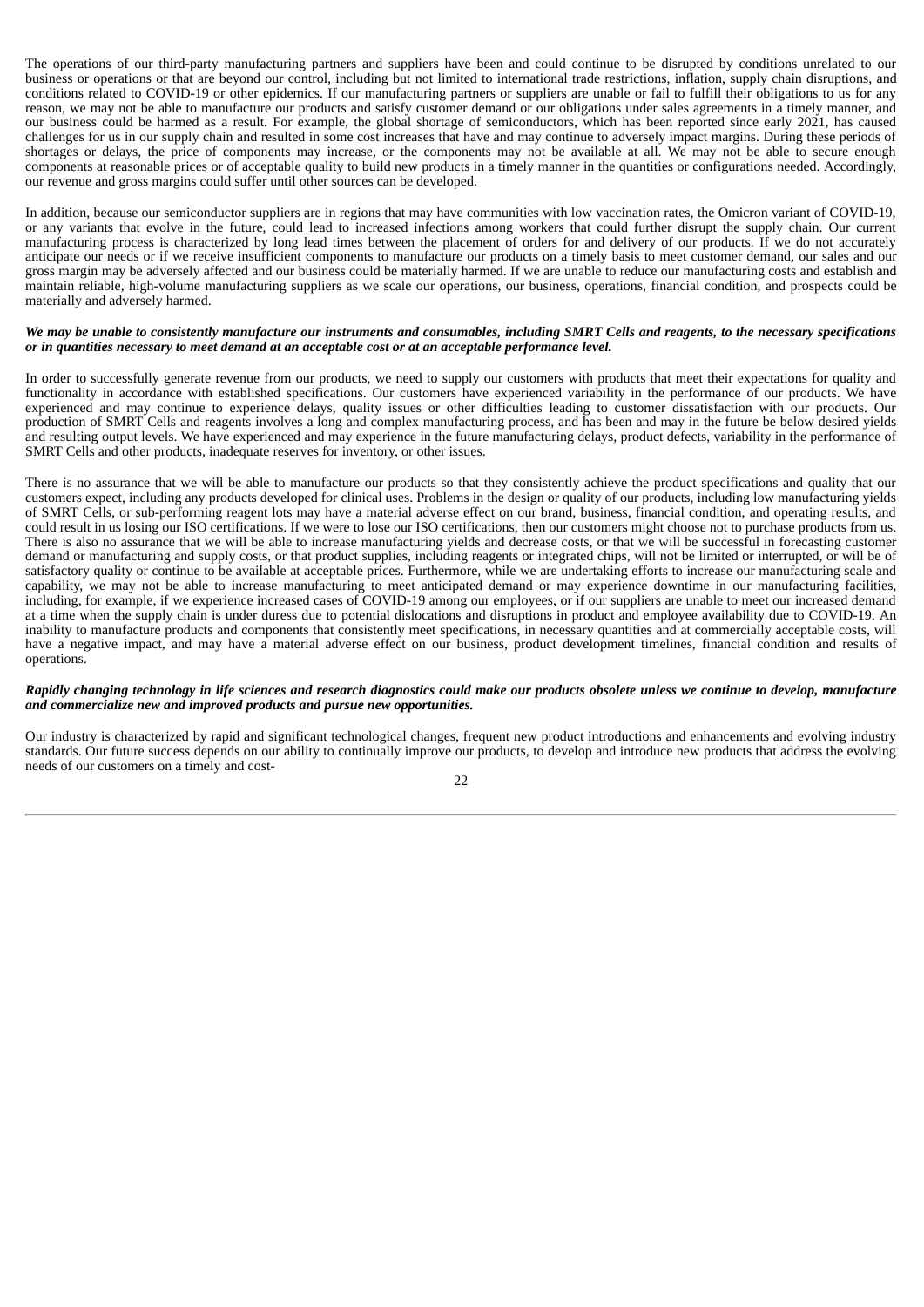The operations of our third-party manufacturing partners and suppliers have been and could continue to be disrupted by conditions unrelated to our business or operations or that are beyond our control, including but not limited to international trade restrictions, inflation, supply chain disruptions, and conditions related to COVID-19 or other epidemics. If our manufacturing partners or suppliers are unable or fail to fulfill their obligations to us for any reason, we may not be able to manufacture our products and satisfy customer demand or our obligations under sales agreements in a timely manner, and our business could be harmed as a result. For example, the global shortage of semiconductors, which has been reported since early 2021, has caused challenges for us in our supply chain and resulted in some cost increases that have and may continue to adversely impact margins. During these periods of shortages or delays, the price of components may increase, or the components may not be available at all. We may not be able to secure enough components at reasonable prices or of acceptable quality to build new products in a timely manner in the quantities or configurations needed. Accordingly, our revenue and gross margins could suffer until other sources can be developed.

In addition, because our semiconductor suppliers are in regions that may have communities with low vaccination rates, the Omicron variant of COVID-19, or any variants that evolve in the future, could lead to increased infections among workers that could further disrupt the supply chain. Our current manufacturing process is characterized by long lead times between the placement of orders for and delivery of our products. If we do not accurately anticipate our needs or if we receive insufficient components to manufacture our products on a timely basis to meet customer demand, our sales and our gross margin may be adversely affected and our business could be materially harmed. If we are unable to reduce our manufacturing costs and establish and maintain reliable, high-volume manufacturing suppliers as we scale our operations, our business, operations, financial condition, and prospects could be materially and adversely harmed.

## We may be unable to consistently manufacture our instruments and consumables, including SMRT Cells and reagents, to the necessary specifications *or in quantities necessary to meet demand at an acceptable cost or at an acceptable performance level.*

In order to successfully generate revenue from our products, we need to supply our customers with products that meet their expectations for quality and functionality in accordance with established specifications. Our customers have experienced variability in the performance of our products. We have experienced and may continue to experience delays, quality issues or other difficulties leading to customer dissatisfaction with our products. Our production of SMRT Cells and reagents involves a long and complex manufacturing process, and has been and may in the future be below desired yields and resulting output levels. We have experienced and may experience in the future manufacturing delays, product defects, variability in the performance of SMRT Cells and other products, inadequate reserves for inventory, or other issues.

There is no assurance that we will be able to manufacture our products so that they consistently achieve the product specifications and quality that our customers expect, including any products developed for clinical uses. Problems in the design or quality of our products, including low manufacturing yields of SMRT Cells, or sub-performing reagent lots may have a material adverse effect on our brand, business, financial condition, and operating results, and could result in us losing our ISO certifications. If we were to lose our ISO certifications, then our customers might choose not to purchase products from us. There is also no assurance that we will be able to increase manufacturing yields and decrease costs, or that we will be successful in forecasting customer demand or manufacturing and supply costs, or that product supplies, including reagents or integrated chips, will not be limited or interrupted, or will be of satisfactory quality or continue to be available at acceptable prices. Furthermore, while we are undertaking efforts to increase our manufacturing scale and capability, we may not be able to increase manufacturing to meet anticipated demand or may experience downtime in our manufacturing facilities, including, for example, if we experience increased cases of COVID-19 among our employees, or if our suppliers are unable to meet our increased demand at a time when the supply chain is under duress due to potential dislocations and disruptions in product and employee availability due to COVID-19. An inability to manufacture products and components that consistently meet specifications, in necessary quantities and at commercially acceptable costs, will have a negative impact, and may have a material adverse effect on our business, product development timelines, financial condition and results of operations.

## Rapidly chanaina technoloay in life sciences and research diaanostics could make our products obsolete unless we continue to develop, manufacture *and commercialize new and improved products and pursue new opportunities.*

Our industry is characterized by rapid and significant technological changes, frequent new product introductions and enhancements and evolving industry standards. Our future success depends on our ability to continually improve our products, to develop and introduce new products that address the evolving needs of our customers on a timely and cost-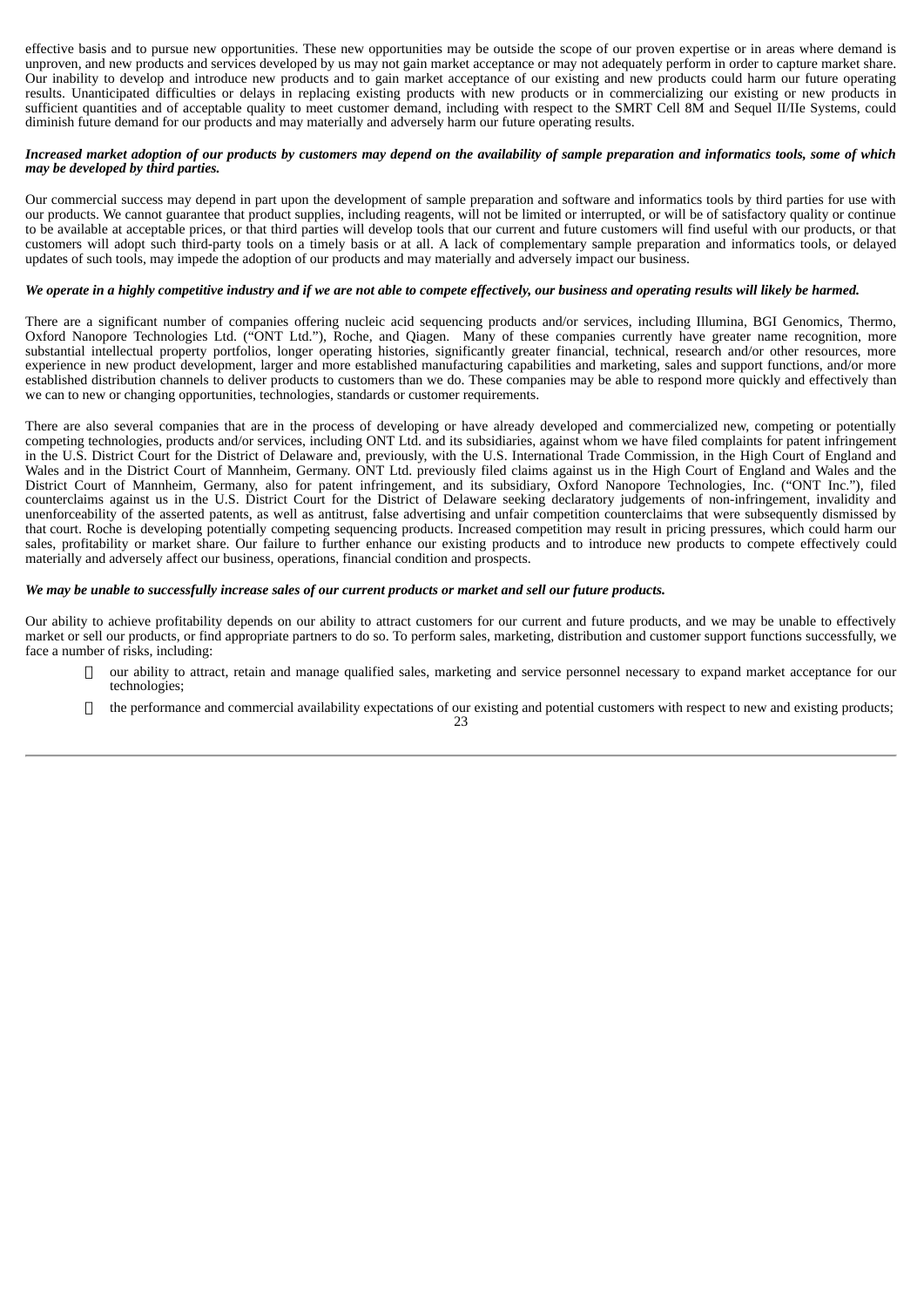effective basis and to pursue new opportunities. These new opportunities may be outside the scope of our proven expertise or in areas where demand is unproven, and new products and services developed by us may not gain market acceptance or may not adequately perform in order to capture market share. Our inability to develop and introduce new products and to gain market acceptance of our existing and new products could harm our future operating results. Unanticipated difficulties or delays in replacing existing products with new products or in commercializing our existing or new products in sufficient quantities and of acceptable quality to meet customer demand, including with respect to the SMRT Cell 8M and Sequel II/IIe Systems, could diminish future demand for our products and may materially and adversely harm our future operating results.

## Increased market adoption of our products by customers may depend on the availability of sample preparation and informatics tools, some of which *may be developed by third parties.*

Our commercial success may depend in part upon the development of sample preparation and software and informatics tools by third parties for use with our products. We cannot guarantee that product supplies, including reagents, will not be limited or interrupted, or will be of satisfactory quality or continue to be available at acceptable prices, or that third parties will develop tools that our current and future customers will find useful with our products, or that customers will adopt such third-party tools on a timely basis or at all. A lack of complementary sample preparation and informatics tools, or delayed updates of such tools, may impede the adoption of our products and may materially and adversely impact our business.

## We operate in a highly competitive industry and if we are not able to compete effectively, our business and operating results will likely be harmed.

There are a significant number of companies offering nucleic acid sequencing products and/or services, including Illumina, BGI Genomics, Thermo, Oxford Nanopore Technologies Ltd. ("ONT Ltd."), Roche, and Qiagen. Many of these companies currently have greater name recognition, more substantial intellectual property portfolios, longer operating histories, significantly greater financial, technical, research and/or other resources, more experience in new product development, larger and more established manufacturing capabilities and marketing, sales and support functions, and/or more established distribution channels to deliver products to customers than we do. These companies may be able to respond more quickly and effectively than we can to new or changing opportunities, technologies, standards or customer requirements.

There are also several companies that are in the process of developing or have already developed and commercialized new, competing or potentially competing technologies, products and/or services, including ONT Ltd. and its subsidiaries, against whom we have filed complaints for patent infringement in the U.S. District Court for the District of Delaware and, previously, with the U.S. International Trade Commission, in the High Court of England and Wales and in the District Court of Mannheim, Germany. ONT Ltd. previously filed claims against us in the High Court of England and Wales and the District Court of Mannheim, Germany, also for patent infringement, and its subsidiary, Oxford Nanopore Technologies, Inc. ("ONT Inc."), filed counterclaims against us in the U.S. District Court for the District of Delaware seeking declaratory judgements of non-infringement, invalidity and unenforceability of the asserted patents, as well as antitrust, false advertising and unfair competition counterclaims that were subsequently dismissed by that court. Roche is developing potentially competing sequencing products. Increased competition may result in pricing pressures, which could harm our sales, profitability or market share. Our failure to further enhance our existing products and to introduce new products to compete effectively could materially and adversely affect our business, operations, financial condition and prospects.

#### We may be unable to successfully increase sales of our current products or market and sell our future products.

Our ability to achieve profitability depends on our ability to attract customers for our current and future products, and we may be unable to effectively market or sell our products, or find appropriate partners to do so. To perform sales, marketing, distribution and customer support functions successfully, we face a number of risks, including:

- our ability to attract, retain and manage qualified sales, marketing and service personnel necessary to expand market acceptance for our technologies;
- $\Box$  the performance and commercial availability expectations of our existing and potential customers with respect to new and existing products; 23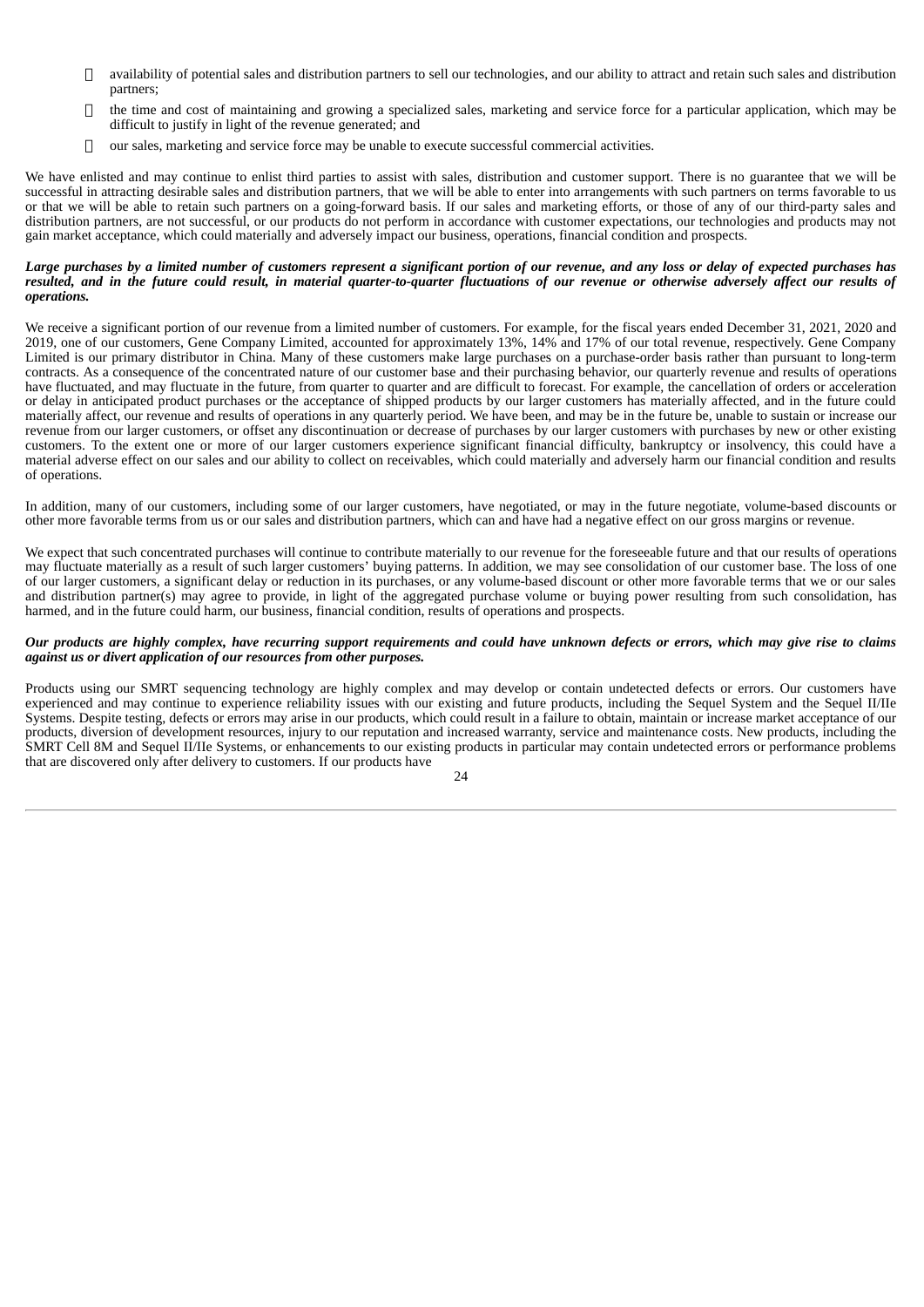- $\Box$  availability of potential sales and distribution partners to sell our technologies, and our ability to attract and retain such sales and distribution partners;
- $\Box$  the time and cost of maintaining and growing a specialized sales, marketing and service force for a particular application, which may be difficult to justify in light of the revenue generated; and
- our sales, marketing and service force may be unable to execute successful commercial activities.

We have enlisted and may continue to enlist third parties to assist with sales, distribution and customer support. There is no guarantee that we will be successful in attracting desirable sales and distribution partners, that we will be able to enter into arrangements with such partners on terms favorable to us or that we will be able to retain such partners on a going-forward basis. If our sales and marketing efforts, or those of any of our third-party sales and distribution partners, are not successful, or our products do not perform in accordance with customer expectations, our technologies and products may not gain market acceptance, which could materially and adversely impact our business, operations, financial condition and prospects.

## Large purchases by a limited number of customers represent a significant portion of our revenue, and any loss or delay of expected purchases has resulted, and in the future could result, in material quarter-to-quarter fluctuations of our revenue or otherwise adversely affect our results of *operations.*

We receive a significant portion of our revenue from a limited number of customers. For example, for the fiscal years ended December 31, 2021, 2020 and 2019, one of our customers, Gene Company Limited, accounted for approximately 13%, 14% and 17% of our total revenue, respectively. Gene Company Limited is our primary distributor in China. Many of these customers make large purchases on a purchase-order basis rather than pursuant to long-term contracts. As a consequence of the concentrated nature of our customer base and their purchasing behavior, our quarterly revenue and results of operations have fluctuated, and may fluctuate in the future, from quarter to quarter and are difficult to forecast. For example, the cancellation of orders or acceleration or delay in anticipated product purchases or the acceptance of shipped products by our larger customers has materially affected, and in the future could materially affect, our revenue and results of operations in any quarterly period. We have been, and may be in the future be, unable to sustain or increase our materially affect, our revenue and results of operations in any revenue from our larger customers, or offset any discontinuation or decrease of purchases by our larger customers with purchases by new or other existing customers. To the extent one or more of our larger customers experience significant financial difficulty, bankruptcy or insolvency, this could have a material adverse effect on our sales and our ability to collect on receivables, which could materially and adversely harm our financial condition and results of operations.

In addition, many of our customers, including some of our larger customers, have negotiated, or may in the future negotiate, volume-based discounts or other more favorable terms from us or our sales and distribution partners, which can and have had a negative effect on our gross margins or revenue.

We expect that such concentrated purchases will continue to contribute materially to our revenue for the foreseeable future and that our results of operations may fluctuate materially as a result of such larger customers' buying patterns. In addition, we may see consolidation of our customer base. The loss of one of our larger customers, a significant delay or reduction in its purchases, or any volume-based discount or other more favorable terms that we or our sales and distribution partner(s) may agree to provide, in light of the aggregated purchase volume or buying power resulting from such consolidation, has harmed, and in the future could harm, our business, financial condition, results of operations and prospects.

## Our products are highly complex, have recurring support requirements and could have unknown defects or errors, which may give rise to claims *against us or divert application of our resources from other purposes.*

Products using our SMRT sequencing technology are highly complex and may develop or contain undetected defects or errors. Our customers have experienced and may continue to experience reliability issues with our existing and future products, including the Sequel System and the Sequel II/IIe Systems. Despite testing, defects or errors may arise in our products, which could result in a failure to obtain, maintain or increase market acceptance of our products, diversion of development resources, injury to our reputation and increased warranty, service and maintenance costs. New products, including the SMRT Cell 8M and Sequel II/IIe Systems, or enhancements to our existing products in particular may contain undetected errors or performance problems that are discovered only after delivery to customers. If our products have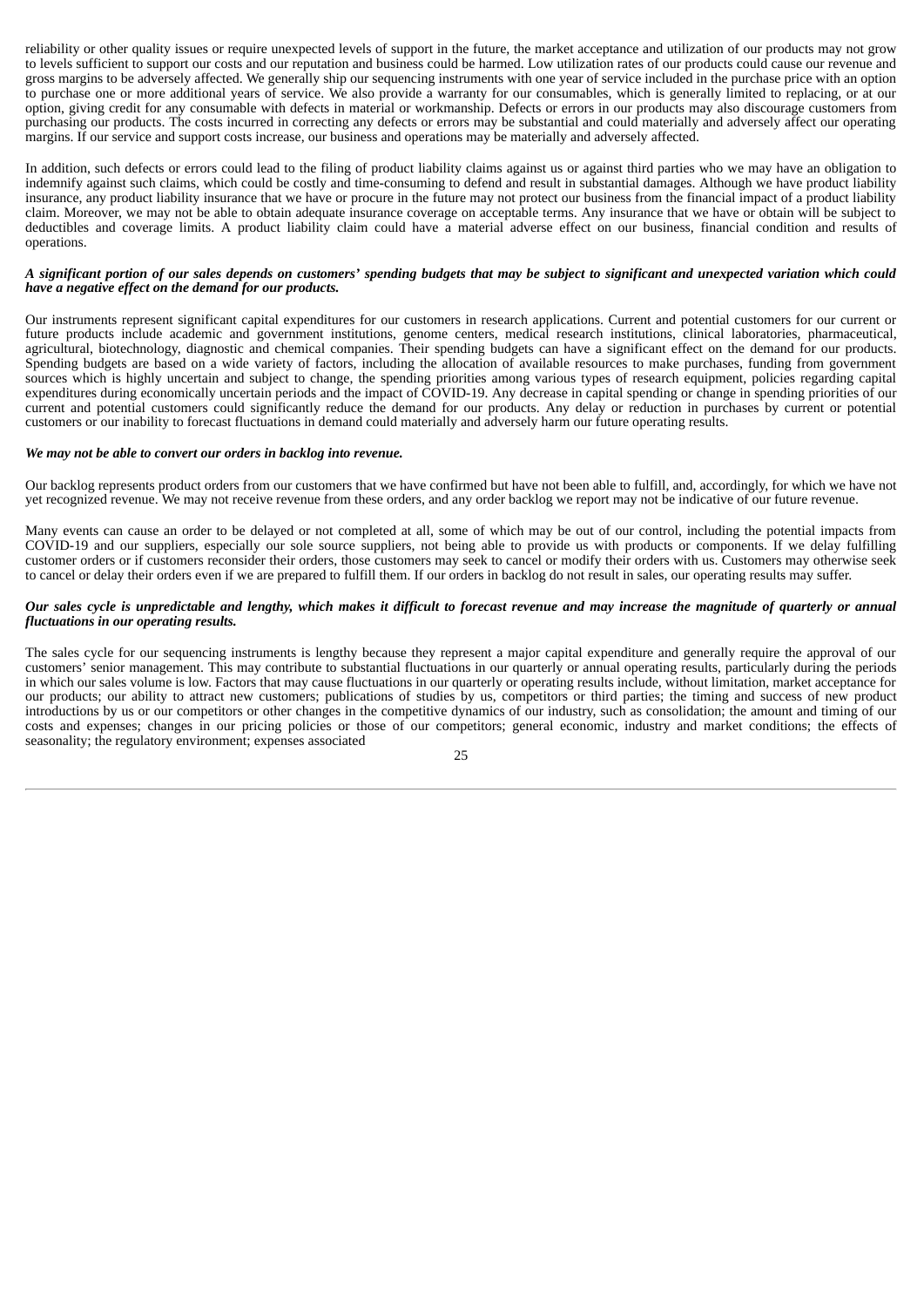reliability or other quality issues or require unexpected levels of support in the future, the market acceptance and utilization of our products may not grow to levels sufficient to support our costs and our reputation and business could be harmed. Low utilization rates of our products could cause our revenue and gross margins to be adversely affected. We generally ship our sequencing instruments with one year of service included in the purchase price with an option to purchase one or more additional years of service. We also provide a warranty for our consumables, which is generally limited to replacing, or at our option, giving credit for any consumable with defects in material or workmanship. Defects or errors in our products may also discourage customers from purchasing our products. The costs incurred in correcting any defects or errors may be substantial and could materially and adversely affect our operating margins. If our service and support costs increase, our business and operations may be materially and adversely affected.

In addition, such defects or errors could lead to the filing of product liability claims against us or against third parties who we may have an obligation to indemnify against such claims, which could be costly and time-consuming to defend and result in substantial damages. Although we have product liability insurance, any product liability insurance that we have or procure in the future may not protect our business from the financial impact of a product liability claim. Moreover, we may not be able to obtain adequate insurance coverage on acceptable terms. Any insurance that we have or obtain will be subject to deductibles and coverage limits. A product liability claim could have a material adverse effect on our business, financial condition and results of operations.

## A significant portion of our sales depends on customers' spending budgets that may be subject to significant and unexpected variation which could *have a negative effect on the demand for our products.*

Our instruments represent significant capital expenditures for our customers in research applications. Current and potential customers for our current or future products include academic and government institutions, genome centers, medical research institutions, clinical laboratories, pharmaceutical, agricultural, biotechnology, diagnostic and chemical companies. Their spending budgets can have a significant effect on the demand for our products. Spending budgets are based on a wide variety of factors, including the allocation of available resources to make purchases, funding from government sources which is highly uncertain and subject to change, the spending priorities among various types of research equipment, policies regarding capital expenditures during economically uncertain periods and the impact of COVID-19. Any decrease in capital spending or change in spending priorities of our current and potential customers could significantly reduce the demand for our products. Any delay or reduction in purchases by current or potential customers or our inability to forecast fluctuations in demand could materially and adversely harm our future operating results.

#### *We may not be able to convert our orders in backlog into revenue.*

Our backlog represents product orders from our customers that we have confirmed but have not been able to fulfill, and, accordingly, for which we have not yet recognized revenue. We may not receive revenue from these orders, and any order backlog we report may not be indicative of our future revenue.

Many events can cause an order to be delayed or not completed at all, some of which may be out of our control, including the potential impacts from COVID-19 and our suppliers, especially our sole source suppliers, not being able to provide us with products or components. If we delay fulfilling customer orders or if customers reconsider their orders, those customers may seek to cancel or modify their orders with us. Customers may otherwise seek to cancel or delay their orders even if we are prepared to fulfill them. If our orders in backlog do not result in sales, our operating results may suffer.

## Our sales cycle is unpredictable and lengthy, which makes it difficult to forecast revenue and may increase the magnitude of quarterly or annual *fluctuations in our operating results.*

The sales cycle for our sequencing instruments is lengthy because they represent a major capital expenditure and generally require the approval of our customers' senior management. This may contribute to substantial fluctuations in our quarterly or annual operating results, particularly during the periods in which our sales volume is low. Factors that may cause fluctuations in our quarterly or operating results include, without limitation, market acceptance for our products; our ability to attract new customers; publications of studies by us, competitors or third parties; the timing and success of new product introductions by us or our competitors or other changes in the competitive dynamics of our industry, such as consolidation; the amount and timing of our costs and expenses; changes in our pricing policies or those of our competitors; general economic, industry and market conditions; the effects of seasonality; the regulatory environment; expenses associated

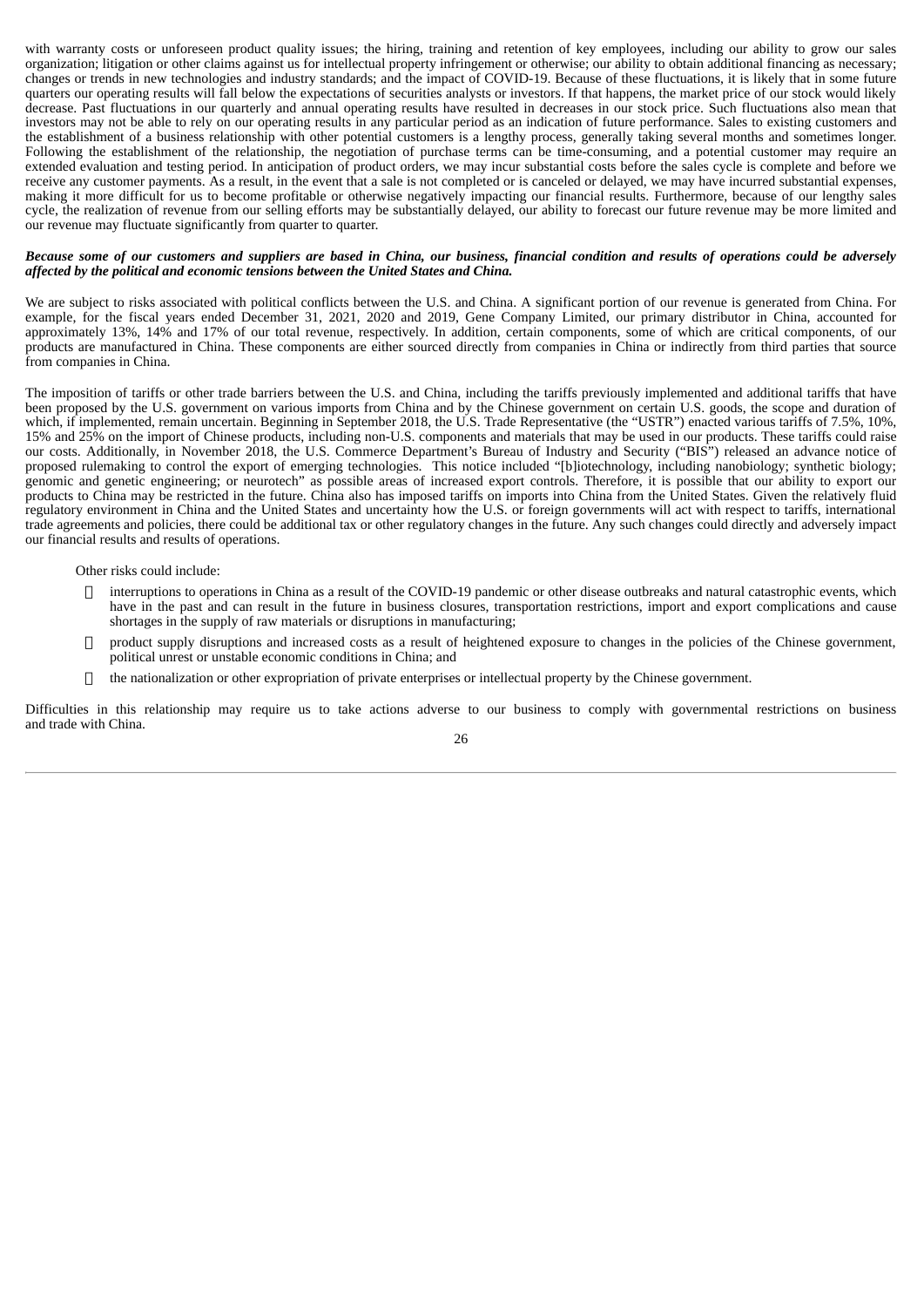with warranty costs or unforeseen product quality issues; the hiring, training and retention of key employees, including our ability to grow our sales organization; litigation or other claims against us for intellectual property infringement or otherwise; our ability to obtain additional financing as necessary; changes or trends in new technologies and industry standards; and the impact of COVID-19. Because of these fluctuations, it is likely that in some future quarters our operating results will fall below the expectations of securities analysts or investors. If that happens, the market price of our stock would likely decrease. Past fluctuations in our quarterly and annual operating results have resulted in decreases in our stock price. Such fluctuations also mean that investors may not be able to rely on our operating results in any particular period as an indication of future performance. Sales to existing customers and the establishment of a business relationship with other potential customers is a lengthy process, generally taking several months and sometimes longer. Following the establishment of the relationship, the negotiation of purchase terms can be time-consuming, and a potential customer may require an extended evaluation and testing period. In anticipation of product orders, we may incur substantial costs before the sales cycle is complete and before we receive any customer payments. As a result, in the event that a sale is not completed or is canceled or delayed, we may have incurred substantial expenses, making it more difficult for us to become profitable or otherwise negatively impacting our financial results. Furthermore, because of our lengthy sales cycle, the realization of revenue from our selling efforts may be substantially delayed, our ability to forecast our future revenue may be more limited and our revenue may fluctuate significantly from quarter to quarter.

## Because some of our customers and suppliers are based in China, our business, financial condition and results of operations could be adversely *affected by the political and economic tensions between the United States and China.*

We are subject to risks associated with political conflicts between the U.S. and China. A significant portion of our revenue is generated from China. For example, for the fiscal years ended December 31, 2021, 2020 and 2019, Gene Company Limited, our primary distributor in China, accounted for approximately 13%, 14% and 17% of our total revenue, respectively. In addition, certain components, some of which are critical components, of our products are manufactured in China. These components are either sourced directly from companies in China or indirectly from third parties that source from companies in China.

The imposition of tariffs or other trade barriers between the U.S. and China, including the tariffs previously implemented and additional tariffs that have been proposed by the U.S. government on various imports from China and by the Chinese government on certain U.S. goods, the scope and duration of which, if implemented, remain uncertain. Beginning in September 2018, the U.S. Trade Representative (the "USTR") enacted various tariffs of 7.5%, 10%, 15% and 25% on the import of Chinese products, including non-U.S. components and materials that may be used in our products. These tariffs could raise our costs. Additionally, in November 2018, the U.S. Commerce Department's Bureau of Industry and Security ("BIS") released an advance notice of proposed rulemaking to control the export of emerging technologies. This notice included "[b]iotechnology, including nanobiology; synthetic biology; genomic and genetic engineering; or neurotech" as possible areas of increased export controls. Therefore, it is possible that our ability to export our products to China may be restricted in the future. China also has imposed tariffs on imports into China from the United States. Given the relatively fluid regulatory environment in China and the United States and uncertainty how the U.S. or foreign governments will act with respect to tariffs, international trade agreements and policies, there could be additional tax or other regulatory changes in the future. Any such changes could directly and adversely impact our financial results and results of operations.

Other risks could include:

- $\Box$  interruptions to operations in China as a result of the COVID-19 pandemic or other disease outbreaks and natural catastrophic events, which have in the past and can result in the future in business closures, transportation restrictions, import and export complications and cause shortages in the supply of raw materials or disruptions in manufacturing;
- product supply disruptions and increased costs as a result of heightened exposure to changes in the policies of the Chinese government, political unrest or unstable economic conditions in China; and
- $\Box$  the nationalization or other expropriation of private enterprises or intellectual property by the Chinese government.

Difficulties in this relationship may require us to take actions adverse to our business to comply with governmental restrictions on business and trade with China.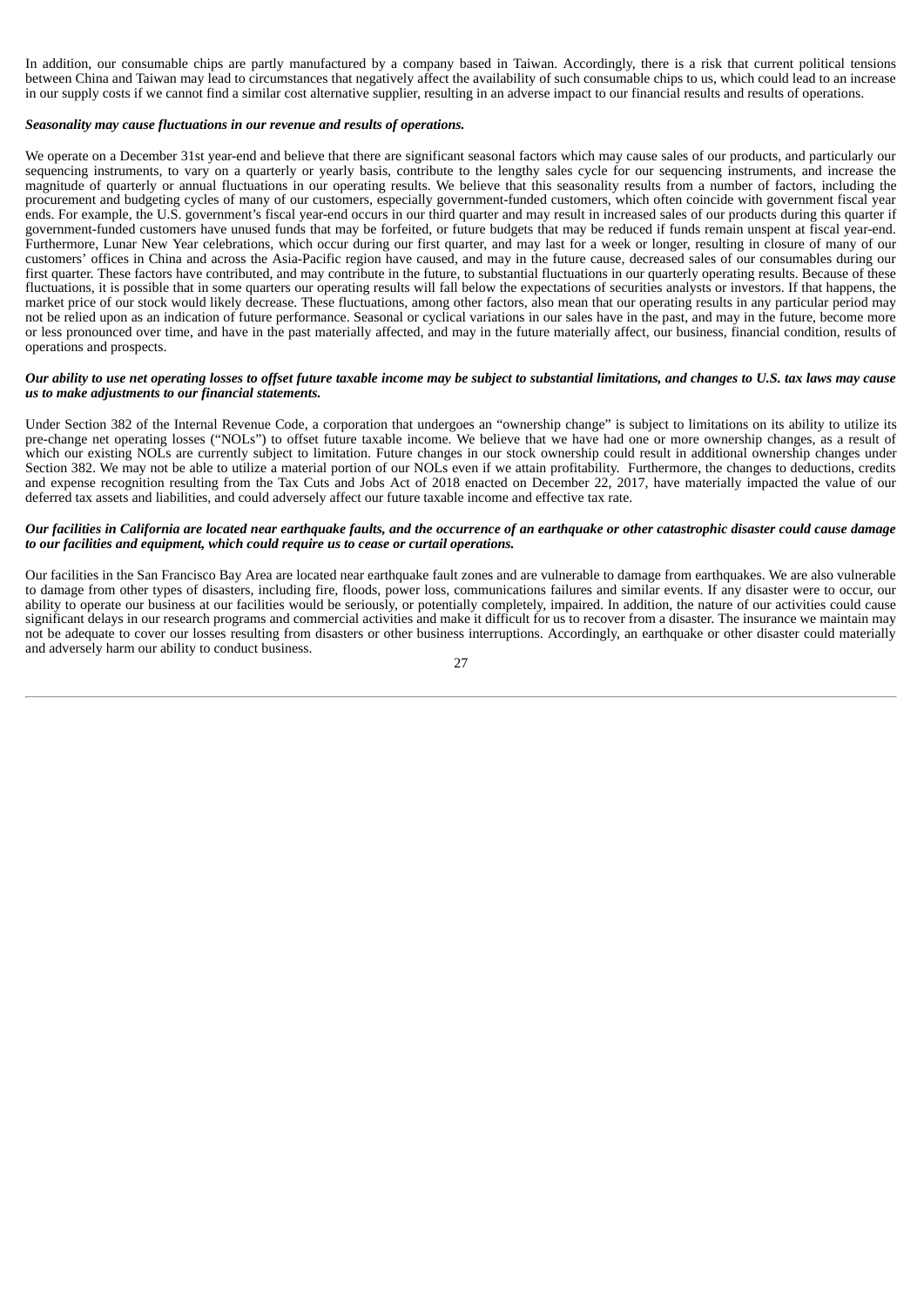In addition, our consumable chips are partly manufactured by a company based in Taiwan. Accordingly, there is a risk that current political tensions between China and Taiwan may lead to circumstances that negatively affect the availability of such consumable chips to us, which could lead to an increase in our supply costs if we cannot find a similar cost alternative supplier, resulting in an adverse impact to our financial results and results of operations.

## <span id="page-28-0"></span>*Seasonality may cause fluctuations in our revenue and results of operations.*

We operate on a December 31st year-end and believe that there are significant seasonal factors which may cause sales of our products, and particularly our sequencing instruments, to vary on a quarterly or yearly basis, contribute to the lengthy sales cycle for our sequencing instruments, and increase the magnitude of quarterly or annual fluctuations in our operating results. We believe that this seasonality results from a number of factors, including the procurement and budgeting cycles of many of our customers, especially government-funded customers, which often coincide with government fiscal year ends. For example, the U.S. government's fiscal year-end occurs in our third quarter and may result in increased sales of our products during this quarter if government-funded customers have unused funds that may be forfeited, or future budgets that may be reduced if funds remain unspent at fiscal year-end. Furthermore, Lunar New Year celebrations, which occur during our first quarter, and may last for a week or longer, resulting in closure of many of our customers' offices in China and across the Asia-Pacific region have caused, and may in the future cause, decreased sales of our consumables during our first quarter. These factors have contributed, and may contribute in the future, to substantial fluctuations in our quarterly operating results. Because of these fluctuations, it is possible that in some quarters our operating results will fall below the expectations of securities analysts or investors. If that happens, the market price of our stock would likely decrease. These fluctuations, among other factors, also mean that our operating results in any particular period may not be relied upon as an indication of future performance. Seasonal or cyclical variations in our sales have in the past, and may in the future, become more or less pronounced over time, and have in the past materially affected, and may in the future materially affect, our business, financial condition, results of operations and prospects.

## Our ability to use net operating losses to offset future taxable income may be subject to substantial limitations, and changes to U.S. tax laws may cause *us to make adjustments to our financial statements.*

Under Section 382 of the Internal Revenue Code, a corporation that undergoes an "ownership change" is subject to limitations on its ability to utilize its pre-change net operating losses ("NOLs") to offset future taxable income. We believe that we have had one or more ownership changes, as a result of which our existing NOLs are currently subject to limitation. Future changes in our stock ownership could result in additional ownership changes under Section 382. We may not be able to utilize a material portion of our NOLs even if we attain profitability. Furthermore, the changes to deductions, credits and expense recognition resulting from the Tax Cuts and Jobs Act of 2018 enacted on December 22, 2017, have materially impacted the value of our deferred tax assets and liabilities, and could adversely affect our future taxable income and effective tax rate.

#### Our facilities in California are located near earthquake faults, and the occurrence of an earthquake or other catastrophic disaster could cause damage *to our facilities and equipment, which could require us to cease or curtail operations.*

Our facilities in the San Francisco Bay Area are located near earthquake fault zones and are vulnerable to damage from earthquakes. We are also vulnerable to damage from other types of disasters, including fire, floods, power loss, communications failures and similar events. If any disaster were to occur, our ability to operate our business at our facilities would be seriously, or potentially completely, impaired. In addition, the nature of our activities could cause significant delays in our research programs and commercial activities and make it difficult for us to recover from a disaster. The insurance we maintain may not be adequate to cover our losses resulting from disasters or other business interruptions. Accordingly, an earthquake or other disaster could materially and adversely harm our ability to conduct business.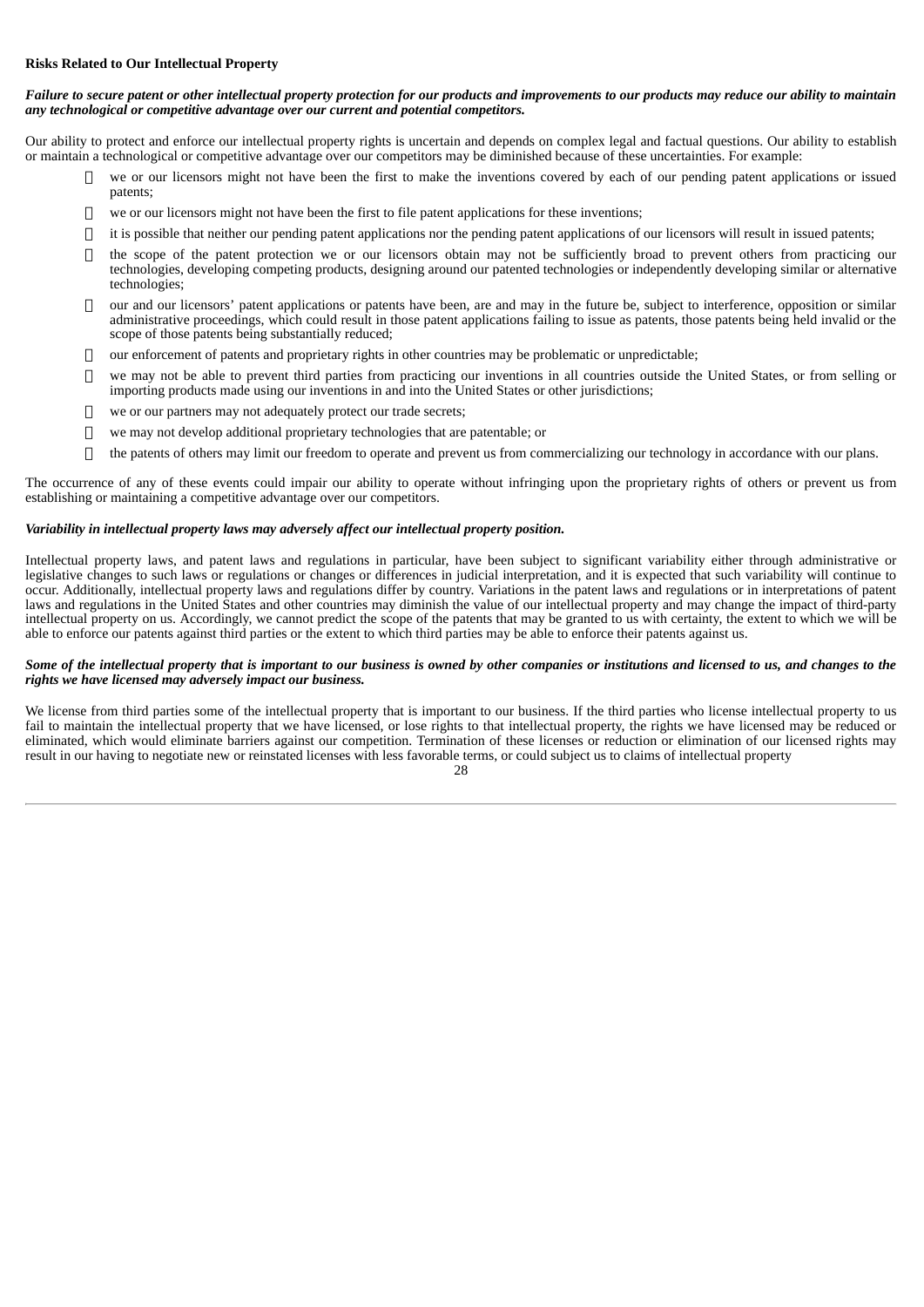## **Risks Related to Our Intellectual Property**

## Failure to secure patent or other intellectual property protection for our products and improvements to our products may reduce our ability to maintain *any technological or competitive advantage over our current and potential competitors.*

Our ability to protect and enforce our intellectual property rights is uncertain and depends on complex legal and factual questions. Our ability to establish or maintain a technological or competitive advantage over our competitors may be diminished because of these uncertainties. For example:

- $\Box$  we or our licensors might not have been the first to make the inventions covered by each of our pending patent applications or issued patents;
- $\Box$  we or our licensors might not have been the first to file patent applications for these inventions;
- $\Box$  it is possible that neither our pending patent applications nor the pending patent applications of our licensors will result in issued patents;
- the scope of the patent protection we or our licensors obtain may not be sufficiently broad to prevent others from practicing our technologies, developing competing products, designing around our patented technologies or independently developing similar or alternative technologies;
- $\Box$  our and our licensors' patent applications or patents have been, are and may in the future be, subject to interference, opposition or similar administrative proceedings, which could result in those patent applications failing to issue as patents, those patents being held invalid or the scope of those patents being substantially reduced;
- our enforcement of patents and proprietary rights in other countries may be problematic or unpredictable;
- we may not be able to prevent third parties from practicing our inventions in all countries outside the United States, or from selling or importing products made using our inventions in and into the United States or other jurisdictions;
- $\Box$  we or our partners may not adequately protect our trade secrets;
- $\Box$  we may not develop additional proprietary technologies that are patentable; or
- $\Box$  the patents of others may limit our freedom to operate and prevent us from commercializing our technology in accordance with our plans.

The occurrence of any of these events could impair our ability to operate without infringing upon the proprietary rights of others or prevent us from establishing or maintaining a competitive advantage over our competitors.

#### *Variability in intellectual property laws may adversely affect our intellectual property position.*

Intellectual property laws, and patent laws and regulations in particular, have been subject to significant variability either through administrative or legislative changes to such laws or regulations or changes or differences in judicial interpretation, and it is expected that such variability will continue to occur. Additionally, intellectual property laws and regulations differ by country. Variations in the patent laws and regulations or in interpretations of patent laws and regulations in the United States and other countries may diminish the value of our intellectual property and may change the impact of third-party intellectual property on us. Accordingly, we cannot predict the scope of the patents that may be granted to us with certainty, the extent to which we will be able to enforce our patents against third parties or the extent to which third parties may be able to enforce their patents against us.

#### Some of the intellectual property that is important to our business is owned by other companies or institutions and licensed to us, and changes to the *rights we have licensed may adversely impact our business.*

We license from third parties some of the intellectual property that is important to our business. If the third parties who license intellectual property to us fail to maintain the intellectual property that we have licensed, or lose rights to that intellectual property, the rights we have licensed may be reduced or eliminated, which would eliminate barriers against our competition. Termination of these licenses or reduction or elimination of our licensed rights may result in our having to negotiate new or reinstated licenses with less favorable terms, or could subject us to claims of intellectual property

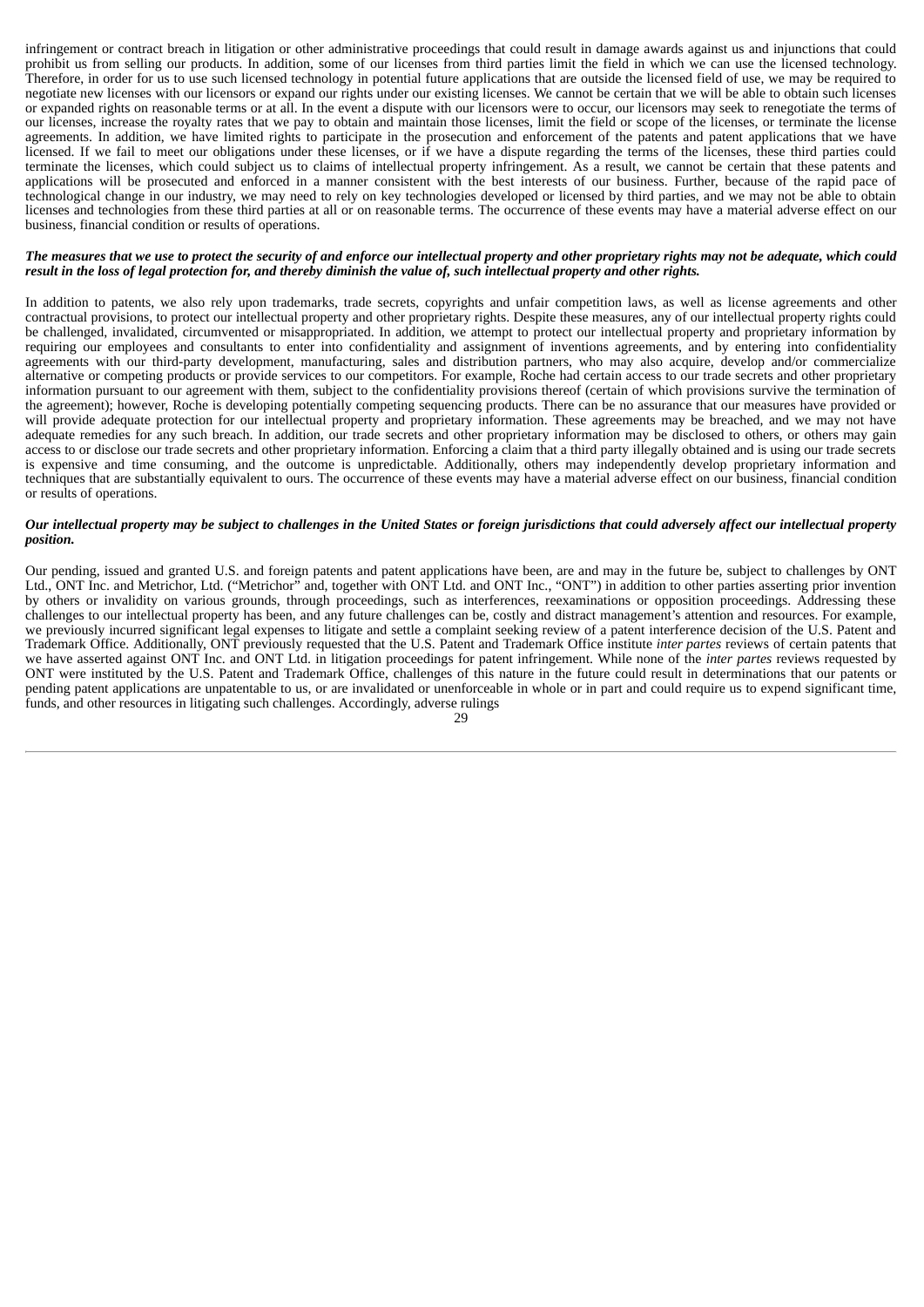infringement or contract breach in litigation or other administrative proceedings that could result in damage awards against us and injunctions that could prohibit us from selling our products. In addition, some of our licenses from third parties limit the field in which we can use the licensed technology. Therefore, in order for us to use such licensed technology in potential future applications that are outside the licensed field of use, we may be required to negotiate new licenses with our licensors or expand our rights under our existing licenses. We cannot be certain that we will be able to obtain such licenses or expanded rights on reasonable terms or at all. In the event a dispute with our licensors were to occur, our licensors may seek to renegotiate the terms of our licenses, increase the royalty rates that we pay to obtain and maintain those licenses, limit the field or scope of the licenses, or terminate the license agreements. In addition, we have limited rights to participate in the prosecution and enforcement of the patents and patent applications that we have licensed. If we fail to meet our obligations under these licenses, or if we have a dispute regarding the terms of the licenses, these third parties could terminate the licenses, which could subject us to claims of intellectual property infringement. As a result, we cannot be certain that these patents and applications will be prosecuted and enforced in a manner consistent with the best interests of our business. Further, because of the rapid pace of technological change in our industry, we may need to rely on key technologies developed or licensed by third parties, and we may not be able to obtain licenses and technologies from these third parties at all or on reasonable terms. The occurrence of these events may have a material adverse effect on our business, financial condition or results of operations.

#### The measures that we use to protect the security of and enforce our intellectual property and other proprietary rights may not be adequate, which could result in the loss of legal protection for, and thereby diminish the value of, such intellectual property and other rights.

In addition to patents, we also rely upon trademarks, trade secrets, copyrights and unfair competition laws, as well as license agreements and other contractual provisions, to protect our intellectual property and other proprietary rights. Despite these measures, any of our intellectual property rights could be challenged, invalidated, circumvented or misappropriated. In addition, we attempt to protect our intellectual property and proprietary information by requiring our employees and consultants to enter into confidentiality and assignment of inventions agreements, and by entering into confidentiality agreements with our third-party development, manufacturing, sales and distribution partners, who may also acquire, develop and/or commercialize alternative or competing products or provide services to our competitors. For example, Roche had certain access to our trade secrets and other proprietary information pursuant to our agreement with them, subject to the confidentiality provisions thereof (certain of which provisions survive the termination of the agreement); however, Roche is developing potentially competing sequencing products. There can be no assurance that our measures have provided or will provide adequate protection for our intellectual property and proprietary information. These agreements may be breached, and we may not have adequate remedies for any such breach. In addition, our trade secrets and other proprietary information may be disclosed to others, or others may gain access to or disclose our trade secrets and other proprietary information. Enforcing a claim that a third party illegally obtained and is using our trade secrets is expensive and time consuming, and the outcome is unpredictable. Additionally, others may independently develop proprietary information and techniques that are substantially equivalent to ours. The occurrence of these events may have a material adverse effect on our business, financial condition or results of operations.

## Our intellectual property may be subject to challenges in the United States or foreign jurisdictions that could adversely affect our intellectual property *position.*

Our pending, issued and granted U.S. and foreign patents and patent applications have been, are and may in the future be, subject to challenges by ONT Ltd., ONT Inc. and Metrichor, Ltd. ("Metrichor" and, together with ONT Ltd. and ONT Inc., "ONT") in addition to other parties asserting prior invention by others or invalidity on various grounds, through proceedings, such as interferences, reexaminations or opposition proceedings. Addressing these challenges to our intellectual property has been, and any future challenges can be, costly and distract management's attention and resources. For example, we previously incurred significant legal expenses to litigate and settle a complaint seeking review of a patent interference decision of the U.S. Patent and Trademark Office. Additionally, ONT previously requested that the U.S. Patent and Trademark Office institute *inter partes* reviews of certain patents that we have asserted against ONT Inc. and ONT Ltd. in litigation proceedings for patent infringement. While none of the *inter partes* reviews requested by ONT were instituted by the U.S. Patent and Trademark Office, challenges of this nature in the future could result in determinations that our patents or pending patent applications are unpatentable to us, or are invalidated or unenforceable in whole or in part and could require us to expend significant time, funds, and other resources in litigating such challenges. Accordingly, adverse rulings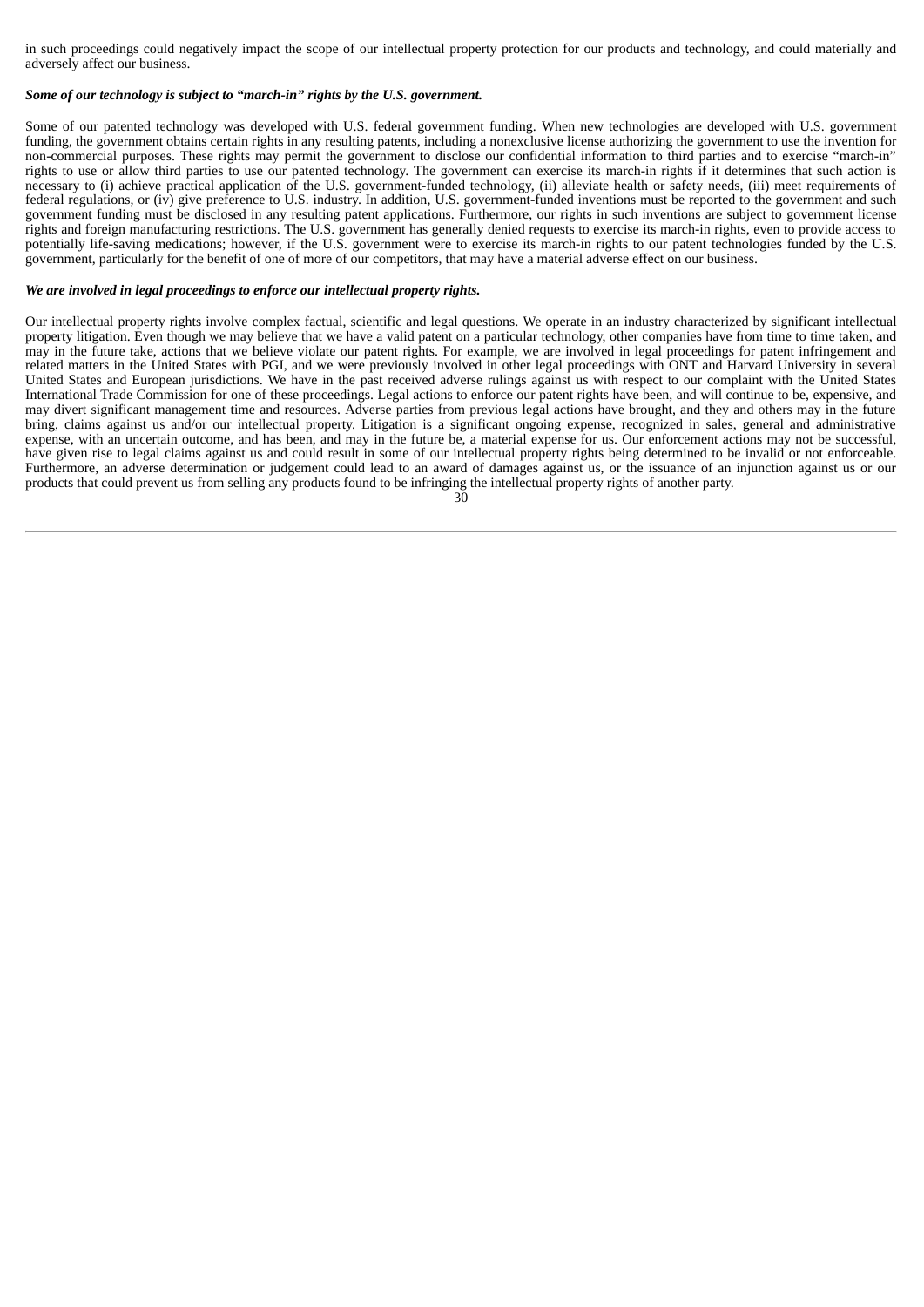in such proceedings could negatively impact the scope of our intellectual property protection for our products and technology, and could materially and adversely affect our business.

## *Some of our technology is subject to "march-in" rights by the U.S. government.*

Some of our patented technology was developed with U.S. federal government funding. When new technologies are developed with U.S. government funding, the government obtains certain rights in any resulting patents, including a nonexclusive license authorizing the government to use the invention for non-commercial purposes. These rights may permit the government to disclose our confidential information to third parties and to exercise "march-in" rights to use or allow third parties to use our patented technology. The government can exercise its march-in rights if it determines that such action is necessary to (i) achieve practical application of the U.S. government-funded technology, (ii) alleviate health or safety needs, (iii) meet requirements of federal regulations, or (iv) give preference to U.S. industry. In addition, U.S. government-funded inventions must be reported to the government and such government funding must be disclosed in any resulting patent applications. Furthermore, our rights in such inventions are subject to government license rights and foreign manufacturing restrictions. The U.S. government has generally denied requests to exercise its march-in rights, even to provide access to potentially life-saving medications; however, if the U.S. government were to exercise its march-in rights to our patent technologies funded by the U.S. government, particularly for the benefit of one of more of our competitors, that may have a material adverse effect on our business.

#### *We are involved in legal proceedings to enforce our intellectual property rights.*

Our intellectual property rights involve complex factual, scientific and legal questions. We operate in an industry characterized by significant intellectual property litigation. Even though we may believe that we have a valid patent on a particular technology, other companies have from time to time taken, and may in the future take, actions that we believe violate our patent rights. For example, we are involved in legal proceedings for patent infringement and related matters in the United States with PGI, and we were previously involved in other legal proceedings with ONT and Harvard University in several United States and European jurisdictions. We have in the past received adverse rulings against us with respect to our complaint with the United States International Trade Commission for one of these proceedings. Legal actions to enforce our patent rights have been, and will continue to be, expensive, and may divert significant management time and resources. Adverse parties from previous legal actions have brought, and they and others may in the future bring, claims against us and/or our intellectual property. Litigation is a significant ongoing expense, recognized in sales, general and administrative expense, with an uncertain outcome, and has been, and may in the future be, a material expense for us. Our enforcement actions may not be successful, have given rise to legal claims against us and could result in some of our intellectual property rights being determined to be invalid or not enforceable. Furthermore, an adverse determination or judgement could lead to an award of damages against us, or the issuance of an injunction against us or our products that could prevent us from selling any products found to be infringing the intellectual property rights of another party.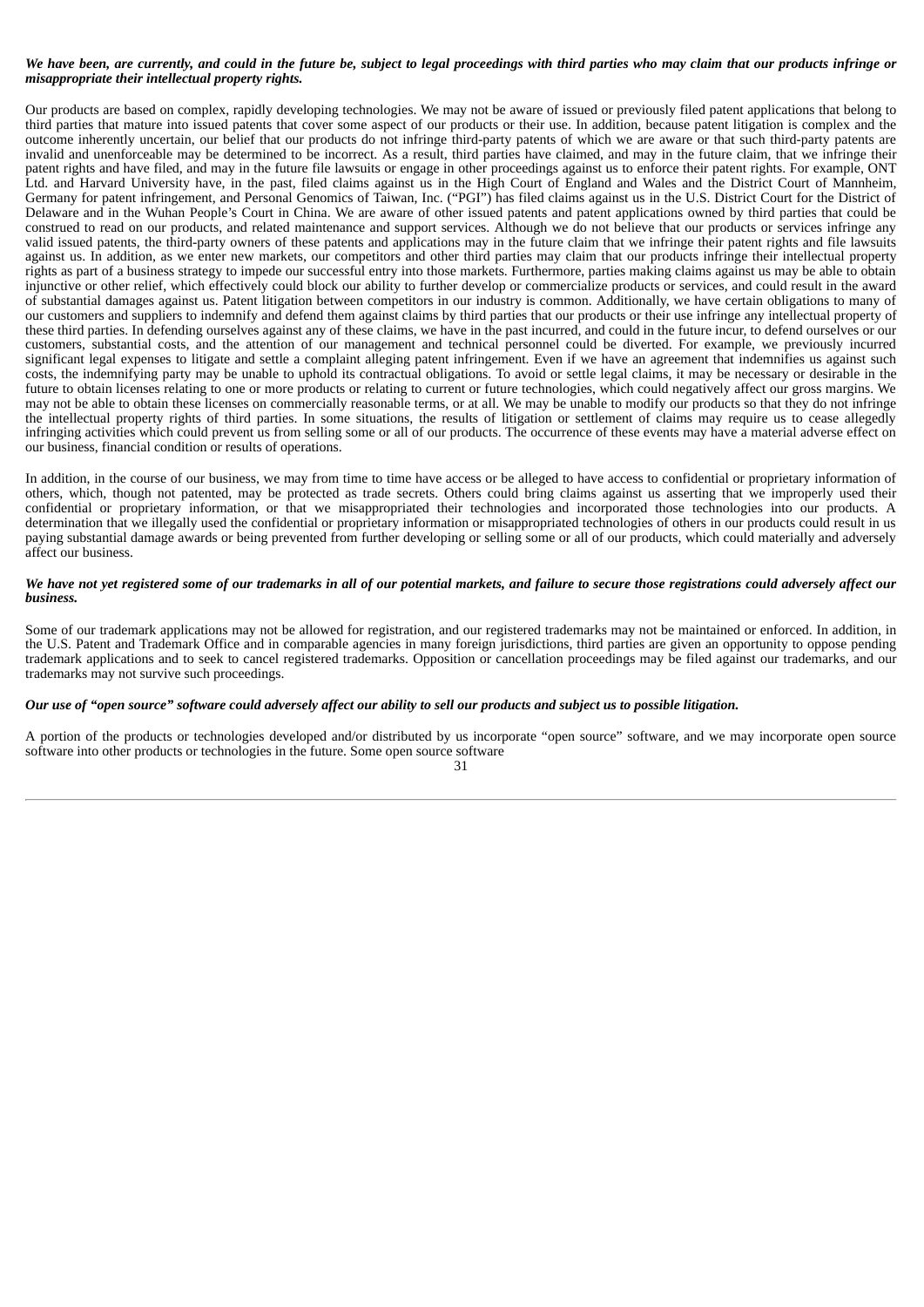## We have been, are currently, and could in the future be, subject to legal proceedings with third parties who may claim that our products infringe or *misappropriate their intellectual property rights.*

Our products are based on complex, rapidly developing technologies. We may not be aware of issued or previously filed patent applications that belong to third parties that mature into issued patents that cover some aspect of our products or their use. In addition, because patent litigation is complex and the outcome inherently uncertain, our belief that our products do not infringe third-party patents of which we are aware or that such third-party patents are invalid and unenforceable may be determined to be incorrect. As a result, third parties have claimed, and may in the future claim, that we infringe their patent rights and have filed, and may in the future file lawsuits or engage in other proceedings against us to enforce their patent rights. For example, ONT Ltd. and Harvard University have, in the past, filed claims against us in the High Court of England and Wales and the District Court of Mannheim, Germany for patent infringement, and Personal Genomics of Taiwan, Inc. ("PGI") has filed claims against us in the U.S. District Court for the District of Delaware and in the Wuhan People's Court in China. We are aware of other issued patents and patent applications owned by third parties that could be construed to read on our products, and related maintenance and support services. Although we do not believe that our products or services infringe any valid issued patents, the third-party owners of these patents and applications may in the future claim that we infringe their patent rights and file lawsuits against us. In addition, as we enter new markets, our competitors and other third parties may claim that our products infringe their intellectual property rights as part of a business strategy to impede our successful entry into those markets. Furthermore, parties making claims against us may be able to obtain injunctive or other relief, which effectively could block our ability to further develop or commercialize products or services, and could result in the award of substantial damages against us. Patent litigation between competitors in our industry is common. Additionally, we have certain obligations to many of our customers and suppliers to indemnify and defend them against claims by third parties that our products or their use infringe any intellectual property of these third parties. In defending ourselves against any of these claims, we have in the past incurred, and could in the future incur, to defend ourselves or our customers, substantial costs, and the attention of our management and technical personnel could be diverted. For example, we previously incurred significant legal expenses to litigate and settle a complaint alleging patent infringement. Even if we have an agreement that indemnifies us against such costs, the indemnifying party may be unable to uphold its contractual obligations. To avoid or settle legal claims, it may be necessary or desirable in the future to obtain licenses relating to one or more products or relating to current or future technologies, which could negatively affect our gross margins. We may not be able to obtain these licenses on commercially reasonable terms, or at all. We may be unable to modify our products so that they do not infringe the intellectual property rights of third parties. In some situations, the results of litigation or settlement of claims may require us to cease allegedly infringing activities which could prevent us from selling some or all of our products. The occurrence of these events may have a material adverse effect on our business, financial condition or results of operations.

In addition, in the course of our business, we may from time to time have access or be alleged to have access to confidential or proprietary information of others, which, though not patented, may be protected as trade secrets. Others could bring claims against us asserting that we improperly used their confidential or proprietary information, or that we misappropriated their technologies and incorporated those technologies into our products. A determination that we illegally used the confidential or proprietary information or misappropriated technologies of others in our products could result in us paying substantial damage awards or being prevented from further developing or selling some or all of our products, which could materially and adversely affect our business.

## We have not yet reqistered some of our trademarks in all of our potential markets, and failure to secure those registrations could adversely affect our *business.*

Some of our trademark applications may not be allowed for registration, and our registered trademarks may not be maintained or enforced. In addition, in the U.S. Patent and Trademark Office and in comparable agencies in many foreign jurisdictions, third parties are given an opportunity to oppose pending trademark applications and to seek to cancel registered trademarks. Opposition or cancellation proceedings may be filed against our trademarks, and our trademarks may not survive such proceedings.

## Our use of "open source" software could adversely affect our ability to sell our products and subject us to possible litigation.

A portion of the products or technologies developed and/or distributed by us incorporate "open source" software, and we may incorporate open source software into other products or technologies in the future. Some open source software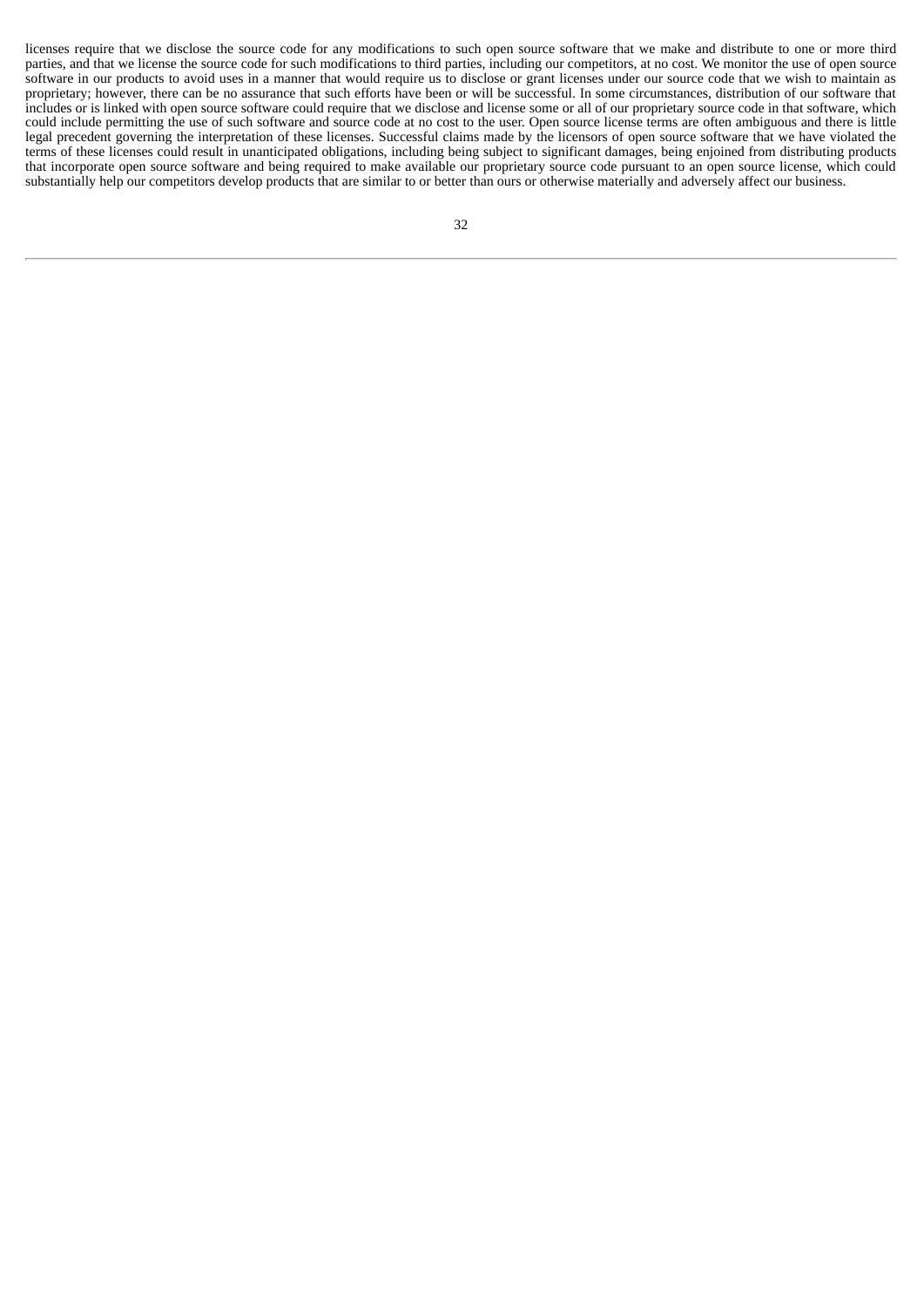licenses require that we disclose the source code for any modifications to such open source software that we make and distribute to one or more third parties, and that we license the source code for such modifications to third parties, including our competitors, at no cost. We monitor the use of open source software in our products to avoid uses in a manner that would require us to disclose or grant licenses under our source code that we wish to maintain as proprietary; however, there can be no assurance that such efforts have been or will be successful. In some circumstances, distribution of our software that includes or is linked with open source software could require that we disclose and license some or all of our proprietary source code in that software, which could include permitting the use of such software and source code at no cost to the user. Open source license terms are often ambiguous and there is little legal precedent governing the interpretation of these licenses. Successful claims made by the licensors of open source software that we have violated the terms of these licenses could result in unanticipated obligations, including being subject to significant damages, being enjoined from distributing products that incorporate open source software and being required to make available our proprietary source code pursuant to an open source license, which could substantially help our competitors develop products that are similar to or better than ours or otherwise materially and adversely affect our business.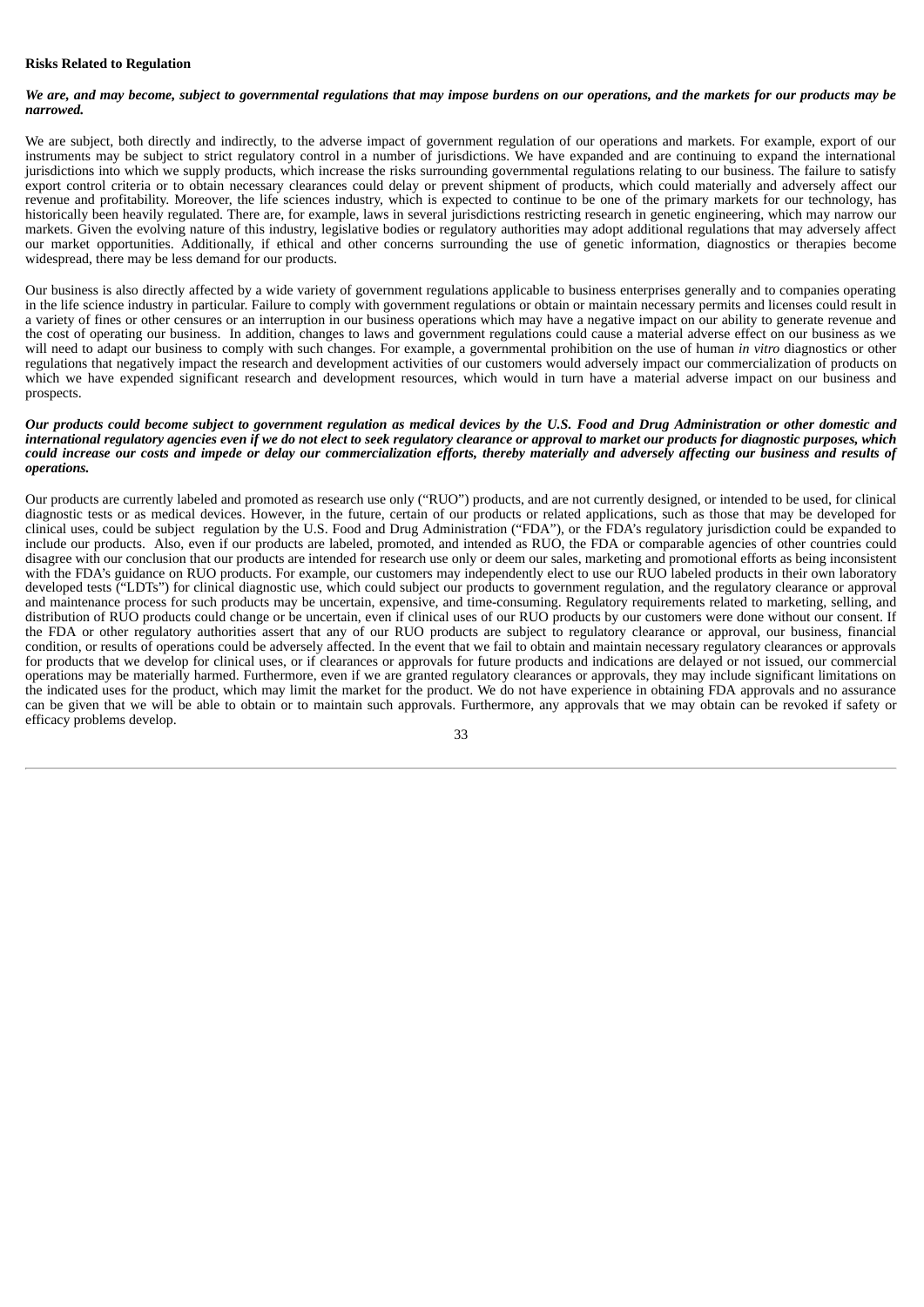#### **Risks Related to Regulation**

## We are, and may become, subject to governmental regulations that may impose burdens on our operations, and the markets for our products may be *narrowed.*

We are subject, both directly and indirectly, to the adverse impact of government regulation of our operations and markets. For example, export of our instruments may be subject to strict regulatory control in a number of jurisdictions. We have expanded and are continuing to expand the international jurisdictions into which we supply products, which increase the risks surrounding governmental regulations relating to our business. The failure to satisfy export control criteria or to obtain necessary clearances could delay or prevent shipment of products, which could materially and adversely affect our revenue and profitability. Moreover, the life sciences industry, which is expected to continue to be one of the primary markets for our technology, has historically been heavily regulated. There are, for example, laws in several jurisdictions restricting research in genetic engineering, which may narrow our markets. Given the evolving nature of this industry, legislative bodies or regulatory authorities may adopt additional regulations that may adversely affect our market opportunities. Additionally, if ethical and other concerns surrounding the use of genetic information, diagnostics or therapies become widespread, there may be less demand for our products.

Our business is also directly affected by a wide variety of government regulations applicable to business enterprises generally and to companies operating in the life science industry in particular. Failure to comply with government regulations or obtain or maintain necessary permits and licenses could result in a variety of fines or other censures or an interruption in our business operations which may have a negative impact on our ability to generate revenue and the cost of operating our business. In addition, changes to laws and government regulations could cause a material adverse effect on our business as we will need to adapt our business to comply with such changes. For example, a governmental prohibition on the use of human *in vitro* diagnostics or other regulations that negatively impact the research and development activities of our customers would adversely impact our commercialization of products on which we have expended significant research and development resources, which would in turn have a material adverse impact on our business and prospects.

## Our products could become subject to government regulation as medical devices by the U.S. Food and Drug Administration or other domestic and international regulatory agencies even if we do not elect to seek regulatory clearance or approval to market our products for diagnostic purposes, which could increase our costs and impede or delay our commercialization efforts, thereby materially and adversely affecting our business and results of *operations.*

Our products are currently labeled and promoted as research use only ("RUO") products, and are not currently designed, or intended to be used, for clinical diagnostic tests or as medical devices. However, in the future, certain of our products or related applications, such as those that may be developed for clinical uses, could be subject regulation by the U.S. Food and Drug Administration ("FDA"), or the FDA's regulatory jurisdiction could be expanded to include our products. Also, even if our products are labeled, promoted, and intended as RUO, the FDA or comparable agencies of other countries could disagree with our conclusion that our products are intended for research use only or deem our sales, marketing and promotional efforts as being inconsistent with the FDA's guidance on RUO products. For example, our customers may independently elect to use our RUO labeled products in their own laboratory developed tests ("LDTs") for clinical diagnostic use, which could subject our products to government regulation, and the regulatory clearance or approval and maintenance process for such products may be uncertain, expensive, and time-consuming. Regulatory requirements related to marketing, selling, and distribution of RUO products could change or be uncertain, even if clinical uses of our RUO products by our customers were done without our consent. If the FDA or other regulatory authorities assert that any of our RUO products are subject to regulatory clearance or approval, our business, financial condition, or results of operations could be adversely affected. In the event that we fail to obtain and maintain necessary regulatory clearances or approvals for products that we develop for clinical uses, or if clearances or approvals for future products and indications are delayed or not issued, our commercial operations may be materially harmed. Furthermore, even if we are granted regulatory clearances or approvals, they may include significant limitations on the indicated uses for the product, which may limit the market for the product. We do not have experience in obtaining FDA approvals and no assurance can be given that we will be able to obtain or to maintain such approvals. Furthermore, any approvals that we may obtain can be revoked if safety or efficacy problems develop.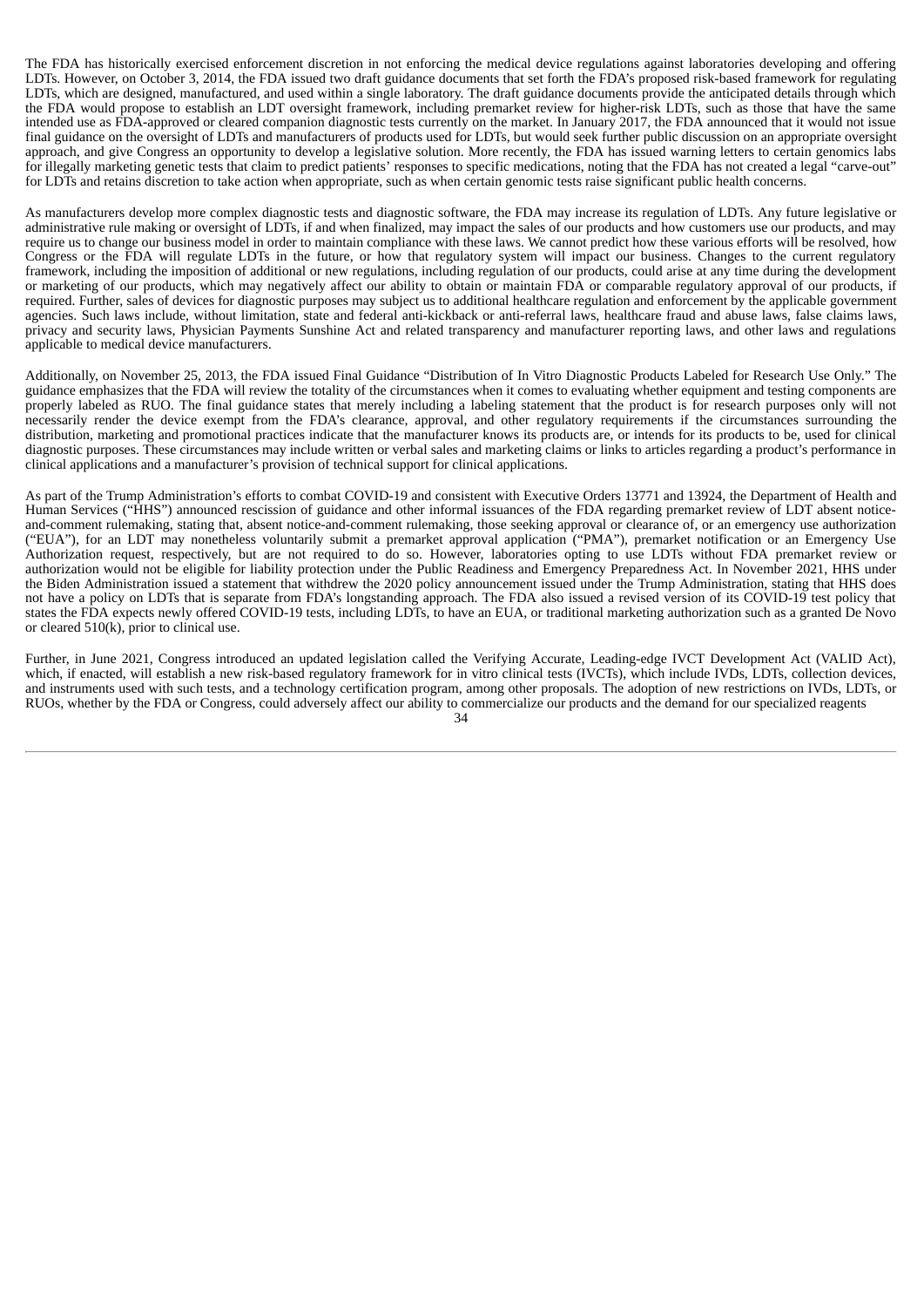The FDA has historically exercised enforcement discretion in not enforcing the medical device regulations against laboratories developing and offering LDTs. However, on October 3, 2014, the FDA issued two draft guidance documents that set forth the FDA's proposed risk-based framework for regulating LDTs, which are designed, manufactured, and used within a single laboratory. The draft guidance documents provide the anticipated details through which the FDA would propose to establish an LDT oversight framework, including premarket review for higher-risk LDTs, such as those that have the same intended use as FDA-approved or cleared companion diagnostic tests currently on the market. In January 2017, the FDA announced that it would not issue final guidance on the oversight of LDTs and manufacturers of products used for LDTs, but would seek further public discussion on an appropriate oversight approach, and give Congress an opportunity to develop a legislative solution. More recently, the FDA has issued warning letters to certain genomics labs for illegally marketing genetic tests that claim to predict patients' responses to specific medications, noting that the FDA has not created a legal "carve-out" for LDTs and retains discretion to take action when appropriate, such as when certain genomic tests raise significant public health concerns.

As manufacturers develop more complex diagnostic tests and diagnostic software, the FDA may increase its regulation of LDTs. Any future legislative or administrative rule making or oversight of LDTs, if and when finalized, may impact the sales of our products and how customers use our products, and may require us to change our business model in order to maintain compliance with these laws. We cannot predict how these various efforts will be resolved, how Congress or the FDA will regulate LDTs in the future, or how that regulatory system will impact our business. Changes to the current regulatory framework, including the imposition of additional or new regulations, including regulation of our products, could arise at any time during the development or marketing of our products, which may negatively affect our ability to obtain or maintain FDA or comparable regulatory approval of our products, if required. Further, sales of devices for diagnostic purposes may subject us to additional healthcare regulation and enforcement by the applicable government agencies. Such laws include, without limitation, state and federal anti-kickback or anti-referral laws, healthcare fraud and abuse laws, false claims laws, privacy and security laws, Physician Payments Sunshine Act and related transparency and manufacturer reporting laws, and other laws and regulations applicable to medical device manufacturers.

Additionally, on November 25, 2013, the FDA issued Final Guidance "Distribution of In Vitro Diagnostic Products Labeled for Research Use Only." The guidance emphasizes that the FDA will review the totality of the circumstances when it comes to evaluating whether equipment and testing components are properly labeled as RUO. The final guidance states that merely including a labeling statement that the product is for research purposes only will not necessarily render the device exempt from the FDA's clearance, approval, and other regulatory requirements if the circumstances surrounding the distribution, marketing and promotional practices indicate that the manufacturer knows its products are, or intends for its products to be, used for clinical diagnostic purposes. These circumstances may include written or verbal sales and marketing claims or links to articles regarding a product's performance in clinical applications and a manufacturer's provision of technical support for clinical applications.

As part of the Trump Administration's efforts to combat COVID-19 and consistent with Executive Orders 13771 and 13924, the Department of Health and Human Services ("HHS") announced rescission of guidance and other informal issuances of the FDA regarding premarket review of LDT absent noticeand-comment rulemaking, stating that, absent notice-and-comment rulemaking, those seeking approval or clearance of, or an emergency use authorization ("EUA"), for an LDT may nonetheless voluntarily submit a premarket approval application ("PMA"), premarket notification or an Emergency Use Authorization request, respectively, but are not required to do so. However, laboratories opting to use LDTs without FDA premarket review or authorization would not be eligible for liability protection under the Public Readiness and Emergency Preparedness Act. In November 2021, HHS under the Biden Administration issued a statement that withdrew the 2020 policy announcement issued under the Trump Administration, stating that HHS does not have a policy on LDTs that is separate from FDA's longstanding approach. The FDA also issued a revised version of its COVID-19 test policy that states the FDA expects newly offered COVID-19 tests, including LDTs, to have an EUA, or traditional marketing authorization such as a granted De Novo or cleared 510(k), prior to clinical use.

Further, in June 2021, Congress introduced an updated legislation called the Verifying Accurate, Leading-edge IVCT Development Act (VALID Act), which, if enacted, will establish a new risk-based regulatory framework for in vitro clinical tests (IVCTs), which include IVDs, LDTs, collection devices, and instruments used with such tests, and a technology certification program, among other proposals. The adoption of new restrictions on IVDs, LDTs, or RUOs, whether by the FDA or Congress, could adversely affect our ability to commercialize our products and the demand for our specialized reagents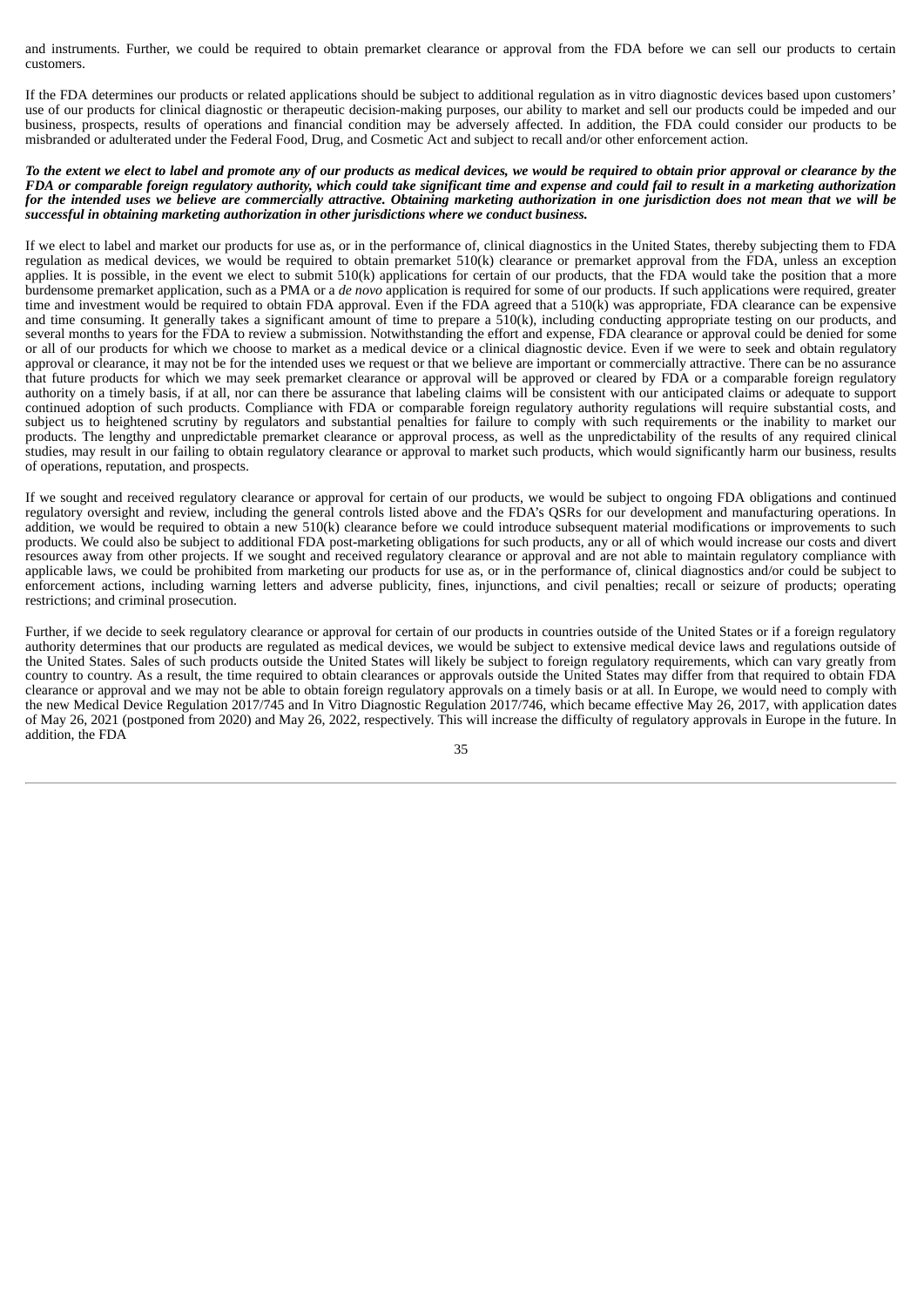and instruments. Further, we could be required to obtain premarket clearance or approval from the FDA before we can sell our products to certain customers.

If the FDA determines our products or related applications should be subject to additional regulation as in vitro diagnostic devices based upon customers' use of our products for clinical diagnostic or therapeutic decision-making purposes, our ability to market and sell our products could be impeded and our business, prospects, results of operations and financial condition may be adversely affected. In addition, the FDA could consider our products to be misbranded or adulterated under the Federal Food, Drug, and Cosmetic Act and subject to recall and/or other enforcement action.

#### To the extent we elect to label and promote any of our products as medical devices, we would be required to obtain prior approval or clearance by the FDA or comparable foreign regulatory authority, which could take significant time and expense and could fail to result in a marketing authorization for the intended uses we believe are commercially attractive. Obtaining marketing authorization in one jurisdiction does not mean that we will be *successful in obtaining marketing authorization in other jurisdictions where we conduct business.*

If we elect to label and market our products for use as, or in the performance of, clinical diagnostics in the United States, thereby subjecting them to FDA regulation as medical devices, we would be required to obtain premarket 510(k) clearance or premarket approval from the FDA, unless an exception applies. It is possible, in the event we elect to submit 510(k) applications for certain of our products, that the FDA would take the position that a more burdensome premarket application, such as a PMA or a *de novo* application is required for some of our products. If such applications were required, greater time and investment would be required to obtain FDA approval. Even if the FDA agreed that a 510(k) was appropriate, FDA clearance can be expensive and time consuming. It generally takes a significant amount of time to prepare a 510(k), including conducting appropriate testing on our products, and several months to years for the FDA to review a submission. Notwithstanding the effort and expense, FDA clearance or approval could be denied for some or all of our products for which we choose to market as a medical device or a clinical diagnostic device. Even if we were to seek and obtain regulatory approval or clearance, it may not be for the intended uses we request or that we believe are important or commercially attractive. There can be no assurance that future products for which we may seek premarket clearance or approval will be approved or cleared by FDA or a comparable foreign regulatory authority on a timely basis, if at all, nor can there be assurance that labeling claims will be consistent with our anticipated claims or adequate to support continued adoption of such products. Compliance with FDA or comparable foreign regulatory authority regulations will require substantial costs, and subject us to heightened scrutiny by regulators and substantial penalties for failure to comply with such requirements or the inability to market our products. The lengthy and unpredictable premarket clearance or approval process, as well as the unpredictability of the results of any required clinical studies, may result in our failing to obtain regulatory clearance or approval to market such products, which would significantly harm our business, results of operations, reputation, and prospects.

If we sought and received regulatory clearance or approval for certain of our products, we would be subject to ongoing FDA obligations and continued regulatory oversight and review, including the general controls listed above and the FDA's QSRs for our development and manufacturing operations. In addition, we would be required to obtain a new 510(k) clearance before we could introduce subsequent material modifications or improvements to such products. We could also be subject to additional FDA post-marketing obligations for such products, any or all of which would increase our costs and divert resources away from other projects. If we sought and received regulatory clearance or approval and are not able to maintain regulatory compliance with applicable laws, we could be prohibited from marketing our products for use as, or in the performance of, clinical diagnostics and/or could be subject to enforcement actions, including warning letters and adverse publicity, fines, injunctions, and civil penalties; recall or seizure of products; operating restrictions; and criminal prosecution.

Further, if we decide to seek regulatory clearance or approval for certain of our products in countries outside of the United States or if a foreign regulatory authority determines that our products are regulated as medical devices, we would be subject to extensive medical device laws and regulations outside of the United States. Sales of such products outside the United States will likely be subject to foreign regulatory requirements, which can vary greatly from country to country. As a result, the time required to obtain clearances or approvals outside the United States may differ from that required to obtain FDA clearance or approval and we may not be able to obtain foreign regulatory approvals on a timely basis or at all. In Europe, we would need to comply with the new Medical Device Regulation 2017/745 and In Vitro Diagnostic Regulation 2017/746, which became effective May 26, 2017, with application dates of May 26, 2021 (postponed from 2020) and May 26, 2022, respectively. This will increase the difficulty of regulatory approvals in Europe in the future. In addition, the FDA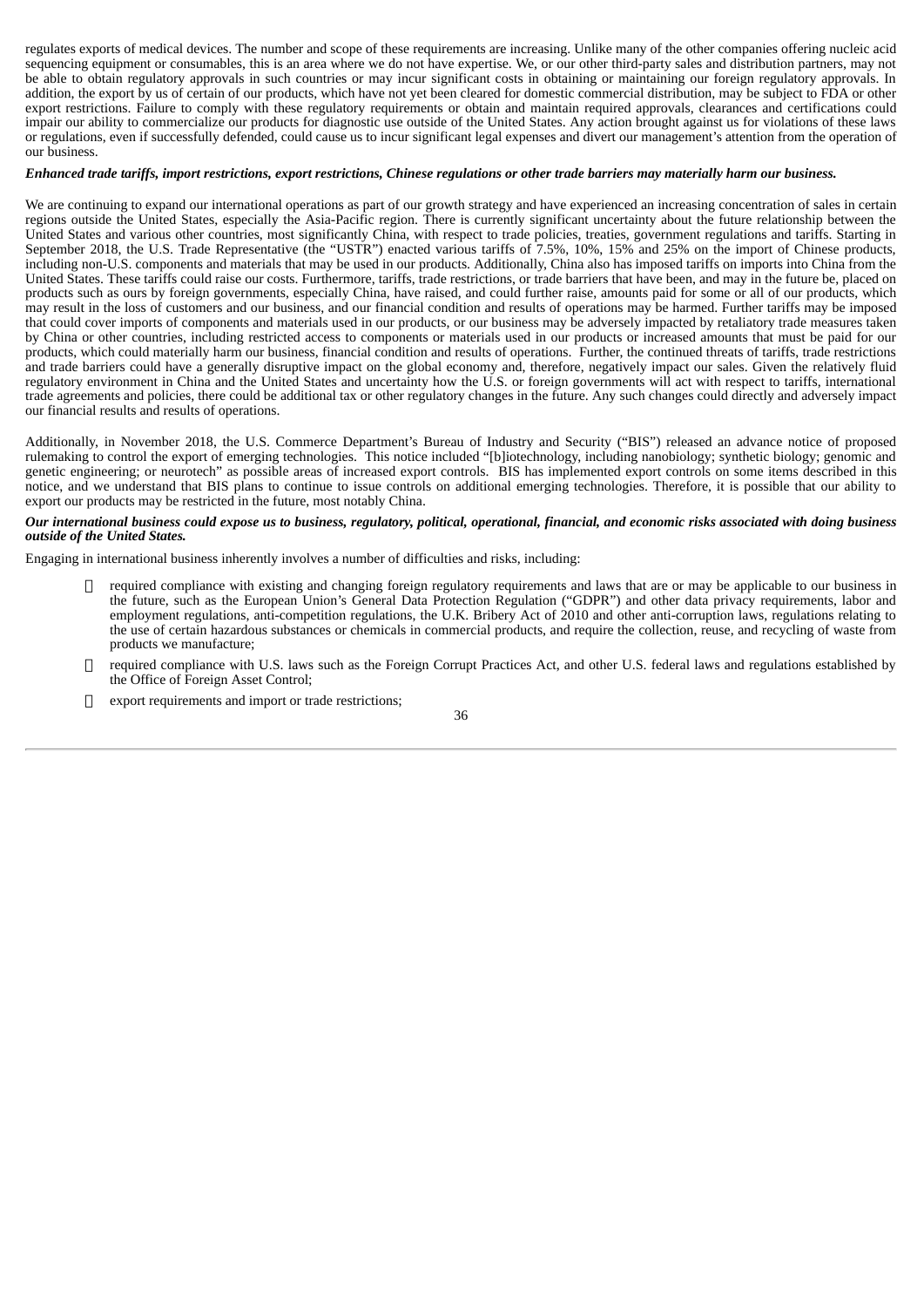regulates exports of medical devices. The number and scope of these requirements are increasing. Unlike many of the other companies offering nucleic acid sequencing equipment or consumables, this is an area where we do not have expertise. We, or our other third-party sales and distribution partners, may not be able to obtain regulatory approvals in such countries or may incur significant costs in obtaining or maintaining our foreign regulatory approvals. In addition, the export by us of certain of our products, which have not yet been cleared for domestic commercial distribution, may be subject to FDA or other export restrictions. Failure to comply with these regulatory requirements or obtain and maintain required approvals, clearances and certifications could impair our ability to commercialize our products for diagnostic use outside of the United States. Any action brought against us for violations of these laws or regulations, even if successfully defended, could cause us to incur significant legal expenses and divert our management's attention from the operation of our business.

### Enhanced trade tariffs, import restrictions, export restrictions, Chinese regulations or other trade barriers may materially harm our business.

We are continuing to expand our international operations as part of our growth strategy and have experienced an increasing concentration of sales in certain regions outside the United States, especially the Asia-Pacific region. There is currently significant uncertainty about the future relationship between the United States and various other countries, most significantly China, with respect to trade policies, treaties, government regulations and tariffs. Starting in September 2018, the U.S. Trade Representative (the "USTR") enacted various tariffs of 7.5%, 10%, 15% and 25% on the import of Chinese products, including non-U.S. components and materials that may be used in our products. Additionally, China also has imposed tariffs on imports into China from the United States. These tariffs could raise our costs. Furthermore, tariffs, trade restrictions, or trade barriers that have been, and may in the future be, placed on products such as ours by foreign governments, especially China, have raised, and could further raise, amounts paid for some or all of our products, which may result in the loss of customers and our business, and our financial condition and results of operations may be harmed. Further tariffs may be imposed that could cover imports of components and materials used in our products, or our business may be adversely impacted by retaliatory trade measures taken by China or other countries, including restricted access to components or materials used in our products or increased amounts that must be paid for our products, which could materially harm our business, financial condition and results of operations. Further, the continued threats of tariffs, trade restrictions and trade barriers could have a generally disruptive impact on the global economy and, therefore, negatively impact our sales. Given the relatively fluid regulatory environment in China and the United States and uncertainty how the U.S. or foreign governments will act with respect to tariffs, international trade agreements and policies, there could be additional tax or other regulatory changes in the future. Any such changes could directly and adversely impact our financial results and results of operations.

Additionally, in November 2018, the U.S. Commerce Department's Bureau of Industry and Security ("BIS") released an advance notice of proposed rulemaking to control the export of emerging technologies. This notice included "[b]iotechnology, including nanobiology; synthetic biology; genomic and genetic engineering; or neurotech" as possible areas of increased export controls. BIS has implemented export controls on some items described in this notice, and we understand that BIS plans to continue to issue controls on additional emerging technologies. Therefore, it is possible that our ability to export our products may be restricted in the future, most notably China.

#### Our international business could expose us to business, regulatory, political, operational, financial, and economic risks associated with doing business *outside of the United States.*

Engaging in international business inherently involves a number of difficulties and risks, including:

- required compliance with existing and changing foreign regulatory requirements and laws that are or may be applicable to our business in the future, such as the European Union's General Data Protection Regulation ("GDPR") and other data privacy requirements, labor and employment regulations, anti-competition regulations, the U.K. Bribery Act of 2010 and other anti-corruption laws, regulations relating to the use of certain hazardous substances or chemicals in commercial products, and require the collection, reuse, and recycling of waste from products we manufacture;
- required compliance with U.S. laws such as the Foreign Corrupt Practices Act, and other U.S. federal laws and regulations established by the Office of Foreign Asset Control;
- $\Box$  export requirements and import or trade restrictions;

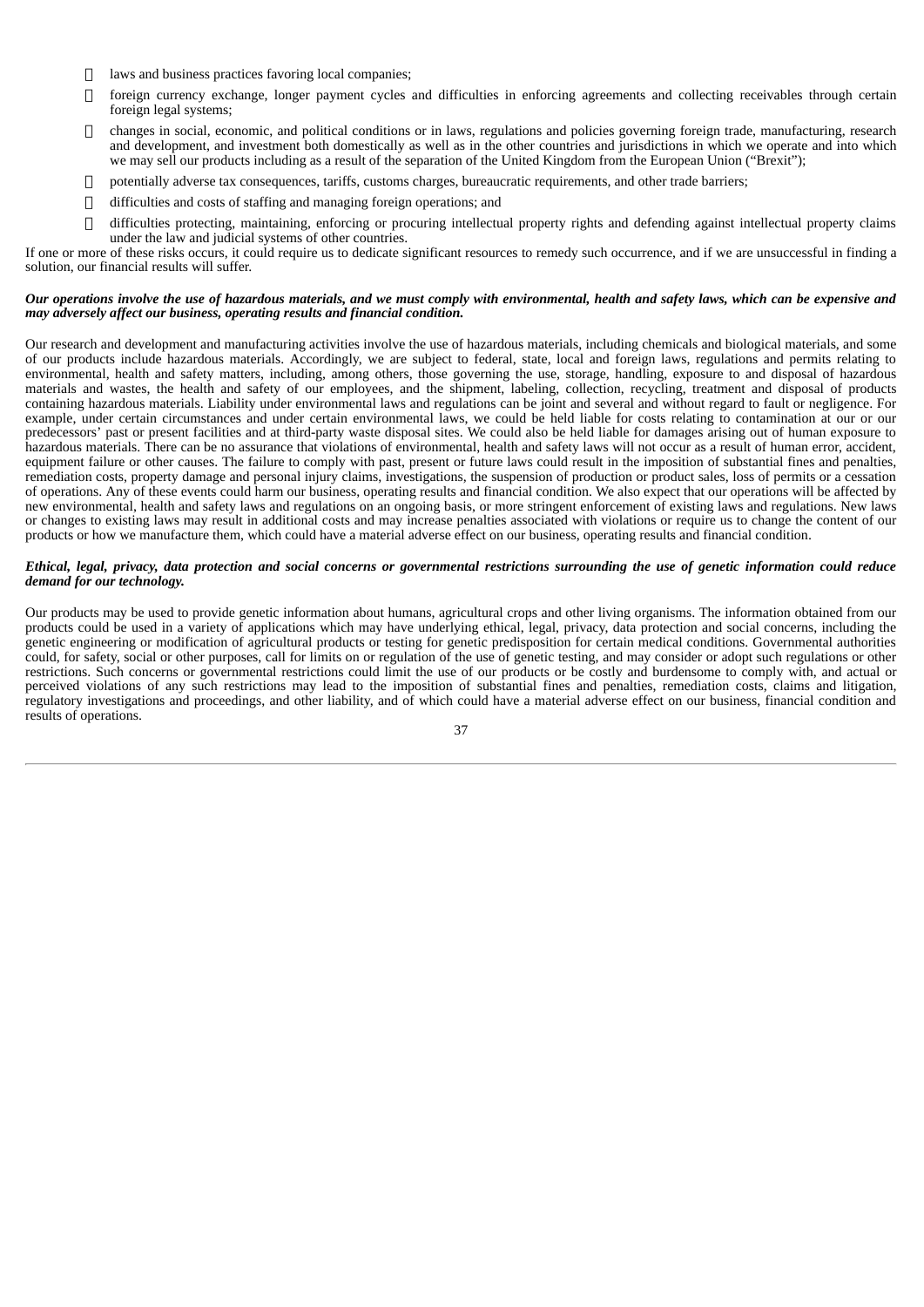- $\Box$  laws and business practices favoring local companies;
- foreign currency exchange, longer payment cycles and difficulties in enforcing agreements and collecting receivables through certain foreign legal systems;
- changes in social, economic, and political conditions or in laws, regulations and policies governing foreign trade, manufacturing, research and development, and investment both domestically as well as in the other countries and jurisdictions in which we operate and into which we may sell our products including as a result of the separation of the United Kingdom from the European Union ("Brexit");
- $\Box$  potentially adverse tax consequences, tariffs, customs charges, bureaucratic requirements, and other trade barriers;
- difficulties and costs of staffing and managing foreign operations; and
- difficulties protecting, maintaining, enforcing or procuring intellectual property rights and defending against intellectual property claims under the law and judicial systems of other countries.

If one or more of these risks occurs, it could require us to dedicate significant resources to remedy such occurrence, and if we are unsuccessful in finding a solution, our financial results will suffer.

#### Our operations involve the use of hazardous materials, and we must comply with environmental, health and safety laws, which can be expensive and *may adversely affect our business, operating results and financial condition.*

Our research and development and manufacturing activities involve the use of hazardous materials, including chemicals and biological materials, and some of our products include hazardous materials. Accordingly, we are subject to federal, state, local and foreign laws, regulations and permits relating to environmental, health and safety matters, including, among others, those governing the use, storage, handling, exposure to and disposal of hazardous materials and wastes, the health and safety of our employees, and the shipment, labeling, collection, recycling, treatment and disposal of products containing hazardous materials. Liability under environmental laws and regulations can be joint and several and without regard to fault or negligence. For example, under certain circumstances and under certain environmental laws, we could be held liable for costs relating to contamination at our or our predecessors' past or present facilities and at third-party waste disposal sites. We could also be held liable for damages arising out of human exposure to hazardous materials. There can be no assurance that violations of environmental, health and safety laws will not occur as a result of human error, accident, equipment failure or other causes. The failure to comply with past, present or future laws could result in the imposition of substantial fines and penalties, remediation costs, property damage and personal injury claims, investigations, the suspension of production or product sales, loss of permits or a cessation of operations. Any of these events could harm our business, operating results and financial condition. We also expect that our operations will be affected by new environmental, health and safety laws and regulations on an ongoing basis, or more stringent enforcement of existing laws and regulations. New laws or changes to existing laws may result in additional costs and may increase penalties associated with violations or require us to change the content of our products or how we manufacture them, which could have a material adverse effect on our business, operating results and financial condition.

#### Ethical, legal, privacy, data protection and social concerns or governmental restrictions surrounding the use of genetic information could reduce *demand for our technology.*

Our products may be used to provide genetic information about humans, agricultural crops and other living organisms. The information obtained from our products could be used in a variety of applications which may have underlying ethical, legal, privacy, data protection and social concerns, including the genetic engineering or modification of agricultural products or testing for genetic predisposition for certain medical conditions. Governmental authorities could, for safety, social or other purposes, call for limits on or regulation of the use of genetic testing, and may consider or adopt such regulations or other restrictions. Such concerns or governmental restrictions could limit the use of our products or be costly and burdensome to comply with, and actual or perceived violations of any such restrictions may lead to the imposition of substantial fines and penalties, remediation costs, claims and litigation, regulatory investigations and proceedings, and other liability, and of which could have a material adverse effect on our business, financial condition and results of operations.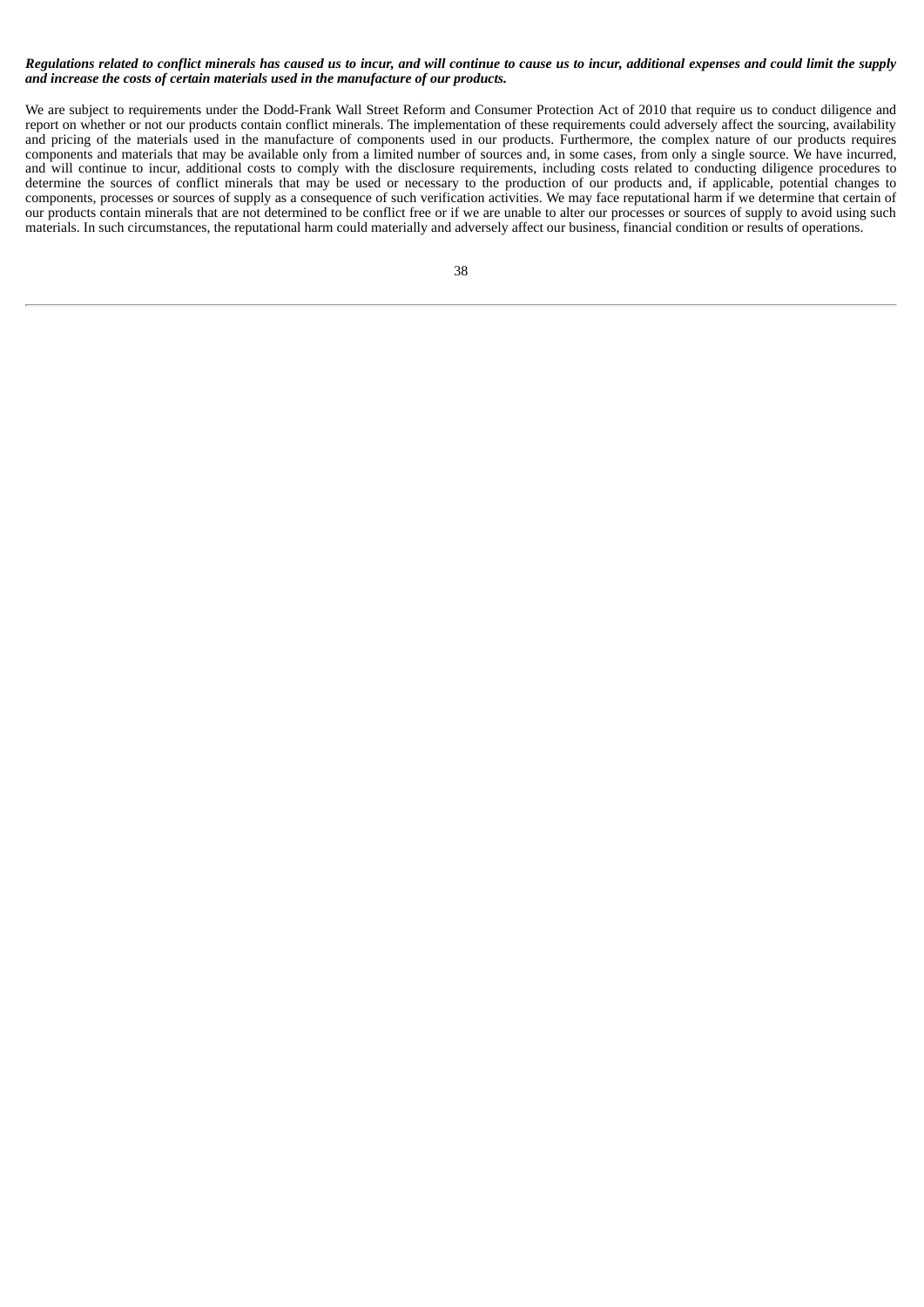#### Regulations related to conflict minerals has caused us to incur, and will continue to cause us to incur, additional expenses and could limit the supply *and increase the costs of certain materials used in the manufacture of our products.*

We are subject to requirements under the Dodd-Frank Wall Street Reform and Consumer Protection Act of 2010 that require us to conduct diligence and report on whether or not our products contain conflict minerals. The implementation of these requirements could adversely affect the sourcing, availability and pricing of the materials used in the manufacture of components used in our products. Furthermore, the complex nature of our products requires components and materials that may be available only from a limited number of sources and, in some cases, from only a single source. We have incurred, and will continue to incur, additional costs to comply with the disclosure requirements, including costs related to conducting diligence procedures to determine the sources of conflict minerals that may be used or necessary to the production of our products and, if applicable, potential changes to components, processes or sources of supply as a consequence of such verification activities. We may face reputational harm if we determine that certain of our products contain minerals that are not determined to be conflict free or if we are unable to alter our processes or sources of supply to avoid using such materials. In such circumstances, the reputational harm could materially and adversely affect our business, financial condition or results of operations.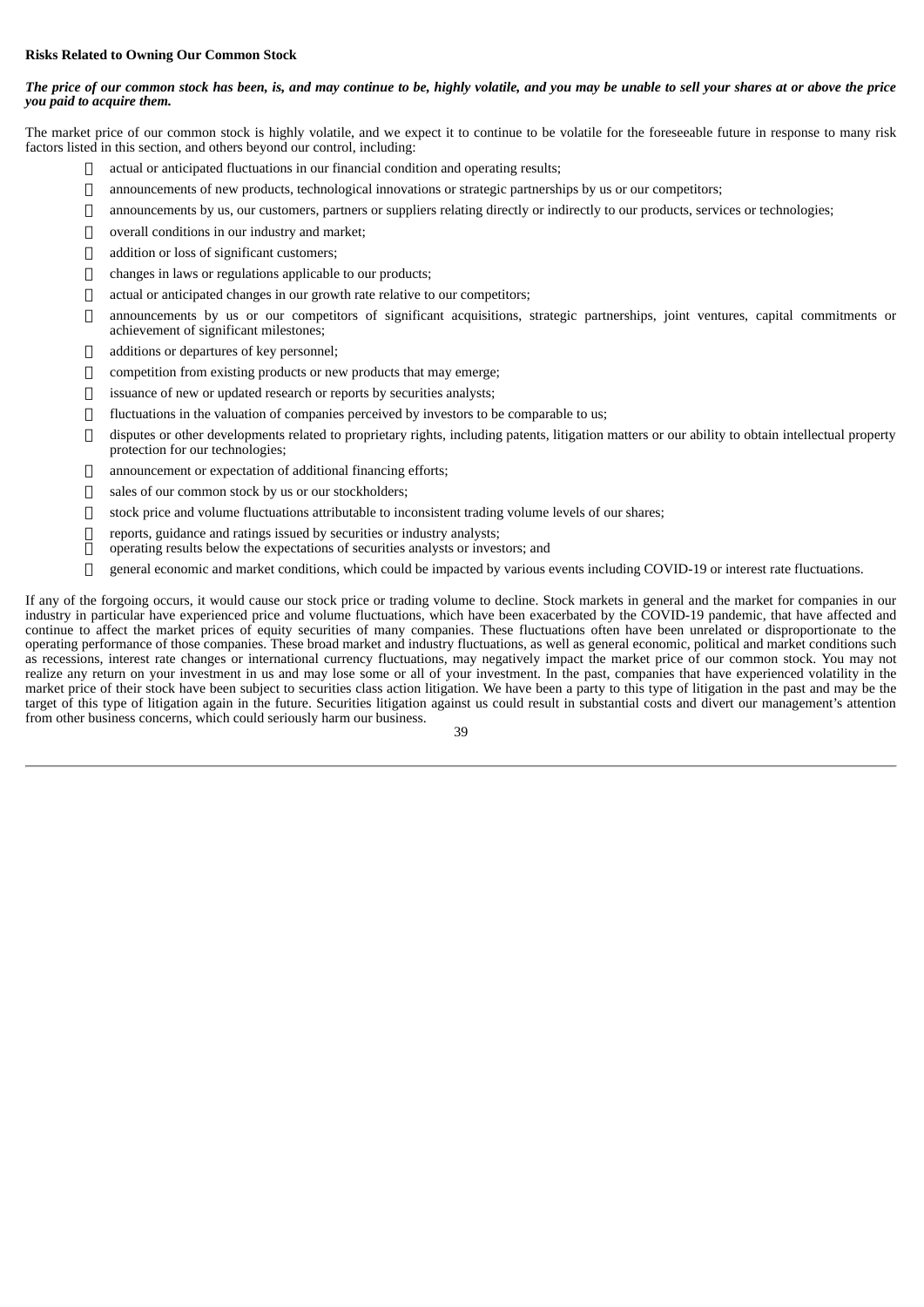#### **Risks Related to Owning Our Common Stock**

## The price of our common stock has been, is, and may continue to be, highly volatile, and you may be unable to sell your shares at or above the price *you paid to acquire them.*

The market price of our common stock is highly volatile, and we expect it to continue to be volatile for the foreseeable future in response to many risk factors listed in this section, and others beyond our control, including:

- actual or anticipated fluctuations in our financial condition and operating results;
- $\Box$  announcements of new products, technological innovations or strategic partnerships by us or our competitors;
- $\Box$  announcements by us, our customers, partners or suppliers relating directly or indirectly to our products, services or technologies;
- $\Box$  overall conditions in our industry and market;
- addition or loss of significant customers;
- changes in laws or regulations applicable to our products;
- actual or anticipated changes in our growth rate relative to our competitors;
- announcements by us or our competitors of significant acquisitions, strategic partnerships, joint ventures, capital commitments or achievement of significant milestones;
- □ additions or departures of key personnel;
- $\Box$  competition from existing products or new products that may emerge;
- issuance of new or updated research or reports by securities analysts;
- $\Box$  fluctuations in the valuation of companies perceived by investors to be comparable to us;
- $\Box$  disputes or other developments related to proprietary rights, including patents, litigation matters or our ability to obtain intellectual property protection for our technologies;
- $\Box$  announcement or expectation of additional financing efforts;
- sales of our common stock by us or our stockholders;
- stock price and volume fluctuations attributable to inconsistent trading volume levels of our shares;
- □ reports, guidance and ratings issued by securities or industry analysts;
- operating results below the expectations of securities analysts or investors; and
- general economic and market conditions, which could be impacted by various events including COVID-19 or interest rate fluctuations.

If any of the forgoing occurs, it would cause our stock price or trading volume to decline. Stock markets in general and the market for companies in our industry in particular have experienced price and volume fluctuations, which have been exacerbated by the COVID-19 pandemic, that have affected and continue to affect the market prices of equity securities of many companies. These fluctuations often have been unrelated or disproportionate to the operating performance of those companies. These broad market and industry fluctuations, as well as general economic, political and market conditions such as recessions, interest rate changes or international currency fluctuations, may negatively impact the market price of our common stock. You may not realize any return on your investment in us and may lose some or all of your investment. In the past, companies that have experienced volatility in the market price of their stock have been subject to securities class action litigation. We have been a party to this type of litigation in the past and may be the target of this type of litigation again in the future. Securities litigation against us could result in substantial costs and divert our management's attention from other business concerns, which could seriously harm our business.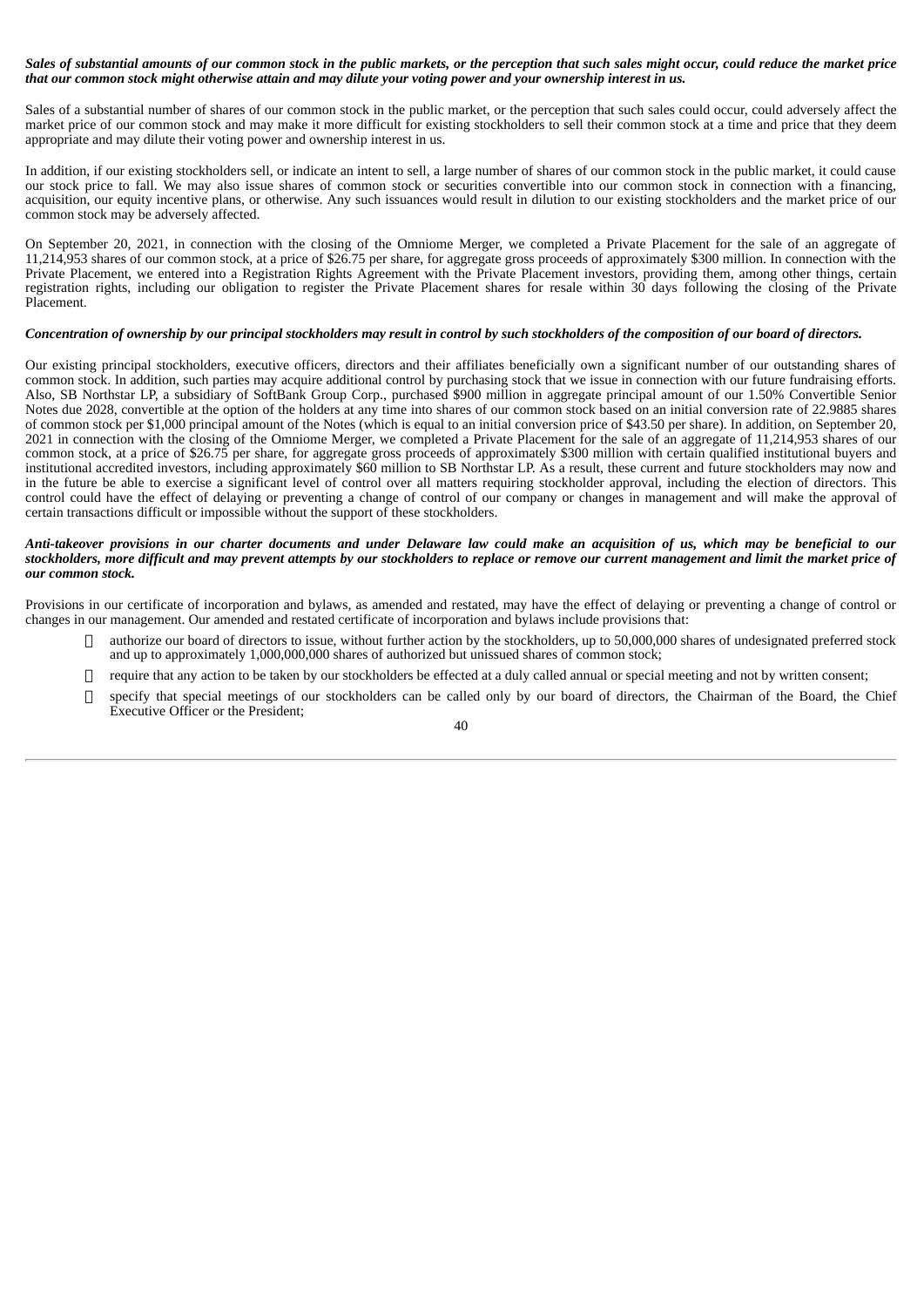#### Sales of substantial amounts of our common stock in the public markets, or the perception that such sales might occur, could reduce the market price that our common stock might otherwise attain and may dilute your voting power and your ownership interest in us.

Sales of a substantial number of shares of our common stock in the public market, or the perception that such sales could occur, could adversely affect the market price of our common stock and may make it more difficult for existing stockholders to sell their common stock at a time and price that they deem appropriate and may dilute their voting power and ownership interest in us.

In addition, if our existing stockholders sell, or indicate an intent to sell, a large number of shares of our common stock in the public market, it could cause our stock price to fall. We may also issue shares of common stock or securities convertible into our common stock in connection with a financing, acquisition, our equity incentive plans, or otherwise. Any such issuances would result in dilution to our existing stockholders and the market price of our common stock may be adversely affected.

On September 20, 2021, in connection with the closing of the Omniome Merger, we completed a Private Placement for the sale of an aggregate of 11,214,953 shares of our common stock, at a price of \$26.75 per share, for aggregate gross proceeds of approximately \$300 million. In connection with the Private Placement, we entered into a Registration Rights Agreement with the Private Placement investors, providing them, among other things, certain registration rights, including our obligation to register the Private Placement shares for resale within 30 days following the closing of the Private Placement.

## Concentration of ownership by our principal stockholders may result in control by such stockholders of the composition of our board of directors.

Our existing principal stockholders, executive officers, directors and their affiliates beneficially own a significant number of our outstanding shares of common stock. In addition, such parties may acquire additional control by purchasing stock that we issue in connection with our future fundraising efforts. Also, SB Northstar LP, a subsidiary of SoftBank Group Corp., purchased \$900 million in aggregate principal amount of our 1.50% Convertible Senior Notes due 2028, convertible at the option of the holders at any time into shares of our common stock based on an initial conversion rate of 22.9885 shares of common stock per \$1,000 principal amount of the Notes (which is equal to an initial conversion price of \$43.50 per share). In addition, on September 20, 2021 in connection with the closing of the Omniome Merger, we completed a Private Placement for the sale of an aggregate of 11,214,953 shares of our common stock, at a price of \$26.75 per share, for aggregate gross proceeds of approximately \$300 million with certain qualified institutional buyers and institutional accredited investors, including approximately \$60 million to SB Northstar LP. As a result, these current and future stockholders may now and in the future be able to exercise a significant level of control over all matters requiring stockholder approval, including the election of directors. This control could have the effect of delaying or preventing a change of control of our company or changes in management and will make the approval of certain transactions difficult or impossible without the support of these stockholders.

### Anti-takeover provisions in our charter documents and under Delaware law could make an acquisition of us, which may be beneficial to our stockholders, more difficult and may prevent attempts by our stockholders to replace or remove our current management and limit the market price of *our common stock.*

Provisions in our certificate of incorporation and bylaws, as amended and restated, may have the effect of delaying or preventing a change of control or changes in our management. Our amended and restated certificate of incorporation and bylaws include provisions that:

- authorize our board of directors to issue, without further action by the stockholders, up to 50,000,000 shares of undesignated preferred stock and up to approximately 1,000,000,000 shares of authorized but unissued shares of common stock;
- require that any action to be taken by our stockholders be effected at a duly called annual or special meeting and not by written consent;
- $\Box$  specify that special meetings of our stockholders can be called only by our board of directors, the Chairman of the Board, the Chief Executive Officer or the President;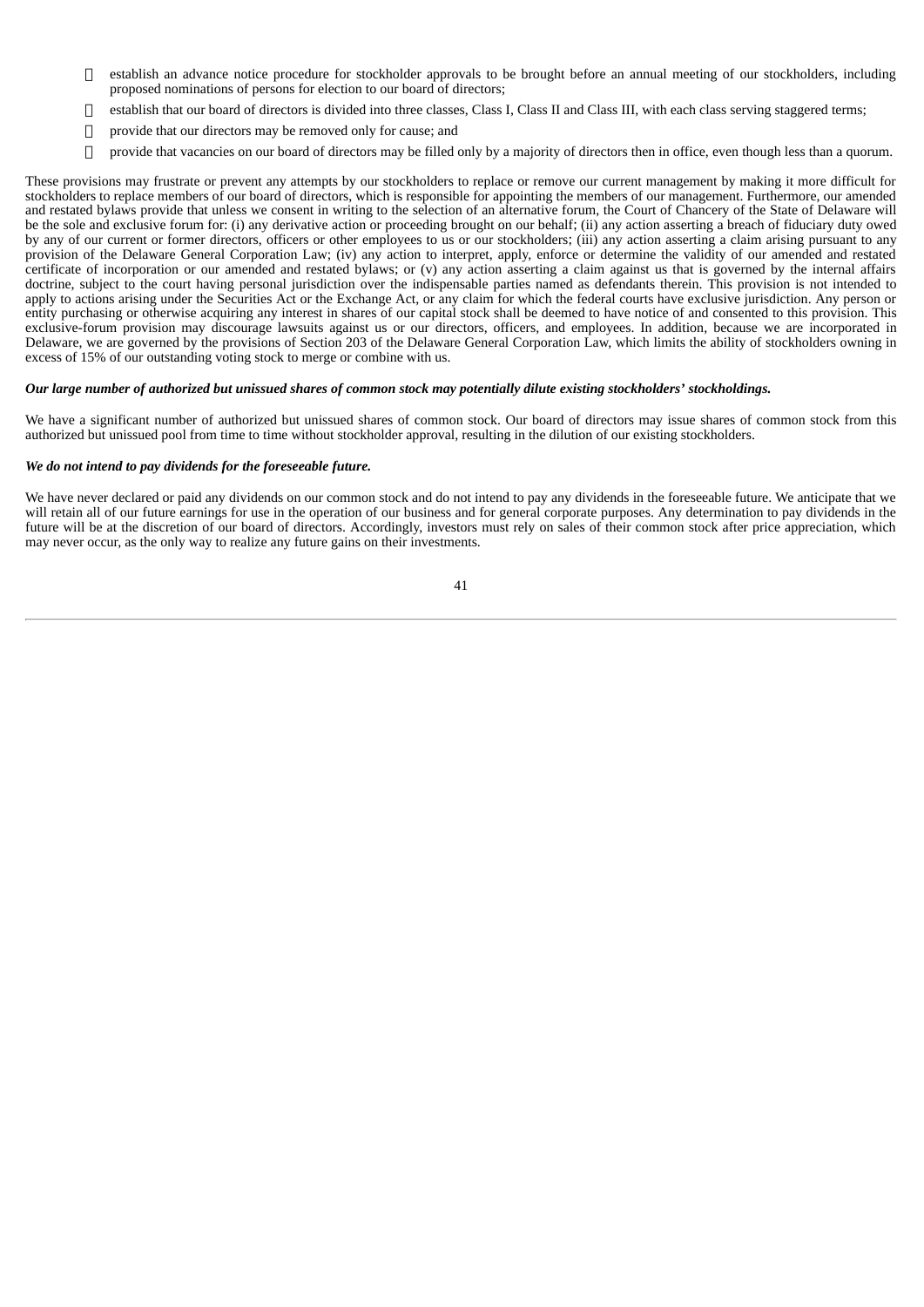- $\Box$  establish an advance notice procedure for stockholder approvals to be brought before an annual meeting of our stockholders, including proposed nominations of persons for election to our board of directors;
- $\Box$  establish that our board of directors is divided into three classes, Class I, Class II and Class III, with each class serving staggered terms;
- $\Box$  provide that our directors may be removed only for cause; and
- $\Box$  provide that vacancies on our board of directors may be filled only by a majority of directors then in office, even though less than a quorum.

These provisions may frustrate or prevent any attempts by our stockholders to replace or remove our current management by making it more difficult for stockholders to replace members of our board of directors, which is responsible for appointing the members of our management. Furthermore, our amended and restated bylaws provide that unless we consent in writing to the selection of an alternative forum, the Court of Chancery of the State of Delaware will be the sole and exclusive forum for: (i) any derivative action or proceeding brought on our behalf; (ii) any action asserting a breach of fiduciary duty owed by any of our current or former directors, officers or other employees to us or our stockholders; (iii) any action asserting a claim arising pursuant to any provision of the Delaware General Corporation Law; (iv) any action to interpret, apply, enforce or determine the validity of our amended and restated certificate of incorporation or our amended and restated bylaws; or (v) any action asserting a claim against us that is governed by the internal affairs doctrine, subject to the court having personal jurisdiction over the indispensable parties named as defendants therein. This provision is not intended to apply to actions arising under the Securities Act or the Exchange Act, or any claim for which the federal courts have exclusive jurisdiction. Any person or entity purchasing or otherwise acquiring any interest in shares of our capital stock shall be deemed to have notice of and consented to this provision. This exclusive-forum provision may discourage lawsuits against us or our directors, officers, and employees. In addition, because we are incorporated in Delaware, we are governed by the provisions of Section 203 of the Delaware General Corporation Law, which limits the ability of stockholders owning in excess of 15% of our outstanding voting stock to merge or combine with us.

### Our large number of authorized but unissued shares of common stock may potentially dilute existing stockholders' stockholdings.

We have a significant number of authorized but unissued shares of common stock. Our board of directors may issue shares of common stock from this authorized but unissued pool from time to time without stockholder approval, resulting in the dilution of our existing stockholders.

### *We do not intend to pay dividends for the foreseeable future.*

We have never declared or paid any dividends on our common stock and do not intend to pay any dividends in the foreseeable future. We anticipate that we will retain all of our future earnings for use in the operation of our business and for general corporate purposes. Any determination to pay dividends in the future will be at the discretion of our board of directors. Accordingly, investors must rely on sales of their common stock after price appreciation, which may never occur, as the only way to realize any future gains on their investments.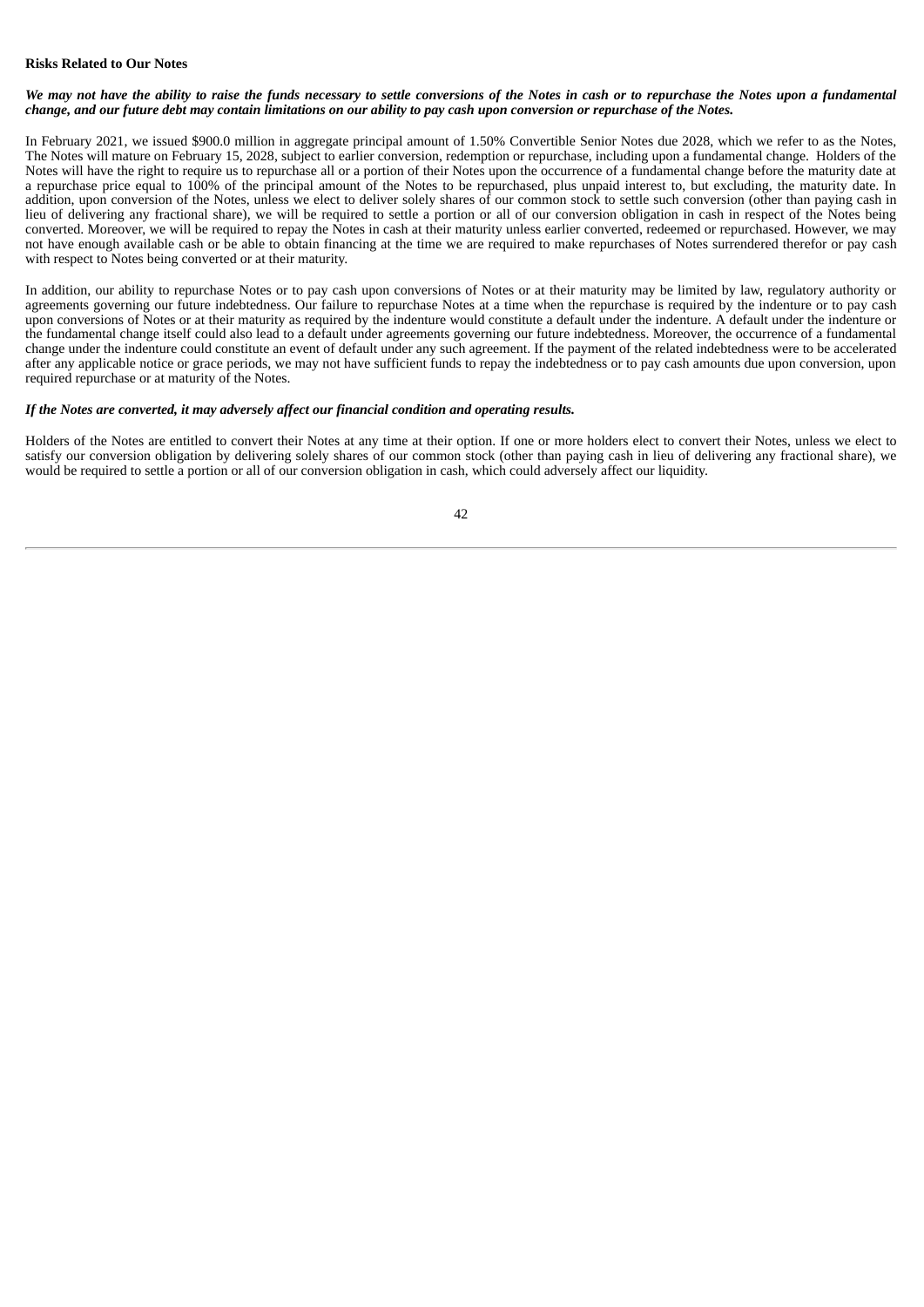#### **Risks Related to Our Notes**

#### We may not have the ability to raise the funds necessary to settle conversions of the Notes in cash or to repurchase the Notes upon a fundamental change, and our future debt may contain limitations on our ability to pay cash upon conversion or repurchase of the Notes.

In February 2021, we issued \$900.0 million in aggregate principal amount of 1.50% Convertible Senior Notes due 2028, which we refer to as the Notes, The Notes will mature on February 15, 2028, subject to earlier conversion, redemption or repurchase, including upon a fundamental change. Holders of the Notes will have the right to require us to repurchase all or a portion of their Notes upon the occurrence of a fundamental change before the maturity date at a repurchase price equal to 100% of the principal amount of the Notes to be repurchased, plus unpaid interest to, but excluding, the maturity date. In addition, upon conversion of the Notes, unless we elect to deliver solely shares of our common stock to settle such conversion (other than paying cash in lieu of delivering any fractional share), we will be required to settle a portion or all of our conversion obligation in cash in respect of the Notes being converted. Moreover, we will be required to repay the Notes in cash at their maturity unless earlier converted, redeemed or repurchased. However, we may not have enough available cash or be able to obtain financing at the time we are required to make repurchases of Notes surrendered therefor or pay cash with respect to Notes being converted or at their maturity.

In addition, our ability to repurchase Notes or to pay cash upon conversions of Notes or at their maturity may be limited by law, regulatory authority or agreements governing our future indebtedness. Our failure to repurchase Notes at a time when the repurchase is required by the indenture or to pay cash upon conversions of Notes or at their maturity as required by the indenture would constitute a default under the indenture. A default under the indenture or the fundamental change itself could also lead to a default under agreements governing our future indebtedness. Moreover, the occurrence of a fundamental change under the indenture could constitute an event of default under any such agreement. If the payment of the related indebtedness were to be accelerated after any applicable notice or grace periods, we may not have sufficient funds to repay the indebtedness or to pay cash amounts due upon conversion, upon required repurchase or at maturity of the Notes.

#### *If the Notes are converted, it may adversely affect our financial condition and operating results.*

Holders of the Notes are entitled to convert their Notes at any time at their option. If one or more holders elect to convert their Notes, unless we elect to satisfy our conversion obligation by delivering solely shares of our common stock (other than paying cash in lieu of delivering any fractional share), we would be required to settle a portion or all of our conversion obligation in cash, which could adversely affect our liquidity.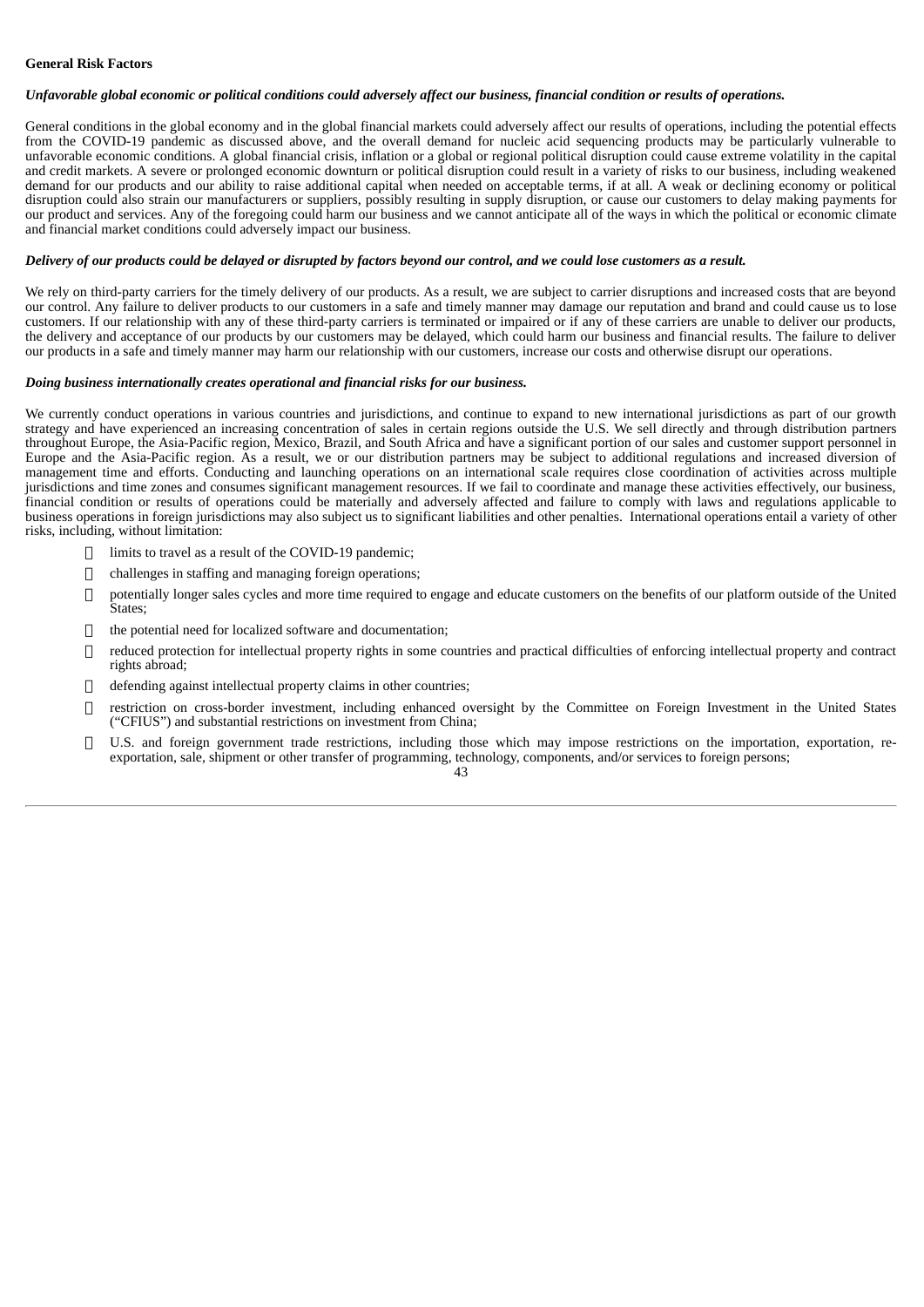#### **General Risk Factors**

## Unfavorable global economic or political conditions could adversely affect our business, financial condition or results of operations.

General conditions in the global economy and in the global financial markets could adversely affect our results of operations, including the potential effects from the COVID-19 pandemic as discussed above, and the overall demand for nucleic acid sequencing products may be particularly vulnerable to unfavorable economic conditions. A global financial crisis, inflation or a global or regional political disruption could cause extreme volatility in the capital and credit markets. A severe or prolonged economic downturn or political disruption could result in a variety of risks to our business, including weakened demand for our products and our ability to raise additional capital when needed on acceptable terms, if at all. A weak or declining economy or political disruption could also strain our manufacturers or suppliers, possibly resulting in supply disruption, or cause our customers to delay making payments for our product and services. Any of the foregoing could harm our business and we cannot anticipate all of the ways in which the political or economic climate and financial market conditions could adversely impact our business.

### Delivery of our products could be delayed or disrupted by factors beyond our control, and we could lose customers as a result.

We rely on third-party carriers for the timely delivery of our products. As a result, we are subject to carrier disruptions and increased costs that are beyond our control. Any failure to deliver products to our customers in a safe and timely manner may damage our reputation and brand and could cause us to lose customers. If our relationship with any of these third-party carriers is terminated or impaired or if any of these carriers are unable to deliver our products, the delivery and acceptance of our products by our customers may be delayed, which could harm our business and financial results. The failure to deliver our products in a safe and timely manner may harm our relationship with our customers, increase our costs and otherwise disrupt our operations.

#### *Doing business internationally creates operational and financial risks for our business.*

We currently conduct operations in various countries and jurisdictions, and continue to expand to new international jurisdictions as part of our growth strategy and have experienced an increasing concentration of sales in certain regions outside the U.S. We sell directly and through distribution partners throughout Europe, the Asia-Pacific region, Mexico, Brazil, and South Africa and have a significant portion of our sales and customer support personnel in Europe and the Asia-Pacific region. As a result, we or our distribution partners may be subject to additional regulations and increased diversion of management time and efforts. Conducting and launching operations on an international scale requires close coordination of activities across multiple jurisdictions and time zones and consumes significant management resources. If we fail to coordinate and manage these activities effectively, our business, financial condition or results of operations could be materially and adversely affected and failure to comply with laws and regulations applicable to business operations in foreign jurisdictions may also subject us to significant liabilities and other penalties. International operations entail a variety of other risks, including, without limitation:

- $\Box$  limits to travel as a result of the COVID-19 pandemic;
- $\Box$  challenges in staffing and managing foreign operations;
- $\Box$  potentially longer sales cycles and more time required to engage and educate customers on the benefits of our platform outside of the United States;
- $\Box$  the potential need for localized software and documentation;
- reduced protection for intellectual property rights in some countries and practical difficulties of enforcing intellectual property and contract rights abroad;
- defending against intellectual property claims in other countries;
- restriction on cross-border investment, including enhanced oversight by the Committee on Foreign Investment in the United States ("CFIUS") and substantial restrictions on investment from China;
- $\Box$  U.S. and foreign government trade restrictions, including those which may impose restrictions on the importation, exportation, reexportation, sale, shipment or other transfer of programming, technology, components, and/or services to foreign persons;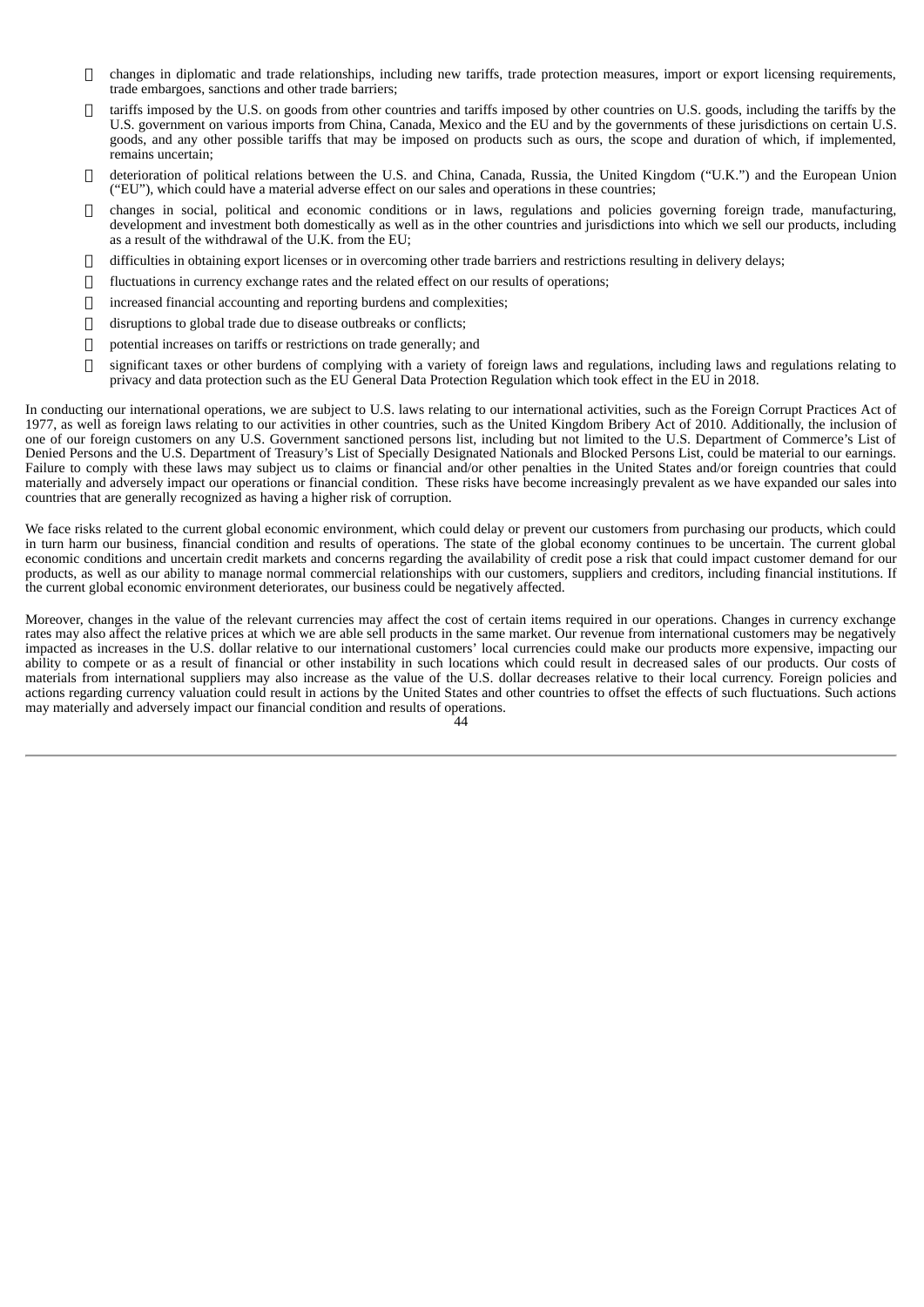- $\Box$  changes in diplomatic and trade relationships, including new tariffs, trade protection measures, import or export licensing requirements, trade embargoes, sanctions and other trade barriers;
- $\Box$  tariffs imposed by the U.S. on goods from other countries and tariffs imposed by other countries on U.S. goods, including the tariffs by the U.S. government on various imports from China, Canada, Mexico and the EU and by the governments of these jurisdictions on certain U.S. goods, and any other possible tariffs that may be imposed on products such as ours, the scope and duration of which, if implemented, remains uncertain;
- deterioration of political relations between the U.S. and China, Canada, Russia, the United Kingdom ("U.K.") and the European Union ("EU"), which could have a material adverse effect on our sales and operations in these countries;
- changes in social, political and economic conditions or in laws, regulations and policies governing foreign trade, manufacturing, development and investment both domestically as well as in the other countries and jurisdictions into which we sell our products, including as a result of the withdrawal of the U.K. from the EU;
- $\Box$  difficulties in obtaining export licenses or in overcoming other trade barriers and restrictions resulting in delivery delays;
- $\Box$  fluctuations in currency exchange rates and the related effect on our results of operations;
- increased financial accounting and reporting burdens and complexities;
- disruptions to global trade due to disease outbreaks or conflicts;
- $\Box$  potential increases on tariffs or restrictions on trade generally; and
- $\Box$  significant taxes or other burdens of complying with a variety of foreign laws and regulations, including laws and regulations relating to privacy and data protection such as the EU General Data Protection Regulation which took effect in the EU in 2018.

In conducting our international operations, we are subject to U.S. laws relating to our international activities, such as the Foreign Corrupt Practices Act of 1977, as well as foreign laws relating to our activities in other countries, such as the United Kingdom Bribery Act of 2010. Additionally, the inclusion of one of our foreign customers on any U.S. Government sanctioned persons list, including but not limited to the U.S. Department of Commerce's List of Denied Persons and the U.S. Department of Treasury's List of Specially Designated Nationals and Blocked Persons List, could be material to our earnings. Failure to comply with these laws may subject us to claims or financial and/or other penalties in the United States and/or foreign countries that could materially and adversely impact our operations or financial condition. These risks have become increasingly prevalent as we have expanded our sales into countries that are generally recognized as having a higher risk of corruption.

We face risks related to the current global economic environment, which could delay or prevent our customers from purchasing our products, which could in turn harm our business, financial condition and results of operations. The state of the global economy continues to be uncertain. The current global economic conditions and uncertain credit markets and concerns regarding the availability of credit pose a risk that could impact customer demand for our products, as well as our ability to manage normal commercial relationships with our customers, suppliers and creditors, including financial institutions. If the current global economic environment deteriorates, our business could be negatively affected.

Moreover, changes in the value of the relevant currencies may affect the cost of certain items required in our operations. Changes in currency exchange rates may also affect the relative prices at which we are able sell products in the same market. Our revenue from international customers may be negatively impacted as increases in the U.S. dollar relative to our international customers' local currencies could make our products more expensive, impacting our ability to compete or as a result of financial or other instability in such locations which could result in decreased sales of our products. Our costs of materials from international suppliers may also increase as the value of the U.S. dollar decreases relative to their local currency. Foreign policies and actions regarding currency valuation could result in actions by the United States and other countries to offset the effects of such fluctuations. Such actions may materially and adversely impact our financial condition and results of operations. 44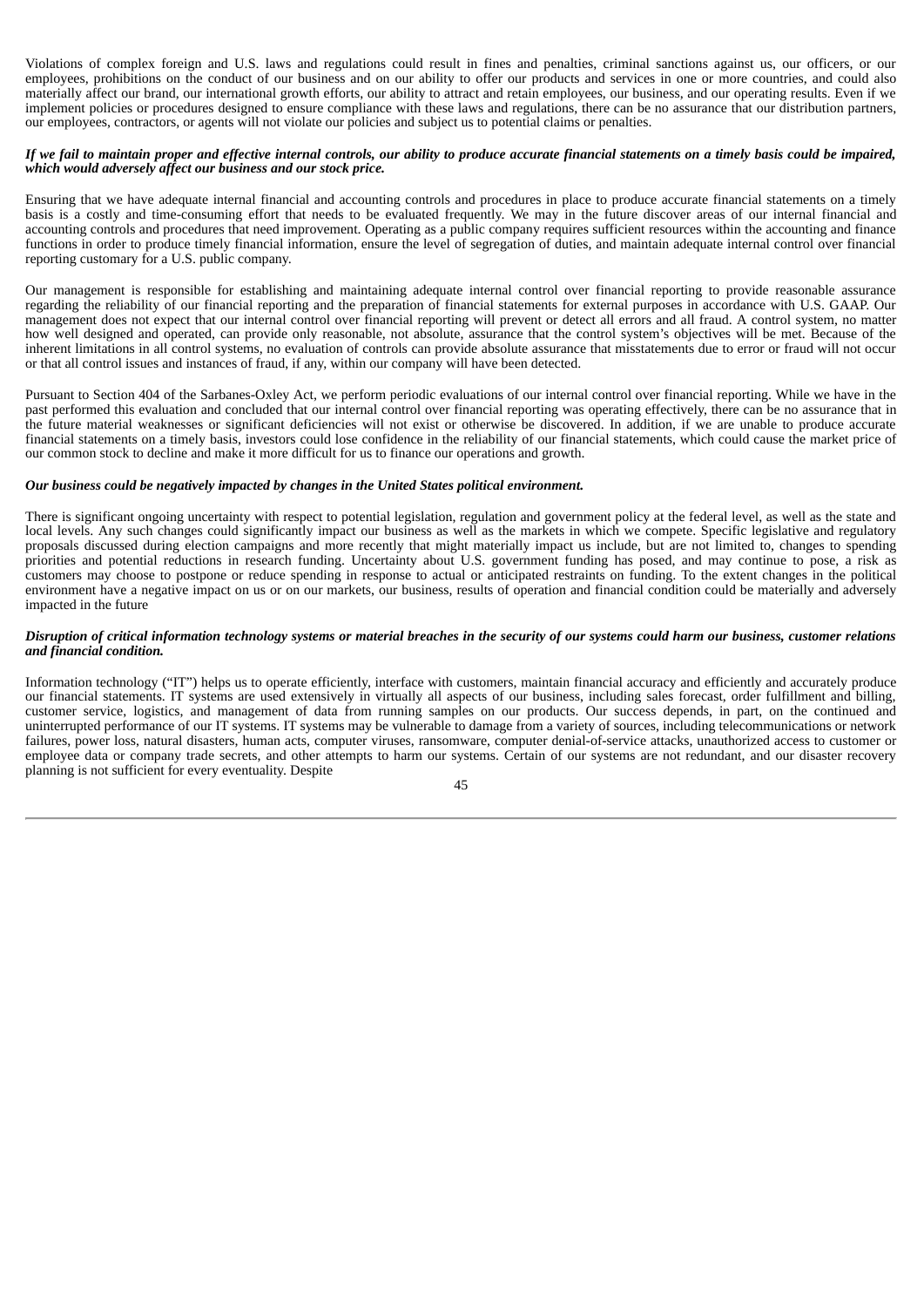Violations of complex foreign and U.S. laws and regulations could result in fines and penalties, criminal sanctions against us, our officers, or our employees, prohibitions on the conduct of our business and on our ability to offer our products and services in one or more countries, and could also materially affect our brand, our international growth efforts, our ability to attract and retain employees, our business, and our operating results. Even if we implement policies or procedures designed to ensure compliance with these laws and regulations, there can be no assurance that our distribution partners, our employees, contractors, or agents will not violate our policies and subject us to potential claims or penalties.

#### If we fail to maintain proper and effective internal controls, our ability to produce accurate financial statements on a timely basis could be impaired, *which would adversely affect our business and our stock price.*

Ensuring that we have adequate internal financial and accounting controls and procedures in place to produce accurate financial statements on a timely basis is a costly and time-consuming effort that needs to be evaluated frequently. We may in the future discover areas of our internal financial and accounting controls and procedures that need improvement. Operating as a public company requires sufficient resources within the accounting and finance functions in order to produce timely financial information, ensure the level of segregation of duties, and maintain adequate internal control over financial reporting customary for a U.S. public company.

Our management is responsible for establishing and maintaining adequate internal control over financial reporting to provide reasonable assurance regarding the reliability of our financial reporting and the preparation of financial statements for external purposes in accordance with U.S. GAAP. Our management does not expect that our internal control over financial reporting will prevent or detect all errors and all fraud. A control system, no matter how well designed and operated, can provide only reasonable, not absolute, assurance that the control system's objectives will be met. Because of the inherent limitations in all control systems, no evaluation of controls can provide absolute assurance that misstatements due to error or fraud will not occur or that all control issues and instances of fraud, if any, within our company will have been detected.

Pursuant to Section 404 of the Sarbanes-Oxley Act, we perform periodic evaluations of our internal control over financial reporting. While we have in the past performed this evaluation and concluded that our internal control over financial reporting was operating effectively, there can be no assurance that in the future material weaknesses or significant deficiencies will not exist or otherwise be discovered. In addition, if we are unable to produce accurate financial statements on a timely basis, investors could lose confidence in the reliability of our financial statements, which could cause the market price of our common stock to decline and make it more difficult for us to finance our operations and growth.

## *Our business could be negatively impacted by changes in the United States political environment.*

There is significant ongoing uncertainty with respect to potential legislation, regulation and government policy at the federal level, as well as the state and local levels. Any such changes could significantly impact our business as well as the markets in which we compete. Specific legislative and regulatory proposals discussed during election campaigns and more recently that might materially impact us include, but are not limited to, changes to spending priorities and potential reductions in research funding. Uncertainty about U.S. government funding has posed, and may continue to pose, a risk as customers may choose to postpone or reduce spending in response to actual or anticipated restraints on funding. To the extent changes in the political environment have a negative impact on us or on our markets, our business, results of operation and financial condition could be materially and adversely impacted in the future

#### Disruption of critical information technology systems or material breaches in the security of our systems could harm our business, customer relations *and financial condition.*

Information technology ("IT") helps us to operate efficiently, interface with customers, maintain financial accuracy and efficiently and accurately produce our financial statements. IT systems are used extensively in virtually all aspects of our business, including sales forecast, order fulfillment and billing, customer service, logistics, and management of data from running samples on our products. Our success depends, in part, on the continued and uninterrupted performance of our IT systems. IT systems may be vulnerable to damage from a variety of sources, including telecommunications or network failures, power loss, natural disasters, human acts, computer viruses, ransomware, computer denial-of-service attacks, unauthorized access to customer or employee data or company trade secrets, and other attempts to harm our systems. Certain of our systems are not redundant, and our disaster recovery planning is not sufficient for every eventuality. Despite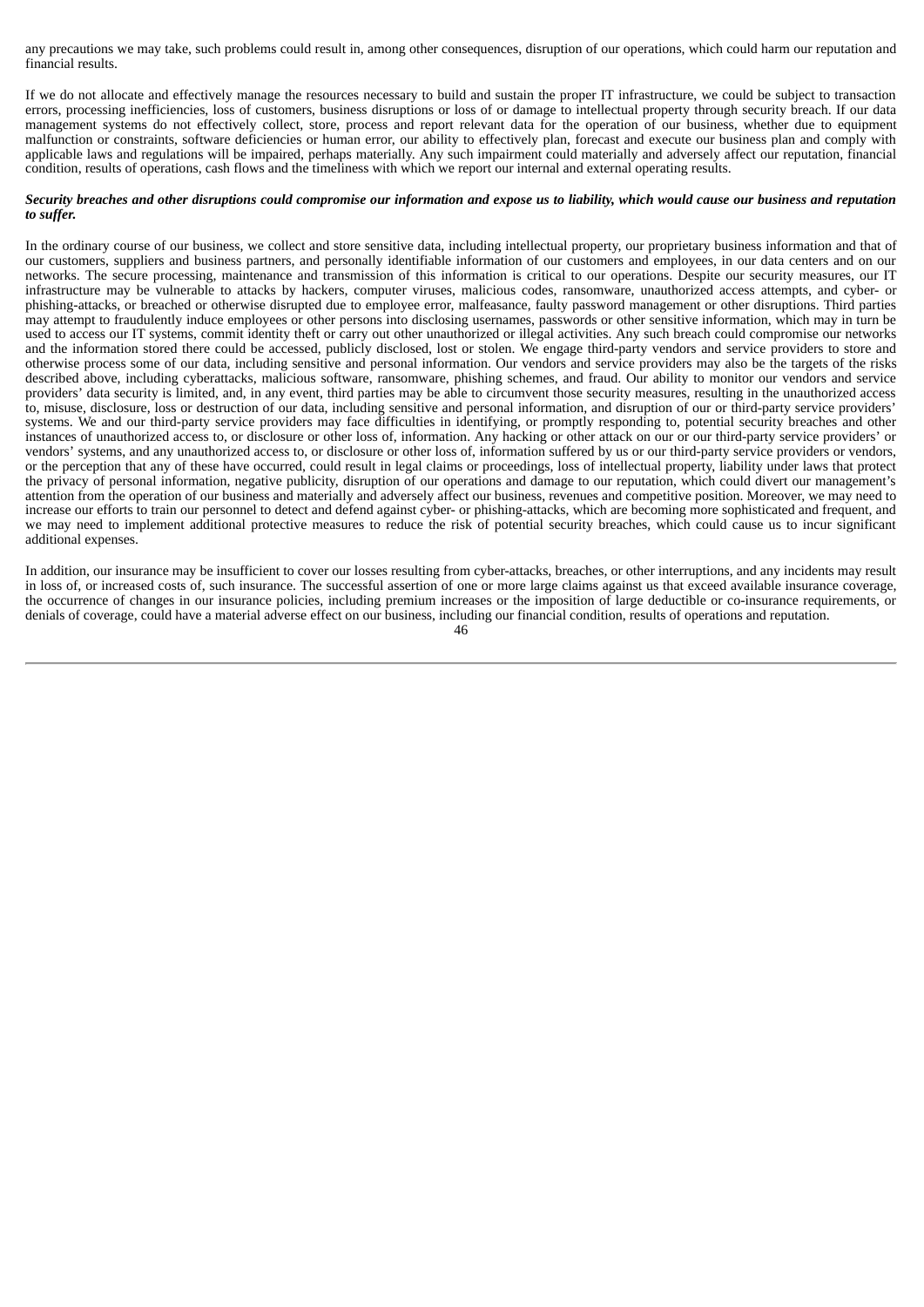any precautions we may take, such problems could result in, among other consequences, disruption of our operations, which could harm our reputation and financial results.

If we do not allocate and effectively manage the resources necessary to build and sustain the proper IT infrastructure, we could be subject to transaction errors, processing inefficiencies, loss of customers, business disruptions or loss of or damage to intellectual property through security breach. If our data management systems do not effectively collect, store, process and report relevant data for the operation of our business, whether due to equipment malfunction or constraints, software deficiencies or human error, our ability to effectively plan, forecast and execute our business plan and comply with applicable laws and regulations will be impaired, perhaps materially. Any such impairment could materially and adversely affect our reputation, financial condition, results of operations, cash flows and the timeliness with which we report our internal and external operating results.

#### Security breaches and other disruptions could compromise our information and expose us to liability, which would cause our business and reputation *to suffer.*

In the ordinary course of our business, we collect and store sensitive data, including intellectual property, our proprietary business information and that of our customers, suppliers and business partners, and personally identifiable information of our customers and employees, in our data centers and on our networks. The secure processing, maintenance and transmission of this information is critical to our operations. Despite our security measures, our IT infrastructure may be vulnerable to attacks by hackers, computer viruses, malicious codes, ransomware, unauthorized access attempts, and cyber- or phishing-attacks, or breached or otherwise disrupted due to employee error, malfeasance, faulty password management or other disruptions. Third parties may attempt to fraudulently induce employees or other persons into disclosing usernames, passwords or other sensitive information, which may in turn be used to access our IT systems, commit identity theft or carry out other unauthorized or illegal activities. Any such breach could compromise our networks and the information stored there could be accessed, publicly disclosed, lost or stolen. We engage third-party vendors and service providers to store and otherwise process some of our data, including sensitive and personal information. Our vendors and service providers may also be the targets of the risks described above, including cyberattacks, malicious software, ransomware, phishing schemes, and fraud. Our ability to monitor our vendors and service providers' data security is limited, and, in any event, third parties may be able to circumvent those security measures, resulting in the unauthorized access to, misuse, disclosure, loss or destruction of our data, including sensitive and personal information, and disruption of our or third-party service providers' systems. We and our third-party service providers may face difficulties in identifying, or promptly responding to, potential security breaches and other instances of unauthorized access to, or disclosure or other loss of, information. Any hacking or other attack on our or our third-party service providers' or vendors' systems, and any unauthorized access to, or disclosure or other loss of, information suffered by us or our third-party service providers or vendors, or the perception that any of these have occurred, could result in legal claims or proceedings, loss of intellectual property, liability under laws that protect the privacy of personal information, negative publicity, disruption of our operations and damage to our reputation, which could divert our management's attention from the operation of our business and materially and adversely affect our business, revenues and competitive position. Moreover, we may need to increase our efforts to train our personnel to detect and defend against cyber- or phishing-attacks, which are becoming more sophisticated and frequent, and we may need to implement additional protective measures to reduce the risk of potential security breaches, which could cause us to incur significant additional expenses.

In addition, our insurance may be insufficient to cover our losses resulting from cyber-attacks, breaches, or other interruptions, and any incidents may result in loss of, or increased costs of, such insurance. The successful assertion of one or more large claims against us that exceed available insurance coverage, the occurrence of changes in our insurance policies, including premium increases or the imposition of large deductible or co-insurance requirements, or denials of coverage, could have a material adverse effect on our business, including our financial condition, results of operations and reputation.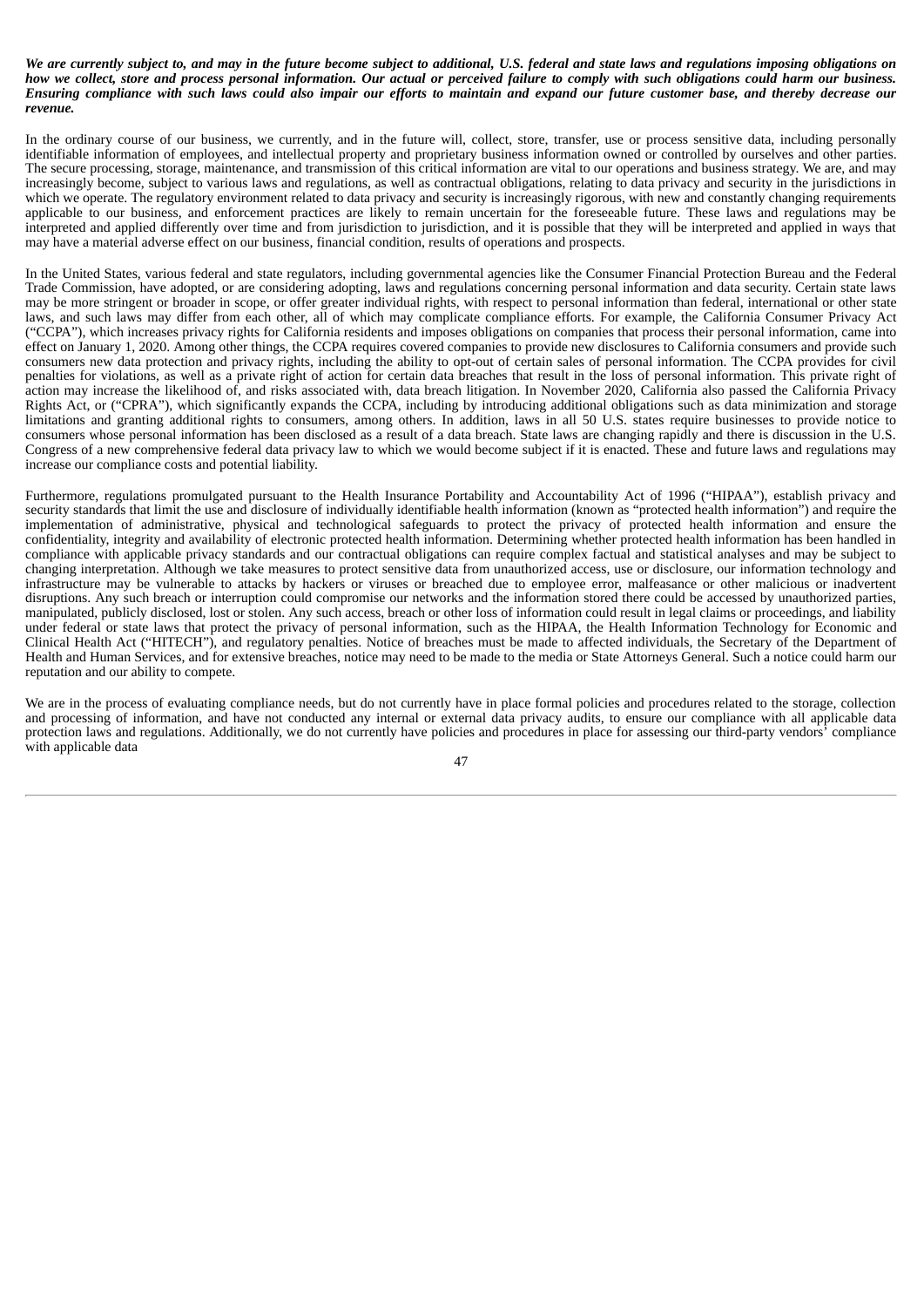#### We are currently subject to, and may in the future become subject to additional, U.S. federal and state laws and regulations imposing obligations on how we collect, store and process personal information. Our actual or perceived failure to comply with such obligations could harm our business. Ensuring compliance with such laws could also impair our efforts to maintain and expand our future customer base, and thereby decrease our *revenue.*

In the ordinary course of our business, we currently, and in the future will, collect, store, transfer, use or process sensitive data, including personally identifiable information of employees, and intellectual property and proprietary business information owned or controlled by ourselves and other parties. The secure processing, storage, maintenance, and transmission of this critical information are vital to our operations and business strategy. We are, and may increasingly become, subject to various laws and regulations, as well as contractual obligations, relating to data privacy and security in the jurisdictions in which we operate. The regulatory environment related to data privacy and security is increasingly rigorous, with new and constantly changing requirements applicable to our business, and enforcement practices are likely to remain uncertain for the foreseeable future. These laws and regulations may be interpreted and applied differently over time and from jurisdiction to jurisdiction, and it is possible that they will be interpreted and applied in ways that may have a material adverse effect on our business, financial condition, results of operations and prospects.

In the United States, various federal and state regulators, including governmental agencies like the Consumer Financial Protection Bureau and the Federal Trade Commission, have adopted, or are considering adopting, laws and regulations concerning personal information and data security. Certain state laws may be more stringent or broader in scope, or offer greater individual rights, with respect to personal information than federal, international or other state laws, and such laws may differ from each other, all of which may complicate compliance efforts. For example, the California Consumer Privacy Act ("CCPA"), which increases privacy rights for California residents and imposes obligations on companies that process their personal information, came into effect on January 1, 2020. Among other things, the CCPA requires covered companies to provide new disclosures to California consumers and provide such consumers new data protection and privacy rights, including the ability to opt-out of certain sales of personal information. The CCPA provides for civil penalties for violations, as well as a private right of action for certain data breaches that result in the loss of personal information. This private right of action may increase the likelihood of, and risks associated with, data breach litigation. In November 2020, California also passed the California Privacy Rights Act, or ("CPRA"), which significantly expands the CCPA, including by introducing additional obligations such as data minimization and storage limitations and granting additional rights to consumers, among others. In addition, laws in all 50 U.S. states require businesses to provide notice to consumers whose personal information has been disclosed as a result of a data breach. State laws are changing rapidly and there is discussion in the U.S. Congress of a new comprehensive federal data privacy law to which we would become subject if it is enacted. These and future laws and regulations may increase our compliance costs and potential liability.

Furthermore, regulations promulgated pursuant to the Health Insurance Portability and Accountability Act of 1996 ("HIPAA"), establish privacy and security standards that limit the use and disclosure of individually identifiable health information (known as "protected health information") and require the implementation of administrative, physical and technological safeguards to protect the privacy of protected health information and ensure the confidentiality, integrity and availability of electronic protected health information. Determining whether protected health information has been handled in compliance with applicable privacy standards and our contractual obligations can require complex factual and statistical analyses and may be subject to changing interpretation. Although we take measures to protect sensitive data from unauthorized access, use or disclosure, our information technology and infrastructure may be vulnerable to attacks by hackers or viruses or breached due to employee error, malfeasance or other malicious or inadvertent disruptions. Any such breach or interruption could compromise our networks and the information stored there could be accessed by unauthorized parties, manipulated, publicly disclosed, lost or stolen. Any such access, breach or other loss of information could result in legal claims or proceedings, and liability under federal or state laws that protect the privacy of personal information, such as the HIPAA, the Health Information Technology for Economic and Clinical Health Act ("HITECH"), and regulatory penalties. Notice of breaches must be made to affected individuals, the Secretary of the Department of Health and Human Services, and for extensive breaches, notice may need to be made to the media or State Attorneys General. Such a notice could harm our reputation and our ability to compete.

We are in the process of evaluating compliance needs, but do not currently have in place formal policies and procedures related to the storage, collection and processing of information, and have not conducted any internal or external data privacy audits, to ensure our compliance with all applicable data protection laws and regulations. Additionally, we do not currently have policies and procedures in place for assessing our third-party vendors' compliance with applicable data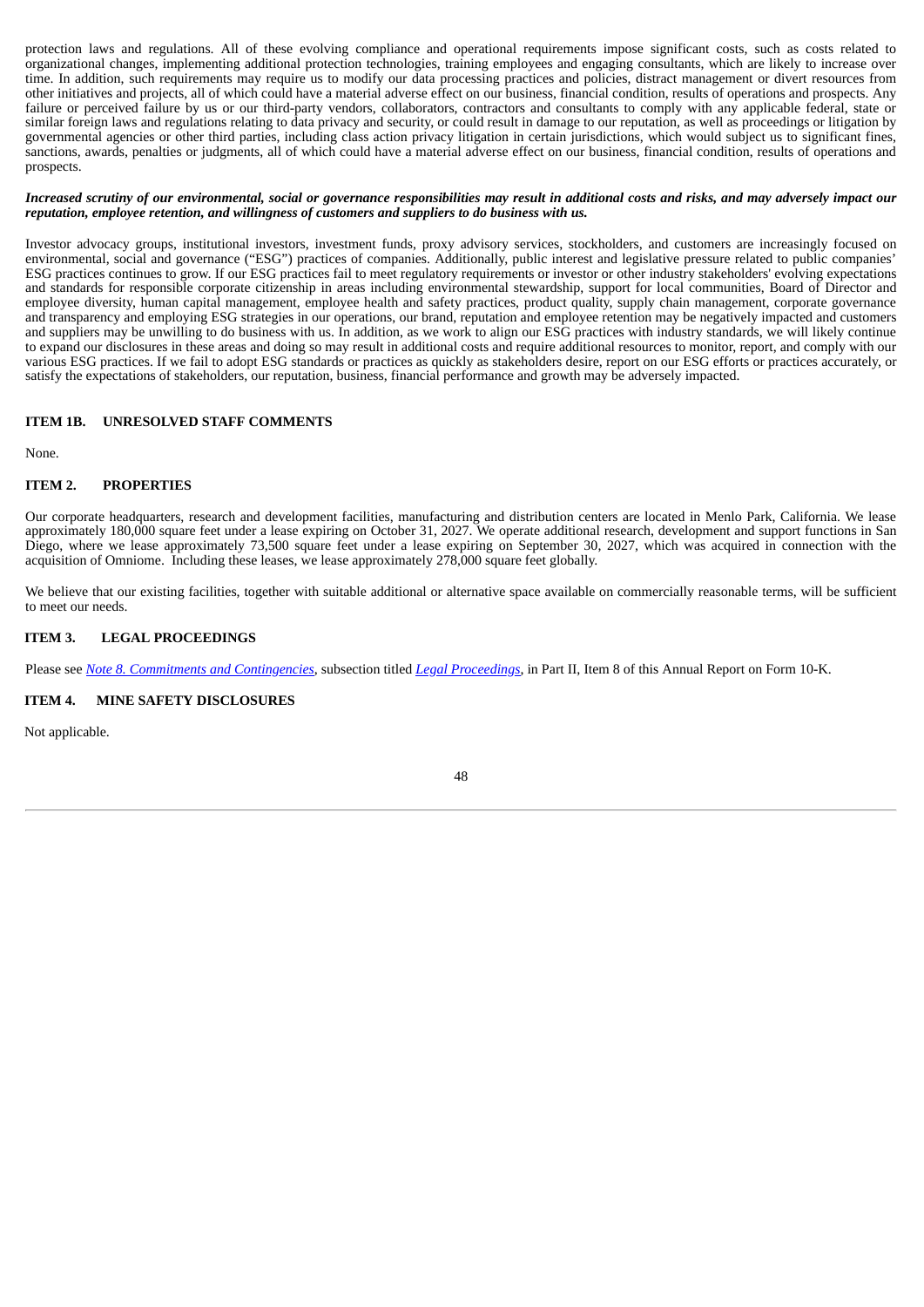protection laws and regulations. All of these evolving compliance and operational requirements impose significant costs, such as costs related to organizational changes, implementing additional protection technologies, training employees and engaging consultants, which are likely to increase over time. In addition, such requirements may require us to modify our data processing practices and policies, distract management or divert resources from other initiatives and projects, all of which could have a material adverse effect on our business, financial condition, results of operations and prospects. Any failure or perceived failure by us or our third-party vendors, collaborators, contractors and consultants to comply with any applicable federal, state or similar foreign laws and regulations relating to data privacy and security, or could result in damage to our reputation, as well as proceedings or litigation by governmental agencies or other third parties, including class action privacy litigation in certain jurisdictions, which would subject us to significant fines, sanctions, awards, penalties or judgments, all of which could have a material adverse effect on our business, financial condition, results of operations and prospects.

#### Increased scrutiny of our environmental, social or governance responsibilities may result in additional costs and risks, and may adversely impact our *reputation, employee retention, and willingness of customers and suppliers to do business with us.*

Investor advocacy groups, institutional investors, investment funds, proxy advisory services, stockholders, and customers are increasingly focused on environmental, social and governance ("ESG") practices of companies. Additionally, public interest and legislative pressure related to public companies' ESG practices continues to grow. If our ESG practices fail to meet regulatory requirements or investor or other industry stakeholders' evolving expectations and standards for responsible corporate citizenship in areas including environmental stewardship, support for local communities, Board of Director and employee diversity, human capital management, employee health and safety practices, product quality, supply chain management, corporate governance and transparency and employing ESG strategies in our operations, our brand, reputation and employee retention may be negatively impacted and customers and suppliers may be unwilling to do business with us. In addition, as we work to align our ESG practices with industry standards, we will likely continue to expand our disclosures in these areas and doing so may result in additional costs and require additional resources to monitor, report, and comply with our various ESG practices. If we fail to adopt ESG standards or practices as quickly as stakeholders desire, report on our ESG efforts or practices accurately, or satisfy the expectations of stakeholders, our reputation, business, financial performance and growth may be adversely impacted.

## **ITEM 1B. UNRESOLVED STAFF COMMENTS**

None.

## **ITEM 2. PROPERTIES**

Our corporate headquarters, research and development facilities, manufacturing and distribution centers are located in Menlo Park, California. We lease approximately 180,000 square feet under a lease expiring on October 31, 2027. We operate additional research, development and support functions in San Diego, where we lease approximately 73,500 square feet under a lease expiring on September 30, 2027, which was acquired in connection with the acquisition of Omniome. Including these leases, we lease approximately 278,000 square feet globally.

We believe that our existing facilities, together with suitable additional or alternative space available on commercially reasonable terms, will be sufficient to meet our needs.

## **ITEM 3. LEGAL PROCEEDINGS**

Please see *Note 8. Commitments and [Contingencies](#page-92-0)*, subsection titled *Legal [Proceedings](#page-93-0)*, in Part II, Item 8 of this Annual Report on Form 10-K.

#### **ITEM 4. MINE SAFETY DISCLOSURES**

Not applicable.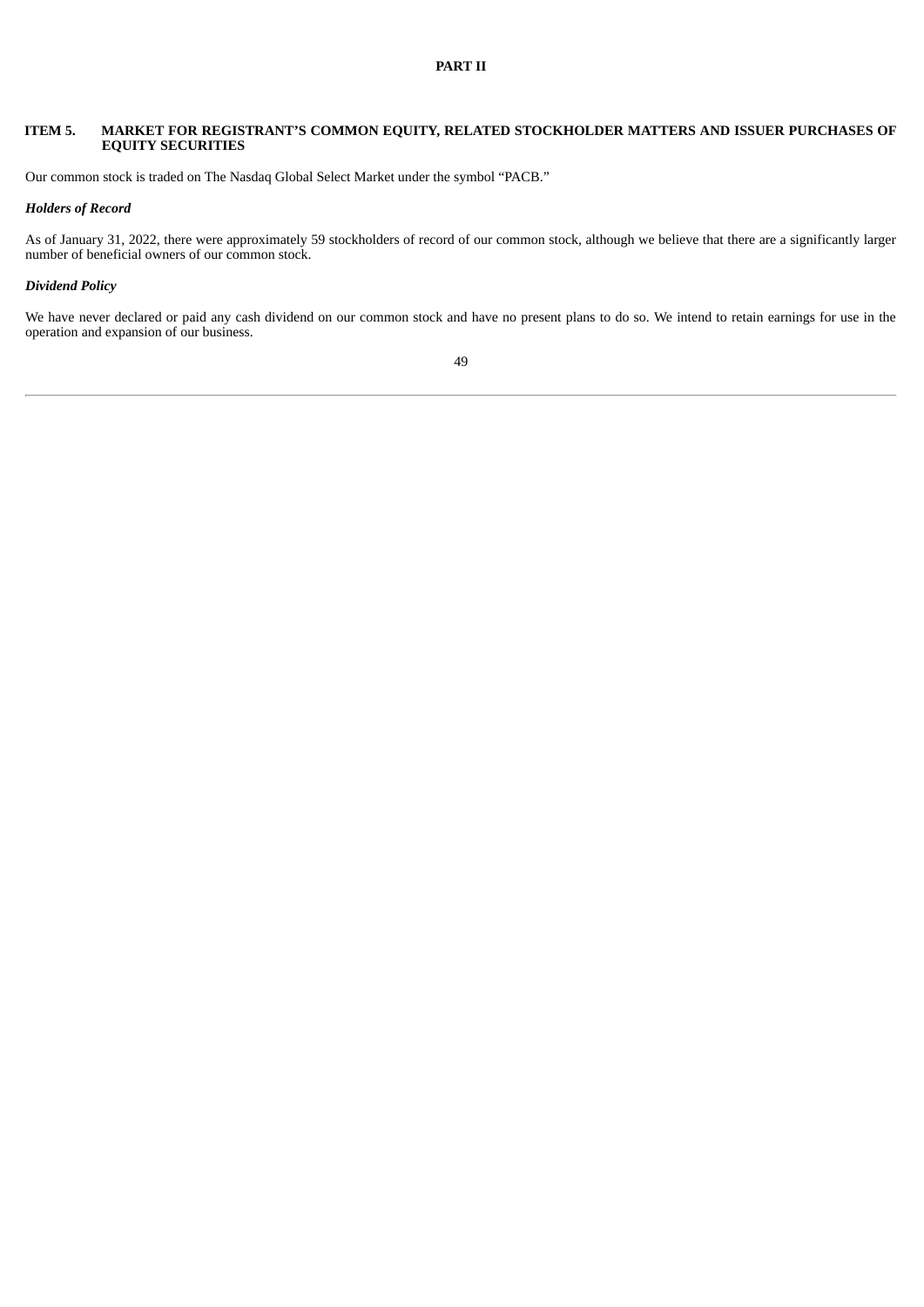## **PART II**

## **ITEM 5. MARKET FOR REGISTRANT'S COMMON EQUITY, RELATED STOCKHOLDER MATTERS AND ISSUER PURCHASES OF EQUITY SECURITIES**

Our common stock is traded on The Nasdaq Global Select Market under the symbol "PACB."

### *Holders of Record*

As of January 31, 2022, there were approximately 59 stockholders of record of our common stock, although we believe that there are a significantly larger number of beneficial owners of our common stock.

#### *Dividend Policy*

We have never declared or paid any cash dividend on our common stock and have no present plans to do so. We intend to retain earnings for use in the operation and expansion of our business.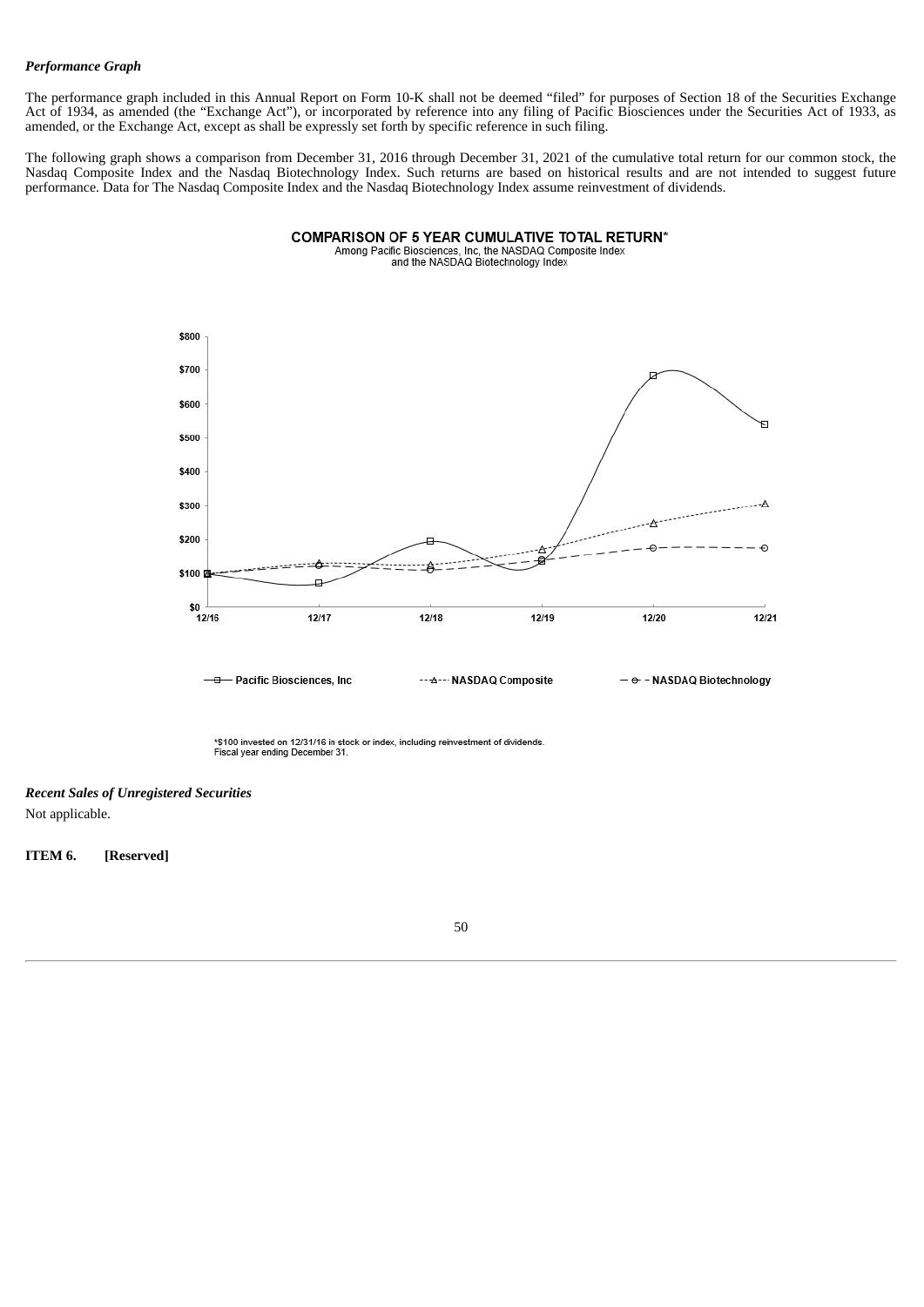## *Performance Graph*

The performance graph included in this Annual Report on Form 10-K shall not be deemed "filed" for purposes of Section 18 of the Securities Exchange Act of 1934, as amended (the "Exchange Act"), or incorporated by reference into any filing of Pacific Biosciences under the Securities Act of 1933, as amended, or the Exchange Act, except as shall be expressly set forth by specific reference in such filing.

The following graph shows a comparison from December 31, 2016 through December 31, 2021 of the cumulative total return for our common stock, the Nasdaq Composite Index and the Nasdaq Biotechnology Index. Such returns are based on historical results and are not intended to suggest future performance. Data for The Nasdaq Composite Index and the Nasdaq Biotechnology Index assume reinvestment of dividends.

> **COMPARISON OF 5 YEAR CUMULATIVE TOTAL RETURN\*** Among Pacific Biosciences, Inc., the NASDAQ Composite Index<br>and the NASDAQ Biotechnology Index



\*\$100 invested on 12/31/16 in stock or index, including reinvestment of dividends.<br>Fiscal year ending December 31.

## *Recent Sales of Unregistered Securities*

Not applicable.

## **ITEM 6. [Reserved]**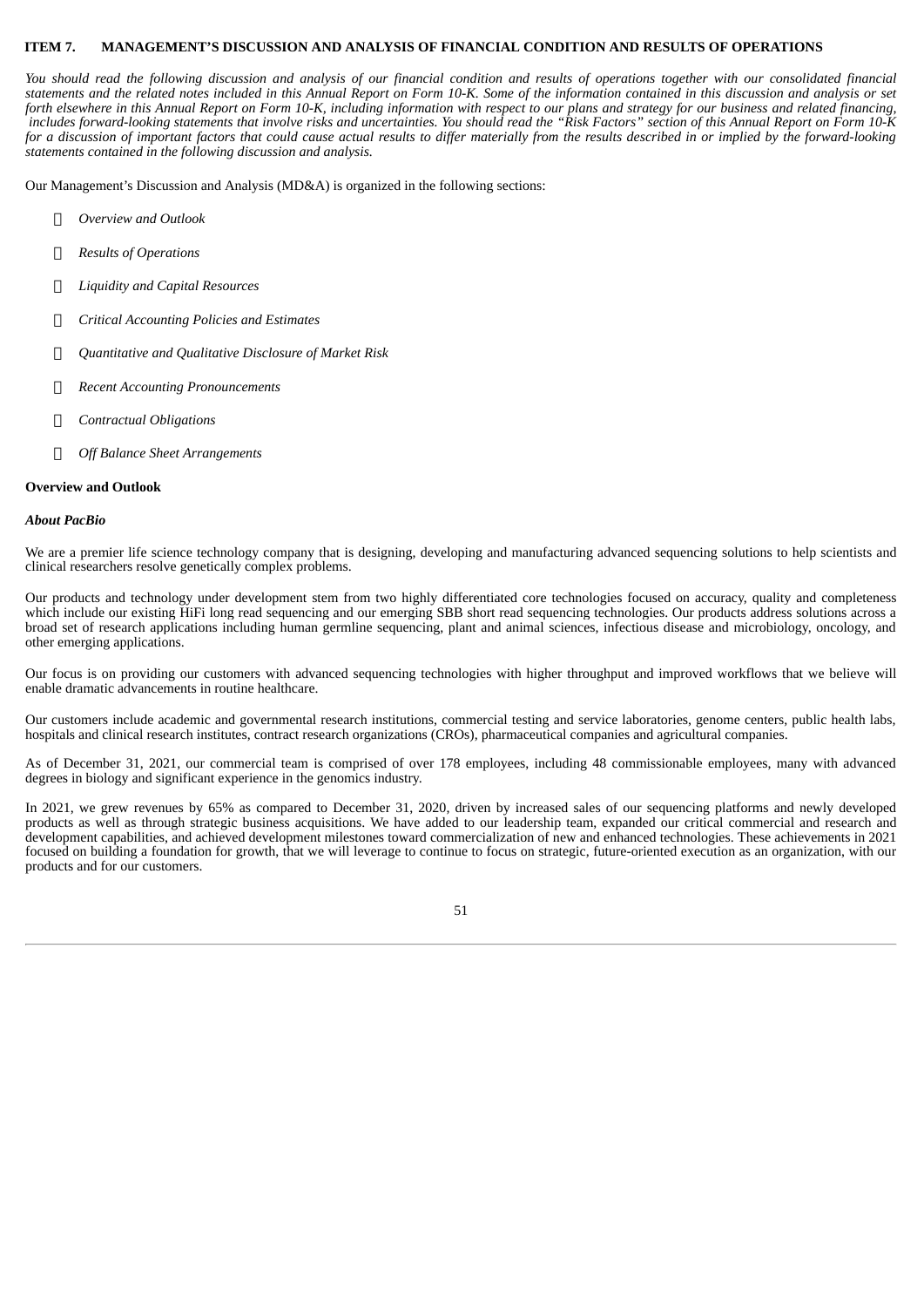#### <span id="page-52-0"></span>**ITEM 7. MANAGEMENT'S DISCUSSION AND ANALYSIS OF FINANCIAL CONDITION AND RESULTS OF OPERATIONS**

You should read the following discussion and analysis of our financial condition and results of operations together with our consolidated financial statements and the related notes included in this Annual Report on Form 10-K. Some of the information contained in this discussion and analysis or set forth elsewhere in this Annual Report on Form 10-K, including information with respect to our plans and strategy for our business and related financing, includes forward-looking statements that involve risks and uncertainties. You should read the "Risk Factors" section of this Annual Report on Form 10-K for a discussion of important factors that could cause actual results to differ materially from the results described in or implied by the forward-looking *statements contained in the following discussion and analysis.*

Our Management's Discussion and Analysis (MD&A) is organized in the following sections:

- *Overview and Outlook*
- *Results of Operations*
- *Liquidity and Capital Resources*
- *Critical Accounting Policies and Estimates*
- *Quantitative and Qualitative Disclosure of Market Risk*
- *Recent Accounting Pronouncements*
- *Contractual Obligations*
- *Off Balance Sheet Arrangements*

#### **Overview and Outlook**

#### *About PacBio*

We are a premier life science technology company that is designing, developing and manufacturing advanced sequencing solutions to help scientists and clinical researchers resolve genetically complex problems.

Our products and technology under development stem from two highly differentiated core technologies focused on accuracy, quality and completeness which include our existing HiFi long read sequencing and our emerging SBB short read sequencing technologies. Our products address solutions across a broad set of research applications including human germline sequencing, plant and animal sciences, infectious disease and microbiology, oncology, and other emerging applications.

Our focus is on providing our customers with advanced sequencing technologies with higher throughput and improved workflows that we believe will enable dramatic advancements in routine healthcare.

Our customers include academic and governmental research institutions, commercial testing and service laboratories, genome centers, public health labs, hospitals and clinical research institutes, contract research organizations (CROs), pharmaceutical companies and agricultural companies.

As of December 31, 2021, our commercial team is comprised of over 178 employees, including 48 commissionable employees, many with advanced degrees in biology and significant experience in the genomics industry.

In 2021, we grew revenues by 65% as compared to December 31, 2020, driven by increased sales of our sequencing platforms and newly developed products as well as through strategic business acquisitions. We have added to our leadership team, expanded our critical commercial and research and development capabilities, and achieved development milestones toward commercialization of new and enhanced technologies. These achievements in 2021 focused on building a foundation for growth, that we will leverage to continue to focus on strategic, future-oriented execution as an organization, with our products and for our customers.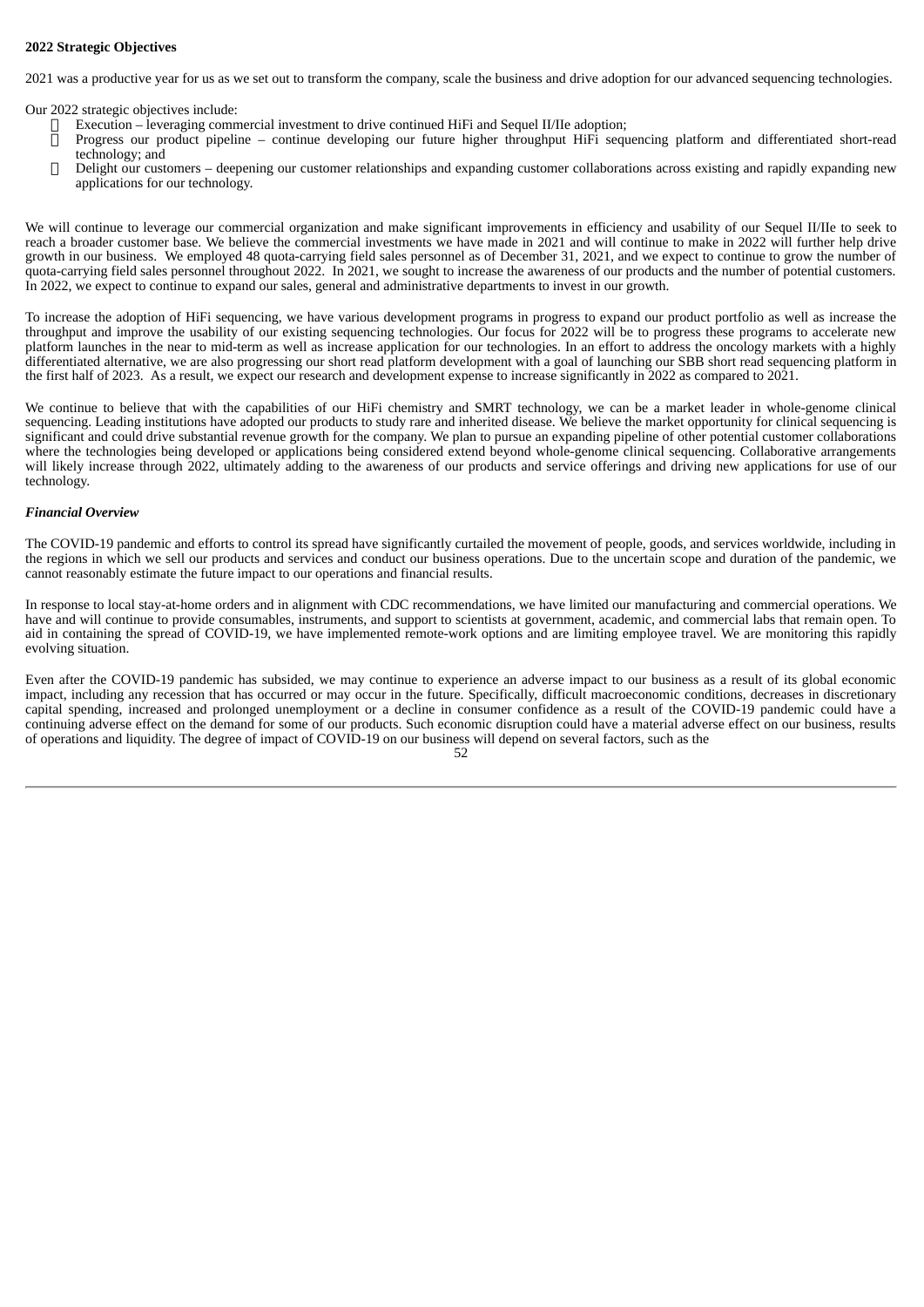#### **2022 Strategic Objectives**

2021 was a productive year for us as we set out to transform the company, scale the business and drive adoption for our advanced sequencing technologies.

Our 2022 strategic objectives include:

- $\Box$  Execution leveraging commercial investment to drive continued HiFi and Sequel II/IIe adoption;
- Progress our product pipeline continue developing our future higher throughput HiFi sequencing platform and differentiated short-read technology; and
- Delight our customers deepening our customer relationships and expanding customer collaborations across existing and rapidly expanding new applications for our technology.

We will continue to leverage our commercial organization and make significant improvements in efficiency and usability of our Sequel II/IIe to seek to reach a broader customer base. We believe the commercial investments we have made in 2021 and will continue to make in 2022 will further help drive growth in our business. We employed 48 quota-carrying field sales personnel as of December 31, 2021, and we expect to continue to grow the number of quota-carrying field sales personnel throughout 2022. In 2021, we sought to increase the awareness of our products and the number of potential customers. In 2022, we expect to continue to expand our sales, general and administrative departments to invest in our growth.

To increase the adoption of HiFi sequencing, we have various development programs in progress to expand our product portfolio as well as increase the throughput and improve the usability of our existing sequencing technologies. Our focus for 2022 will be to progress these programs to accelerate new platform launches in the near to mid-term as well as increase application for our technologies. In an effort to address the oncology markets with a highly differentiated alternative, we are also progressing our short read platform development with a goal of launching our SBB short read sequencing platform in the first half of 2023. As a result, we expect our research and development expense to increase significantly in 2022 as compared to 2021.

We continue to believe that with the capabilities of our HiFi chemistry and SMRT technology, we can be a market leader in whole-genome clinical sequencing. Leading institutions have adopted our products to study rare and inherited disease. We believe the market opportunity for clinical sequencing is significant and could drive substantial revenue growth for the company. We plan to pursue an expanding pipeline of other potential customer collaborations where the technologies being developed or applications being considered extend beyond whole-genome clinical sequencing. Collaborative arrangements will likely increase through 2022, ultimately adding to the awareness of our products and service offerings and driving new applications for use of our technology.

#### *Financial Overview*

The COVID-19 pandemic and efforts to control its spread have significantly curtailed the movement of people, goods, and services worldwide, including in the regions in which we sell our products and services and conduct our business operations. Due to the uncertain scope and duration of the pandemic, we cannot reasonably estimate the future impact to our operations and financial results.

In response to local stay-at-home orders and in alignment with CDC recommendations, we have limited our manufacturing and commercial operations. We have and will continue to provide consumables, instruments, and support to scientists at government, academic, and commercial labs that remain open. To aid in containing the spread of COVID-19, we have implemented remote-work options and are limiting employee travel. We are monitoring this rapidly evolving situation.

Even after the COVID-19 pandemic has subsided, we may continue to experience an adverse impact to our business as a result of its global economic impact, including any recession that has occurred or may occur in the future. Specifically, difficult macroeconomic conditions, decreases in discretionary capital spending, increased and prolonged unemployment or a decline in consumer confidence as a result of the COVID-19 pandemic could have a continuing adverse effect on the demand for some of our products. Such economic disruption could have a material adverse effect on our business, results of operations and liquidity. The degree of impact of COVID-19 on our business will depend on several factors, such as the

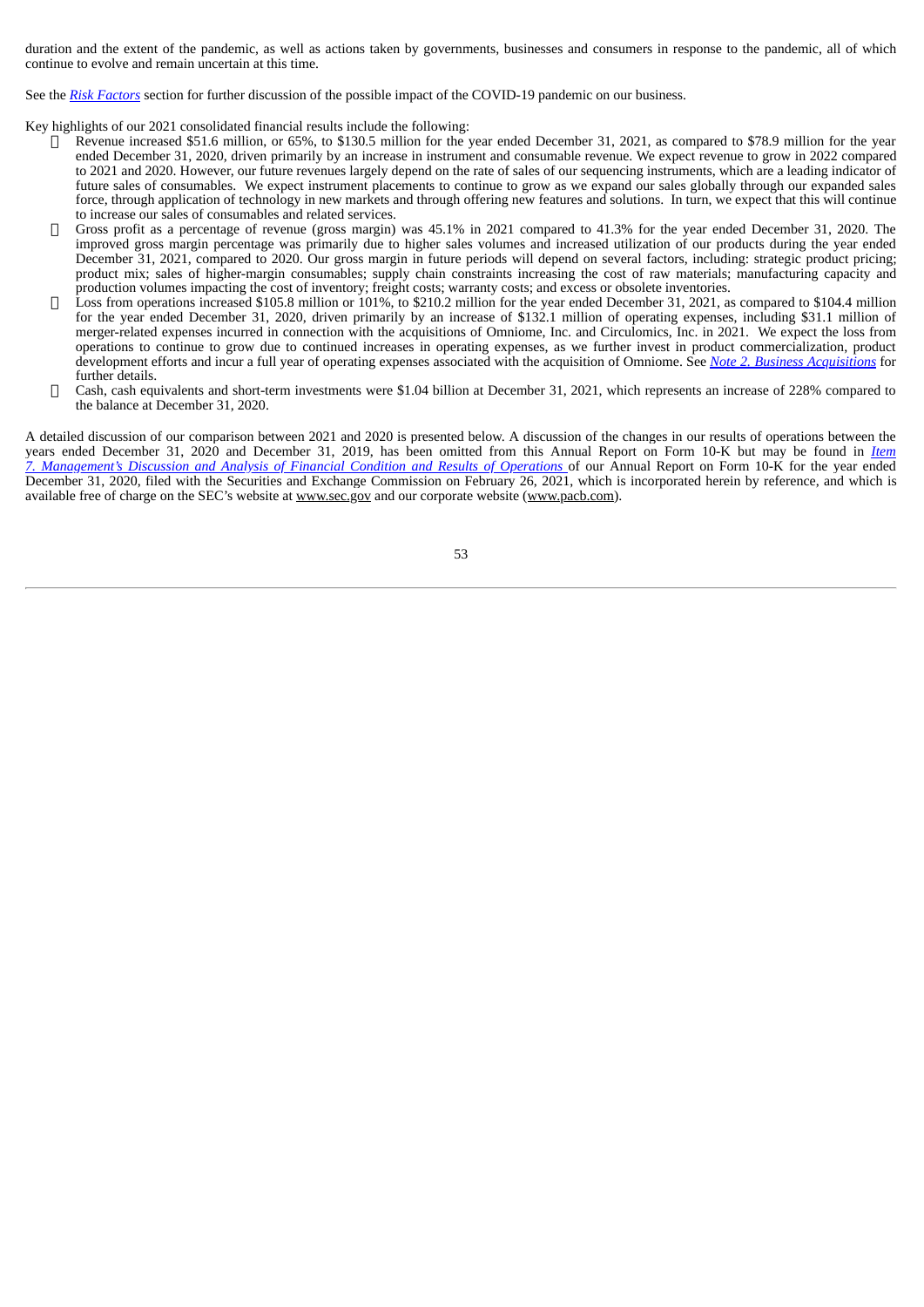duration and the extent of the pandemic, as well as actions taken by governments, businesses and consumers in response to the pandemic, all of which continue to evolve and remain uncertain at this time.

See the *Risk [Factors](#page-13-0)* section for further discussion of the possible impact of the COVID-19 pandemic on our business.

Key highlights of our 2021 consolidated financial results include the following:

- Revenue increased \$51.6 million, or 65%, to \$130.5 million for the year ended December 31, 2021, as compared to \$78.9 million for the year ended December 31, 2020, driven primarily by an increase in instrument and consumable revenue. We expect revenue to grow in 2022 compared to 2021 and 2020. However, our future revenues largely depend on the rate of sales of our sequencing instruments, which are a leading indicator of future sales of consumables. We expect instrument placements to continue to grow as we expand our sales globally through our expanded sales force, through application of technology in new markets and through offering new features and solutions. In turn, we expect that this will continue to increase our sales of consumables and related services.
- Gross profit as a percentage of revenue (gross margin) was 45.1% in 2021 compared to 41.3% for the year ended December 31, 2020. The improved gross margin percentage was primarily due to higher sales volumes and increased utilization of our products during the year ended December 31, 2021, compared to 2020. Our gross margin in future periods will depend on several factors, including: strategic product pricing; product mix; sales of higher-margin consumables; supply chain constraints increasing the cost of raw materials; manufacturing capacity and production volumes impacting the cost of inventory; freight costs; warranty costs; and excess or obsolete inventories.
- Loss from operations increased \$105.8 million or 101%, to \$210.2 million for the year ended December 31, 2021, as compared to \$104.4 million for the year ended December 31, 2020, driven primarily by an increase of \$132.1 million of operating expenses, including \$31.1 million of merger-related expenses incurred in connection with the acquisitions of Omniome, Inc. and Circulomics, Inc. in 2021. We expect the loss from operations to continue to grow due to continued increases in operating expenses, as we further invest in product commercialization, product development efforts and incur a full year of operating expenses associated with the acquisition of Omniome. See *Note 2. Business [Acquisitions](#page-80-0)* for further details.
- Cash, cash equivalents and short-term investments were \$1.04 billion at December 31, 2021, which represents an increase of 228% compared to the balance at December 31, 2020.

A detailed discussion of our comparison between 2021 and 2020 is presented below. A discussion of the changes in our results of operations between the years ended December 31, 2020 and December 31, 2019, has been omitted from this Annual Report on Form 10-K but may be found in *Item* 7. [Management's](#page-52-0) Discussion and Analysis of Financial Condition and Results of Operations of our Annual Report on Form 10-K for the year ended December 31, 2020, filed with the Securities and Exchange Commission on February 26, 2021, which is incorporated herein by reference, and which is available free of charge on the SEC's website at www.sec.gov and our corporate website (www.pacb.com).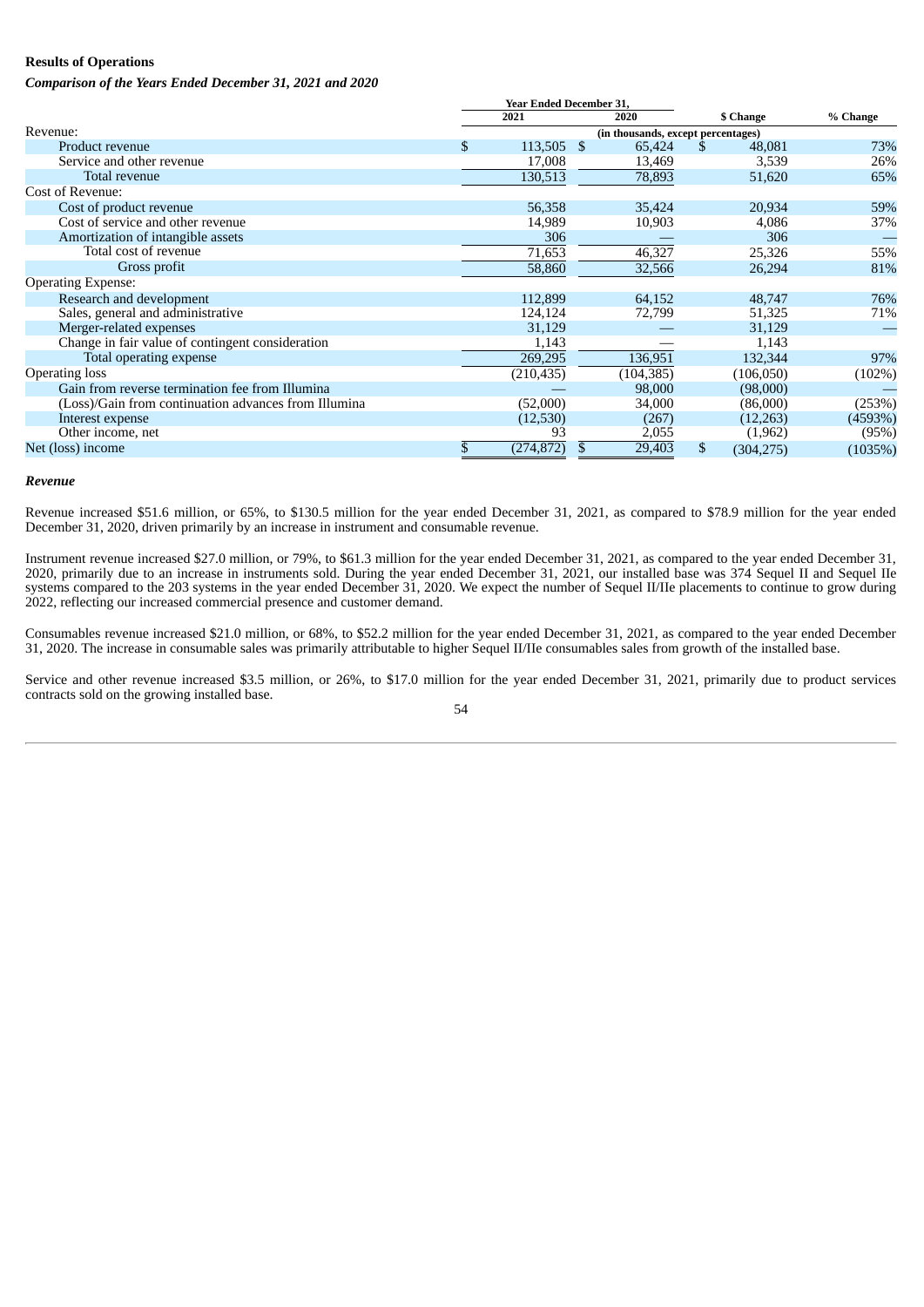## <span id="page-55-0"></span>**Results of Operations**

*Comparison of the Years Ended December 31, 2021 and 2020*

|                                                      | <b>Year Ended December 31,</b>     |            |             |                |            |          |
|------------------------------------------------------|------------------------------------|------------|-------------|----------------|------------|----------|
|                                                      |                                    | 2021       | 2020        |                | \$ Change  | % Change |
| Revenue:                                             | (in thousands, except percentages) |            |             |                |            |          |
| Product revenue                                      | \$                                 | 113,505 \$ | 65,424      | \$.            | 48,081     | 73%      |
| Service and other revenue                            |                                    | 17,008     | 13,469      |                | 3,539      | 26%      |
| Total revenue                                        |                                    | 130,513    | 78,893      |                | 51,620     | 65%      |
| Cost of Revenue:                                     |                                    |            |             |                |            |          |
| Cost of product revenue                              |                                    | 56,358     | 35,424      |                | 20,934     | 59%      |
| Cost of service and other revenue                    |                                    | 14,989     | 10,903      |                | 4,086      | 37%      |
| Amortization of intangible assets                    |                                    | 306        |             |                | 306        |          |
| Total cost of revenue                                |                                    | 71,653     | 46,327      |                | 25,326     | 55%      |
| Gross profit                                         |                                    | 58,860     | 32,566      |                | 26,294     | 81%      |
| <b>Operating Expense:</b>                            |                                    |            |             |                |            |          |
| Research and development                             |                                    | 112,899    | 64,152      |                | 48,747     | 76%      |
| Sales, general and administrative                    |                                    | 124,124    | 72,799      |                | 51,325     | 71%      |
| Merger-related expenses                              |                                    | 31,129     |             |                | 31,129     |          |
| Change in fair value of contingent consideration     |                                    | 1,143      |             |                | 1,143      |          |
| Total operating expense                              |                                    | 269,295    | 136,951     |                | 132,344    | 97%      |
| <b>Operating loss</b>                                |                                    | (210, 435) | (104, 385)  |                | (106, 050) | (102%)   |
| Gain from reverse termination fee from Illumina      |                                    |            | 98,000      |                | (98,000)   |          |
| (Loss)/Gain from continuation advances from Illumina |                                    | (52,000)   | 34,000      |                | (86,000)   | (253%)   |
| Interest expense                                     |                                    | (12, 530)  | (267)       |                | (12, 263)  | (4593%)  |
| Other income, net                                    |                                    | 93         | 2,055       |                | (1,962)    | (95%)    |
| Net (loss) income                                    |                                    | (274, 872) | 29,403<br>S | $\mathfrak{s}$ | (304, 275) | (1035%)  |

#### *Revenue*

Revenue increased \$51.6 million, or 65%, to \$130.5 million for the year ended December 31, 2021, as compared to \$78.9 million for the year ended December 31, 2020, driven primarily by an increase in instrument and consumable revenue.

Instrument revenue increased \$27.0 million, or 79%, to \$61.3 million for the year ended December 31, 2021, as compared to the year ended December 31, 2020, primarily due to an increase in instruments sold. During the year ended December 31, 2021, our installed base was 374 Sequel II and Sequel IIe systems compared to the 203 systems in the year ended December 31, 2020. We expect the number of Sequel II/IIe placements to continue to grow during 2022, reflecting our increased commercial presence and customer demand.

Consumables revenue increased \$21.0 million, or 68%, to \$52.2 million for the year ended December 31, 2021, as compared to the year ended December 31, 2020. The increase in consumable sales was primarily attributable to higher Sequel II/IIe consumables sales from growth of the installed base.

Service and other revenue increased \$3.5 million, or 26%, to \$17.0 million for the year ended December 31, 2021, primarily due to product services contracts sold on the growing installed base.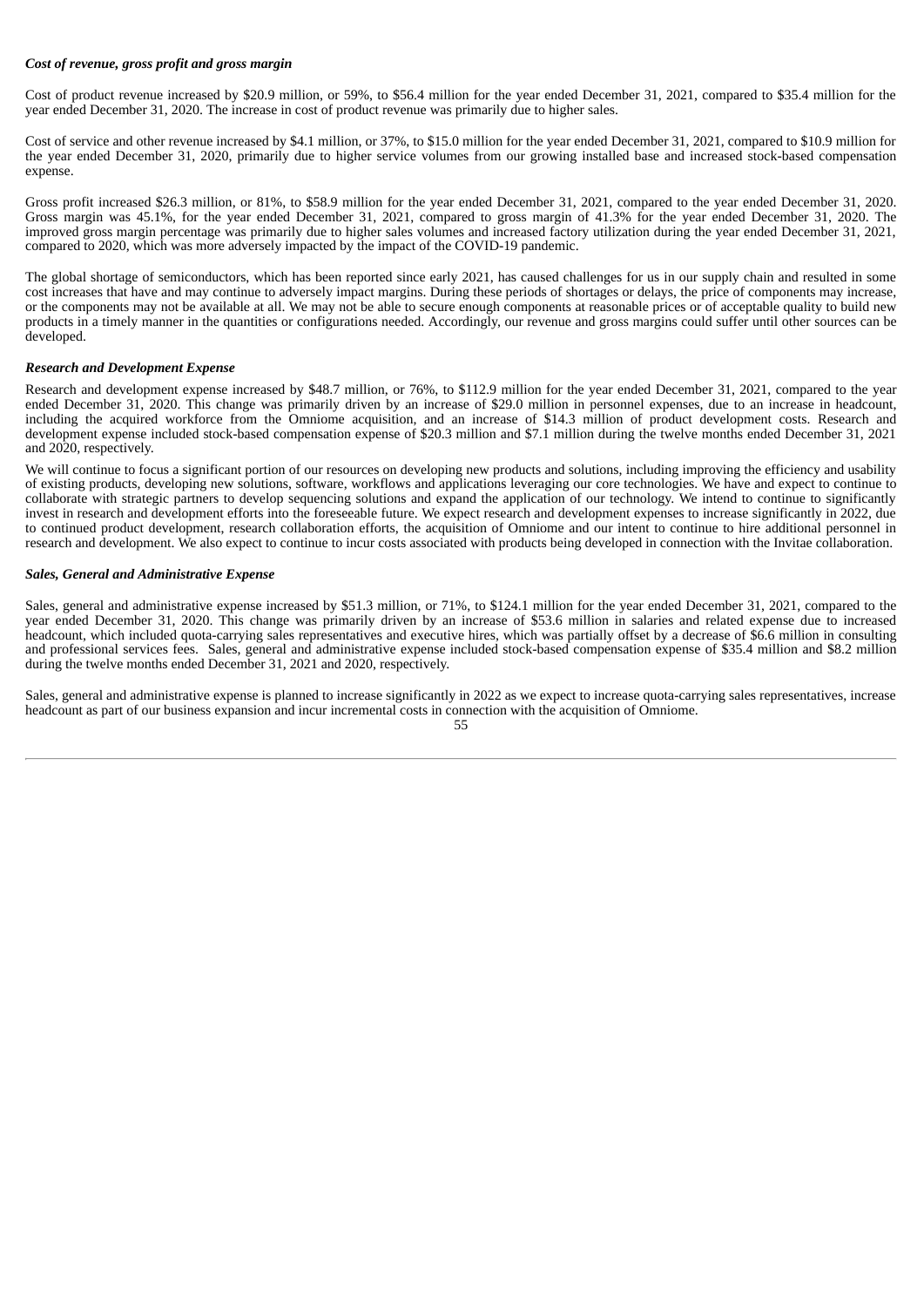### *Cost of revenue, gross profit and gross margin*

Cost of product revenue increased by \$20.9 million, or 59%, to \$56.4 million for the year ended December 31, 2021, compared to \$35.4 million for the year ended December 31, 2020. The increase in cost of product revenue was primarily due to higher sales.

Cost of service and other revenue increased by \$4.1 million, or 37%, to \$15.0 million for the year ended December 31, 2021, compared to \$10.9 million for the year ended December 31, 2020, primarily due to higher service volumes from our growing installed base and increased stock-based compensation expense.

Gross profit increased \$26.3 million, or 81%, to \$58.9 million for the year ended December 31, 2021, compared to the year ended December 31, 2020. Gross margin was 45.1%, for the year ended December 31, 2021, compared to gross margin of 41.3% for the year ended December 31, 2020. The improved gross margin percentage was primarily due to higher sales volumes and increased factory utilization during the year ended December 31, 2021, compared to 2020, which was more adversely impacted by the impact of the COVID-19 pandemic.

The global shortage of semiconductors, which has been reported since early 2021, has caused challenges for us in our supply chain and resulted in some cost increases that have and may continue to adversely impact margins. During these periods of shortages or delays, the price of components may increase, or the components may not be available at all. We may not be able to secure enough components at reasonable prices or of acceptable quality to build new products in a timely manner in the quantities or configurations needed. Accordingly, our revenue and gross margins could suffer until other sources can be developed.

#### *Research and Development Expense*

Research and development expense increased by \$48.7 million, or 76%, to \$112.9 million for the year ended December 31, 2021, compared to the year ended December 31, 2020. This change was primarily driven by an increase of \$29.0 million in personnel expenses, due to an increase in headcount, including the acquired workforce from the Omniome acquisition, and an increase of \$14.3 million of product development costs. Research and development expense included stock-based compensation expense of \$20.3 million and \$7.1 million during the twelve months ended December 31, 2021 and 2020, respectively.

We will continue to focus a significant portion of our resources on developing new products and solutions, including improving the efficiency and usability of existing products, developing new solutions, software, workflows and applications leveraging our core technologies. We have and expect to continue to collaborate with strategic partners to develop sequencing solutions and expand the application of our technology. We intend to continue to significantly invest in research and development efforts into the foreseeable future. We expect research and development expenses to increase significantly in 2022, due to continued product development, research collaboration efforts, the acquisition of Omniome and our intent to continue to hire additional personnel in research and development. We also expect to continue to incur costs associated with products being developed in connection with the Invitae collaboration.

#### *Sales, General and Administrative Expense*

Sales, general and administrative expense increased by \$51.3 million, or 71%, to \$124.1 million for the year ended December 31, 2021, compared to the year ended December 31, 2020. This change was primarily driven by an increase of \$53.6 million in salaries and related expense due to increased headcount, which included quota-carrying sales representatives and executive hires, which was partially offset by a decrease of \$6.6 million in consulting and professional services fees. Sales, general and administrative expense included stock-based compensation expense of \$35.4 million and \$8.2 million during the twelve months ended December 31, 2021 and 2020, respectively.

Sales, general and administrative expense is planned to increase significantly in 2022 as we expect to increase quota-carrying sales representatives, increase headcount as part of our business expansion and incur incremental costs in connection with the acquisition of Omniome.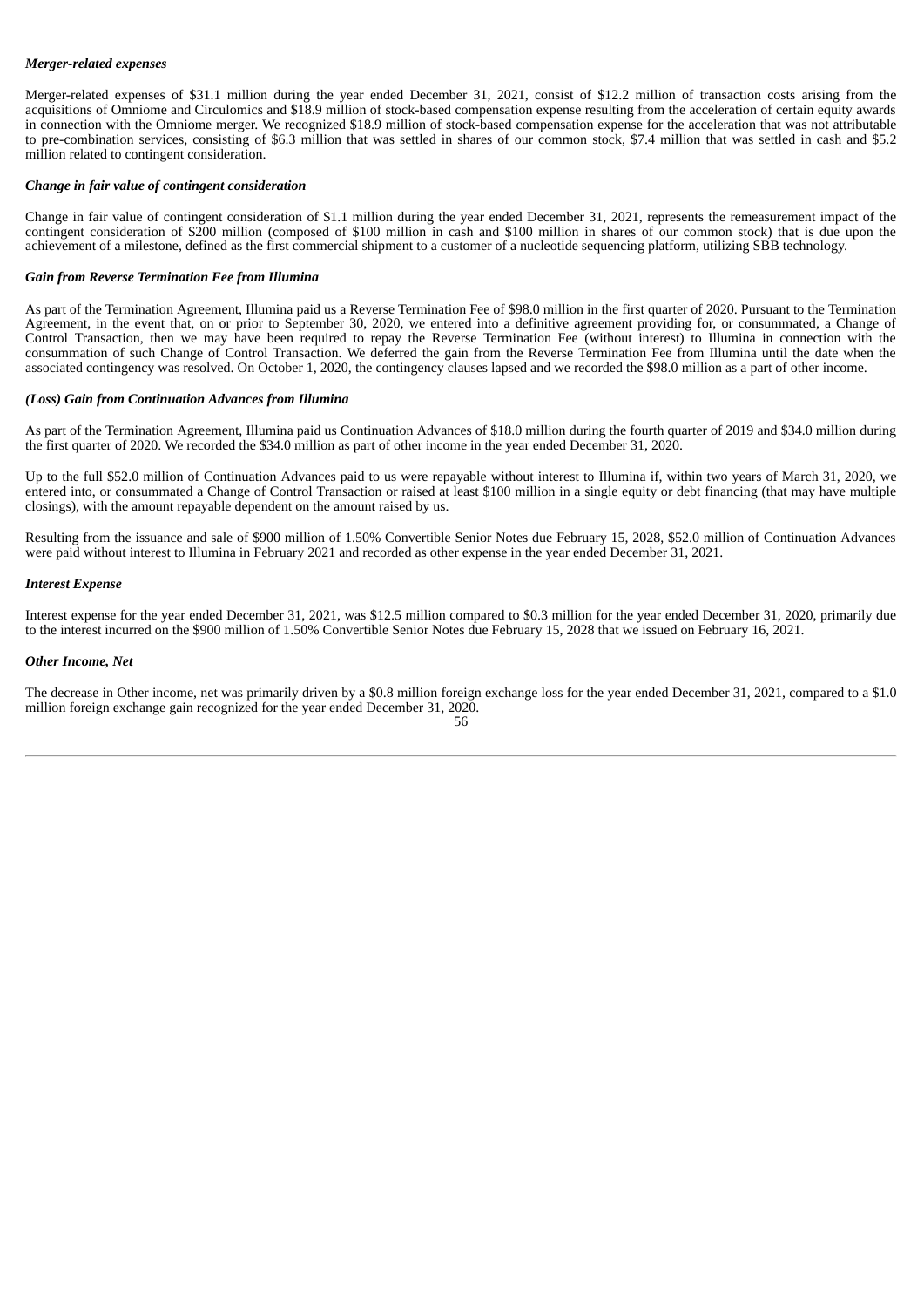#### *Merger-related expenses*

Merger-related expenses of \$31.1 million during the year ended December 31, 2021, consist of \$12.2 million of transaction costs arising from the acquisitions of Omniome and Circulomics and \$18.9 million of stock-based compensation expense resulting from the acceleration of certain equity awards in connection with the Omniome merger. We recognized \$18.9 million of stock-based compensation expense for the acceleration that was not attributable to pre-combination services, consisting of \$6.3 million that was settled in shares of our common stock, \$7.4 million that was settled in cash and \$5.2 million related to contingent consideration.

#### *Change in fair value of contingent consideration*

Change in fair value of contingent consideration of \$1.1 million during the year ended December 31, 2021, represents the remeasurement impact of the contingent consideration of \$200 million (composed of \$100 million in cash and \$100 million in shares of our common stock) that is due upon the achievement of a milestone, defined as the first commercial shipment to a customer of a nucleotide sequencing platform, utilizing SBB technology.

### *Gain from Reverse Termination Fee from Illumina*

As part of the Termination Agreement, Illumina paid us a Reverse Termination Fee of \$98.0 million in the first quarter of 2020. Pursuant to the Termination Agreement, in the event that, on or prior to September 30, 2020, we entered into a definitive agreement providing for, or consummated, a Change of Control Transaction, then we may have been required to repay the Reverse Termination Fee (without interest) to Illumina in connection with the consummation of such Change of Control Transaction. We deferred the gain from the Reverse Termination Fee from Illumina until the date when the associated contingency was resolved. On October 1, 2020, the contingency clauses lapsed and we recorded the \$98.0 million as a part of other income.

#### *(Loss) Gain from Continuation Advances from Illumina*

As part of the Termination Agreement, Illumina paid us Continuation Advances of \$18.0 million during the fourth quarter of 2019 and \$34.0 million during the first quarter of 2020. We recorded the \$34.0 million as part of other income in the year ended December 31, 2020.

Up to the full \$52.0 million of Continuation Advances paid to us were repayable without interest to Illumina if, within two years of March 31, 2020, we entered into, or consummated a Change of Control Transaction or raised at least \$100 million in a single equity or debt financing (that may have multiple closings), with the amount repayable dependent on the amount raised by us.

Resulting from the issuance and sale of \$900 million of 1.50% Convertible Senior Notes due February 15, 2028, \$52.0 million of Continuation Advances were paid without interest to Illumina in February 2021 and recorded as other expense in the year ended December 31, 2021.

## *Interest Expense*

Interest expense for the year ended December 31, 2021, was \$12.5 million compared to \$0.3 million for the year ended December 31, 2020, primarily due to the interest incurred on the \$900 million of 1.50% Convertible Senior Notes due February 15, 2028 that we issued on February 16, 2021.

#### *Other Income, Net*

The decrease in Other income, net was primarily driven by a \$0.8 million foreign exchange loss for the year ended December 31, 2021, compared to a \$1.0 million foreign exchange gain recognized for the year ended December 31, 2020. 56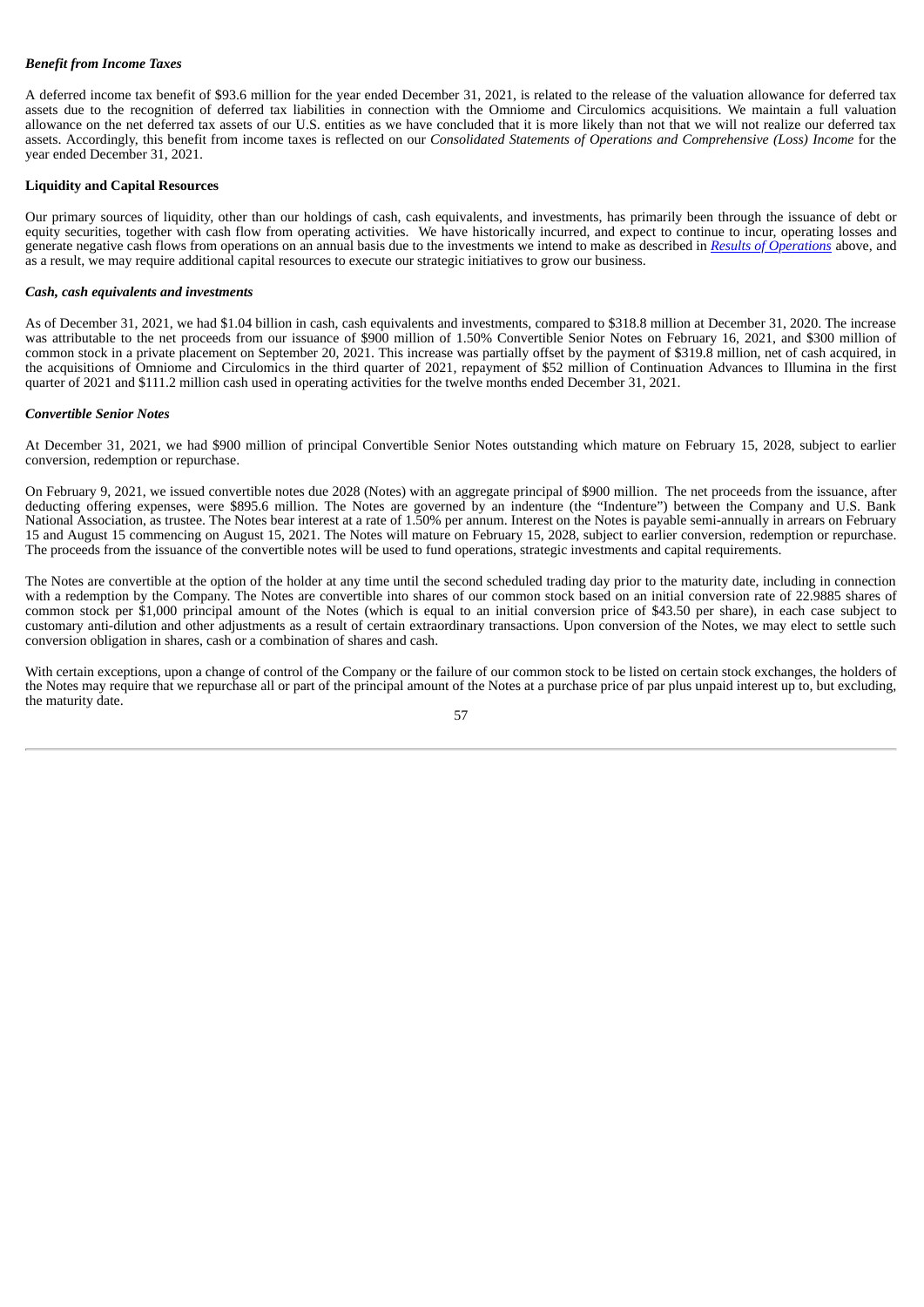#### *Benefit from Income Taxes*

A deferred income tax benefit of \$93.6 million for the year ended December 31, 2021, is related to the release of the valuation allowance for deferred tax assets due to the recognition of deferred tax liabilities in connection with the Omniome and Circulomics acquisitions. We maintain a full valuation allowance on the net deferred tax assets of our U.S. entities as we have concluded that it is more likely than not that we will not realize our deferred tax assets. Accordingly, this benefit from income taxes is reflected on our *Consolidated Statements of Operations and Comprehensive (Loss) Income* for the year ended December 31, 2021.

### **Liquidity and Capital Resources**

Our primary sources of liquidity, other than our holdings of cash, cash equivalents, and investments, has primarily been through the issuance of debt or equity securities, together with cash flow from operating activities. We have historically incurred, and expect to continue to incur, operating losses and generate negative cash flows from operations on an annual basis due to the investments we intend to make as described in *Results of [Operations](#page-55-0)* above, and as a result, we may require additional capital resources to execute our strategic initiatives to grow our business.

#### *Cash, cash equivalents and investments*

As of December 31, 2021, we had \$1.04 billion in cash, cash equivalents and investments, compared to \$318.8 million at December 31, 2020. The increase was attributable to the net proceeds from our issuance of \$900 million of 1.50% Convertible Senior Notes on February 16, 2021, and \$300 million of common stock in a private placement on September 20, 2021. This increase was partially offset by the payment of \$319.8 million, net of cash acquired, in the acquisitions of Omniome and Circulomics in the third quarter of 2021, repayment of \$52 million of Continuation Advances to Illumina in the first quarter of 2021 and \$111.2 million cash used in operating activities for the twelve months ended December 31, 2021.

#### *Convertible Senior Notes*

At December 31, 2021, we had \$900 million of principal Convertible Senior Notes outstanding which mature on February 15, 2028, subject to earlier conversion, redemption or repurchase.

On February 9, 2021, we issued convertible notes due 2028 (Notes) with an aggregate principal of \$900 million. The net proceeds from the issuance, after deducting offering expenses, were \$895.6 million. The Notes are governed by an indenture (the "Indenture") between the Company and U.S. Bank National Association, as trustee. The Notes bear interest at a rate of 1.50% per annum. Interest on the Notes is payable semi-annually in arrears on February 15 and August 15 commencing on August 15, 2021. The Notes will mature on February 15, 2028, subject to earlier conversion, redemption or repurchase. The proceeds from the issuance of the convertible notes will be used to fund operations, strategic investments and capital requirements.

The Notes are convertible at the option of the holder at any time until the second scheduled trading day prior to the maturity date, including in connection with a redemption by the Company. The Notes are convertible into shares of our common stock based on an initial conversion rate of 22.9885 shares of common stock per \$1,000 principal amount of the Notes (which is equal to an initial conversion price of \$43.50 per share), in each case subject to customary anti-dilution and other adjustments as a result of certain extraordinary transactions. Upon conversion of the Notes, we may elect to settle such conversion obligation in shares, cash or a combination of shares and cash.

With certain exceptions, upon a change of control of the Company or the failure of our common stock to be listed on certain stock exchanges, the holders of the Notes may require that we repurchase all or part of the principal amount of the Notes at a purchase price of par plus unpaid interest up to, but excluding, the maturity date.

<sup>57</sup>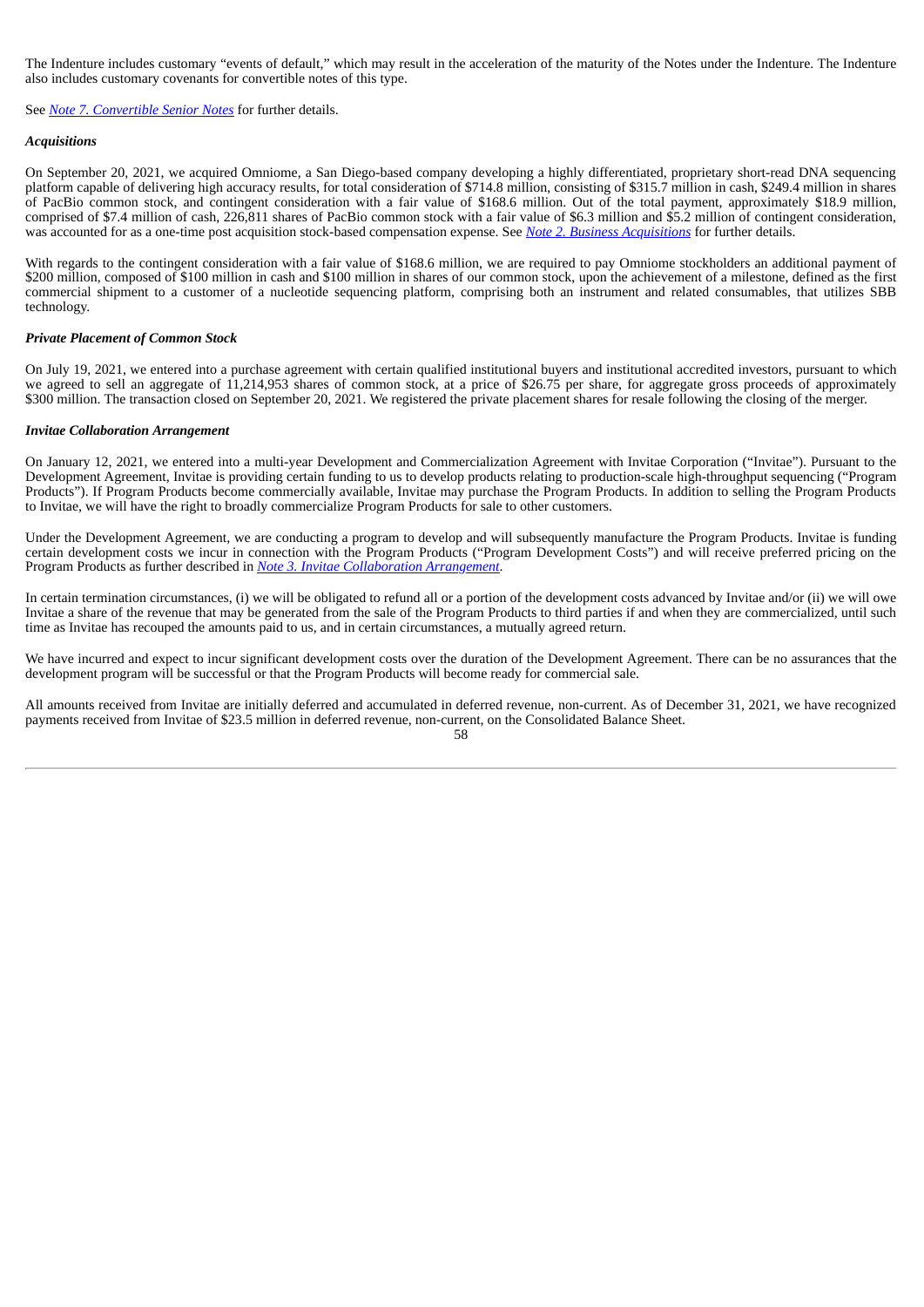The Indenture includes customary "events of default," which may result in the acceleration of the maturity of the Notes under the Indenture. The Indenture also includes customary covenants for convertible notes of this type.

See *Note 7. [Convertible](#page-91-0) Senior Notes* for further details.

#### *Acquisitions*

On September 20, 2021, we acquired Omniome, a San Diego-based company developing a highly differentiated, proprietary short-read DNA sequencing platform capable of delivering high accuracy results, for total consideration of \$714.8 million, consisting of \$315.7 million in cash, \$249.4 million in shares of PacBio common stock, and contingent consideration with a fair value of \$168.6 million. Out of the total payment, approximately \$18.9 million, comprised of \$7.4 million of cash, 226,811 shares of PacBio common stock with a fair value of \$6.3 million and \$5.2 million of contingent consideration, was accounted for as a one-time post acquisition stock-based compensation expense. See *Note 2. Business [Acquisitions](#page-80-0)* for further details.

With regards to the contingent consideration with a fair value of \$168.6 million, we are required to pay Omniome stockholders an additional payment of \$200 million, composed of \$100 million in cash and \$100 million in shares of our common stock, upon the achievement of a milestone, defined as the first commercial shipment to a customer of a nucleotide sequencing platform, comprising both an instrument and related consumables, that utilizes SBB technology.

#### *Private Placement of Common Stock*

On July 19, 2021, we entered into a purchase agreement with certain qualified institutional buyers and institutional accredited investors, pursuant to which we agreed to sell an aggregate of 11,214,953 shares of common stock, at a price of \$26.75 per share, for aggregate gross proceeds of approximately \$300 million. The transaction closed on September 20, 2021. We registered the private placement shares for resale following the closing of the merger.

#### *Invitae Collaboration Arrangement*

On January 12, 2021, we entered into a multi-year Development and Commercialization Agreement with Invitae Corporation ("Invitae"). Pursuant to the Development Agreement, Invitae is providing certain funding to us to develop products relating to production-scale high-throughput sequencing ("Program Products"). If Program Products become commercially available, Invitae may purchase the Program Products. In addition to selling the Program Products to Invitae, we will have the right to broadly commercialize Program Products for sale to other customers.

Under the Development Agreement, we are conducting a program to develop and will subsequently manufacture the Program Products. Invitae is funding certain development costs we incur in connection with the Program Products ("Program Development Costs") and will receive preferred pricing on the Program Products as further described in *Note 3. Invitae [Collaboration](#page-82-0) Arrangement*.

In certain termination circumstances, (i) we will be obligated to refund all or a portion of the development costs advanced by Invitae and/or (ii) we will owe Invitae a share of the revenue that may be generated from the sale of the Program Products to third parties if and when they are commercialized, until such time as Invitae has recouped the amounts paid to us, and in certain circumstances, a mutually agreed return.

We have incurred and expect to incur significant development costs over the duration of the Development Agreement. There can be no assurances that the development program will be successful or that the Program Products will become ready for commercial sale.

All amounts received from Invitae are initially deferred and accumulated in deferred revenue, non-current. As of December 31, 2021, we have recognized payments received from Invitae of \$23.5 million in deferred revenue, non-current, on the Consolidated Balance Sheet.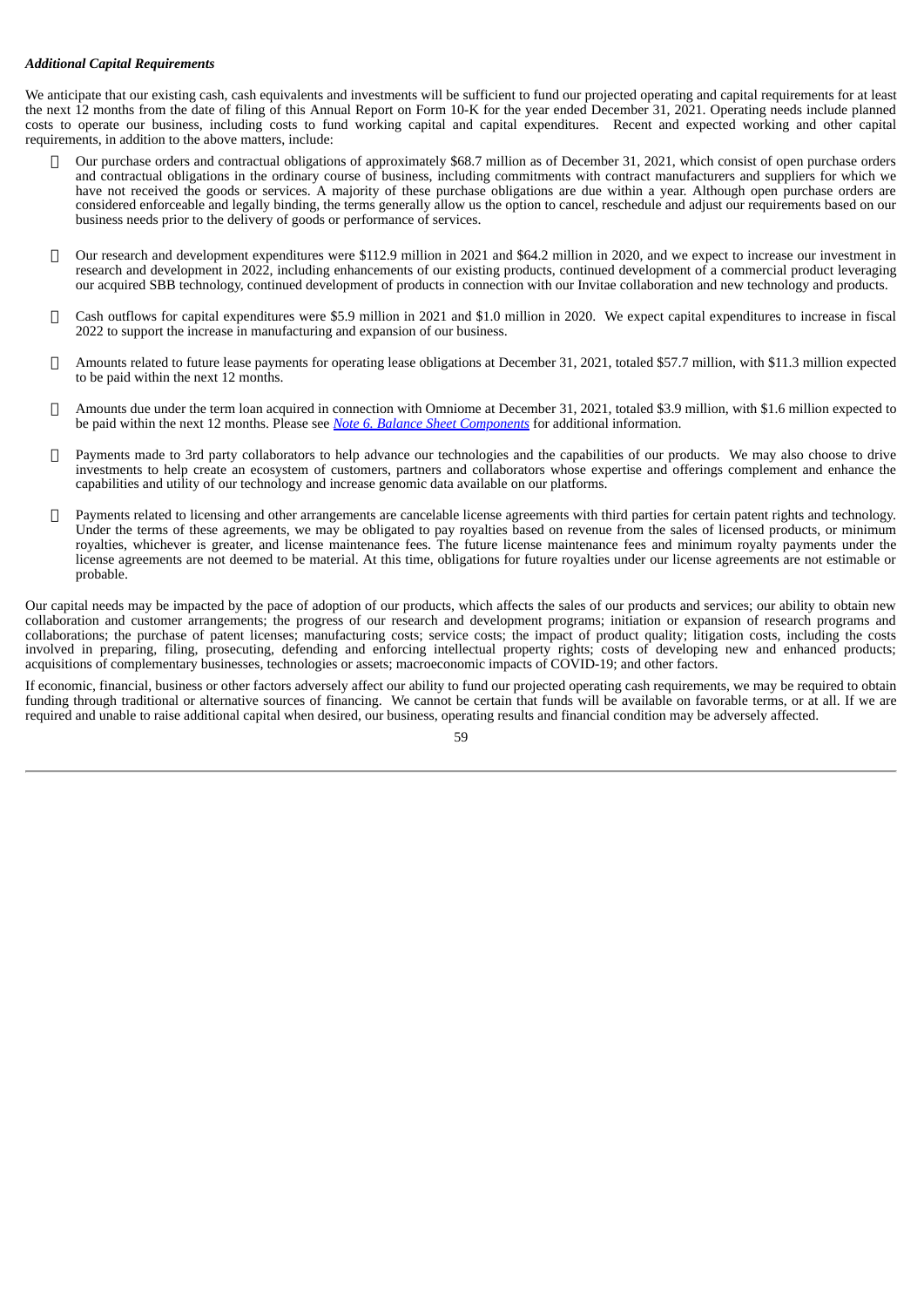#### *Additional Capital Requirements*

We anticipate that our existing cash, cash equivalents and investments will be sufficient to fund our projected operating and capital requirements for at least the next 12 months from the date of filing of this Annual Report on Form 10-K for the year ended December 31, 2021. Operating needs include planned costs to operate our business, including costs to fund working capital and capital expenditures. Recent and expected working and other capital requirements, in addition to the above matters, include:

- Our purchase orders and contractual obligations of approximately \$68.7 million as of December 31, 2021, which consist of open purchase orders and contractual obligations in the ordinary course of business, including commitments with contract manufacturers and suppliers for which we have not received the goods or services. A majority of these purchase obligations are due within a year. Although open purchase orders are considered enforceable and legally binding, the terms generally allow us the option to cancel, reschedule and adjust our requirements based on our business needs prior to the delivery of goods or performance of services.
- Our research and development expenditures were \$112.9 million in 2021 and \$64.2 million in 2020, and we expect to increase our investment in research and development in 2022, including enhancements of our existing products, continued development of a commercial product leveraging our acquired SBB technology, continued development of products in connection with our Invitae collaboration and new technology and products.
- Cash outflows for capital expenditures were \$5.9 million in 2021 and \$1.0 million in 2020. We expect capital expenditures to increase in fiscal 2022 to support the increase in manufacturing and expansion of our business.
- Amounts related to future lease payments for operating lease obligations at December 31, 2021, totaled \$57.7 million, with \$11.3 million expected to be paid within the next 12 months.
- Amounts due under the term loan acquired in connection with Omniome at December 31, 2021, totaled \$3.9 million, with \$1.6 million expected to be paid within the next 12 months. Please see *Note 6. Balance Sheet [Components](#page-88-0)* for additional information.
- Payments made to 3rd party collaborators to help advance our technologies and the capabilities of our products. We may also choose to drive investments to help create an ecosystem of customers, partners and collaborators whose expertise and offerings complement and enhance the capabilities and utility of our technology and increase genomic data available on our platforms.
- Payments related to licensing and other arrangements are cancelable license agreements with third parties for certain patent rights and technology. Under the terms of these agreements, we may be obligated to pay royalties based on revenue from the sales of licensed products, or minimum royalties, whichever is greater, and license maintenance fees. The future license maintenance fees and minimum royalty payments under the license agreements are not deemed to be material. At this time, obligations for future royalties under our license agreements are not estimable or probable.

Our capital needs may be impacted by the pace of adoption of our products, which affects the sales of our products and services; our ability to obtain new collaboration and customer arrangements; the progress of our research and development programs; initiation or expansion of research programs and collaborations; the purchase of patent licenses; manufacturing costs; service costs; the impact of product quality; litigation costs, including the costs involved in preparing, filing, prosecuting, defending and enforcing intellectual property rights; costs of developing new and enhanced products; acquisitions of complementary businesses, technologies or assets; macroeconomic impacts of COVID-19; and other factors.

If economic, financial, business or other factors adversely affect our ability to fund our projected operating cash requirements, we may be required to obtain funding through traditional or alternative sources of financing. We cannot be certain that funds will be available on favorable terms, or at all. If we are required and unable to raise additional capital when desired, our business, operating results and financial condition may be adversely affected.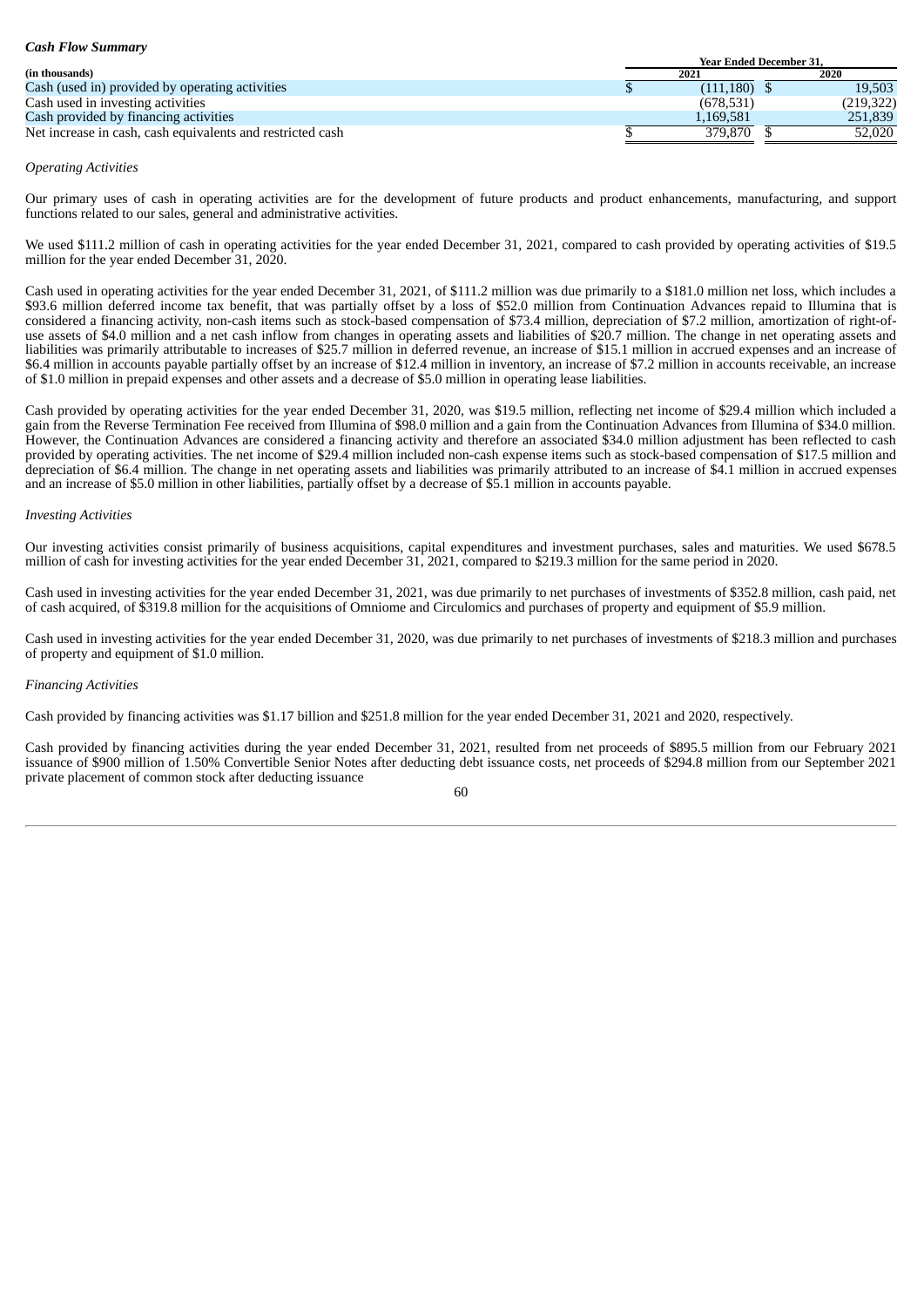|  | <b>Cash Flow Summary</b> |
|--|--------------------------|
|  |                          |

|                                                            | <b>Year Ended December 31.</b> |            |  |            |
|------------------------------------------------------------|--------------------------------|------------|--|------------|
| (in thousands)                                             |                                | 2021       |  | 2020       |
| Cash (used in) provided by operating activities            |                                | (111.180)  |  | 19.503     |
| Cash used in investing activities                          |                                | (678, 531) |  | (219, 322) |
| Cash provided by financing activities                      |                                | 1.169.581  |  | 251,839    |
| Net increase in cash, cash equivalents and restricted cash |                                | 379,870    |  | 52,020     |

## *Operating Activities*

Our primary uses of cash in operating activities are for the development of future products and product enhancements, manufacturing, and support functions related to our sales, general and administrative activities.

We used \$111.2 million of cash in operating activities for the year ended December 31, 2021, compared to cash provided by operating activities of \$19.5 million for the year ended December 31, 2020.

Cash used in operating activities for the year ended December 31, 2021, of \$111.2 million was due primarily to a \$181.0 million net loss, which includes a \$93.6 million deferred income tax benefit, that was partially offset by a loss of \$52.0 million from Continuation Advances repaid to Illumina that is considered a financing activity, non-cash items such as stock-based compensation of \$73.4 million, depreciation of \$7.2 million, amortization of right-ofuse assets of \$4.0 million and a net cash inflow from changes in operating assets and liabilities of \$20.7 million. The change in net operating assets and liabilities was primarily attributable to increases of \$25.7 million in deferred revenue, an increase of \$15.1 million in accrued expenses and an increase of \$6.4 million in accounts payable partially offset by an increase of \$12.4 million in inventory, an increase of \$7.2 million in accounts receivable, an increase of \$1.0 million in prepaid expenses and other assets and a decrease of \$5.0 million in operating lease liabilities.

Cash provided by operating activities for the year ended December 31, 2020, was \$19.5 million, reflecting net income of \$29.4 million which included a gain from the Reverse Termination Fee received from Illumina of \$98.0 million and a gain from the Continuation Advances from Illumina of \$34.0 million. However, the Continuation Advances are considered a financing activity and therefore an associated \$34.0 million adjustment has been reflected to cash provided by operating activities. The net income of \$29.4 million included non-cash expense items such as stock-based compensation of \$17.5 million and depreciation of \$6.4 million. The change in net operating assets and liabilities was primarily attributed to an increase of \$4.1 million in accrued expenses and an increase of \$5.0 million in other liabilities, partially offset by a decrease of \$5.1 million in accounts payable.

## *Investing Activities*

Our investing activities consist primarily of business acquisitions, capital expenditures and investment purchases, sales and maturities. We used \$678.5 million of cash for investing activities for the year ended December 31, 2021, compared to \$219.3 million for the same period in 2020.

Cash used in investing activities for the year ended December 31, 2021, was due primarily to net purchases of investments of \$352.8 million, cash paid, net of cash acquired, of \$319.8 million for the acquisitions of Omniome and Circulomics and purchases of property and equipment of \$5.9 million.

Cash used in investing activities for the year ended December 31, 2020, was due primarily to net purchases of investments of \$218.3 million and purchases of property and equipment of \$1.0 million.

### *Financing Activities*

Cash provided by financing activities was \$1.17 billion and \$251.8 million for the year ended December 31, 2021 and 2020, respectively.

Cash provided by financing activities during the year ended December 31, 2021, resulted from net proceeds of \$895.5 million from our February 2021 issuance of \$900 million of 1.50% Convertible Senior Notes after deducting debt issuance costs, net proceeds of \$294.8 million from our September 2021 private placement of common stock after deducting issuance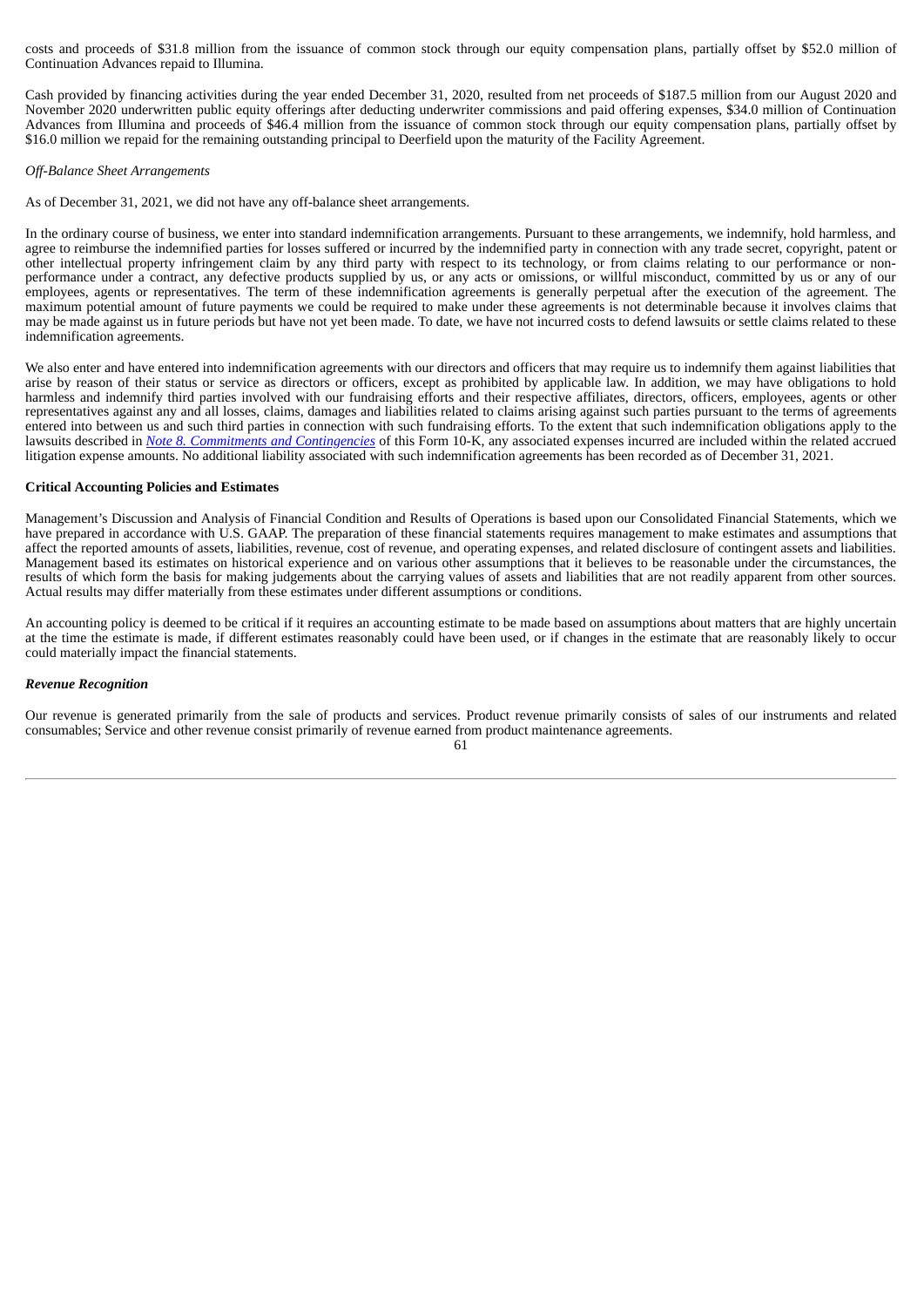costs and proceeds of \$31.8 million from the issuance of common stock through our equity compensation plans, partially offset by \$52.0 million of Continuation Advances repaid to Illumina.

Cash provided by financing activities during the year ended December 31, 2020, resulted from net proceeds of \$187.5 million from our August 2020 and November 2020 underwritten public equity offerings after deducting underwriter commissions and paid offering expenses, \$34.0 million of Continuation Advances from Illumina and proceeds of \$46.4 million from the issuance of common stock through our equity compensation plans, partially offset by \$16.0 million we repaid for the remaining outstanding principal to Deerfield upon the maturity of the Facility Agreement.

#### *Off-Balance Sheet Arrangements*

As of December 31, 2021, we did not have any off-balance sheet arrangements.

In the ordinary course of business, we enter into standard indemnification arrangements. Pursuant to these arrangements, we indemnify, hold harmless, and agree to reimburse the indemnified parties for losses suffered or incurred by the indemnified party in connection with any trade secret, copyright, patent or other intellectual property infringement claim by any third party with respect to its technology, or from claims relating to our performance or nonperformance under a contract, any defective products supplied by us, or any acts or omissions, or willful misconduct, committed by us or any of our employees, agents or representatives. The term of these indemnification agreements is generally perpetual after the execution of the agreement. The maximum potential amount of future payments we could be required to make under these agreements is not determinable because it involves claims that may be made against us in future periods but have not yet been made. To date, we have not incurred costs to defend lawsuits or settle claims related to these indemnification agreements.

We also enter and have entered into indemnification agreements with our directors and officers that may require us to indemnify them against liabilities that arise by reason of their status or service as directors or officers, except as prohibited by applicable law. In addition, we may have obligations to hold harmless and indemnify third parties involved with our fundraising efforts and their respective affiliates, directors, officers, employees, agents or other representatives against any and all losses, claims, damages and liabilities related to claims arising against such parties pursuant to the terms of agreements entered into between us and such third parties in connection with such fundraising efforts. To the extent that such indemnification obligations apply to the lawsuits described in *Note 8. Commitments and [Contingencies](#page-92-0)* of this Form 10-K, any associated expenses incurred are included within the related accrued litigation expense amounts. No additional liability associated with such indemnification agreements has been recorded as of December 31, 2021.

#### **Critical Accounting Policies and Estimates**

Management's Discussion and Analysis of Financial Condition and Results of Operations is based upon our Consolidated Financial Statements, which we have prepared in accordance with U.S. GAAP. The preparation of these financial statements requires management to make estimates and assumptions that affect the reported amounts of assets, liabilities, revenue, cost of revenue, and operating expenses, and related disclosure of contingent assets and liabilities. Management based its estimates on historical experience and on various other assumptions that it believes to be reasonable under the circumstances, the results of which form the basis for making judgements about the carrying values of assets and liabilities that are not readily apparent from other sources. Actual results may differ materially from these estimates under different assumptions or conditions.

An accounting policy is deemed to be critical if it requires an accounting estimate to be made based on assumptions about matters that are highly uncertain at the time the estimate is made, if different estimates reasonably could have been used, or if changes in the estimate that are reasonably likely to occur could materially impact the financial statements.

#### *Revenue Recognition*

Our revenue is generated primarily from the sale of products and services. Product revenue primarily consists of sales of our instruments and related consumables; Service and other revenue consist primarily of revenue earned from product maintenance agreements.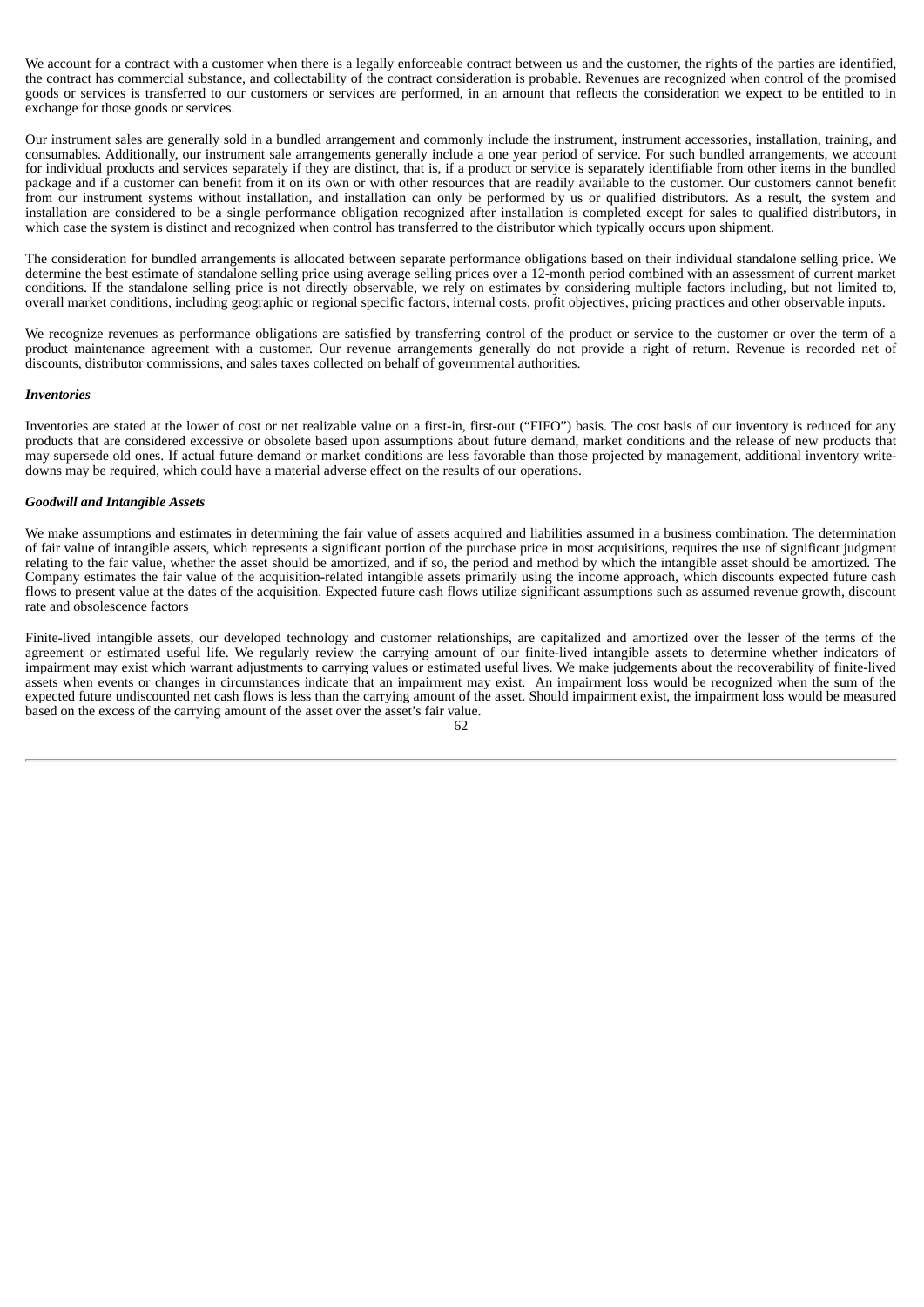We account for a contract with a customer when there is a legally enforceable contract between us and the customer, the rights of the parties are identified, the contract has commercial substance, and collectability of the contract consideration is probable. Revenues are recognized when control of the promised goods or services is transferred to our customers or services are performed, in an amount that reflects the consideration we expect to be entitled to in exchange for those goods or services.

Our instrument sales are generally sold in a bundled arrangement and commonly include the instrument, instrument accessories, installation, training, and consumables. Additionally, our instrument sale arrangements generally include a one year period of service. For such bundled arrangements, we account for individual products and services separately if they are distinct, that is, if a product or service is separately identifiable from other items in the bundled package and if a customer can benefit from it on its own or with other resources that are readily available to the customer. Our customers cannot benefit from our instrument systems without installation, and installation can only be performed by us or qualified distributors. As a result, the system and installation are considered to be a single performance obligation recognized after installation is completed except for sales to qualified distributors, in which case the system is distinct and recognized when control has transferred to the distributor which typically occurs upon shipment.

The consideration for bundled arrangements is allocated between separate performance obligations based on their individual standalone selling price. We determine the best estimate of standalone selling price using average selling prices over a 12-month period combined with an assessment of current market conditions. If the standalone selling price is not directly observable, we rely on estimates by considering multiple factors including, but not limited to, overall market conditions, including geographic or regional specific factors, internal costs, profit objectives, pricing practices and other observable inputs.

We recognize revenues as performance obligations are satisfied by transferring control of the product or service to the customer or over the term of a product maintenance agreement with a customer. Our revenue arrangements generally do not provide a right of return. Revenue is recorded net of discounts, distributor commissions, and sales taxes collected on behalf of governmental authorities.

#### *Inventories*

Inventories are stated at the lower of cost or net realizable value on a first-in, first-out ("FIFO") basis. The cost basis of our inventory is reduced for any products that are considered excessive or obsolete based upon assumptions about future demand, market conditions and the release of new products that may supersede old ones. If actual future demand or market conditions are less favorable than those projected by management, additional inventory writedowns may be required, which could have a material adverse effect on the results of our operations.

## *Goodwill and Intangible Assets*

We make assumptions and estimates in determining the fair value of assets acquired and liabilities assumed in a business combination. The determination of fair value of intangible assets, which represents a significant portion of the purchase price in most acquisitions, requires the use of significant judgment relating to the fair value, whether the asset should be amortized, and if so, the period and method by which the intangible asset should be amortized. The Company estimates the fair value of the acquisition-related intangible assets primarily using the income approach, which discounts expected future cash flows to present value at the dates of the acquisition. Expected future cash flows utilize significant assumptions such as assumed revenue growth, discount rate and obsolescence factors

Finite-lived intangible assets, our developed technology and customer relationships, are capitalized and amortized over the lesser of the terms of the agreement or estimated useful life. We regularly review the carrying amount of our finite-lived intangible assets to determine whether indicators of impairment may exist which warrant adjustments to carrying values or estimated useful lives. We make judgements about the recoverability of finite-lived assets when events or changes in circumstances indicate that an impairment may exist. An impairment loss would be recognized when the sum of the expected future undiscounted net cash flows is less than the carrying amount of the asset. Should impairment exist, the impairment loss would be measured based on the excess of the carrying amount of the asset over the asset's fair value.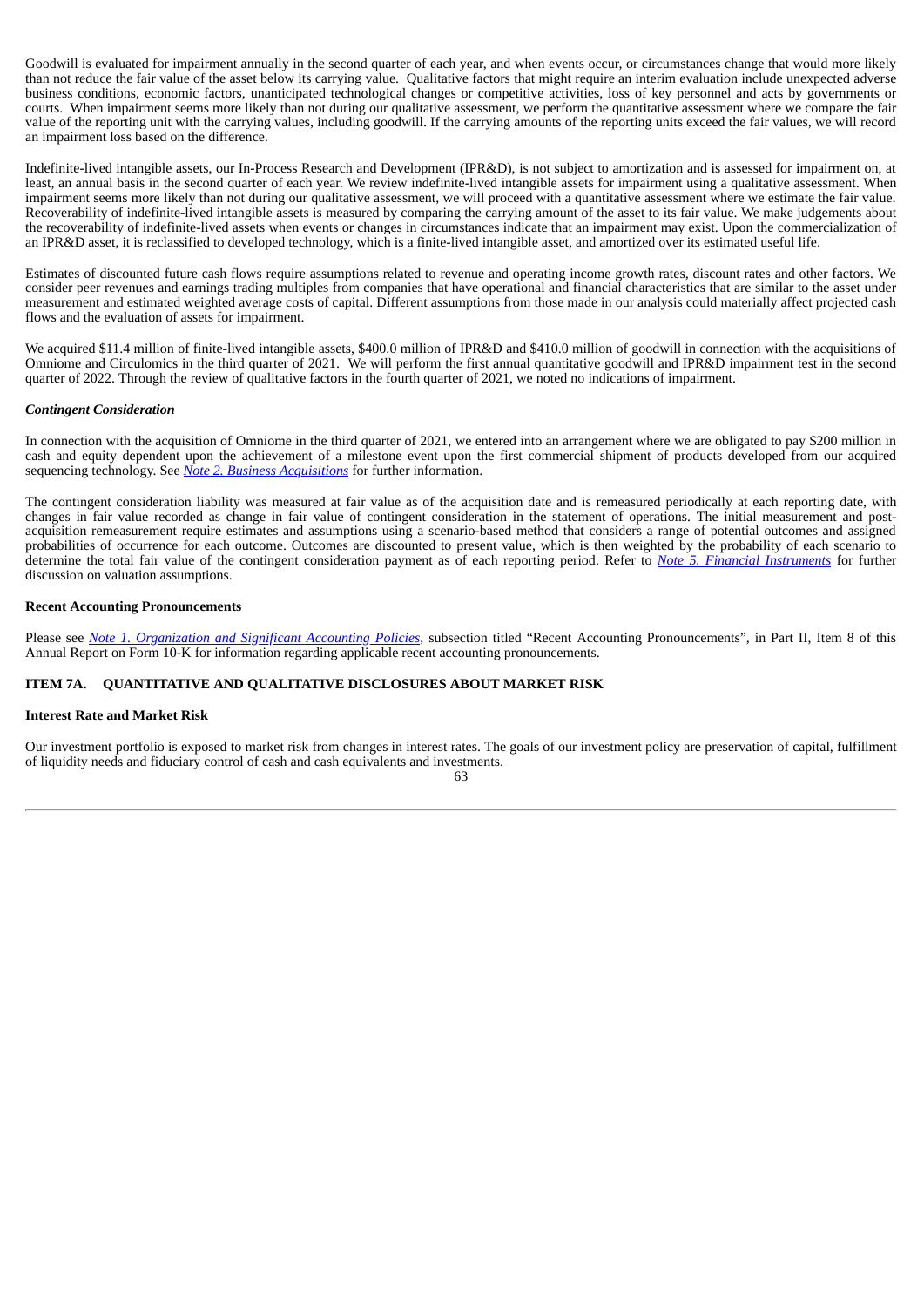Goodwill is evaluated for impairment annually in the second quarter of each year, and when events occur, or circumstances change that would more likely than not reduce the fair value of the asset below its carrying value. Qualitative factors that might require an interim evaluation include unexpected adverse business conditions, economic factors, unanticipated technological changes or competitive activities, loss of key personnel and acts by governments or courts. When impairment seems more likely than not during our qualitative assessment, we perform the quantitative assessment where we compare the fair value of the reporting unit with the carrying values, including goodwill. If the carrying amounts of the reporting units exceed the fair values, we will record an impairment loss based on the difference.

Indefinite-lived intangible assets, our In-Process Research and Development (IPR&D), is not subject to amortization and is assessed for impairment on, at least, an annual basis in the second quarter of each year. We review indefinite-lived intangible assets for impairment using a qualitative assessment. When impairment seems more likely than not during our qualitative assessment, we will proceed with a quantitative assessment where we estimate the fair value. Recoverability of indefinite-lived intangible assets is measured by comparing the carrying amount of the asset to its fair value. We make judgements about the recoverability of indefinite-lived assets when events or changes in circumstances indicate that an impairment may exist. Upon the commercialization of an IPR&D asset, it is reclassified to developed technology, which is a finite-lived intangible asset, and amortized over its estimated useful life.

Estimates of discounted future cash flows require assumptions related to revenue and operating income growth rates, discount rates and other factors. We consider peer revenues and earnings trading multiples from companies that have operational and financial characteristics that are similar to the asset under measurement and estimated weighted average costs of capital. Different assumptions from those made in our analysis could materially affect projected cash flows and the evaluation of assets for impairment.

We acquired \$11.4 million of finite-lived intangible assets, \$400.0 million of IPR&D and \$410.0 million of goodwill in connection with the acquisitions of Omniome and Circulomics in the third quarter of 2021. We will perform the first annual quantitative goodwill and IPR&D impairment test in the second quarter of 2022. Through the review of qualitative factors in the fourth quarter of 2021, we noted no indications of impairment.

#### *Contingent Consideration*

In connection with the acquisition of Omniome in the third quarter of 2021, we entered into an arrangement where we are obligated to pay \$200 million in cash and equity dependent upon the achievement of a milestone event upon the first commercial shipment of products developed from our acquired sequencing technology. See *Note 2. Business [Acquisitions](#page-80-0)* for further information.

The contingent consideration liability was measured at fair value as of the acquisition date and is remeasured periodically at each reporting date, with changes in fair value recorded as change in fair value of contingent consideration in the statement of operations. The initial measurement and postacquisition remeasurement require estimates and assumptions using a scenario-based method that considers a range of potential outcomes and assigned probabilities of occurrence for each outcome. Outcomes are discounted to present value, which is then weighted by the probability of each scenario to determine the total fair value of the contingent consideration payment as of each reporting period. Refer to *Note 5. Financial [Instruments](#page-84-0)* for further discussion on valuation assumptions.

## **Recent Accounting Pronouncements**

Please see *Note 1. [Organization](#page-74-0) and Significant Accounting Policies*, subsection titled "Recent Accounting Pronouncements", in Part II, Item 8 of this Annual Report on Form 10-K for information regarding applicable recent accounting pronouncements.

## **ITEM 7A. QUANTITATIVE AND QUALITATIVE DISCLOSURES ABOUT MARKET RISK**

#### **Interest Rate and Market Risk**

Our investment portfolio is exposed to market risk from changes in interest rates. The goals of our investment policy are preservation of capital, fulfillment of liquidity needs and fiduciary control of cash and cash equivalents and investments.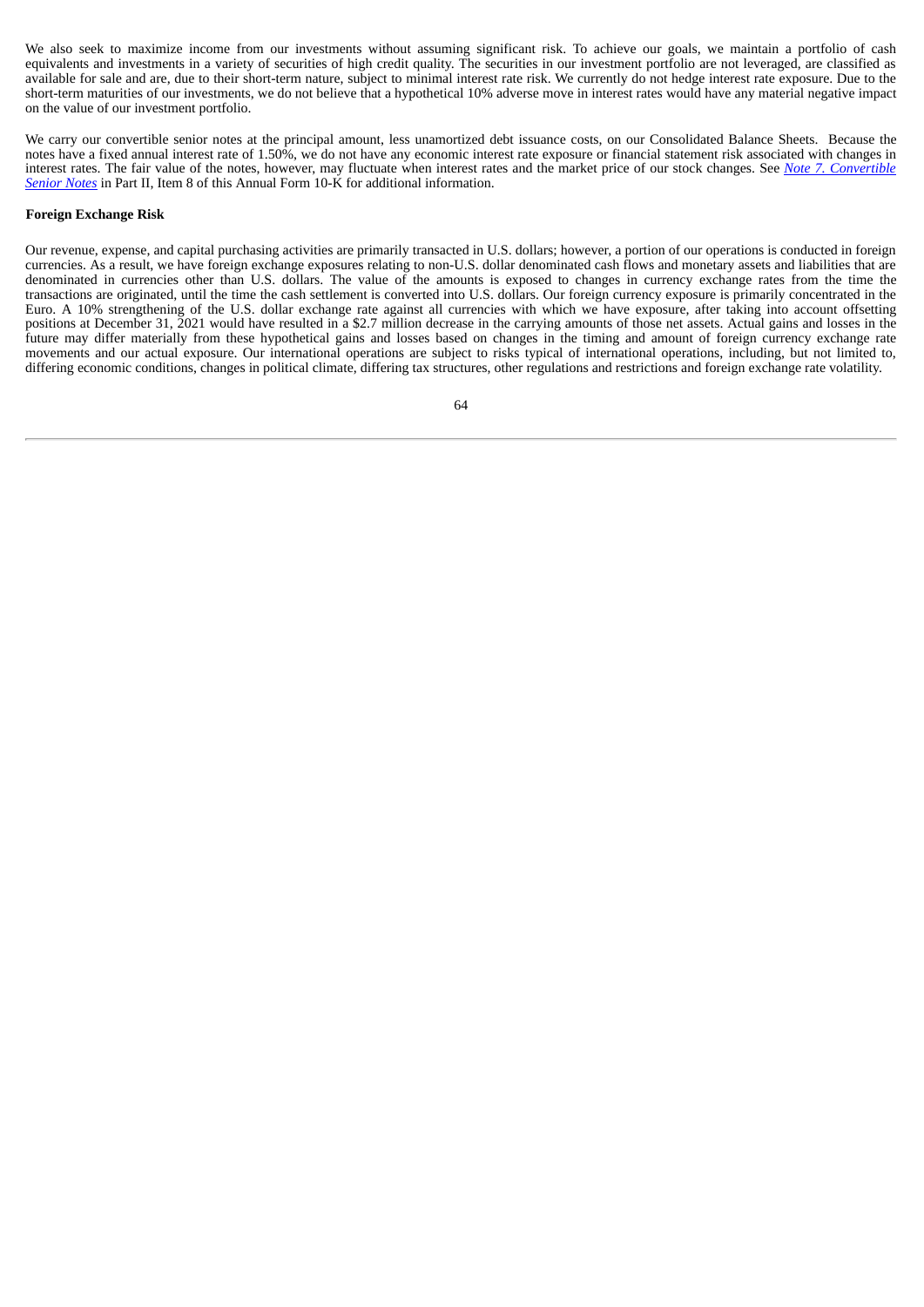We also seek to maximize income from our investments without assuming significant risk. To achieve our goals, we maintain a portfolio of cash equivalents and investments in a variety of securities of high credit quality. The securities in our investment portfolio are not leveraged, are classified as available for sale and are, due to their short-term nature, subject to minimal interest rate risk. We currently do not hedge interest rate exposure. Due to the short-term maturities of our investments, we do not believe that a hypothetical 10% adverse move in interest rates would have any material negative impact on the value of our investment portfolio.

We carry our convertible senior notes at the principal amount, less unamortized debt issuance costs, on our Consolidated Balance Sheets. Because the notes have a fixed annual interest rate of 1.50%, we do not have any economic interest rate exposure or financial statement risk associated with changes in interest rates. The fair value of the notes, however, may fluctuate when interest rates and the market price of our stock changes. See *Note 7. Convertible Senior Notes* in Part II, Item 8 of this Annual Form 10-K for additional [information.](#page-91-0)

#### **Foreign Exchange Risk**

Our revenue, expense, and capital purchasing activities are primarily transacted in U.S. dollars; however, a portion of our operations is conducted in foreign currencies. As a result, we have foreign exchange exposures relating to non-U.S. dollar denominated cash flows and monetary assets and liabilities that are denominated in currencies other than U.S. dollars. The value of the amounts is exposed to changes in currency exchange rates from the time the transactions are originated, until the time the cash settlement is converted into U.S. dollars. Our foreign currency exposure is primarily concentrated in the Euro. A 10% strengthening of the U.S. dollar exchange rate against all currencies with which we have exposure, after taking into account offsetting positions at December 31, 2021 would have resulted in a \$2.7 million decrease in the carrying amounts of those net assets. Actual gains and losses in the future may differ materially from these hypothetical gains and losses based on changes in the timing and amount of foreign currency exchange rate movements and our actual exposure. Our international operations are subject to risks typical of international operations, including, but not limited to, differing economic conditions, changes in political climate, differing tax structures, other regulations and restrictions and foreign exchange rate volatility.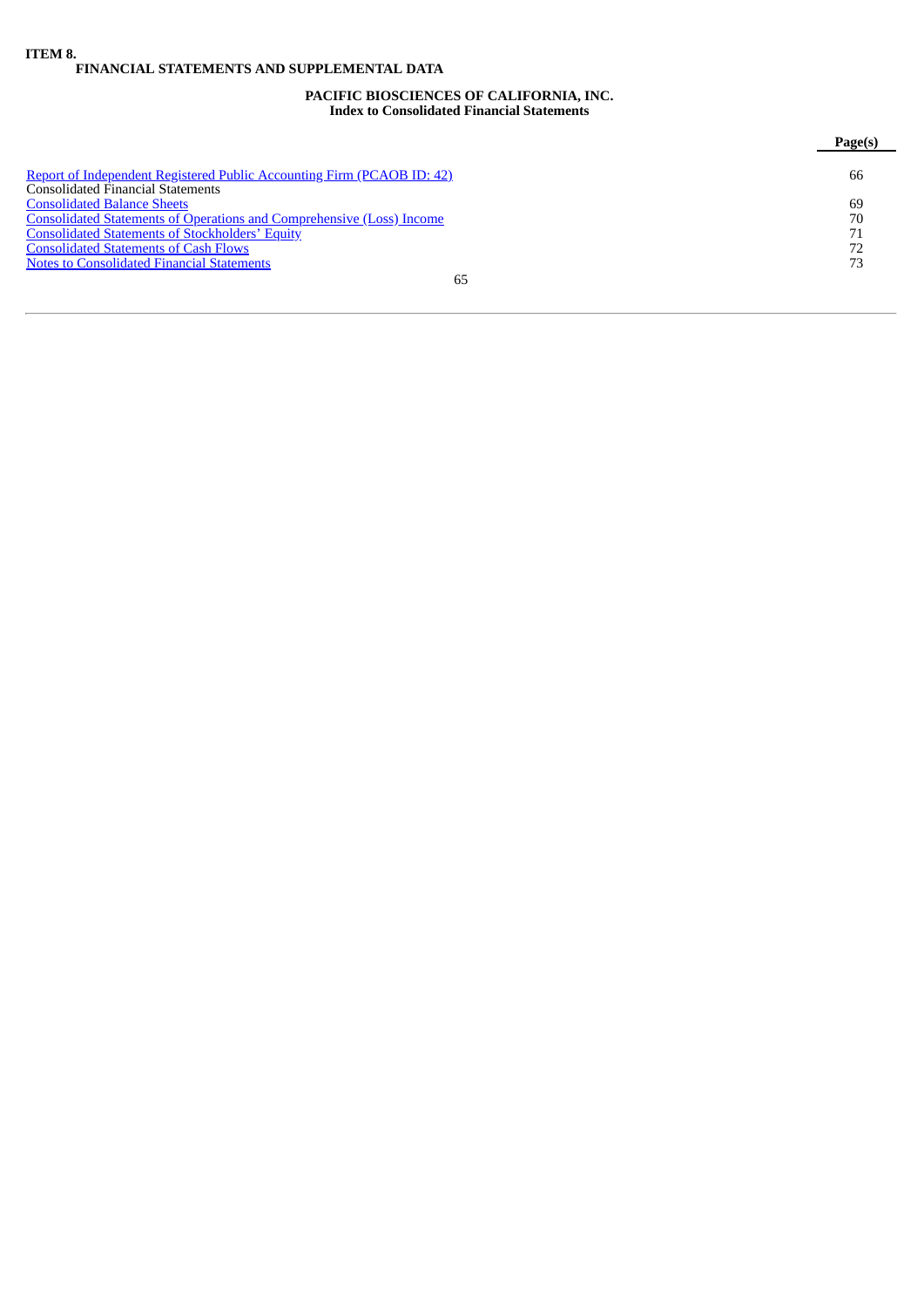# **FINANCIAL STATEMENTS AND SUPPLEMENTAL DATA**

#### **PACIFIC BIOSCIENCES OF CALIFORNIA, INC. Index to Consolidated Financial Statements**

|                                                                               | Page(s) |
|-------------------------------------------------------------------------------|---------|
| <b>Report of Independent Registered Public Accounting Firm (PCAOB ID: 42)</b> | 66      |
| <b>Consolidated Financial Statements</b>                                      |         |
| <b>Consolidated Balance Sheets</b>                                            | 69      |
| <b>Consolidated Statements of Operations and Comprehensive (Loss) Income</b>  | 70      |
| <b>Consolidated Statements of Stockholders' Equity</b>                        | 71      |
| <b>Consolidated Statements of Cash Flows</b>                                  | 72      |
| <b>Notes to Consolidated Financial Statements</b>                             | 73      |
| 65                                                                            |         |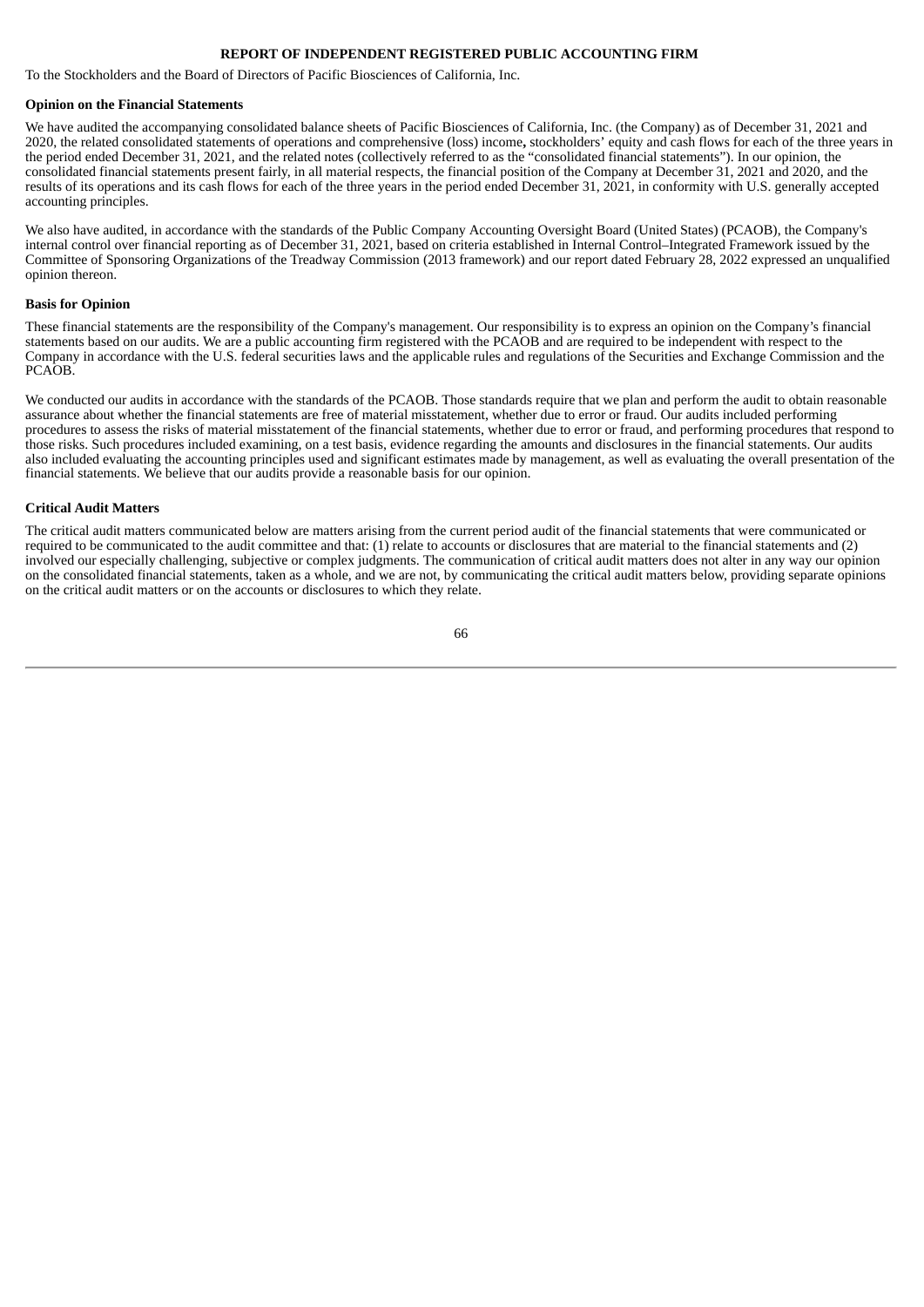## <span id="page-67-0"></span>**REPORT OF INDEPENDENT REGISTERED PUBLIC ACCOUNTING FIRM**

To the Stockholders and the Board of Directors of Pacific Biosciences of California, Inc.

## **Opinion on the Financial Statements**

We have audited the accompanying consolidated balance sheets of Pacific Biosciences of California, Inc. (the Company) as of December 31, 2021 and 2020, the related consolidated statements of operations and comprehensive (loss) income**,** stockholders' equity and cash flows for each of the three years in the period ended December 31, 2021, and the related notes (collectively referred to as the "consolidated financial statements"). In our opinion, the consolidated financial statements present fairly, in all material respects, the financial position of the Company at December 31, 2021 and 2020, and the results of its operations and its cash flows for each of the three years in the period ended December 31, 2021, in conformity with U.S. generally accepted accounting principles.

We also have audited, in accordance with the standards of the Public Company Accounting Oversight Board (United States) (PCAOB), the Company's internal control over financial reporting as of December 31, 2021, based on criteria established in Internal Control–Integrated Framework issued by the Committee of Sponsoring Organizations of the Treadway Commission (2013 framework) and our report dated February 28, 2022 expressed an unqualified opinion thereon.

## **Basis for Opinion**

These financial statements are the responsibility of the Company's management. Our responsibility is to express an opinion on the Company's financial statements based on our audits. We are a public accounting firm registered with the PCAOB and are required to be independent with respect to the Company in accordance with the U.S. federal securities laws and the applicable rules and regulations of the Securities and Exchange Commission and the PCAOB.

We conducted our audits in accordance with the standards of the PCAOB. Those standards require that we plan and perform the audit to obtain reasonable assurance about whether the financial statements are free of material misstatement, whether due to error or fraud. Our audits included performing procedures to assess the risks of material misstatement of the financial statements, whether due to error or fraud, and performing procedures that respond to those risks. Such procedures included examining, on a test basis, evidence regarding the amounts and disclosures in the financial statements. Our audits also included evaluating the accounting principles used and significant estimates made by management, as well as evaluating the overall presentation of the financial statements. We believe that our audits provide a reasonable basis for our opinion.

## **Critical Audit Matters**

The critical audit matters communicated below are matters arising from the current period audit of the financial statements that were communicated or required to be communicated to the audit committee and that: (1) relate to accounts or disclosures that are material to the financial statements and (2) involved our especially challenging, subjective or complex judgments. The communication of critical audit matters does not alter in any way our opinion on the consolidated financial statements, taken as a whole, and we are not, by communicating the critical audit matters below, providing separate opinions on the critical audit matters or on the accounts or disclosures to which they relate.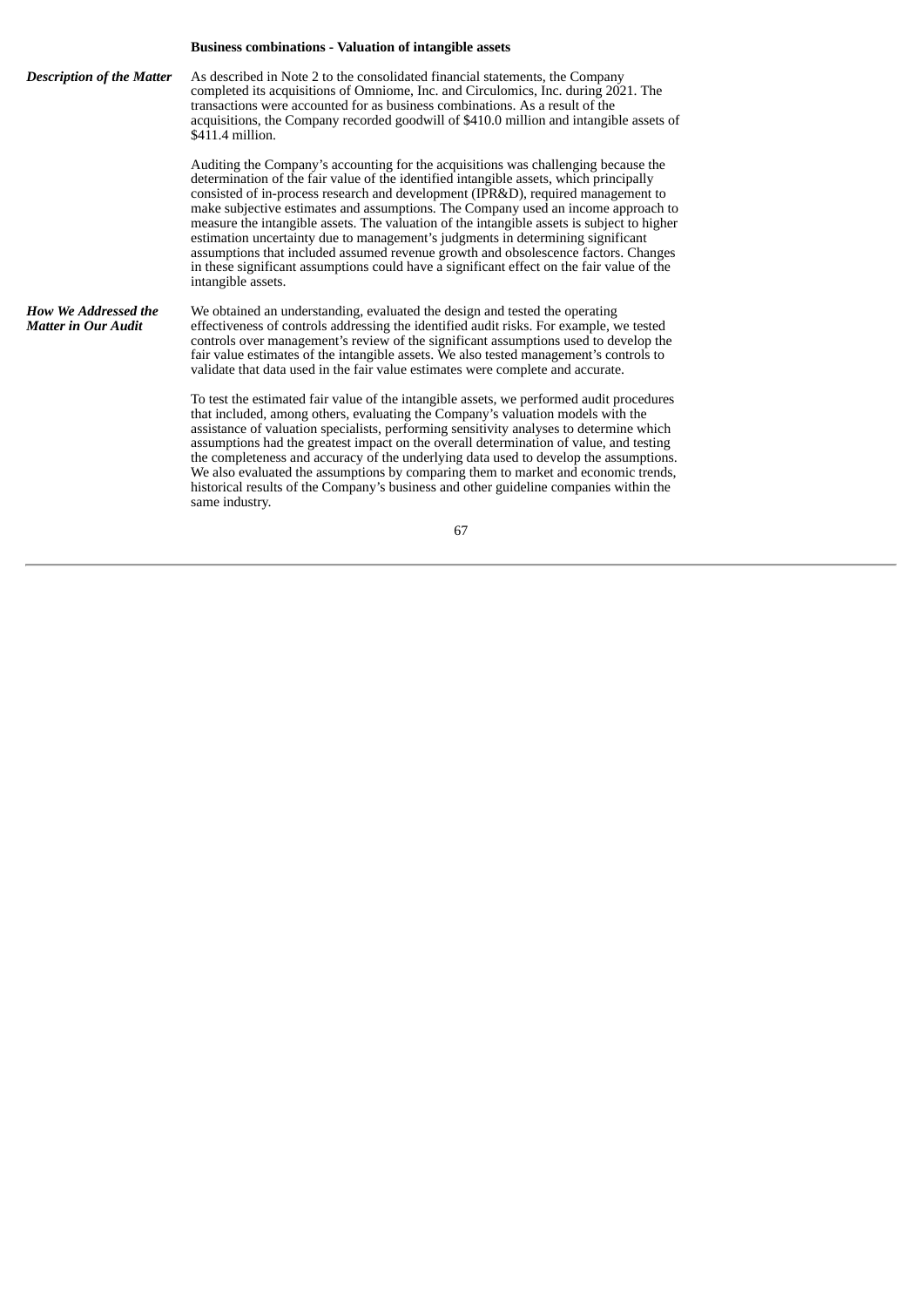## **Business combinations - Valuation of intangible assets**

| <b>Description of the Matter</b>                          | As described in Note 2 to the consolidated financial statements, the Company<br>completed its acquisitions of Omniome, Inc. and Circulomics, Inc. during 2021. The<br>transactions were accounted for as business combinations. As a result of the<br>acquisitions, the Company recorded goodwill of \$410.0 million and intangible assets of<br>\$411.4 million.                                                                                                                                                                                                                                                                                                                                                                               |
|-----------------------------------------------------------|-------------------------------------------------------------------------------------------------------------------------------------------------------------------------------------------------------------------------------------------------------------------------------------------------------------------------------------------------------------------------------------------------------------------------------------------------------------------------------------------------------------------------------------------------------------------------------------------------------------------------------------------------------------------------------------------------------------------------------------------------|
|                                                           | Auditing the Company's accounting for the acquisitions was challenging because the<br>determination of the fair value of the identified intangible assets, which principally<br>consisted of in-process research and development (IPR&D), required management to<br>make subjective estimates and assumptions. The Company used an income approach to<br>measure the intangible assets. The valuation of the intangible assets is subject to higher<br>estimation uncertainty due to management's judgments in determining significant<br>assumptions that included assumed revenue growth and obsolescence factors. Changes<br>in these significant assumptions could have a significant effect on the fair value of the<br>intangible assets. |
| <b>How We Addressed the</b><br><b>Matter in Our Audit</b> | We obtained an understanding, evaluated the design and tested the operating<br>effectiveness of controls addressing the identified audit risks. For example, we tested<br>controls over management's review of the significant assumptions used to develop the<br>fair value estimates of the intangible assets. We also tested management's controls to<br>validate that data used in the fair value estimates were complete and accurate.                                                                                                                                                                                                                                                                                                     |
|                                                           | To test the estimated fair value of the intangible assets, we performed audit procedures<br>that included, among others, evaluating the Company's valuation models with the<br>assistance of valuation specialists, performing sensitivity analyses to determine which<br>assumptions had the greatest impact on the overall determination of value, and testing<br>the completeness and accuracy of the underlying data used to develop the assumptions.<br>We also evaluated the assumptions by comparing them to market and economic trends,<br>historical results of the Company's business and other guideline companies within the<br>same industry.                                                                                      |
|                                                           | 67                                                                                                                                                                                                                                                                                                                                                                                                                                                                                                                                                                                                                                                                                                                                              |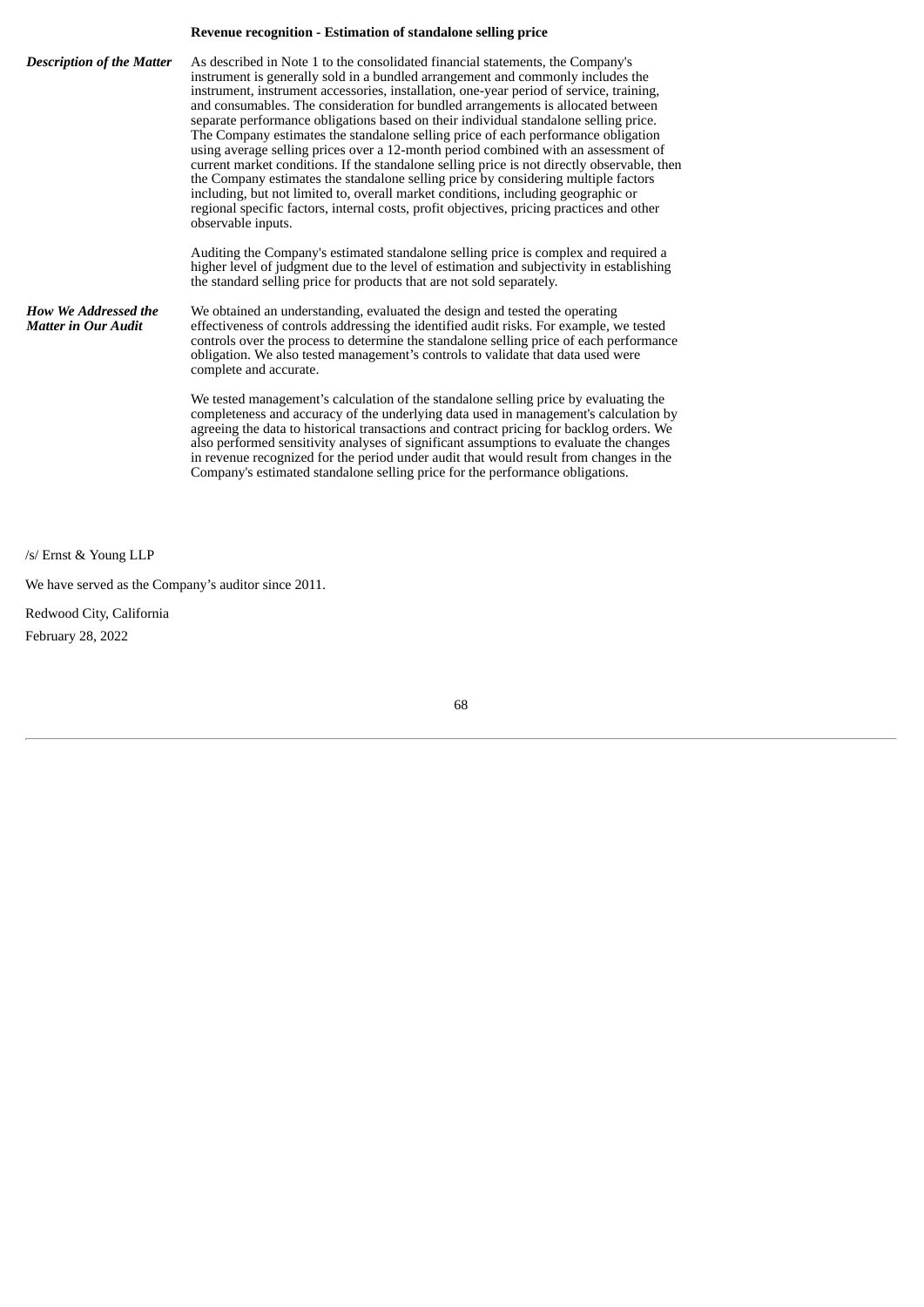#### **Revenue recognition - Estimation of standalone selling price**

*Description of the Matter* As described in Note 1 to the consolidated financial statements, the Company's instrument is generally sold in a bundled arrangement and commonly includes the instrument, instrument accessories, installation, one-year period of service, training, and consumables. The consideration for bundled arrangements is allocated between separate performance obligations based on their individual standalone selling price. The Company estimates the standalone selling price of each performance obligation using average selling prices over a 12-month period combined with an assessment of current market conditions. If the standalone selling price is not directly observable, then the Company estimates the standalone selling price by considering multiple factors including, but not limited to, overall market conditions, including geographic or regional specific factors, internal costs, profit objectives, pricing practices and other observable inputs. Auditing the Company's estimated standalone selling price is complex and required a higher level of judgment due to the level of estimation and subjectivity in establishing the standard selling price for products that are not sold separately. *How We Addressed the Matter in Our Audit* We obtained an understanding, evaluated the design and tested the operating effectiveness of controls addressing the identified audit risks. For example, we tested controls over the process to determine the standalone selling price of each performance obligation. We also tested management's controls to validate that data used were complete and accurate. We tested management's calculation of the standalone selling price by evaluating the completeness and accuracy of the underlying data used in management's calculation by agreeing the data to historical transactions and contract pricing for backlog orders. We also performed sensitivity analyses of significant assumptions to evaluate the changes in revenue recognized for the period under audit that would result from changes in the Company's estimated standalone selling price for the performance obligations.

/s/ Ernst & Young LLP

We have served as the Company's auditor since 2011.

Redwood City, California February 28, 2022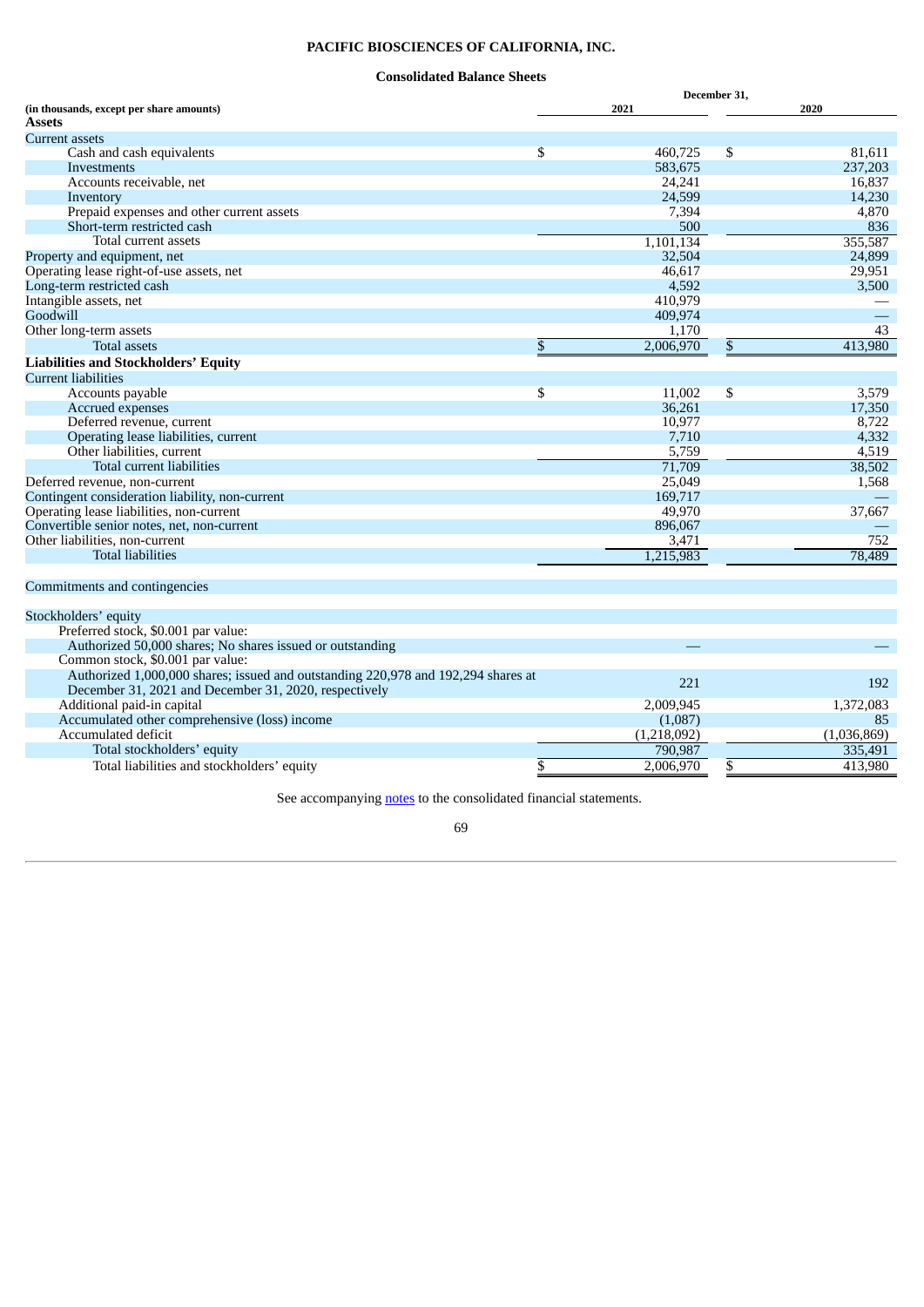# **PACIFIC BIOSCIENCES OF CALIFORNIA, INC.**

## <span id="page-70-0"></span>**Consolidated Balance Sheets**

| 2021<br>2020<br><b>Assets</b><br><b>Current assets</b><br>\$<br>\$<br>Cash and cash equivalents<br>460,725<br>81,611<br>583.675<br>237,203<br>Investments<br>16,837<br>Accounts receivable, net<br>24,241<br>14,230<br>24,599<br>Inventory<br>7,394<br>4,870<br>Prepaid expenses and other current assets<br>Short-term restricted cash<br>500<br>836<br>355,587<br>Total current assets<br>1,101,134<br>32,504<br>24,899<br>Property and equipment, net<br>Operating lease right-of-use assets, net<br>29,951<br>46,617<br>Long-term restricted cash<br>4,592<br>3,500<br>410.979<br>Intangible assets, net<br>409,974 | (in thousands, except per share amounts) |  |
|-------------------------------------------------------------------------------------------------------------------------------------------------------------------------------------------------------------------------------------------------------------------------------------------------------------------------------------------------------------------------------------------------------------------------------------------------------------------------------------------------------------------------------------------------------------------------------------------------------------------------|------------------------------------------|--|
|                                                                                                                                                                                                                                                                                                                                                                                                                                                                                                                                                                                                                         |                                          |  |
|                                                                                                                                                                                                                                                                                                                                                                                                                                                                                                                                                                                                                         |                                          |  |
|                                                                                                                                                                                                                                                                                                                                                                                                                                                                                                                                                                                                                         |                                          |  |
|                                                                                                                                                                                                                                                                                                                                                                                                                                                                                                                                                                                                                         |                                          |  |
|                                                                                                                                                                                                                                                                                                                                                                                                                                                                                                                                                                                                                         |                                          |  |
|                                                                                                                                                                                                                                                                                                                                                                                                                                                                                                                                                                                                                         |                                          |  |
|                                                                                                                                                                                                                                                                                                                                                                                                                                                                                                                                                                                                                         |                                          |  |
|                                                                                                                                                                                                                                                                                                                                                                                                                                                                                                                                                                                                                         |                                          |  |
|                                                                                                                                                                                                                                                                                                                                                                                                                                                                                                                                                                                                                         |                                          |  |
|                                                                                                                                                                                                                                                                                                                                                                                                                                                                                                                                                                                                                         |                                          |  |
|                                                                                                                                                                                                                                                                                                                                                                                                                                                                                                                                                                                                                         |                                          |  |
|                                                                                                                                                                                                                                                                                                                                                                                                                                                                                                                                                                                                                         |                                          |  |
|                                                                                                                                                                                                                                                                                                                                                                                                                                                                                                                                                                                                                         |                                          |  |
|                                                                                                                                                                                                                                                                                                                                                                                                                                                                                                                                                                                                                         |                                          |  |
|                                                                                                                                                                                                                                                                                                                                                                                                                                                                                                                                                                                                                         | Goodwill                                 |  |
| Other long-term assets<br>1,170<br>43                                                                                                                                                                                                                                                                                                                                                                                                                                                                                                                                                                                   |                                          |  |
| 2,006,970<br>$\overline{\$}$<br>413,980<br>\$<br><b>Total assets</b>                                                                                                                                                                                                                                                                                                                                                                                                                                                                                                                                                    |                                          |  |
| <b>Liabilities and Stockholders' Equity</b>                                                                                                                                                                                                                                                                                                                                                                                                                                                                                                                                                                             |                                          |  |
| <b>Current liabilities</b>                                                                                                                                                                                                                                                                                                                                                                                                                                                                                                                                                                                              |                                          |  |
| \$<br>11,002<br>\$<br>3,579<br>Accounts payable                                                                                                                                                                                                                                                                                                                                                                                                                                                                                                                                                                         |                                          |  |
| 36,261<br>17,350<br>Accrued expenses                                                                                                                                                                                                                                                                                                                                                                                                                                                                                                                                                                                    |                                          |  |
| Deferred revenue, current<br>10,977<br>8,722                                                                                                                                                                                                                                                                                                                                                                                                                                                                                                                                                                            |                                          |  |
| 7,710<br>4.332<br>Operating lease liabilities, current                                                                                                                                                                                                                                                                                                                                                                                                                                                                                                                                                                  |                                          |  |
| Other liabilities, current<br>5,759<br>4,519                                                                                                                                                                                                                                                                                                                                                                                                                                                                                                                                                                            |                                          |  |
| Total current liabilities<br>71,709<br>38,502                                                                                                                                                                                                                                                                                                                                                                                                                                                                                                                                                                           |                                          |  |
| 25,049<br>1,568<br>Deferred revenue, non-current                                                                                                                                                                                                                                                                                                                                                                                                                                                                                                                                                                        |                                          |  |
| 169,717<br>Contingent consideration liability, non-current                                                                                                                                                                                                                                                                                                                                                                                                                                                                                                                                                              |                                          |  |
| Operating lease liabilities, non-current<br>49.970<br>37,667                                                                                                                                                                                                                                                                                                                                                                                                                                                                                                                                                            |                                          |  |
| Convertible senior notes, net, non-current<br>896,067                                                                                                                                                                                                                                                                                                                                                                                                                                                                                                                                                                   |                                          |  |
| Other liabilities, non-current<br>3,471<br>752                                                                                                                                                                                                                                                                                                                                                                                                                                                                                                                                                                          |                                          |  |
| <b>Total liabilities</b><br>1,215,983<br>78.489                                                                                                                                                                                                                                                                                                                                                                                                                                                                                                                                                                         |                                          |  |
|                                                                                                                                                                                                                                                                                                                                                                                                                                                                                                                                                                                                                         |                                          |  |
| Commitments and contingencies                                                                                                                                                                                                                                                                                                                                                                                                                                                                                                                                                                                           |                                          |  |
|                                                                                                                                                                                                                                                                                                                                                                                                                                                                                                                                                                                                                         |                                          |  |
| Stockholders' equity                                                                                                                                                                                                                                                                                                                                                                                                                                                                                                                                                                                                    |                                          |  |
| Preferred stock, \$0.001 par value:                                                                                                                                                                                                                                                                                                                                                                                                                                                                                                                                                                                     |                                          |  |
| Authorized 50,000 shares; No shares issued or outstanding                                                                                                                                                                                                                                                                                                                                                                                                                                                                                                                                                               |                                          |  |
| Common stock, \$0.001 par value:                                                                                                                                                                                                                                                                                                                                                                                                                                                                                                                                                                                        |                                          |  |
| Authorized 1,000,000 shares; issued and outstanding 220,978 and 192,294 shares at<br>221<br>192                                                                                                                                                                                                                                                                                                                                                                                                                                                                                                                         |                                          |  |
| December 31, 2021 and December 31, 2020, respectively                                                                                                                                                                                                                                                                                                                                                                                                                                                                                                                                                                   |                                          |  |
| Additional paid-in capital<br>2,009,945<br>1,372,083                                                                                                                                                                                                                                                                                                                                                                                                                                                                                                                                                                    |                                          |  |
| Accumulated other comprehensive (loss) income<br>85<br>(1,087)                                                                                                                                                                                                                                                                                                                                                                                                                                                                                                                                                          |                                          |  |
| Accumulated deficit<br>(1,218,092)<br>(1,036,869)                                                                                                                                                                                                                                                                                                                                                                                                                                                                                                                                                                       |                                          |  |
| Total stockholders' equity<br>790,987<br>335,491                                                                                                                                                                                                                                                                                                                                                                                                                                                                                                                                                                        |                                          |  |
| $\overline{\$}$<br>$\overline{\$}$<br>2,006,970<br>413,980<br>Total liabilities and stockholders' equity                                                                                                                                                                                                                                                                                                                                                                                                                                                                                                                |                                          |  |

See accompanying **[notes](#page-74-1)** to the consolidated financial statements.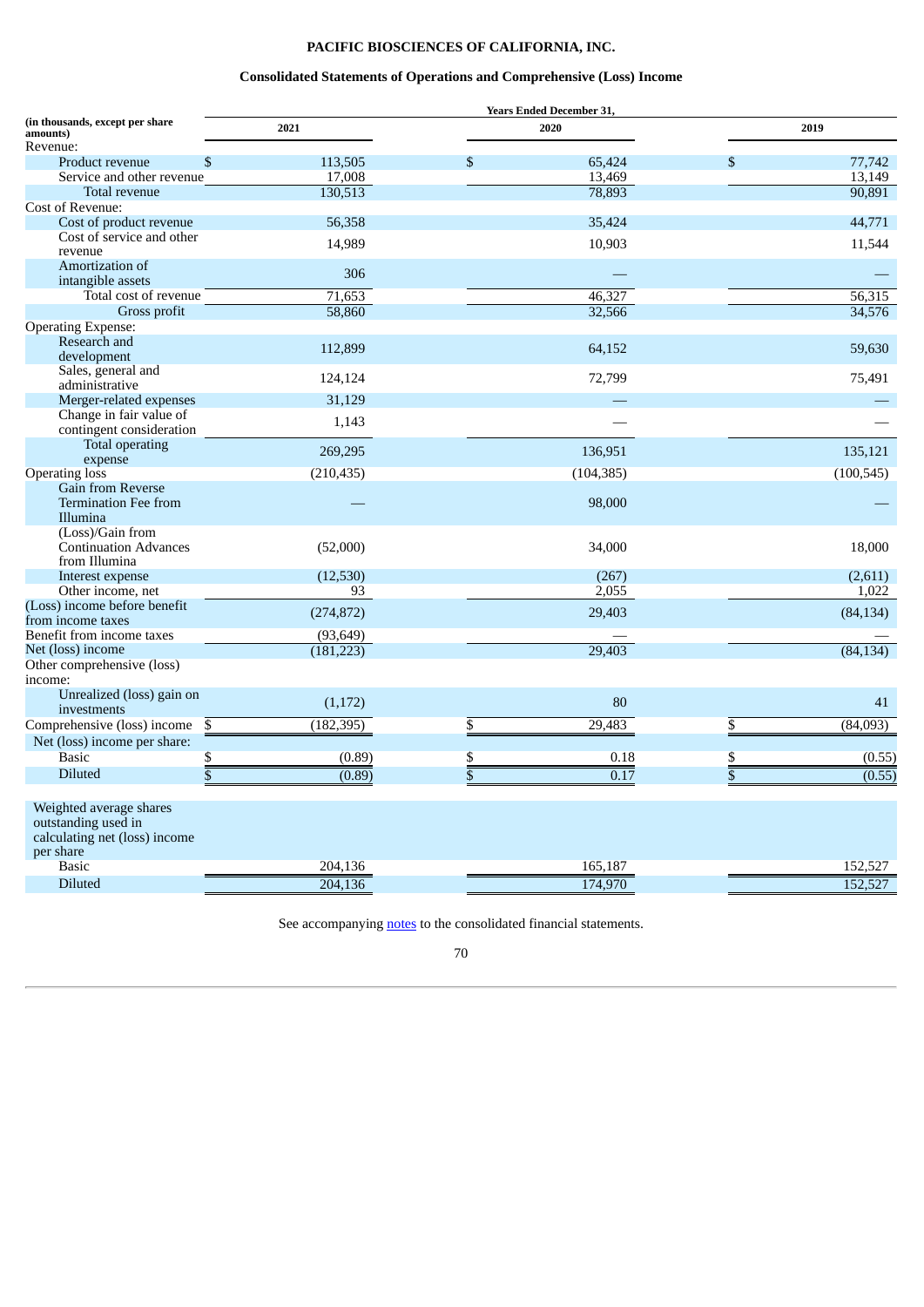# <span id="page-71-0"></span>**PACIFIC BIOSCIENCES OF CALIFORNIA, INC.**

## **Consolidated Statements of Operations and Comprehensive (Loss) Income**

|                                                                                              |                         | <b>Years Ended December 31,</b> |                  |
|----------------------------------------------------------------------------------------------|-------------------------|---------------------------------|------------------|
| (in thousands, except per share<br>amounts)<br>Revenue:                                      | 2021                    | 2020                            | 2019             |
| Product revenue                                                                              | 113,505<br>\$.          | \$<br>65,424                    | \$<br>77,742     |
| Service and other revenue                                                                    | 17,008                  | 13,469                          | 13,149           |
| Total revenue                                                                                | 130,513                 | 78,893                          | 90,891           |
| <b>Cost of Revenue:</b>                                                                      |                         |                                 |                  |
| Cost of product revenue                                                                      | 56,358                  | 35,424                          | 44,771           |
| Cost of service and other                                                                    |                         |                                 |                  |
| revenue                                                                                      | 14,989                  | 10,903                          | 11,544           |
| Amortization of                                                                              | 306                     |                                 |                  |
| intangible assets                                                                            |                         |                                 |                  |
| Total cost of revenue                                                                        | 71,653                  | 46,327                          | 56,315           |
| Gross profit                                                                                 | 58,860                  | 32,566                          | 34,576           |
| <b>Operating Expense:</b>                                                                    |                         |                                 |                  |
| Research and                                                                                 | 112,899                 | 64,152                          | 59,630           |
| development                                                                                  |                         |                                 |                  |
| Sales, general and                                                                           | 124,124                 | 72,799                          | 75,491           |
| administrative                                                                               |                         |                                 |                  |
| Merger-related expenses                                                                      | 31,129                  |                                 |                  |
| Change in fair value of                                                                      | 1,143                   |                                 |                  |
| contingent consideration                                                                     |                         |                                 |                  |
| Total operating                                                                              | 269,295                 | 136,951                         | 135,121          |
| expense                                                                                      |                         |                                 |                  |
| Operating loss                                                                               | (210, 435)              | (104, 385)                      | (100, 545)       |
| Gain from Reverse<br><b>Termination Fee from</b><br>Illumina                                 |                         | 98,000                          |                  |
| (Loss)/Gain from<br><b>Continuation Advances</b>                                             | (52,000)                | 34,000                          | 18,000           |
| from Illumina                                                                                |                         |                                 |                  |
| Interest expense                                                                             | (12,530)                | (267)                           | (2,611)<br>1,022 |
| Other income, net<br>(Loss) income before benefit                                            | 93                      | 2,055                           |                  |
| from income taxes                                                                            | (274, 872)              | 29,403                          | (84, 134)        |
| Benefit from income taxes<br>Net (loss) income                                               | (93, 649)<br>(181, 223) | 29,403                          | (84, 134)        |
| Other comprehensive (loss)                                                                   |                         |                                 |                  |
| income:                                                                                      |                         |                                 |                  |
| Unrealized (loss) gain on                                                                    |                         |                                 |                  |
| investments                                                                                  | (1, 172)                | 80                              | 41               |
| Comprehensive (loss) income                                                                  | \$<br>(182, 395)        | 29,483<br>\$                    | (84,093)<br>\$   |
| Net (loss) income per share:                                                                 |                         |                                 |                  |
| <b>Basic</b>                                                                                 | (0.89)<br>S             | \$<br>0.18                      | \$<br>(0.55)     |
| <b>Diluted</b>                                                                               |                         |                                 |                  |
|                                                                                              | (0.89)                  | 0.17                            | (0.55)           |
| Weighted average shares<br>outstanding used in<br>calculating net (loss) income<br>per share |                         |                                 |                  |
| <b>Basic</b>                                                                                 | 204,136                 | 165,187                         | 152,527          |
| <b>Diluted</b>                                                                               | 204,136                 | 174,970                         | 152,527          |

See accompanying [notes](#page-74-1) to the consolidated financial statements.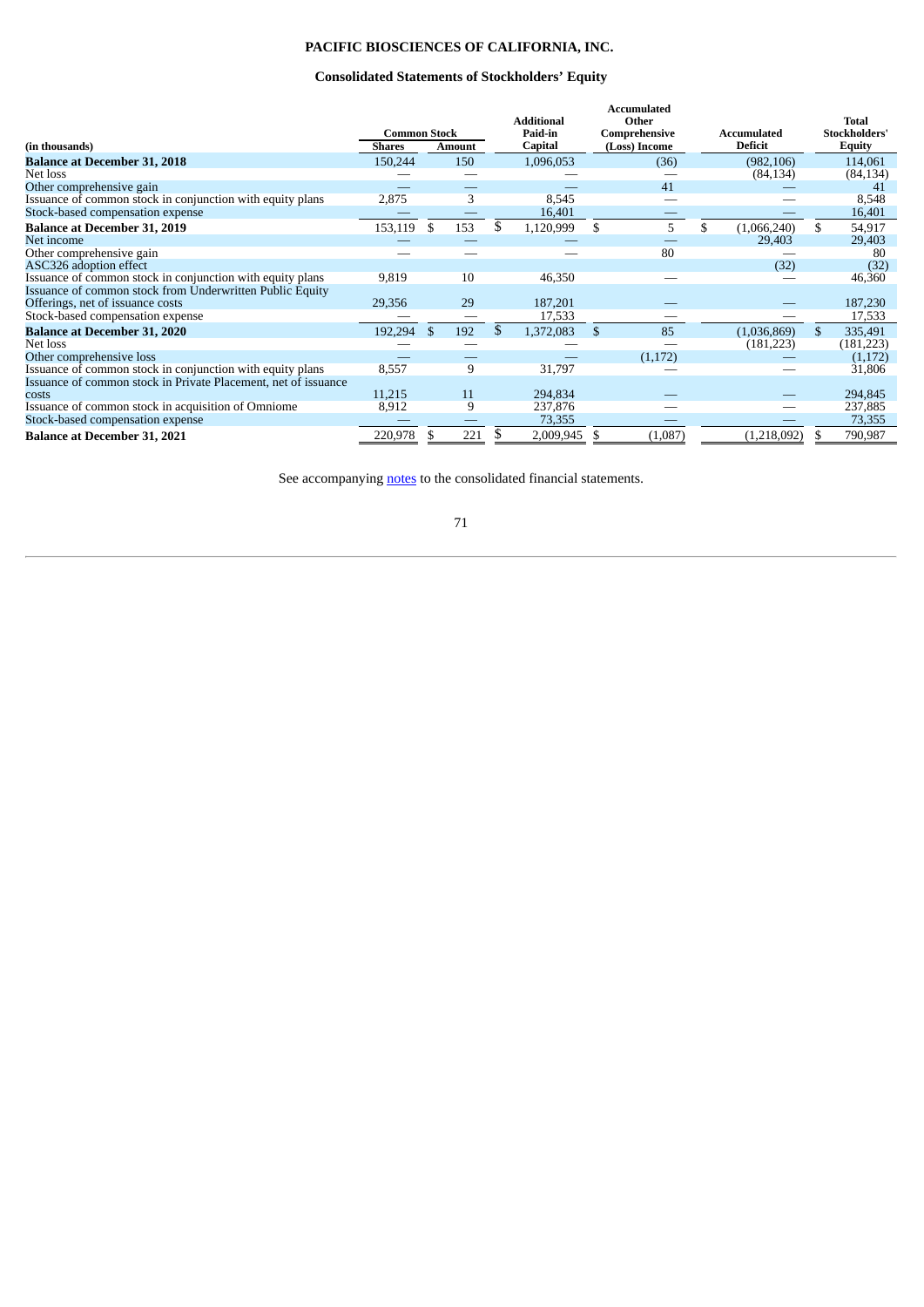# **PACIFIC BIOSCIENCES OF CALIFORNIA, INC.**

# **Consolidated Statements of Stockholders' Equity**

|                                                                |               |           |                 | Accumulated   |                               |     |               |
|----------------------------------------------------------------|---------------|-----------|-----------------|---------------|-------------------------------|-----|---------------|
|                                                                |               |           | Additional      | Other         |                               |     | <b>Total</b>  |
|                                                                | Common Stock  |           | Paid-in         | Comprehensive | Accumulated<br><b>Deficit</b> |     | Stockholders' |
| (in thousands)                                                 | <b>Shares</b> | Amount    | Capital         | (Loss) Income |                               |     | <b>Equity</b> |
| <b>Balance at December 31, 2018</b>                            | 150,244       | 150       | 1,096,053       | (36)          | (982, 106)                    |     | 114,061       |
| Net loss                                                       |               |           |                 |               | (84, 134)                     |     | (84, 134)     |
| Other comprehensive gain                                       |               |           |                 | 41            |                               |     | 41            |
| Issuance of common stock in conjunction with equity plans      | 2,875         | 3         | 8,545           |               |                               |     | 8,548         |
| Stock-based compensation expense                               |               |           | 16,401          |               |                               |     | 16,401        |
| <b>Balance at December 31, 2019</b>                            | 153,119       | \$<br>153 | \$<br>1,120,999 | \$<br>5       | \$<br>(1,066,240)             | \$  | 54,917        |
| Net income                                                     |               |           |                 |               | 29,403                        |     | 29,403        |
| Other comprehensive gain                                       |               |           |                 | 80            |                               |     | 80            |
| ASC326 adoption effect                                         |               |           |                 |               | (32)                          |     | (32)          |
| Issuance of common stock in conjunction with equity plans      | 9,819         | 10        | 46,350          |               |                               |     | 46,360        |
| Issuance of common stock from Underwritten Public Equity       |               |           |                 |               |                               |     |               |
| Offerings, net of issuance costs                               | 29,356        | 29        | 187,201         |               |                               |     | 187,230       |
| Stock-based compensation expense                               |               |           | 17,533          |               |                               |     | 17,533        |
| <b>Balance at December 31, 2020</b>                            | 192,294       | \$<br>192 | \$<br>1,372,083 | 85            | (1,036,869)                   | \$. | 335,491       |
| Net loss                                                       |               |           |                 |               | (181, 223)                    |     | (181, 223)    |
| Other comprehensive loss                                       |               |           |                 | (1,172)       |                               |     | (1, 172)      |
| Issuance of common stock in conjunction with equity plans      | 8,557         | 9         | 31,797          |               |                               |     | 31,806        |
| Issuance of common stock in Private Placement, net of issuance |               |           |                 |               |                               |     |               |
| <b>COStS</b>                                                   | 11,215        | 11        | 294,834         |               |                               |     | 294,845       |
| Issuance of common stock in acquisition of Omniome             | 8,912         | 9         | 237,876         |               |                               |     | 237,885       |
| Stock-based compensation expense                               |               |           | 73,355          |               |                               |     | 73,355        |
| <b>Balance at December 31, 2021</b>                            | 220,978       | 221       | 2,009,945       | (1,087)       | (1,218,092)                   |     | 790,987       |

See accompanying [notes](#page-74-0) to the consolidated financial statements.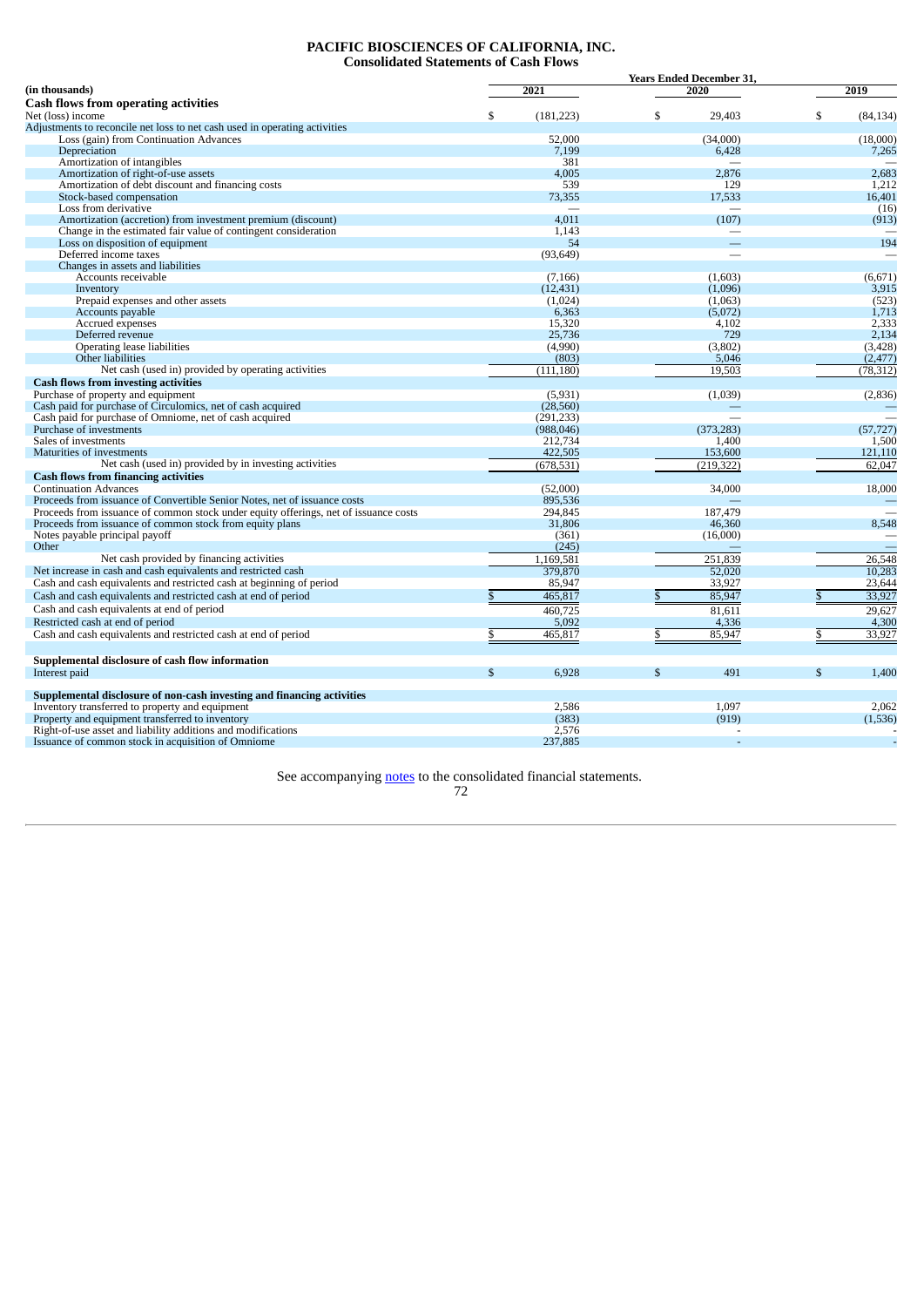## **PACIFIC BIOSCIENCES OF CALIFORNIA, INC. Consolidated Statements of Cash Flows**

| (in thousands)                                                                                     |              | 2021       |               |            | 2019          |           |
|----------------------------------------------------------------------------------------------------|--------------|------------|---------------|------------|---------------|-----------|
| <b>Cash flows from operating activities</b>                                                        |              |            |               |            |               |           |
| Net (loss) income                                                                                  | $\mathbb{S}$ | (181, 223) | \$            | 29,403     | \$            | (84, 134) |
| Adjustments to reconcile net loss to net cash used in operating activities                         |              |            |               |            |               |           |
| Loss (gain) from Continuation Advances                                                             |              | 52,000     |               | (34,000)   |               | (18,000)  |
| Depreciation                                                                                       |              | 7,199      |               | 6,428      |               | 7,265     |
| Amortization of intangibles                                                                        |              | 381        |               |            |               |           |
| Amortization of right-of-use assets                                                                |              | 4,005      |               | 2,876      |               | 2,683     |
| Amortization of debt discount and financing costs                                                  |              | 539        |               | 129        |               | 1.212     |
| Stock-based compensation                                                                           |              | 73,355     |               | 17,533     |               | 16,401    |
| Loss from derivative                                                                               |              |            |               |            |               | (16)      |
| Amortization (accretion) from investment premium (discount)                                        |              | 4,011      |               | (107)      |               | (913)     |
| Change in the estimated fair value of contingent consideration                                     |              | 1,143      |               |            |               |           |
| Loss on disposition of equipment                                                                   |              | 54         |               |            |               | 194       |
| Deferred income taxes                                                                              |              | (93, 649)  |               |            |               |           |
| Changes in assets and liabilities                                                                  |              |            |               |            |               |           |
| Accounts receivable                                                                                |              | (7, 166)   |               | (1.603)    |               | (6,671)   |
| Inventory                                                                                          |              | (12, 431)  |               | (1,096)    |               | 3,915     |
| Prepaid expenses and other assets                                                                  |              | (1,024)    |               | (1,063)    |               | (523)     |
| Accounts payable                                                                                   |              | 6.363      |               | (5,072)    |               | 1,713     |
| Accrued expenses                                                                                   |              | 15,320     |               | 4,102      |               | 2,333     |
| Deferred revenue                                                                                   |              | 25,736     |               | 729        |               | 2,134     |
| Operating lease liabilities                                                                        |              | (4,990)    |               | (3,802)    |               | (3, 428)  |
| Other liabilities                                                                                  |              | (803)      |               | 5,046      |               | (2, 477)  |
| Net cash (used in) provided by operating activities                                                |              | (111, 180) |               | 19,503     |               | (78, 312) |
| <b>Cash flows from investing activities</b>                                                        |              |            |               |            |               |           |
| Purchase of property and equipment                                                                 |              | (5, 931)   |               | (1,039)    |               | (2,836)   |
| Cash paid for purchase of Circulomics, net of cash acquired                                        |              | (28, 560)  |               |            |               |           |
| Cash paid for purchase of Omniome, net of cash acquired                                            |              | (291, 233) |               |            |               |           |
| Purchase of investments                                                                            |              | (988, 046) |               | (373, 283) |               | (57, 727) |
| Sales of investments                                                                               |              | 212,734    |               | 1,400      |               | 1,500     |
| Maturities of investments                                                                          |              | 422,505    |               | 153,600    |               | 121,110   |
| Net cash (used in) provided by in investing activities                                             |              | (678, 531) |               | (219, 322) |               | 62,047    |
| <b>Cash flows from financing activities</b>                                                        |              |            |               |            |               |           |
|                                                                                                    |              |            |               |            |               |           |
| <b>Continuation Advances</b>                                                                       |              | (52,000)   |               | 34,000     |               | 18,000    |
| Proceeds from issuance of Convertible Senior Notes, net of issuance costs                          |              | 895,536    |               |            |               |           |
| Proceeds from issuance of common stock under equity offerings, net of issuance costs               |              | 294.845    |               | 187,479    |               |           |
| Proceeds from issuance of common stock from equity plans                                           |              | 31,806     |               | 46.360     |               | 8,548     |
| Notes payable principal payoff<br>Other                                                            |              | (361)      |               | (16,000)   |               |           |
|                                                                                                    |              | (245)      |               |            |               |           |
| Net cash provided by financing activities                                                          |              | 1,169,581  |               | 251,839    |               | 26,548    |
| Net increase in cash and cash equivalents and restricted cash                                      |              | 379,870    |               | 52,020     |               | 10,283    |
| Cash and cash equivalents and restricted cash at beginning of period                               |              | 85,947     |               | 33,927     |               | 23,644    |
| Cash and cash equivalents and restricted cash at end of period                                     |              | 465,817    | \$            | 85,947     | <sup>\$</sup> | 33,927    |
| Cash and cash equivalents at end of period                                                         |              | 460,725    |               | 81,611     |               | 29,627    |
| Restricted cash at end of period                                                                   |              | 5,092      |               | 4,336      |               | 4,300     |
| Cash and cash equivalents and restricted cash at end of period                                     |              | 465,817    |               | 85,947     |               | 33,927    |
|                                                                                                    |              |            |               |            |               |           |
| Supplemental disclosure of cash flow information                                                   |              |            |               |            |               |           |
|                                                                                                    | \$           | 6.928      | $\mathcal{S}$ | 491        | $\mathbf{s}$  | 1,400     |
| Interest paid                                                                                      |              |            |               |            |               |           |
| Supplemental disclosure of non-cash investing and financing activities                             |              |            |               |            |               |           |
| Inventory transferred to property and equipment<br>Property and equipment transferred to inventory |              | 2,586      |               | 1.097      |               | 2,062     |
|                                                                                                    |              | (383)      |               | (919)      |               | (1,536)   |
| Right-of-use asset and liability additions and modifications                                       |              | 2,576      |               |            |               |           |
| Issuance of common stock in acquisition of Omniome                                                 |              | 237,885    |               |            |               |           |

See accompanying [notes](#page-74-0) to the consolidated financial statements.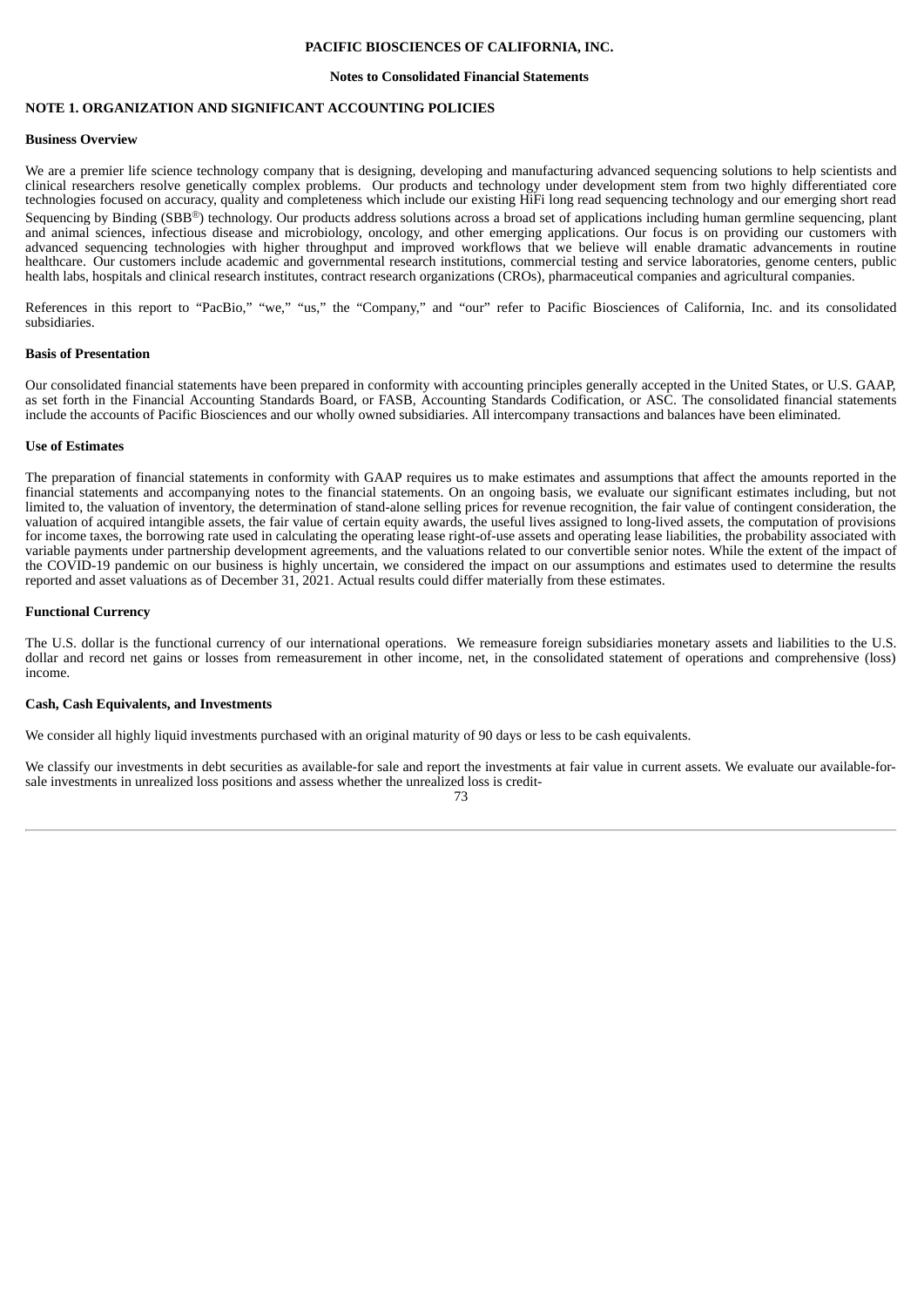### **PACIFIC BIOSCIENCES OF CALIFORNIA, INC.**

#### **Notes to Consolidated Financial Statements**

## <span id="page-74-1"></span><span id="page-74-0"></span>**NOTE 1. ORGANIZATION AND SIGNIFICANT ACCOUNTING POLICIES**

#### **Business Overview**

We are a premier life science technology company that is designing, developing and manufacturing advanced sequencing solutions to help scientists and clinical researchers resolve genetically complex problems. Our products and technology under development stem from two highly differentiated core technologies focused on accuracy, quality and completeness which include our existing HiFi long read sequencing technology and our emerging short read Sequencing by Binding (SBB®) technology. Our products address solutions across a broad set of applications including human germline sequencing, plant and animal sciences, infectious disease and microbiology, oncology, and other emerging applications. Our focus is on providing our customers with advanced sequencing technologies with higher throughput and improved workflows that we believe will enable dramatic advancements in routine healthcare. Our customers include academic and governmental research institutions, commercial testing and service laboratories, genome centers, public health labs, hospitals and clinical research institutes, contract research organizations (CROs), pharmaceutical companies and agricultural companies.

References in this report to "PacBio," "we," "us," the "Company," and "our" refer to Pacific Biosciences of California, Inc. and its consolidated subsidiaries.

## **Basis of Presentation**

Our consolidated financial statements have been prepared in conformity with accounting principles generally accepted in the United States, or U.S. GAAP, as set forth in the Financial Accounting Standards Board, or FASB, Accounting Standards Codification, or ASC. The consolidated financial statements include the accounts of Pacific Biosciences and our wholly owned subsidiaries. All intercompany transactions and balances have been eliminated.

#### **Use of Estimates**

The preparation of financial statements in conformity with GAAP requires us to make estimates and assumptions that affect the amounts reported in the financial statements and accompanying notes to the financial statements. On an ongoing basis, we evaluate our significant estimates including, but not limited to, the valuation of inventory, the determination of stand-alone selling prices for revenue recognition, the fair value of contingent consideration, the valuation of acquired intangible assets, the fair value of certain equity awards, the useful lives assigned to long-lived assets, the computation of provisions for income taxes, the borrowing rate used in calculating the operating lease right-of-use assets and operating lease liabilities, the probability associated with variable payments under partnership development agreements, and the valuations related to our convertible senior notes. While the extent of the impact of the COVID-19 pandemic on our business is highly uncertain, we considered the impact on our assumptions and estimates used to determine the results reported and asset valuations as of December 31, 2021. Actual results could differ materially from these estimates.

#### **Functional Currency**

The U.S. dollar is the functional currency of our international operations. We remeasure foreign subsidiaries monetary assets and liabilities to the U.S. dollar and record net gains or losses from remeasurement in other income, net, in the consolidated statement of operations and comprehensive (loss) income.

## **Cash, Cash Equivalents, and Investments**

We consider all highly liquid investments purchased with an original maturity of 90 days or less to be cash equivalents.

We classify our investments in debt securities as available-for sale and report the investments at fair value in current assets. We evaluate our available-forsale investments in unrealized loss positions and assess whether the unrealized loss is credit-

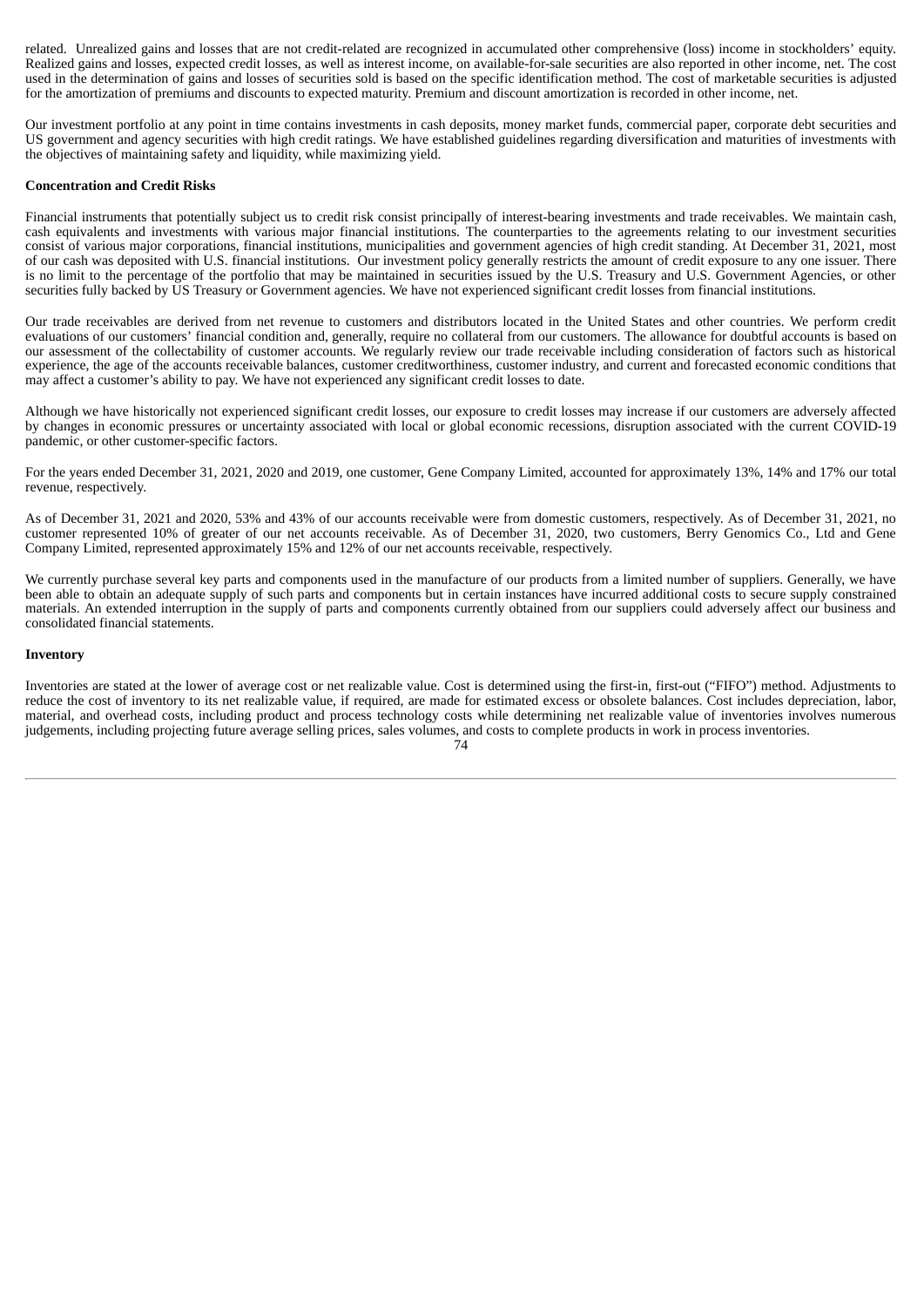related. Unrealized gains and losses that are not credit-related are recognized in accumulated other comprehensive (loss) income in stockholders' equity. Realized gains and losses, expected credit losses, as well as interest income, on available-for-sale securities are also reported in other income, net. The cost used in the determination of gains and losses of securities sold is based on the specific identification method. The cost of marketable securities is adjusted for the amortization of premiums and discounts to expected maturity. Premium and discount amortization is recorded in other income, net.

Our investment portfolio at any point in time contains investments in cash deposits, money market funds, commercial paper, corporate debt securities and US government and agency securities with high credit ratings. We have established guidelines regarding diversification and maturities of investments with the objectives of maintaining safety and liquidity, while maximizing yield.

#### **Concentration and Credit Risks**

Financial instruments that potentially subject us to credit risk consist principally of interest-bearing investments and trade receivables. We maintain cash, cash equivalents and investments with various major financial institutions. The counterparties to the agreements relating to our investment securities consist of various major corporations, financial institutions, municipalities and government agencies of high credit standing. At December 31, 2021, most of our cash was deposited with U.S. financial institutions. Our investment policy generally restricts the amount of credit exposure to any one issuer. There is no limit to the percentage of the portfolio that may be maintained in securities issued by the U.S. Treasury and U.S. Government Agencies, or other securities fully backed by US Treasury or Government agencies. We have not experienced significant credit losses from financial institutions.

Our trade receivables are derived from net revenue to customers and distributors located in the United States and other countries. We perform credit evaluations of our customers' financial condition and, generally, require no collateral from our customers. The allowance for doubtful accounts is based on our assessment of the collectability of customer accounts. We regularly review our trade receivable including consideration of factors such as historical experience, the age of the accounts receivable balances, customer creditworthiness, customer industry, and current and forecasted economic conditions that may affect a customer's ability to pay. We have not experienced any significant credit losses to date.

Although we have historically not experienced significant credit losses, our exposure to credit losses may increase if our customers are adversely affected by changes in economic pressures or uncertainty associated with local or global economic recessions, disruption associated with the current COVID-19 pandemic, or other customer-specific factors.

For the years ended December 31, 2021, 2020 and 2019, one customer, Gene Company Limited, accounted for approximately 13%, 14% and 17% our total revenue, respectively.

As of December 31, 2021 and 2020, 53% and 43% of our accounts receivable were from domestic customers, respectively. As of December 31, 2021, no customer represented 10% of greater of our net accounts receivable. As of December 31, 2020, two customers, Berry Genomics Co., Ltd and Gene Company Limited, represented approximately 15% and 12% of our net accounts receivable, respectively.

We currently purchase several key parts and components used in the manufacture of our products from a limited number of suppliers. Generally, we have been able to obtain an adequate supply of such parts and components but in certain instances have incurred additional costs to secure supply constrained materials. An extended interruption in the supply of parts and components currently obtained from our suppliers could adversely affect our business and consolidated financial statements.

#### **Inventory**

Inventories are stated at the lower of average cost or net realizable value. Cost is determined using the first-in, first-out ("FIFO") method. Adjustments to reduce the cost of inventory to its net realizable value, if required, are made for estimated excess or obsolete balances. Cost includes depreciation, labor, material, and overhead costs, including product and process technology costs while determining net realizable value of inventories involves numerous judgements, including projecting future average selling prices, sales volumes, and costs to complete products in work in process inventories.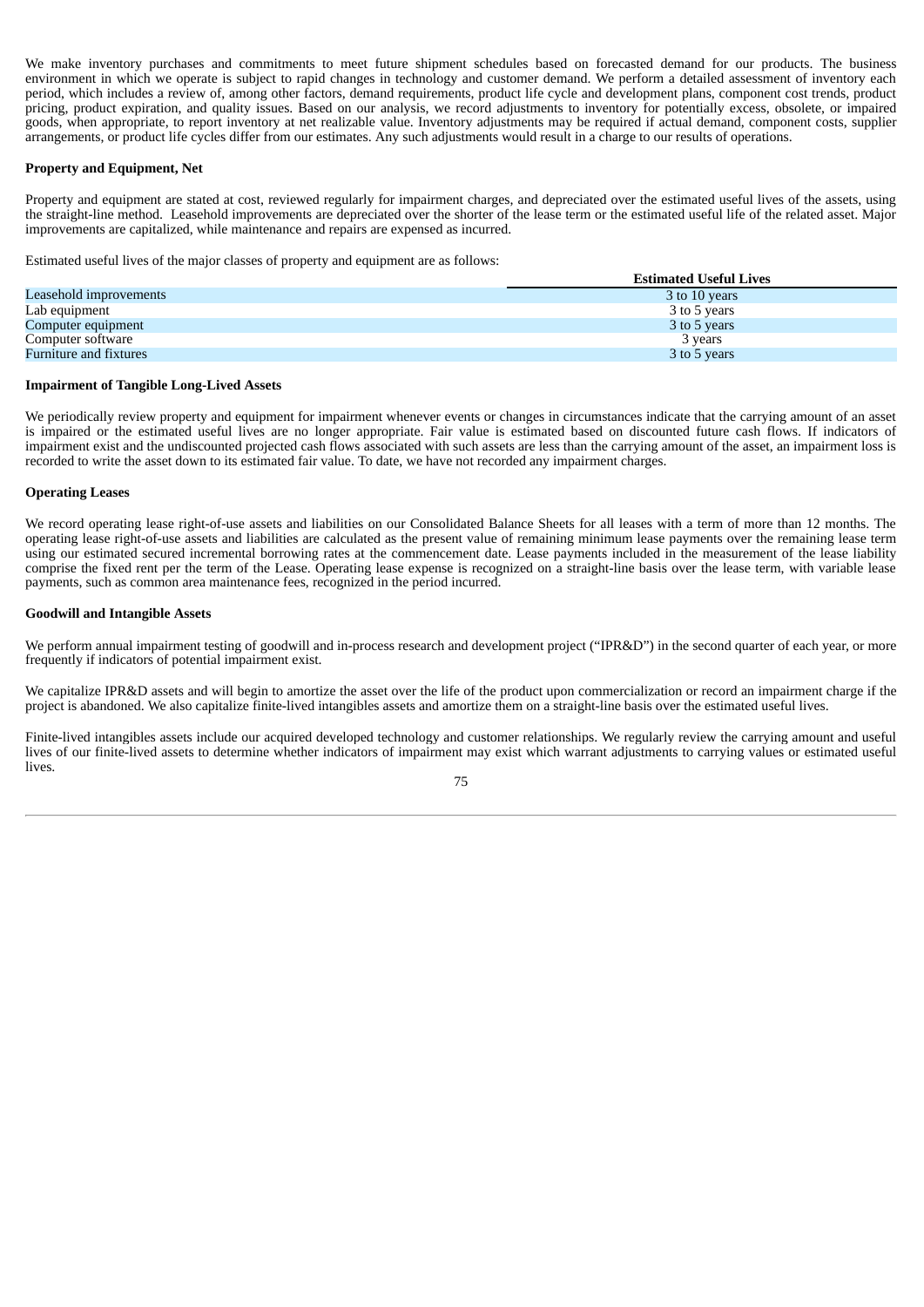We make inventory purchases and commitments to meet future shipment schedules based on forecasted demand for our products. The business environment in which we operate is subject to rapid changes in technology and customer demand. We perform a detailed assessment of inventory each period, which includes a review of, among other factors, demand requirements, product life cycle and development plans, component cost trends, product pricing, product expiration, and quality issues. Based on our analysis, we record adjustments to inventory for potentially excess, obsolete, or impaired goods, when appropriate, to report inventory at net realizable value. Inventory adjustments may be required if actual demand, component costs, supplier arrangements, or product life cycles differ from our estimates. Any such adjustments would result in a charge to our results of operations.

#### **Property and Equipment, Net**

Property and equipment are stated at cost, reviewed regularly for impairment charges, and depreciated over the estimated useful lives of the assets, using the straight-line method. Leasehold improvements are depreciated over the shorter of the lease term or the estimated useful life of the related asset. Major improvements are capitalized, while maintenance and repairs are expensed as incurred.

Estimated useful lives of the major classes of property and equipment are as follows:

|                               | <b>Estimated Useful Lives</b> |
|-------------------------------|-------------------------------|
| Leasehold improvements        | 3 to 10 years                 |
| Lab equipment                 | 3 to 5 years                  |
| Computer equipment            | 3 to 5 years                  |
| Computer software             | 3 years                       |
| <b>Furniture and fixtures</b> | 3 to 5 years                  |

## **Impairment of Tangible Long-Lived Assets**

We periodically review property and equipment for impairment whenever events or changes in circumstances indicate that the carrying amount of an asset is impaired or the estimated useful lives are no longer appropriate. Fair value is estimated based on discounted future cash flows. If indicators of impairment exist and the undiscounted projected cash flows associated with such assets are less than the carrying amount of the asset, an impairment loss is recorded to write the asset down to its estimated fair value. To date, we have not recorded any impairment charges.

### **Operating Leases**

We record operating lease right-of-use assets and liabilities on our Consolidated Balance Sheets for all leases with a term of more than 12 months. The operating lease right-of-use assets and liabilities are calculated as the present value of remaining minimum lease payments over the remaining lease term using our estimated secured incremental borrowing rates at the commencement date. Lease payments included in the measurement of the lease liability comprise the fixed rent per the term of the Lease. Operating lease expense is recognized on a straight-line basis over the lease term, with variable lease payments, such as common area maintenance fees, recognized in the period incurred.

### **Goodwill and Intangible Assets**

We perform annual impairment testing of goodwill and in-process research and development project ("IPR&D") in the second quarter of each year, or more frequently if indicators of potential impairment exist.

We capitalize IPR&D assets and will begin to amortize the asset over the life of the product upon commercialization or record an impairment charge if the project is abandoned. We also capitalize finite-lived intangibles assets and amortize them on a straight-line basis over the estimated useful lives.

Finite-lived intangibles assets include our acquired developed technology and customer relationships. We regularly review the carrying amount and useful lives of our finite-lived assets to determine whether indicators of impairment may exist which warrant adjustments to carrying values or estimated useful lives.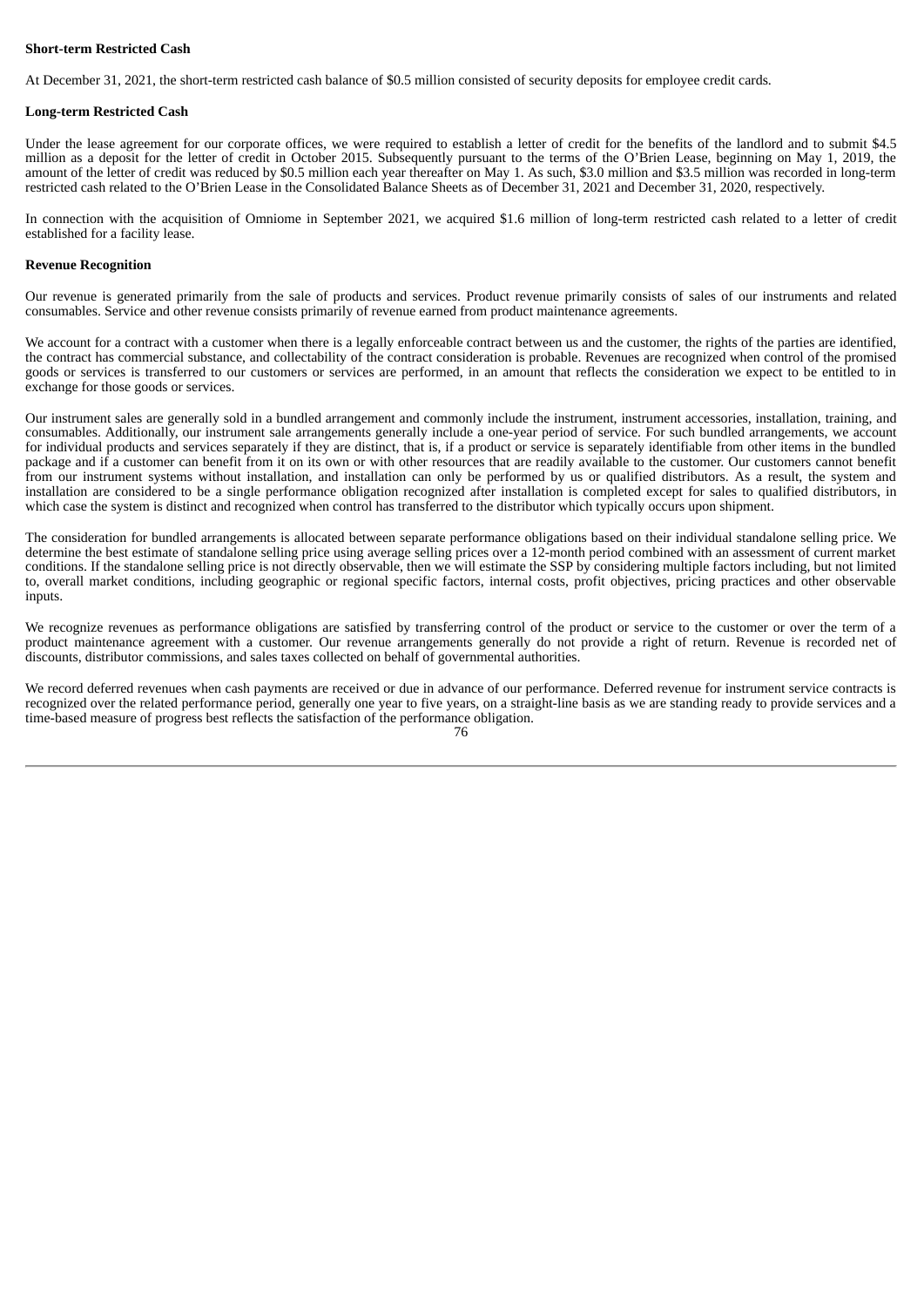## **Short-term Restricted Cash**

At December 31, 2021, the short-term restricted cash balance of \$0.5 million consisted of security deposits for employee credit cards.

## **Long-term Restricted Cash**

Under the lease agreement for our corporate offices, we were required to establish a letter of credit for the benefits of the landlord and to submit \$4.5 million as a deposit for the letter of credit in October 2015. Subsequently pursuant to the terms of the O'Brien Lease, beginning on May 1, 2019, the amount of the letter of credit was reduced by \$0.5 million each year thereafter on May 1. As such, \$3.0 million and \$3.5 million was recorded in long-term restricted cash related to the O'Brien Lease in the Consolidated Balance Sheets as of December 31, 2021 and December 31, 2020, respectively.

In connection with the acquisition of Omniome in September 2021, we acquired \$1.6 million of long-term restricted cash related to a letter of credit established for a facility lease.

## **Revenue Recognition**

Our revenue is generated primarily from the sale of products and services. Product revenue primarily consists of sales of our instruments and related consumables. Service and other revenue consists primarily of revenue earned from product maintenance agreements.

We account for a contract with a customer when there is a legally enforceable contract between us and the customer, the rights of the parties are identified, the contract has commercial substance, and collectability of the contract consideration is probable. Revenues are recognized when control of the promised goods or services is transferred to our customers or services are performed, in an amount that reflects the consideration we expect to be entitled to in exchange for those goods or services.

Our instrument sales are generally sold in a bundled arrangement and commonly include the instrument, instrument accessories, installation, training, and consumables. Additionally, our instrument sale arrangements generally include a one-year period of service. For such bundled arrangements, we account for individual products and services separately if they are distinct, that is, if a product or service is separately identifiable from other items in the bundled package and if a customer can benefit from it on its own or with other resources that are readily available to the customer. Our customers cannot benefit from our instrument systems without installation, and installation can only be performed by us or qualified distributors. As a result, the system and installation are considered to be a single performance obligation recognized after installation is completed except for sales to qualified distributors, in which case the system is distinct and recognized when control has transferred to the distributor which typically occurs upon shipment.

The consideration for bundled arrangements is allocated between separate performance obligations based on their individual standalone selling price. We determine the best estimate of standalone selling price using average selling prices over a 12-month period combined with an assessment of current market conditions. If the standalone selling price is not directly observable, then we will estimate the SSP by considering multiple factors including, but not limited to, overall market conditions, including geographic or regional specific factors, internal costs, profit objectives, pricing practices and other observable inputs.

We recognize revenues as performance obligations are satisfied by transferring control of the product or service to the customer or over the term of a product maintenance agreement with a customer. Our revenue arrangements generally do not provide a right of return. Revenue is recorded net of discounts, distributor commissions, and sales taxes collected on behalf of governmental authorities.

We record deferred revenues when cash payments are received or due in advance of our performance. Deferred revenue for instrument service contracts is recognized over the related performance period, generally one year to five years, on a straight-line basis as we are standing ready to provide services and a time-based measure of progress best reflects the satisfaction of the performance obligation. 76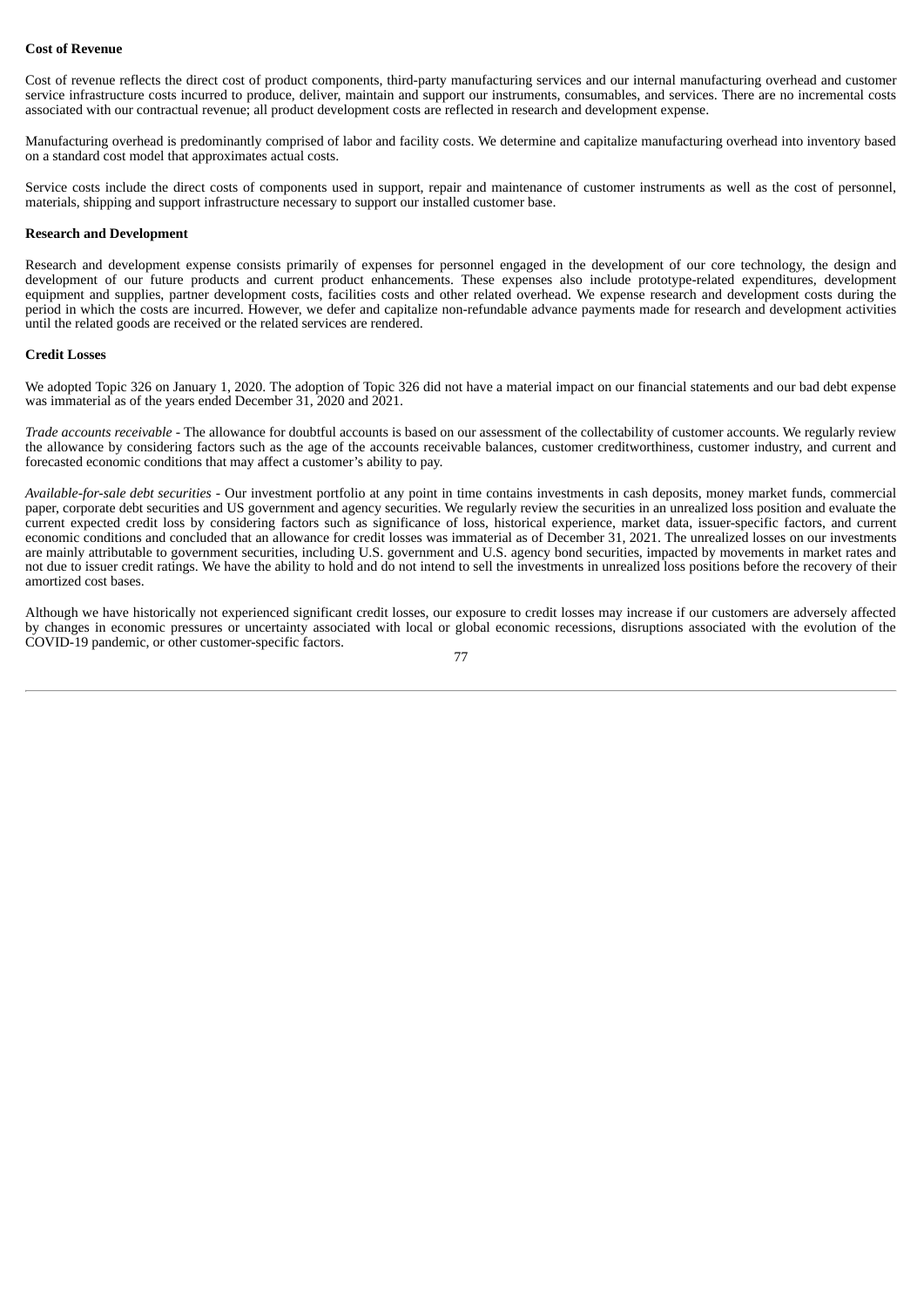## **Cost of Revenue**

Cost of revenue reflects the direct cost of product components, third-party manufacturing services and our internal manufacturing overhead and customer service infrastructure costs incurred to produce, deliver, maintain and support our instruments, consumables, and services. There are no incremental costs associated with our contractual revenue; all product development costs are reflected in research and development expense.

Manufacturing overhead is predominantly comprised of labor and facility costs. We determine and capitalize manufacturing overhead into inventory based on a standard cost model that approximates actual costs.

Service costs include the direct costs of components used in support, repair and maintenance of customer instruments as well as the cost of personnel, materials, shipping and support infrastructure necessary to support our installed customer base.

#### **Research and Development**

Research and development expense consists primarily of expenses for personnel engaged in the development of our core technology, the design and development of our future products and current product enhancements. These expenses also include prototype-related expenditures, development equipment and supplies, partner development costs, facilities costs and other related overhead. We expense research and development costs during the period in which the costs are incurred. However, we defer and capitalize non-refundable advance payments made for research and development activities until the related goods are received or the related services are rendered.

#### **Credit Losses**

We adopted Topic 326 on January 1, 2020. The adoption of Topic 326 did not have a material impact on our financial statements and our bad debt expense was immaterial as of the years ended December 31, 2020 and 2021.

*Trade accounts receivable* - The allowance for doubtful accounts is based on our assessment of the collectability of customer accounts. We regularly review the allowance by considering factors such as the age of the accounts receivable balances, customer creditworthiness, customer industry, and current and forecasted economic conditions that may affect a customer's ability to pay.

*Available-for-sale debt securities* - Our investment portfolio at any point in time contains investments in cash deposits, money market funds, commercial paper, corporate debt securities and US government and agency securities. We regularly review the securities in an unrealized loss position and evaluate the current expected credit loss by considering factors such as significance of loss, historical experience, market data, issuer-specific factors, and current economic conditions and concluded that an allowance for credit losses was immaterial as of December 31, 2021. The unrealized losses on our investments are mainly attributable to government securities, including U.S. government and U.S. agency bond securities, impacted by movements in market rates and not due to issuer credit ratings. We have the ability to hold and do not intend to sell the investments in unrealized loss positions before the recovery of their amortized cost bases.

Although we have historically not experienced significant credit losses, our exposure to credit losses may increase if our customers are adversely affected by changes in economic pressures or uncertainty associated with local or global economic recessions, disruptions associated with the evolution of the COVID-19 pandemic, or other customer-specific factors.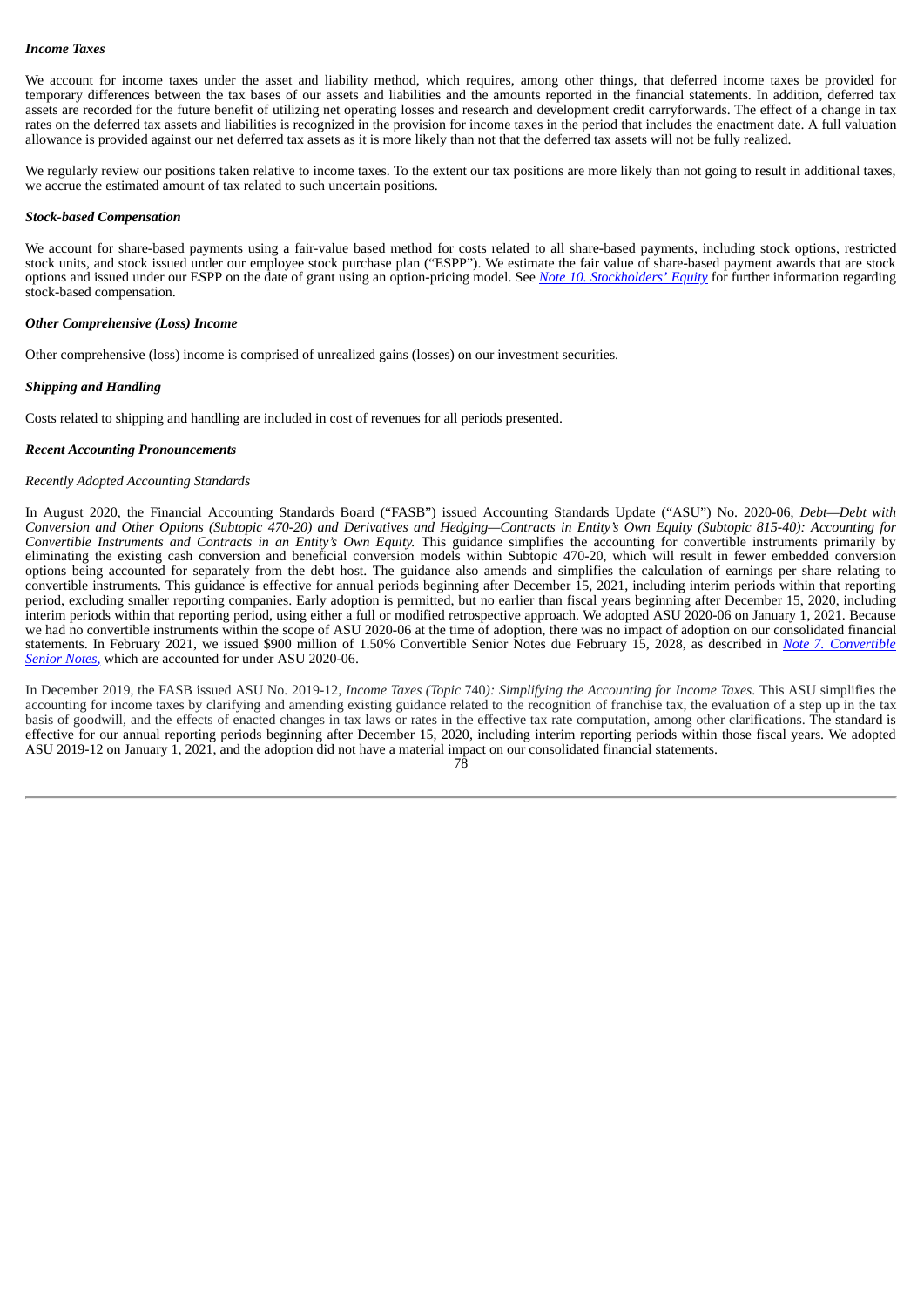#### *Income Taxes*

We account for income taxes under the asset and liability method, which requires, among other things, that deferred income taxes be provided for temporary differences between the tax bases of our assets and liabilities and the amounts reported in the financial statements. In addition, deferred tax assets are recorded for the future benefit of utilizing net operating losses and research and development credit carryforwards. The effect of a change in tax rates on the deferred tax assets and liabilities is recognized in the provision for income taxes in the period that includes the enactment date. A full valuation allowance is provided against our net deferred tax assets as it is more likely than not that the deferred tax assets will not be fully realized.

We regularly review our positions taken relative to income taxes. To the extent our tax positions are more likely than not going to result in additional taxes, we accrue the estimated amount of tax related to such uncertain positions.

#### *Stock-based Compensation*

We account for share-based payments using a fair-value based method for costs related to all share-based payments, including stock options, restricted stock units, and stock issued under our employee stock purchase plan ("ESPP"). We estimate the fair value of share-based payment awards that are stock options and issued under our ESPP on the date of grant using an option-pricing model. See *Note 10. Stockholders' Equity* for further information regarding stock-based compensation.

#### *Other Comprehensive (Loss) Income*

Other comprehensive (loss) income is comprised of unrealized gains (losses) on our investment securities.

#### *Shipping and Handling*

Costs related to shipping and handling are included in cost of revenues for all periods presented.

#### *Recent Accounting Pronouncements*

#### *Recently Adopted Accounting Standards*

In August 2020, the Financial Accounting Standards Board ("FASB") issued Accounting Standards Update ("ASU") No. 2020-06, *Debt—Debt with* Conversion and Other Options (Subtopic 470-20) and Derivatives and Hedging-Contracts in Entity's Own Equity (Subtopic 815-40): Accounting for *Convertible Instruments and Contracts in an Entity's Own Equity.* This guidance simplifies the accounting for convertible instruments primarily by eliminating the existing cash conversion and beneficial conversion models within Subtopic 470-20, which will result in fewer embedded conversion options being accounted for separately from the debt host. The guidance also amends and simplifies the calculation of earnings per share relating to convertible instruments. This guidance is effective for annual periods beginning after December 15, 2021, including interim periods within that reporting period, excluding smaller reporting companies. Early adoption is permitted, but no earlier than fiscal years beginning after December 15, 2020, including interim periods within that reporting period, using either a full or modified retrospective approach. We adopted ASU 2020-06 on January 1, 2021. Because we had no convertible instruments within the scope of ASU 2020-06 at the time of adoption, there was no impact of adoption on our consolidated financial statements. In February 2021, we issued \$900 million of 1.50% [Convertible](#page-91-0) Senior Notes due February 15, 2028, as described in *Note 7. Convertible Senior Notes,* which are accounted for under ASU 2020-06.

In December 2019, the FASB issued ASU No. 2019-12, *Income Taxes (Topic* 740*): Simplifying the Accounting for Income Taxes*. This ASU simplifies the accounting for income taxes by clarifying and amending existing guidance related to the recognition of franchise tax, the evaluation of a step up in the tax basis of goodwill, and the effects of enacted changes in tax laws or rates in the effective tax rate computation, among other clarifications. The standard is effective for our annual reporting periods beginning after December 15, 2020, including interim reporting periods within those fiscal years. We adopted ASU 2019-12 on January 1, 2021, and the adoption did not have a material impact on our consolidated financial statements. 78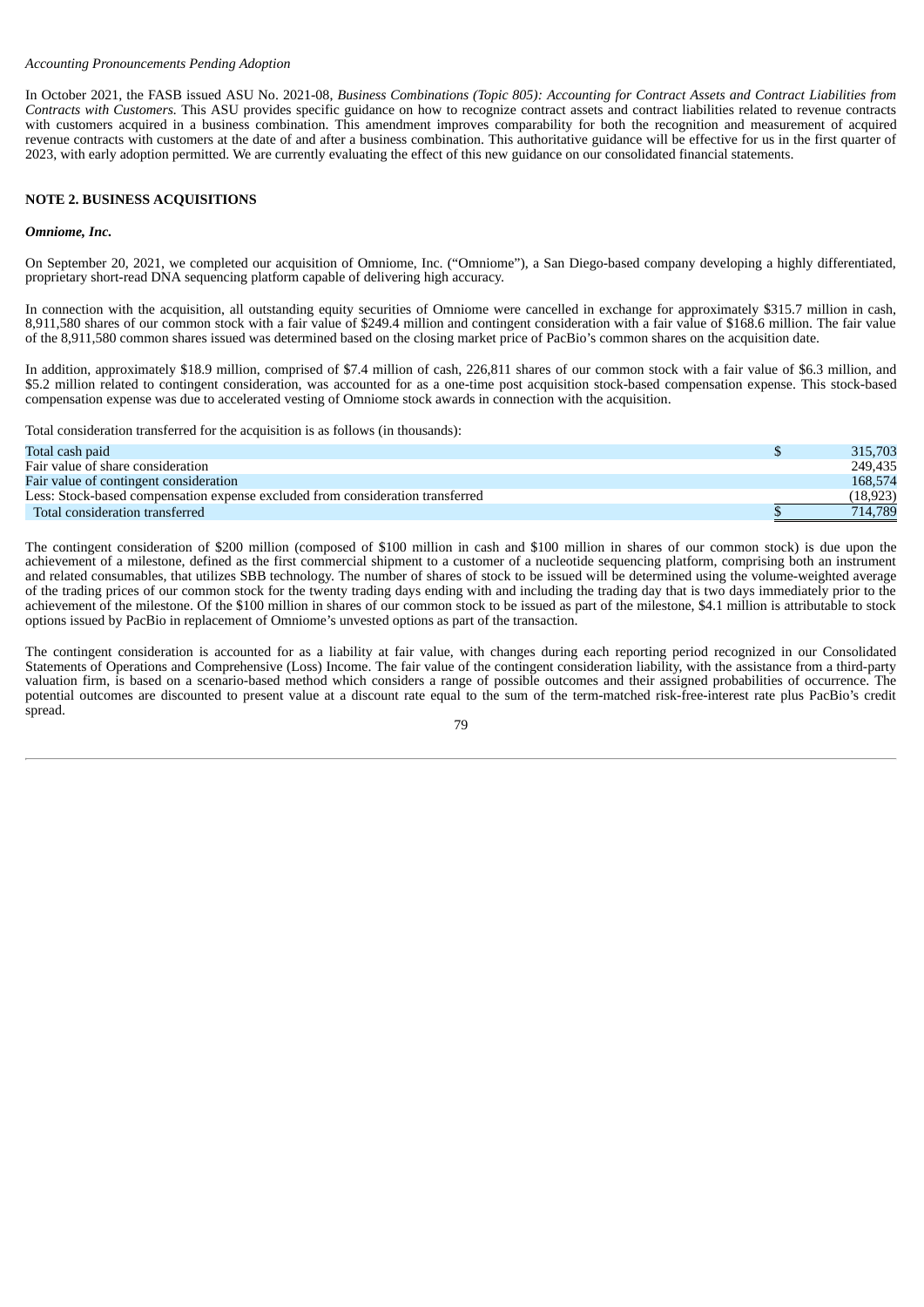#### *Accounting Pronouncements Pending Adoption*

In October 2021, the FASB issued ASU No. 2021-08, Business Combinations (Topic 805): Accounting for Contract Assets and Contract Liabilities from *Contracts with Customers.* This ASU provides specific guidance on how to recognize contract assets and contract liabilities related to revenue contracts with customers acquired in a business combination. This amendment improves comparability for both the recognition and measurement of acquired revenue contracts with customers at the date of and after a business combination. This authoritative guidance will be effective for us in the first quarter of 2023, with early adoption permitted. We are currently evaluating the effect of this new guidance on our consolidated financial statements.

## **NOTE 2. BUSINESS ACQUISITIONS**

#### *Omniome, Inc.*

On September 20, 2021, we completed our acquisition of Omniome, Inc. ("Omniome"), a San Diego-based company developing a highly differentiated, proprietary short-read DNA sequencing platform capable of delivering high accuracy.

In connection with the acquisition, all outstanding equity securities of Omniome were cancelled in exchange for approximately \$315.7 million in cash, 8,911,580 shares of our common stock with a fair value of \$249.4 million and contingent consideration with a fair value of \$168.6 million. The fair value of the 8,911,580 common shares issued was determined based on the closing market price of PacBio's common shares on the acquisition date.

In addition, approximately \$18.9 million, comprised of \$7.4 million of cash, 226,811 shares of our common stock with a fair value of \$6.3 million, and \$5.2 million related to contingent consideration, was accounted for as a one-time post acquisition stock-based compensation expense. This stock-based compensation expense was due to accelerated vesting of Omniome stock awards in connection with the acquisition.

Total consideration transferred for the acquisition is as follows (in thousands):

| Total cash paid                                                                | 315,703  |
|--------------------------------------------------------------------------------|----------|
| Fair value of share consideration                                              | 249,435  |
| Fair value of contingent consideration                                         | 168.574  |
| Less: Stock-based compensation expense excluded from consideration transferred | (18,923) |
| Total consideration transferred                                                | 714.789  |

The contingent consideration of \$200 million (composed of \$100 million in cash and \$100 million in shares of our common stock) is due upon the achievement of a milestone, defined as the first commercial shipment to a customer of a nucleotide sequencing platform, comprising both an instrument and related consumables, that utilizes SBB technology. The number of shares of stock to be issued will be determined using the volume-weighted average of the trading prices of our common stock for the twenty trading days ending with and including the trading day that is two days immediately prior to the achievement of the milestone. Of the \$100 million in shares of our common stock to be issued as part of the milestone, \$4.1 million is attributable to stock options issued by PacBio in replacement of Omniome's unvested options as part of the transaction.

The contingent consideration is accounted for as a liability at fair value, with changes during each reporting period recognized in our Consolidated Statements of Operations and Comprehensive (Loss) Income. The fair value of the contingent consideration liability, with the assistance from a third-party valuation firm, is based on a scenario-based method which considers a range of possible outcomes and their assigned probabilities of occurrence. The potential outcomes are discounted to present value at a discount rate equal to the sum of the term-matched risk-free-interest rate plus PacBio's credit spread.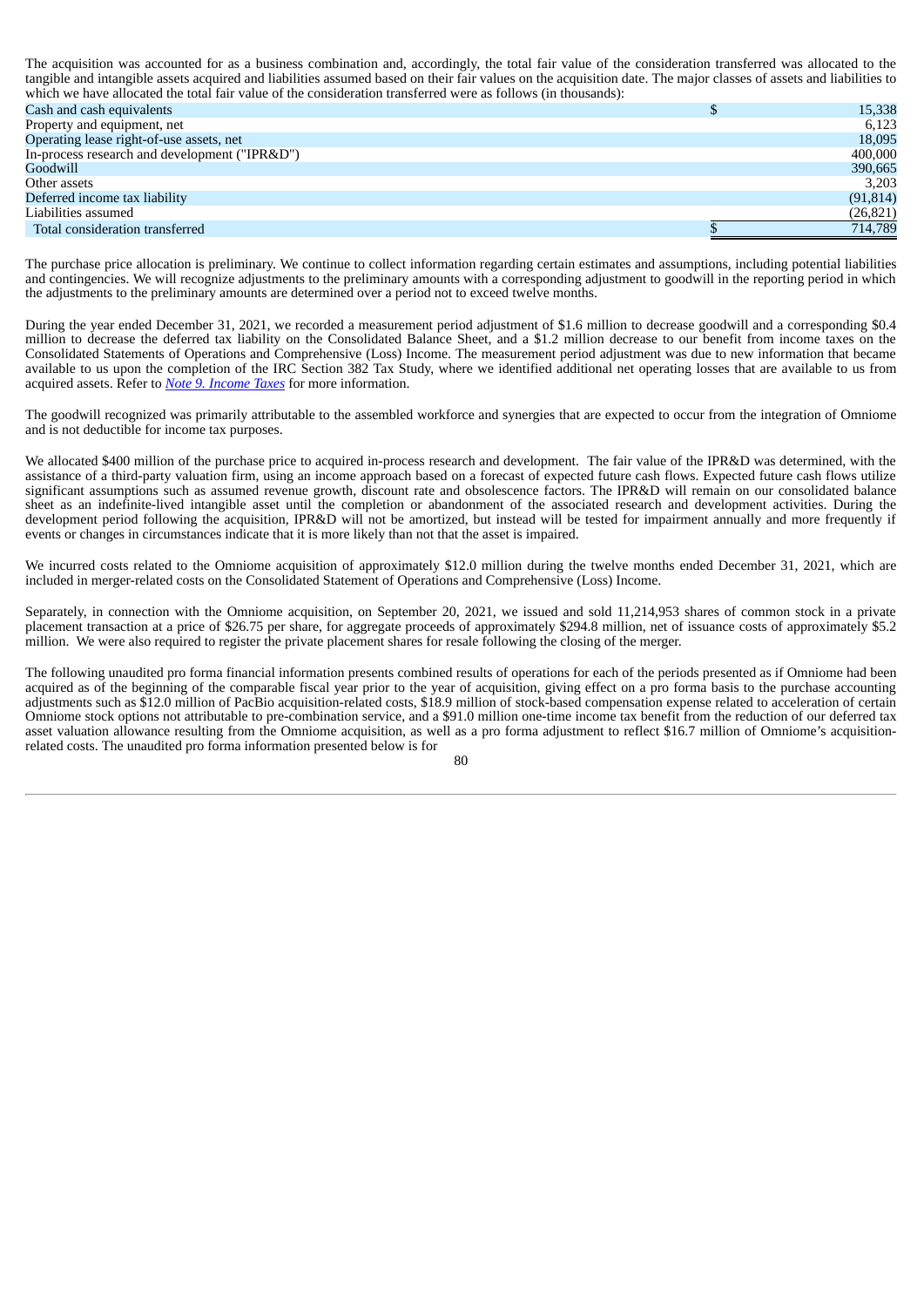The acquisition was accounted for as a business combination and, accordingly, the total fair value of the consideration transferred was allocated to the tangible and intangible assets acquired and liabilities assumed based on their fair values on the acquisition date. The major classes of assets and liabilities to which we have allocated the total fair value of the consideration transferred were as follows (in thousands):

| Cash and cash equivalents                     | 15,338    |
|-----------------------------------------------|-----------|
| Property and equipment, net                   | 6,123     |
| Operating lease right-of-use assets, net      | 18,095    |
| In-process research and development ("IPR&D") | 400,000   |
| Goodwill                                      | 390,665   |
| Other assets                                  | 3.203     |
| Deferred income tax liability                 | (91, 814) |
| Liabilities assumed                           | (26, 821) |
| Total consideration transferred               | 714.789   |
|                                               |           |

The purchase price allocation is preliminary. We continue to collect information regarding certain estimates and assumptions, including potential liabilities and contingencies. We will recognize adjustments to the preliminary amounts with a corresponding adjustment to goodwill in the reporting period in which the adjustments to the preliminary amounts are determined over a period not to exceed twelve months.

During the year ended December 31, 2021, we recorded a measurement period adjustment of \$1.6 million to decrease goodwill and a corresponding \$0.4 million to decrease the deferred tax liability on the Consolidated Balance Sheet, and a \$1.2 million decrease to our benefit from income taxes on the Consolidated Statements of Operations and Comprehensive (Loss) Income. The measurement period adjustment was due to new information that became available to us upon the completion of the IRC Section 382 Tax Study, where we identified additional net operating losses that are available to us from acquired assets. Refer to *Note 9. [Income](#page-95-0) Taxes* for more information.

The goodwill recognized was primarily attributable to the assembled workforce and synergies that are expected to occur from the integration of Omniome and is not deductible for income tax purposes.

We allocated \$400 million of the purchase price to acquired in-process research and development. The fair value of the IPR&D was determined, with the assistance of a third-party valuation firm, using an income approach based on a forecast of expected future cash flows. Expected future cash flows utilize significant assumptions such as assumed revenue growth, discount rate and obsolescence factors. The IPR&D will remain on our consolidated balance sheet as an indefinite-lived intangible asset until the completion or abandonment of the associated research and development activities. During the development period following the acquisition, IPR&D will not be amortized, but instead will be tested for impairment annually and more frequently if events or changes in circumstances indicate that it is more likely than not that the asset is impaired.

We incurred costs related to the Omniome acquisition of approximately \$12.0 million during the twelve months ended December 31, 2021, which are included in merger-related costs on the Consolidated Statement of Operations and Comprehensive (Loss) Income.

Separately, in connection with the Omniome acquisition, on September 20, 2021, we issued and sold 11,214,953 shares of common stock in a private placement transaction at a price of \$26.75 per share, for aggregate proceeds of approximately \$294.8 million, net of issuance costs of approximately \$5.2 million. We were also required to register the private placement shares for resale following the closing of the merger.

The following unaudited pro forma financial information presents combined results of operations for each of the periods presented as if Omniome had been acquired as of the beginning of the comparable fiscal year prior to the year of acquisition, giving effect on a pro forma basis to the purchase accounting adjustments such as \$12.0 million of PacBio acquisition-related costs, \$18.9 million of stock-based compensation expense related to acceleration of certain Omniome stock options not attributable to pre-combination service, and a \$91.0 million one-time income tax benefit from the reduction of our deferred tax asset valuation allowance resulting from the Omniome acquisition, as well as a pro forma adjustment to reflect \$16.7 million of Omniome's acquisitionrelated costs. The unaudited pro forma information presented below is for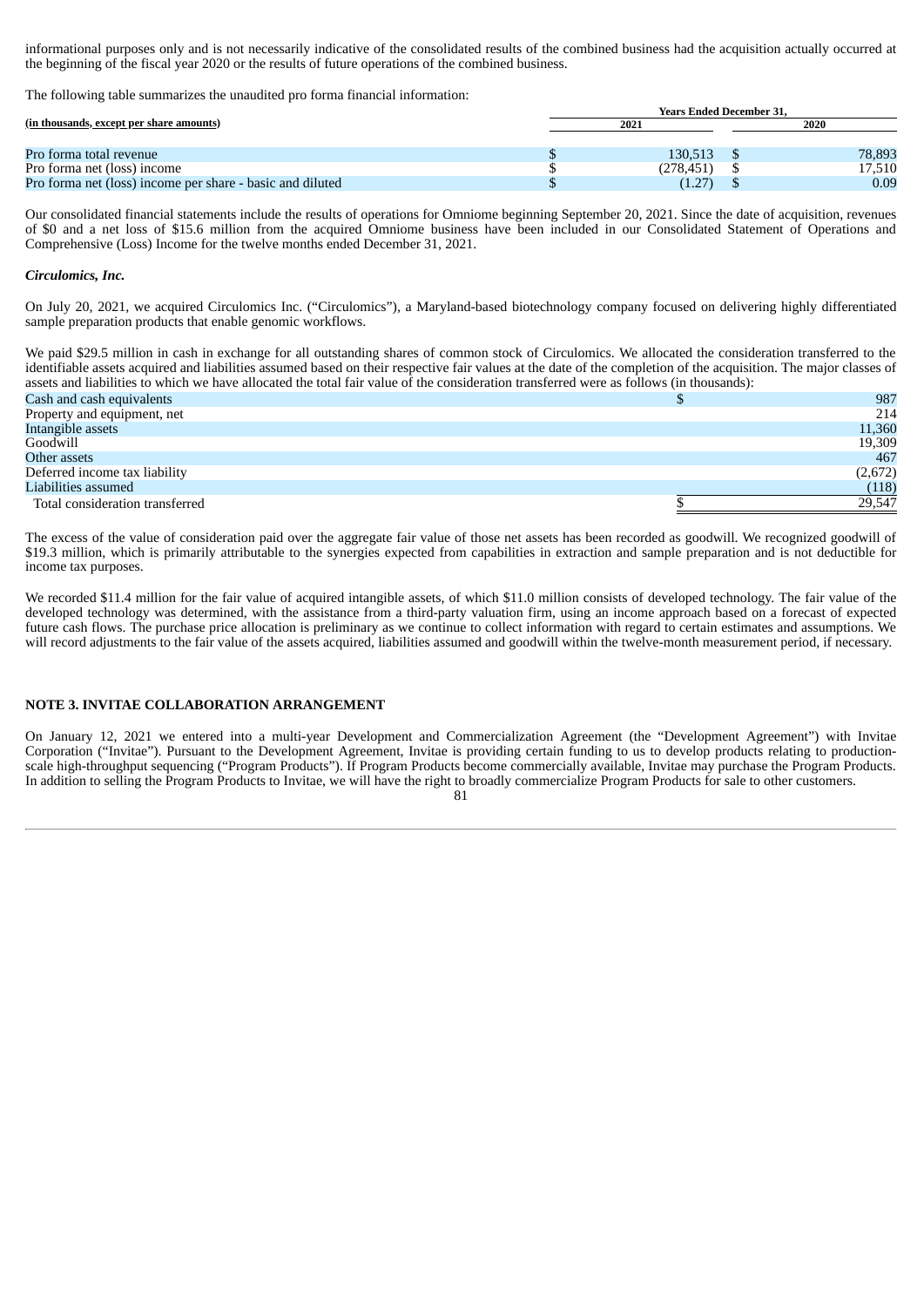informational purposes only and is not necessarily indicative of the consolidated results of the combined business had the acquisition actually occurred at the beginning of the fiscal year 2020 or the results of future operations of the combined business.

The following table summarizes the unaudited pro forma financial information:

|                                                           | <b>Years Ended December 31.</b> |           |  |        |  |  |  |  |  |  |
|-----------------------------------------------------------|---------------------------------|-----------|--|--------|--|--|--|--|--|--|
| (in thousands, except per share amounts)                  |                                 | 2021      |  | 2020   |  |  |  |  |  |  |
|                                                           |                                 |           |  |        |  |  |  |  |  |  |
| Pro forma total revenue                                   |                                 | 130.513   |  | 78,893 |  |  |  |  |  |  |
| Pro forma net (loss) income                               |                                 | (278.451) |  | 7.510  |  |  |  |  |  |  |
| Pro forma net (loss) income per share - basic and diluted |                                 |           |  | 0.09   |  |  |  |  |  |  |

Our consolidated financial statements include the results of operations for Omniome beginning September 20, 2021. Since the date of acquisition, revenues of \$0 and a net loss of \$15.6 million from the acquired Omniome business have been included in our Consolidated Statement of Operations and Comprehensive (Loss) Income for the twelve months ended December 31, 2021.

### *Circulomics, Inc.*

On July 20, 2021, we acquired Circulomics Inc. ("Circulomics"), a Maryland-based biotechnology company focused on delivering highly differentiated sample preparation products that enable genomic workflows.

We paid \$29.5 million in cash in exchange for all outstanding shares of common stock of Circulomics. We allocated the consideration transferred to the identifiable assets acquired and liabilities assumed based on their respective fair values at the date of the completion of the acquisition. The major classes of assets and liabilities to which we have allocated the total fair value of the consideration transferred were as follows (in thousands):

| 987     |
|---------|
| 214     |
| 11,360  |
| 19,309  |
| 467     |
| (2,672) |
| (118)   |
| 29,547  |
|         |

The excess of the value of consideration paid over the aggregate fair value of those net assets has been recorded as goodwill. We recognized goodwill of \$19.3 million, which is primarily attributable to the synergies expected from capabilities in extraction and sample preparation and is not deductible for income tax purposes.

We recorded \$11.4 million for the fair value of acquired intangible assets, of which \$11.0 million consists of developed technology. The fair value of the developed technology was determined, with the assistance from a third-party valuation firm, using an income approach based on a forecast of expected future cash flows. The purchase price allocation is preliminary as we continue to collect information with regard to certain estimates and assumptions. We will record adjustments to the fair value of the assets acquired, liabilities assumed and goodwill within the twelve-month measurement period, if necessary.

## **NOTE 3. INVITAE COLLABORATION ARRANGEMENT**

On January 12, 2021 we entered into a multi-year Development and Commercialization Agreement (the "Development Agreement") with Invitae Corporation ("Invitae"). Pursuant to the Development Agreement, Invitae is providing certain funding to us to develop products relating to productionscale high-throughput sequencing ("Program Products"). If Program Products become commercially available, Invitae may purchase the Program Products. In addition to selling the Program Products to Invitae, we will have the right to broadly commercialize Program Products for sale to other customers.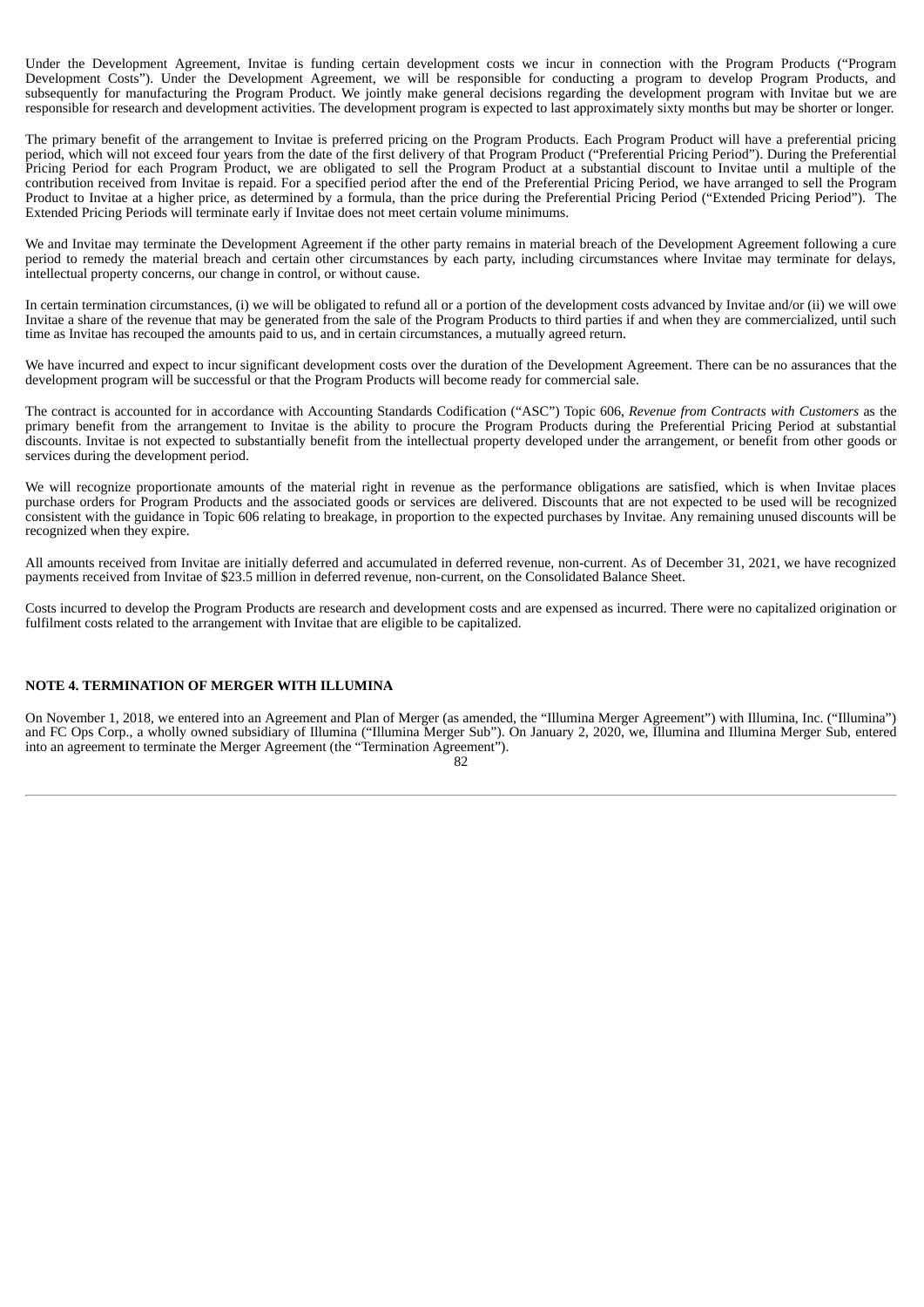Under the Development Agreement, Invitae is funding certain development costs we incur in connection with the Program Products ("Program Development Costs"). Under the Development Agreement, we will be responsible for conducting a program to develop Program Products, and subsequently for manufacturing the Program Product. We jointly make general decisions regarding the development program with Invitae but we are responsible for research and development activities. The development program is expected to last approximately sixty months but may be shorter or longer.

The primary benefit of the arrangement to Invitae is preferred pricing on the Program Products. Each Program Product will have a preferential pricing period, which will not exceed four years from the date of the first delivery of that Program Product ("Preferential Pricing Period"). During the Preferential Pricing Period for each Program Product, we are obligated to sell the Program Product at a substantial discount to Invitae until a multiple of the contribution received from Invitae is repaid. For a specified period after the end of the Preferential Pricing Period, we have arranged to sell the Program Product to Invitae at a higher price, as determined by a formula, than the price during the Preferential Pricing Period ("Extended Pricing Period"). The Extended Pricing Periods will terminate early if Invitae does not meet certain volume minimums.

We and Invitae may terminate the Development Agreement if the other party remains in material breach of the Development Agreement following a cure period to remedy the material breach and certain other circumstances by each party, including circumstances where Invitae may terminate for delays, intellectual property concerns, our change in control, or without cause.

In certain termination circumstances, (i) we will be obligated to refund all or a portion of the development costs advanced by Invitae and/or (ii) we will owe Invitae a share of the revenue that may be generated from the sale of the Program Products to third parties if and when they are commercialized, until such time as Invitae has recouped the amounts paid to us, and in certain circumstances, a mutually agreed return.

We have incurred and expect to incur significant development costs over the duration of the Development Agreement. There can be no assurances that the development program will be successful or that the Program Products will become ready for commercial sale.

The contract is accounted for in accordance with Accounting Standards Codification ("ASC") Topic 606, *Revenue from Contracts with Customers* as the primary benefit from the arrangement to Invitae is the ability to procure the Program Products during the Preferential Pricing Period at substantial discounts. Invitae is not expected to substantially benefit from the intellectual property developed under the arrangement, or benefit from other goods or services during the development period.

We will recognize proportionate amounts of the material right in revenue as the performance obligations are satisfied, which is when Invitae places purchase orders for Program Products and the associated goods or services are delivered. Discounts that are not expected to be used will be recognized consistent with the guidance in Topic 606 relating to breakage, in proportion to the expected purchases by Invitae. Any remaining unused discounts will be recognized when they expire.

All amounts received from Invitae are initially deferred and accumulated in deferred revenue, non-current. As of December 31, 2021, we have recognized payments received from Invitae of \$23.5 million in deferred revenue, non-current, on the Consolidated Balance Sheet.

Costs incurred to develop the Program Products are research and development costs and are expensed as incurred. There were no capitalized origination or fulfilment costs related to the arrangement with Invitae that are eligible to be capitalized.

## **NOTE 4. TERMINATION OF MERGER WITH ILLUMINA**

On November 1, 2018, we entered into an Agreement and Plan of Merger (as amended, the "Illumina Merger Agreement") with Illumina, Inc. ("Illumina") and FC Ops Corp., a wholly owned subsidiary of Illumina ("Illumina Merger Sub"). On January 2, 2020, we, Illumina and Illumina Merger Sub, entered into an agreement to terminate the Merger Agreement (the "Termination Agreement").

 $82$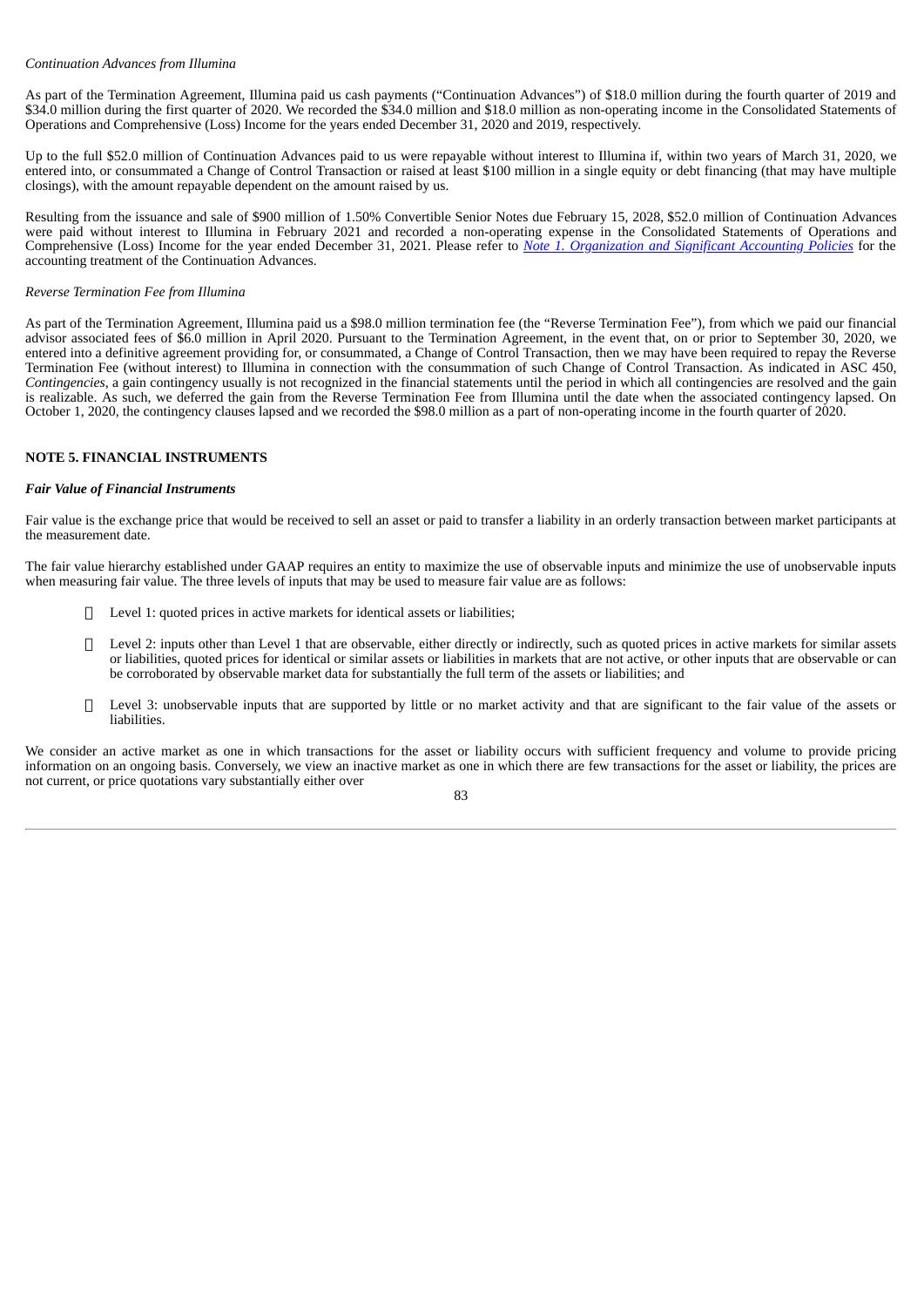#### *Continuation Advances from Illumina*

As part of the Termination Agreement, Illumina paid us cash payments ("Continuation Advances") of \$18.0 million during the fourth quarter of 2019 and \$34.0 million during the first quarter of 2020. We recorded the \$34.0 million and \$18.0 million as non-operating income in the Consolidated Statements of Operations and Comprehensive (Loss) Income for the years ended December 31, 2020 and 2019, respectively.

Up to the full \$52.0 million of Continuation Advances paid to us were repayable without interest to Illumina if, within two years of March 31, 2020, we entered into, or consummated a Change of Control Transaction or raised at least \$100 million in a single equity or debt financing (that may have multiple closings), with the amount repayable dependent on the amount raised by us.

Resulting from the issuance and sale of \$900 million of 1.50% Convertible Senior Notes due February 15, 2028, \$52.0 million of Continuation Advances were paid without interest to Illumina in February 2021 and recorded a non-operating expense in the Consolidated Statements of Operations and Comprehensive (Loss) Income for the year ended December 31, 2021. Please refer to *Note 1. [Organization](#page-74-1) and Significant Accounting Policies* for the accounting treatment of the Continuation Advances.

### *Reverse Termination Fee from Illumina*

As part of the Termination Agreement, Illumina paid us a \$98.0 million termination fee (the "Reverse Termination Fee"), from which we paid our financial advisor associated fees of \$6.0 million in April 2020. Pursuant to the Termination Agreement, in the event that, on or prior to September 30, 2020, we entered into a definitive agreement providing for, or consummated, a Change of Control Transaction, then we may have been required to repay the Reverse Termination Fee (without interest) to Illumina in connection with the consummation of such Change of Control Transaction. As indicated in ASC 450, *Contingencies*, a gain contingency usually is not recognized in the financial statements until the period in which all contingencies are resolved and the gain is realizable. As such, we deferred the gain from the Reverse Termination Fee from Illumina until the date when the associated contingency lapsed. On October 1, 2020, the contingency clauses lapsed and we recorded the \$98.0 million as a part of non-operating income in the fourth quarter of 2020.

## **NOTE 5. FINANCIAL INSTRUMENTS**

## *Fair Value of Financial Instruments*

Fair value is the exchange price that would be received to sell an asset or paid to transfer a liability in an orderly transaction between market participants at the measurement date.

The fair value hierarchy established under GAAP requires an entity to maximize the use of observable inputs and minimize the use of unobservable inputs when measuring fair value. The three levels of inputs that may be used to measure fair value are as follows:

- Level 1: quoted prices in active markets for identical assets or liabilities;
- $\Box$  Level 2: inputs other than Level 1 that are observable, either directly or indirectly, such as quoted prices in active markets for similar assets or liabilities, quoted prices for identical or similar assets or liabilities in markets that are not active, or other inputs that are observable or can be corroborated by observable market data for substantially the full term of the assets or liabilities; and
- Level 3: unobservable inputs that are supported by little or no market activity and that are significant to the fair value of the assets or liabilities.

We consider an active market as one in which transactions for the asset or liability occurs with sufficient frequency and volume to provide pricing information on an ongoing basis. Conversely, we view an inactive market as one in which there are few transactions for the asset or liability, the prices are not current, or price quotations vary substantially either over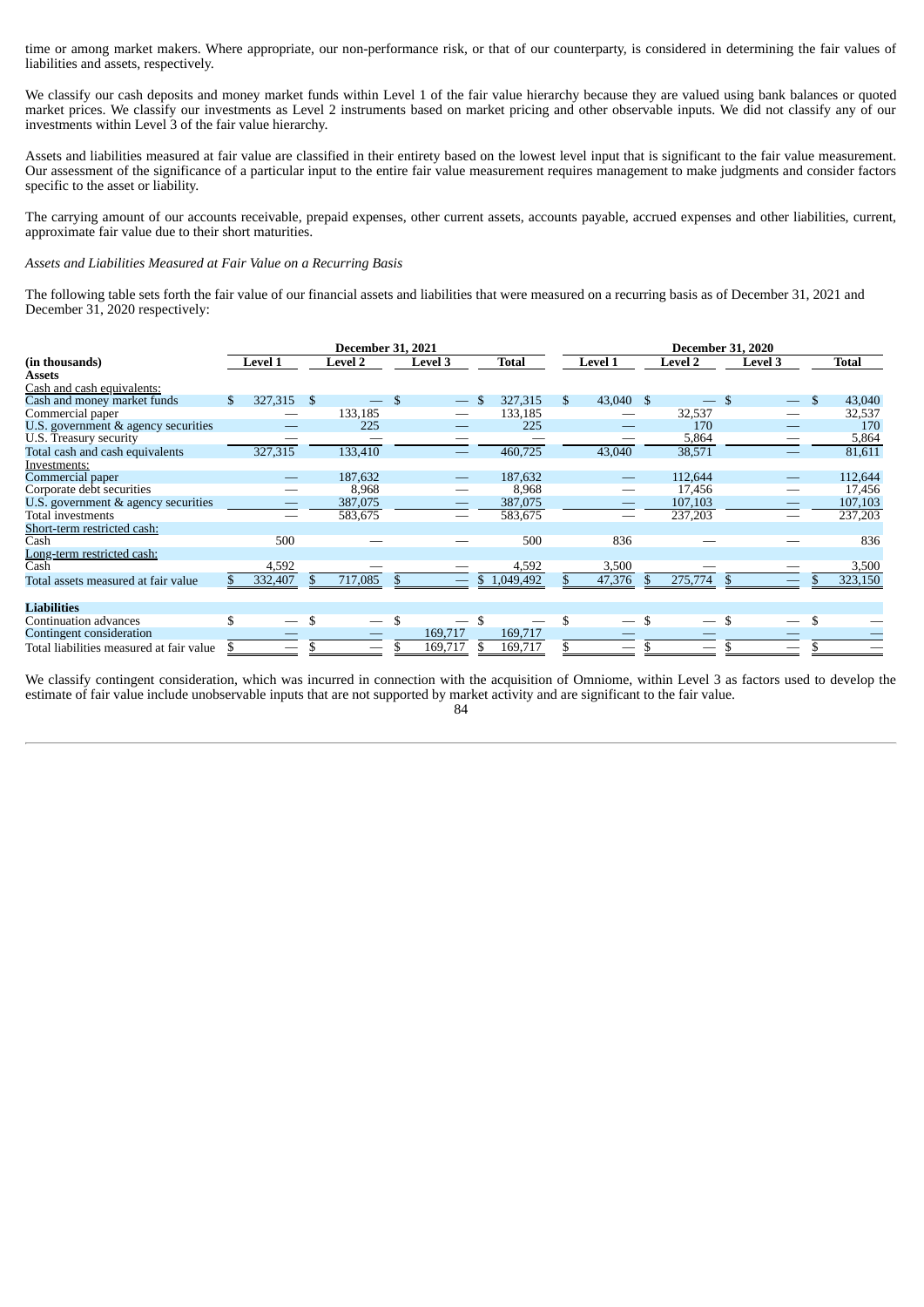time or among market makers. Where appropriate, our non-performance risk, or that of our counterparty, is considered in determining the fair values of liabilities and assets, respectively.

We classify our cash deposits and money market funds within Level 1 of the fair value hierarchy because they are valued using bank balances or quoted market prices. We classify our investments as Level 2 instruments based on market pricing and other observable inputs. We did not classify any of our investments within Level 3 of the fair value hierarchy.

Assets and liabilities measured at fair value are classified in their entirety based on the lowest level input that is significant to the fair value measurement. Our assessment of the significance of a particular input to the entire fair value measurement requires management to make judgments and consider factors specific to the asset or liability.

The carrying amount of our accounts receivable, prepaid expenses, other current assets, accounts payable, accrued expenses and other liabilities, current, approximate fair value due to their short maturities.

## *Assets and Liabilities Measured at Fair Value on a Recurring Basis*

The following table sets forth the fair value of our financial assets and liabilities that were measured on a recurring basis as of December 31, 2021 and December 31, 2020 respectively:

|                                          | <b>December 31, 2021</b> |            |  |                |    |                |               | <b>December 31, 2020</b> |               |           |                         |                |    |         |  |              |
|------------------------------------------|--------------------------|------------|--|----------------|----|----------------|---------------|--------------------------|---------------|-----------|-------------------------|----------------|----|---------|--|--------------|
| (in thousands)                           |                          | ⊥evel 1    |  | <b>Level 2</b> |    | <b>Level 3</b> |               | <b>Total</b>             |               | Level 1   |                         | <b>Level 2</b> |    | Level 3 |  | <b>Total</b> |
| Assets                                   |                          |            |  |                |    |                |               |                          |               |           |                         |                |    |         |  |              |
| Cash and cash equivalents:               |                          |            |  |                |    |                |               |                          |               |           |                         |                |    |         |  |              |
| Cash and money market funds              |                          | 327,315 \$ |  |                | -S |                | <sup>\$</sup> | 327,315                  | <sup>\$</sup> | 43,040 \$ |                         |                |    |         |  | 43,040       |
| Commercial paper                         |                          |            |  | 133,185        |    |                |               | 133,185                  |               |           |                         | 32,537         |    |         |  | 32,537       |
| U.S. government & agency securities      |                          |            |  | 225            |    |                |               | 225                      |               |           |                         | 170            |    |         |  | 170          |
| U.S. Treasury security                   |                          |            |  |                |    |                |               |                          |               |           |                         | 5,864          |    |         |  | 5,864        |
| Total cash and cash equivalents          |                          | 327,315    |  | 133,410        |    |                |               | 460,725                  |               | 43,040    |                         | 38,571         |    |         |  | 81,611       |
| Investments:                             |                          |            |  |                |    |                |               |                          |               |           |                         |                |    |         |  |              |
| Commercial paper                         |                          |            |  | 187,632        |    |                |               | 187,632                  |               |           |                         | 112,644        |    |         |  | 112,644      |
| Corporate debt securities                |                          |            |  | 8,968          |    |                |               | 8,968                    |               |           |                         | 17,456         |    |         |  | 17,456       |
| U.S. government & agency securities      |                          |            |  | 387,075        |    |                |               | 387,075                  |               |           |                         | 107,103        |    |         |  | 107,103      |
| Total investments                        |                          |            |  | 583,675        |    |                |               | 583,675                  |               |           |                         | 237,203        |    |         |  | 237,203      |
| Short-term restricted cash:              |                          |            |  |                |    |                |               |                          |               |           |                         |                |    |         |  |              |
| Cash                                     |                          | 500        |  |                |    |                |               | 500                      |               | 836       |                         |                |    |         |  | 836          |
| Long-term restricted cash:               |                          |            |  |                |    |                |               |                          |               |           |                         |                |    |         |  |              |
| Cash                                     |                          | 4,592      |  |                |    |                |               | 4,592                    |               | 3,500     |                         |                |    |         |  | 3,500        |
| Total assets measured at fair value      |                          | 332,407    |  | 717,085        | S. |                |               | \$1,049,492              |               | 47,376    |                         | 275,774        |    |         |  | 323,150      |
|                                          |                          |            |  |                |    |                |               |                          |               |           |                         |                |    |         |  |              |
| <b>Liabilities</b>                       |                          |            |  |                |    |                |               |                          |               |           |                         |                |    |         |  |              |
| Continuation advances                    | \$                       |            |  |                | \$ |                | \$            |                          |               |           | $\mathbf{\mathfrak{F}}$ |                | \$ |         |  |              |
| Contingent consideration                 |                          |            |  |                |    | 169,717        |               | 169,717                  |               |           |                         |                |    |         |  |              |
| Total liabilities measured at fair value |                          |            |  |                |    | 169,717        |               | 169,717                  |               |           |                         |                |    |         |  |              |

We classify contingent consideration, which was incurred in connection with the acquisition of Omniome, within Level 3 as factors used to develop the estimate of fair value include unobservable inputs that are not supported by market activity and are significant to the fair value.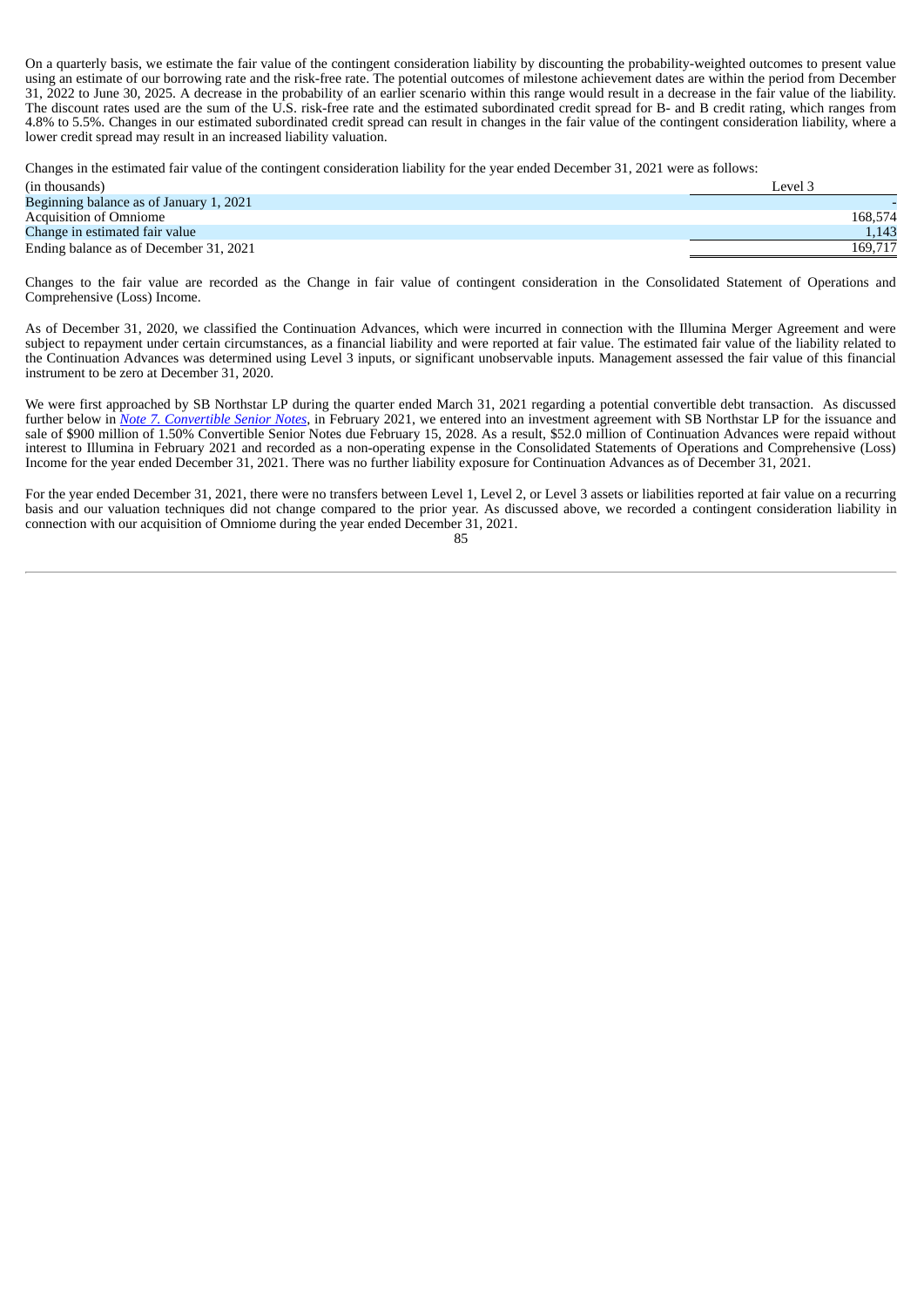On a quarterly basis, we estimate the fair value of the contingent consideration liability by discounting the probability-weighted outcomes to present value using an estimate of our borrowing rate and the risk-free rate. The potential outcomes of milestone achievement dates are within the period from December 31, 2022 to June 30, 2025. A decrease in the probability of an earlier scenario within this range would result in a decrease in the fair value of the liability. The discount rates used are the sum of the U.S. risk-free rate and the estimated subordinated credit spread for B- and B credit rating, which ranges from 4.8% to 5.5%. Changes in our estimated subordinated credit spread can result in changes in the fair value of the contingent consideration liability, where a lower credit spread may result in an increased liability valuation.

Changes in the estimated fair value of the contingent consideration liability for the year ended December 31, 2021 were as follows:

| (in thousands)                          | Level 3 |
|-----------------------------------------|---------|
| Beginning balance as of January 1, 2021 |         |
| <b>Acquisition of Omniome</b>           | 168.574 |
| Change in estimated fair value          | 1.143   |
| Ending balance as of December 31, 2021  | 169.717 |

Changes to the fair value are recorded as the Change in fair value of contingent consideration in the Consolidated Statement of Operations and Comprehensive (Loss) Income.

As of December 31, 2020, we classified the Continuation Advances, which were incurred in connection with the Illumina Merger Agreement and were subject to repayment under certain circumstances, as a financial liability and were reported at fair value. The estimated fair value of the liability related to the Continuation Advances was determined using Level 3 inputs, or significant unobservable inputs. Management assessed the fair value of this financial instrument to be zero at December 31, 2020.

We were first approached by SB Northstar LP during the quarter ended March 31, 2021 regarding a potential convertible debt transaction. As discussed further below in *Note 7. [Convertible](#page-91-0) Senior Notes*, in February 2021, we entered into an investment agreement with SB Northstar LP for the issuance and sale of \$900 million of 1.50% Convertible Senior Notes due February 15, 2028. As a result, \$52.0 million of Continuation Advances were repaid without interest to Illumina in February 2021 and recorded as a non-operating expense in the Consolidated Statements of Operations and Comprehensive (Loss) Income for the year ended December 31, 2021. There was no further liability exposure for Continuation Advances as of December 31, 2021.

For the year ended December 31, 2021, there were no transfers between Level 1, Level 2, or Level 3 assets or liabilities reported at fair value on a recurring basis and our valuation techniques did not change compared to the prior year. As discussed above, we recorded a contingent consideration liability in connection with our acquisition of Omniome during the year ended December 31, 2021.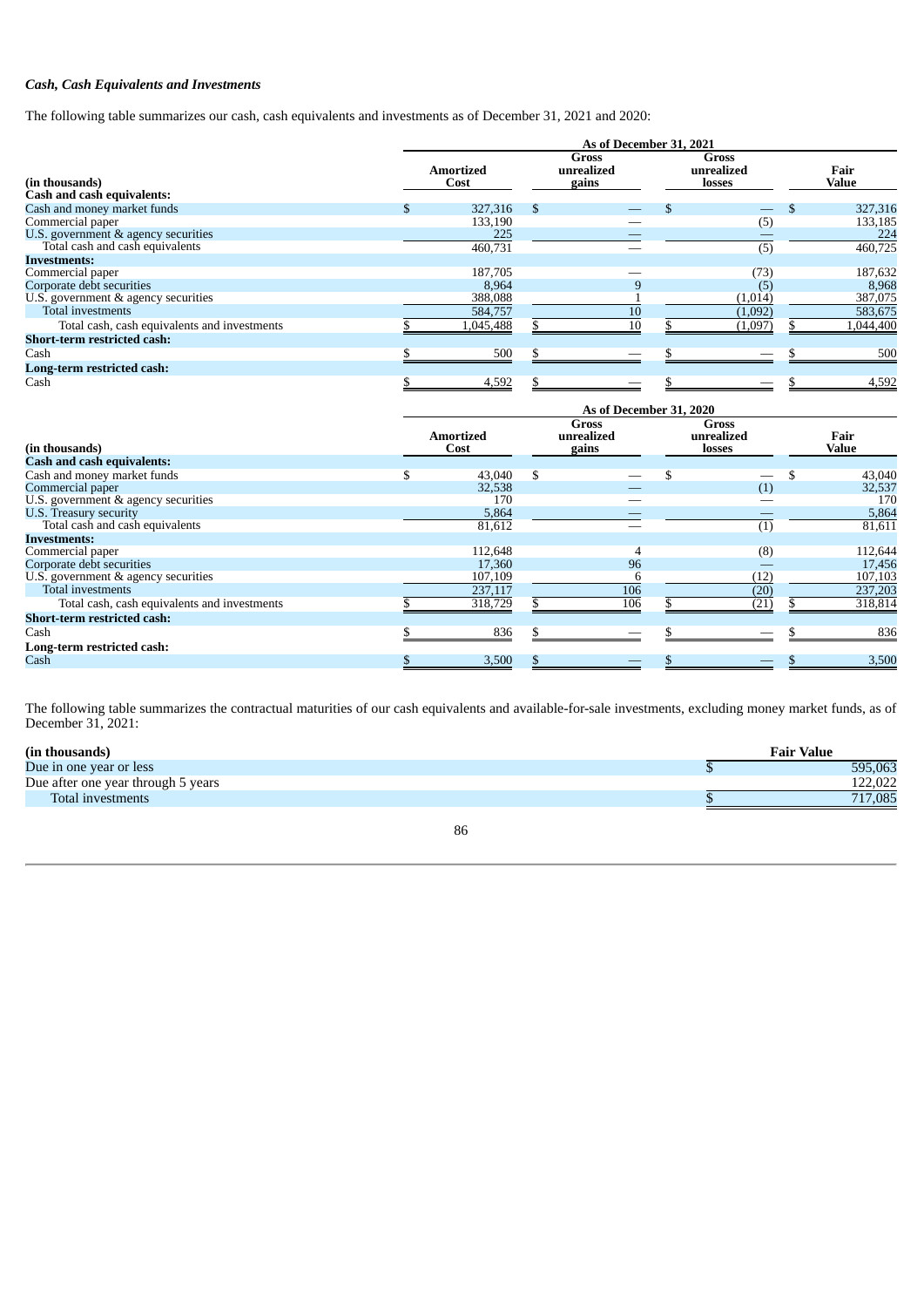# *Cash, Cash Equivalents and Investments*

The following table summarizes our cash, cash equivalents and investments as of December 31, 2021 and 2020:

|                                                     | As of December 31, 2021 |                   |    |                                     |  |                                      |  |               |  |  |  |
|-----------------------------------------------------|-------------------------|-------------------|----|-------------------------------------|--|--------------------------------------|--|---------------|--|--|--|
| (in thousands)<br><b>Cash and cash equivalents:</b> |                         | Amortized<br>Cost |    | <b>Gross</b><br>unrealized<br>gains |  | <b>Gross</b><br>unrealized<br>losses |  | Fair<br>Value |  |  |  |
| Cash and money market funds                         |                         | 327,316           | -S |                                     |  |                                      |  | 327,316       |  |  |  |
| Commercial paper                                    |                         | 133,190           |    |                                     |  | (5)                                  |  | 133,185       |  |  |  |
| U.S. government & agency securities                 |                         | 225               |    |                                     |  |                                      |  | 224           |  |  |  |
| Total cash and cash equivalents                     |                         | 460,731           |    |                                     |  | (5)                                  |  | 460,725       |  |  |  |
| <b>Investments:</b>                                 |                         |                   |    |                                     |  |                                      |  |               |  |  |  |
| Commercial paper                                    |                         | 187,705           |    |                                     |  | (73)                                 |  | 187,632       |  |  |  |
| Corporate debt securities                           |                         | 8,964             |    |                                     |  | (5)                                  |  | 8,968         |  |  |  |
| U.S. government & agency securities                 |                         | 388,088           |    |                                     |  | (1,014)                              |  | 387,075       |  |  |  |
| Total investments                                   |                         | 584,757           |    | 10                                  |  | (1,092)                              |  | 583,675       |  |  |  |
| Total cash, cash equivalents and investments        |                         | 1,045,488         |    | 10                                  |  | (1,097)                              |  | 1,044,400     |  |  |  |
| <b>Short-term restricted cash:</b>                  |                         |                   |    |                                     |  |                                      |  |               |  |  |  |
| Cash                                                |                         | 500               |    |                                     |  |                                      |  | 500           |  |  |  |
| Long-term restricted cash:                          |                         |                   |    |                                     |  |                                      |  |               |  |  |  |
| Cash                                                |                         | 4,592             |    |                                     |  |                                      |  | 4,592         |  |  |  |

|                                              | As of December 31, 2020 |     |                              |  |                                      |  |                      |  |  |  |  |
|----------------------------------------------|-------------------------|-----|------------------------------|--|--------------------------------------|--|----------------------|--|--|--|--|
| (in thousands)                               | Amortized<br>Cost       |     | Gross<br>unrealized<br>gains |  | <b>Gross</b><br>unrealized<br>losses |  | Fair<br><b>Value</b> |  |  |  |  |
| <b>Cash and cash equivalents:</b>            |                         |     |                              |  |                                      |  |                      |  |  |  |  |
| Cash and money market funds                  | 43,040                  | -\$ |                              |  |                                      |  | 43,040               |  |  |  |  |
| Commercial paper                             | 32,538                  |     |                              |  | (1)                                  |  | 32,537               |  |  |  |  |
| U.S. government & agency securities          | 170                     |     |                              |  |                                      |  | 170                  |  |  |  |  |
| U.S. Treasury security                       | 5,864                   |     |                              |  |                                      |  | 5,864                |  |  |  |  |
| Total cash and cash equivalents              | 81,612                  |     |                              |  | (1)                                  |  | 81,611               |  |  |  |  |
| <b>Investments:</b>                          |                         |     |                              |  |                                      |  |                      |  |  |  |  |
| Commercial paper                             | 112,648                 |     | 4                            |  | (8)                                  |  | 112,644              |  |  |  |  |
| Corporate debt securities                    | 17,360                  |     | 96                           |  |                                      |  | 17,456               |  |  |  |  |
| U.S. government & agency securities          | 107,109                 |     |                              |  | (12)                                 |  | 107,103              |  |  |  |  |
| Total investments                            | 237,117                 |     | 106                          |  | (20)                                 |  | 237,203              |  |  |  |  |
| Total cash, cash equivalents and investments | 318,729                 |     | 106                          |  | (21)                                 |  | 318,814              |  |  |  |  |
| Short-term restricted cash:                  |                         |     |                              |  |                                      |  |                      |  |  |  |  |
| Cash                                         | 836                     |     |                              |  |                                      |  | 836                  |  |  |  |  |
| Long-term restricted cash:                   |                         |     |                              |  |                                      |  |                      |  |  |  |  |
| Cash                                         | 3,500                   |     |                              |  |                                      |  | 3,500                |  |  |  |  |

The following table summarizes the contractual maturities of our cash equivalents and available-for-sale investments, excluding money market funds, as of December 31, 2021:

| (in thousands)                     | <b>Fair Value</b> |
|------------------------------------|-------------------|
| Due in one year or less            | 595,063           |
| Due after one year through 5 years | 122.022           |
| Total investments                  | 717.085           |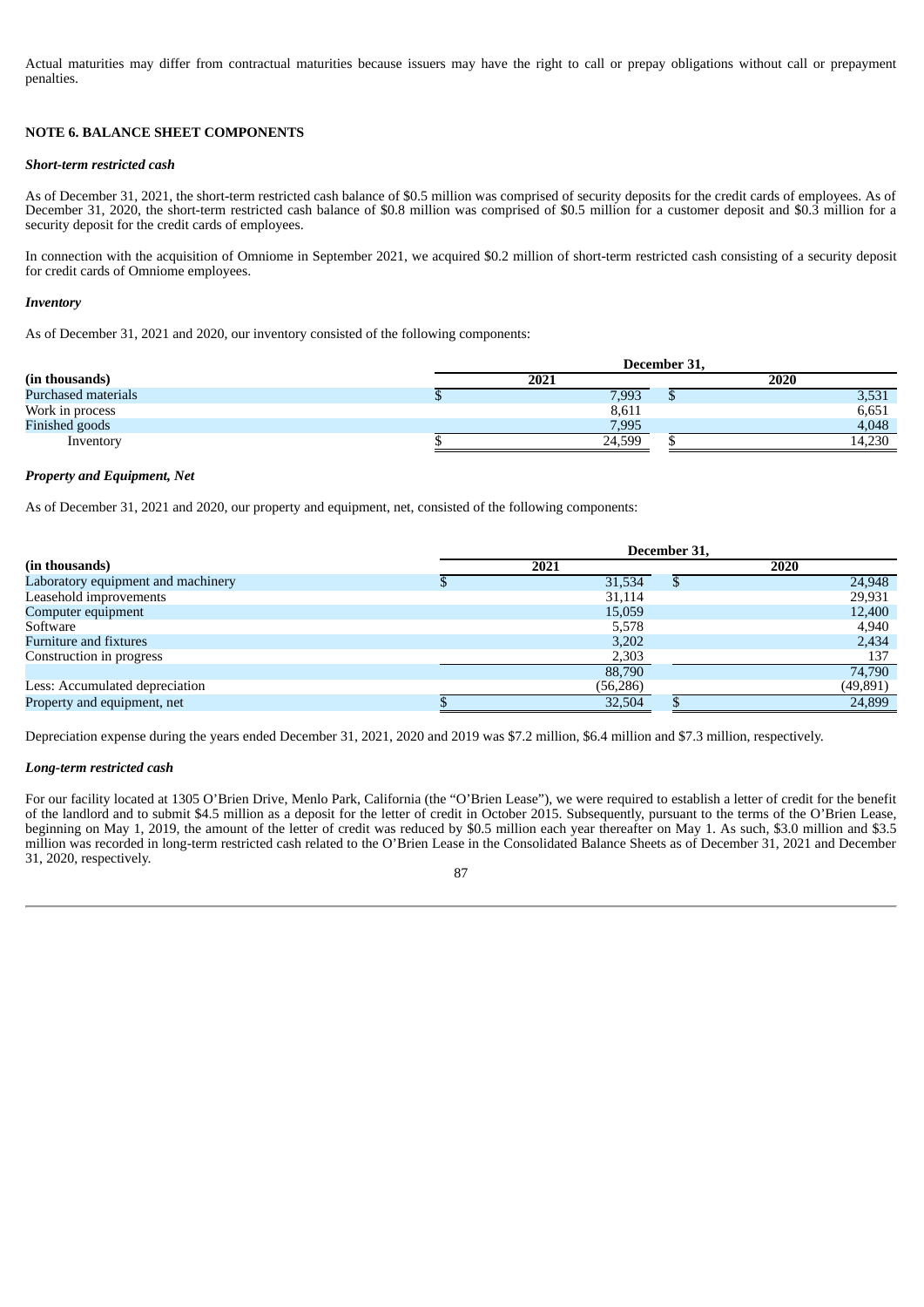Actual maturities may differ from contractual maturities because issuers may have the right to call or prepay obligations without call or prepayment penalties.

## **NOTE 6. BALANCE SHEET COMPONENTS**

#### *Short-term restricted cash*

As of December 31, 2021, the short-term restricted cash balance of \$0.5 million was comprised of security deposits for the credit cards of employees. As of December 31, 2020, the short-term restricted cash balance of \$0.8 million was comprised of \$0.5 million for a customer deposit and \$0.3 million for a security deposit for the credit cards of employees.

In connection with the acquisition of Omniome in September 2021, we acquired \$0.2 million of short-term restricted cash consisting of a security deposit for credit cards of Omniome employees.

#### *Inventory*

As of December 31, 2021 and 2020, our inventory consisted of the following components:

|                     | December 31, |        |  |  |
|---------------------|--------------|--------|--|--|
| (in thousands)      | 2021         | 2020   |  |  |
| Purchased materials | 7,993        | 3,531  |  |  |
| Work in process     | 8,611        | 6,651  |  |  |
| Finished goods      | 7,995        | 4,048  |  |  |
| Inventory           | 24,599       | 14,230 |  |  |

### *Property and Equipment, Net*

As of December 31, 2021 and 2020, our property and equipment, net, consisted of the following components:

|                                    | December 31, |  |           |  |
|------------------------------------|--------------|--|-----------|--|
| (in thousands)                     | 2021         |  | 2020      |  |
| Laboratory equipment and machinery | 31,534       |  | 24,948    |  |
| Leasehold improvements             | 31,114       |  | 29,931    |  |
| Computer equipment                 | 15,059       |  | 12,400    |  |
| Software                           | 5,578        |  | 4,940     |  |
| Furniture and fixtures             | 3,202        |  | 2,434     |  |
| Construction in progress           | 2,303        |  | 137       |  |
|                                    | 88,790       |  | 74,790    |  |
| Less: Accumulated depreciation     | (56, 286)    |  | (49, 891) |  |
| Property and equipment, net        | 32,504       |  | 24,899    |  |

Depreciation expense during the years ended December 31, 2021, 2020 and 2019 was \$7.2 million, \$6.4 million and \$7.3 million, respectively.

#### *Long-term restricted cash*

For our facility located at 1305 O'Brien Drive, Menlo Park, California (the "O'Brien Lease"), we were required to establish a letter of credit for the benefit of the landlord and to submit \$4.5 million as a deposit for the letter of credit in October 2015. Subsequently, pursuant to the terms of the O'Brien Lease, beginning on May 1, 2019, the amount of the letter of credit was reduced by \$0.5 million each year thereafter on May 1. As such, \$3.0 million and \$3.5 million was recorded in long-term restricted cash related to the O'Brien Lease in the Consolidated Balance Sheets as of December 31, 2021 and December 31, 2020, respectively.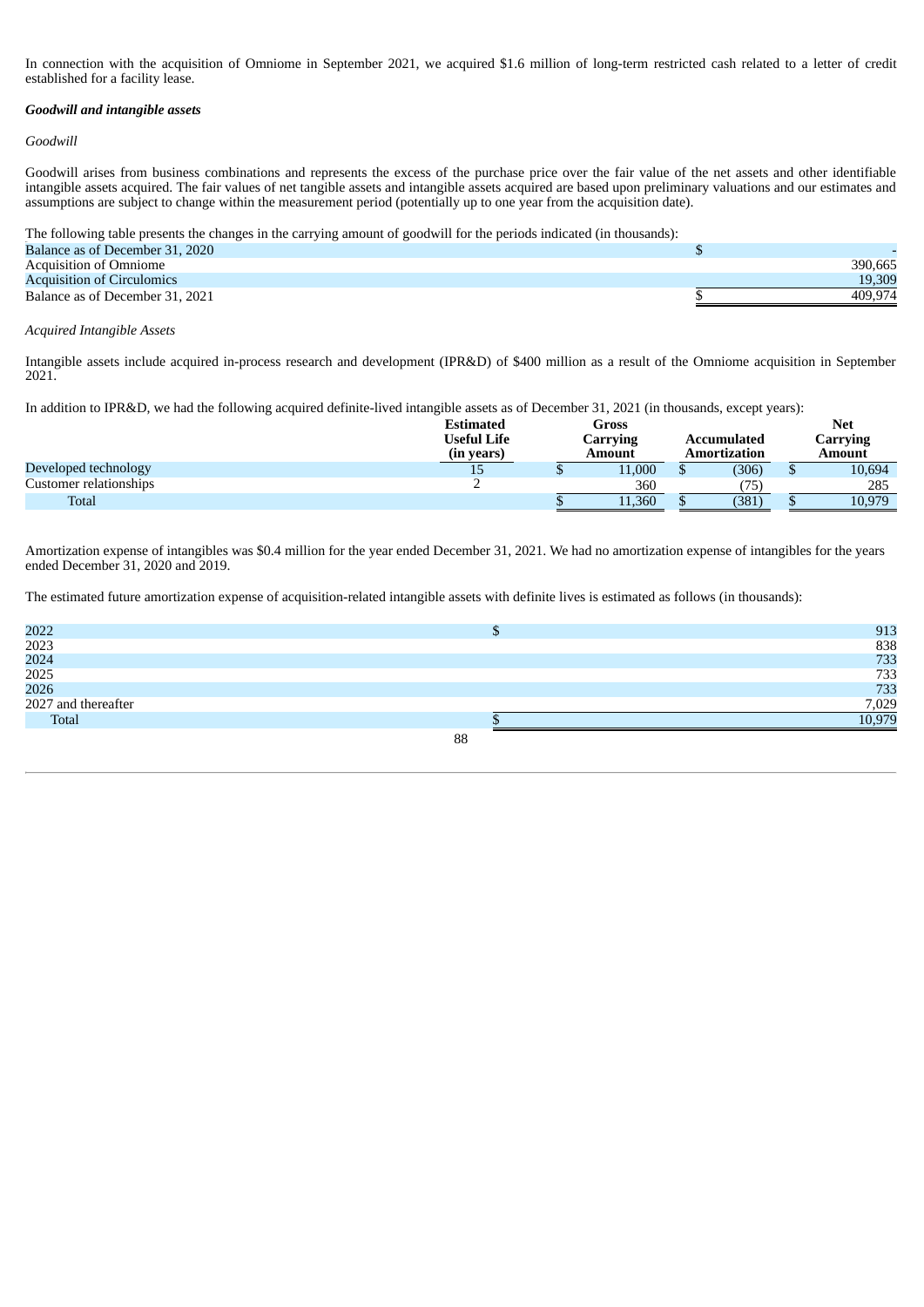In connection with the acquisition of Omniome in September 2021, we acquired \$1.6 million of long-term restricted cash related to a letter of credit established for a facility lease.

## *Goodwill and intangible assets*

## *Goodwill*

Goodwill arises from business combinations and represents the excess of the purchase price over the fair value of the net assets and other identifiable intangible assets acquired. The fair values of net tangible assets and intangible assets acquired are based upon preliminary valuations and our estimates and assumptions are subject to change within the measurement period (potentially up to one year from the acquisition date).

The following table presents the changes in the carrying amount of goodwill for the periods indicated (in thousands): *Wa*

| Balance as of December 31, 2020   |  |  |  |         |
|-----------------------------------|--|--|--|---------|
| <b>Acquisition of Omniome</b>     |  |  |  | 390.665 |
| <b>Acquisition of Circulomics</b> |  |  |  | 19.309  |
| Balance as of December 31, 2021   |  |  |  | 409,974 |
|                                   |  |  |  |         |

## *Acquired Intangible Assets*

Intangible assets include acquired in-process research and development (IPR&D) of \$400 million as a result of the Omniome acquisition in September 2021.

In addition to IPR&D, we had the following acquired definite-lived intangible assets as of December 31, 2021 (in thousands, except years):

|                        | Estimated<br><b>Useful Life</b><br>(in years) | Gross<br>Carrving<br>Amount | Accumulated<br><b>Amortization</b> |   | <b>Net</b><br>Carrving<br>Amount |
|------------------------|-----------------------------------------------|-----------------------------|------------------------------------|---|----------------------------------|
| Developed technology   | Τŋ                                            | 11,000                      | (306)                              | Ψ | 10,694                           |
| Customer relationships |                                               | 360                         | (75                                |   | 285                              |
| <b>Total</b>           |                                               | 11,360                      | (381)                              |   | 10,979                           |

Amortization expense of intangibles was \$0.4 million for the year ended December 31, 2021. We had no amortization expense of intangibles for the years ended December 31, 2020 and 2019.

The estimated future amortization expense of acquisition-related intangible assets with definite lives is estimated as follows (in thousands):

| 2022                |    | 913    |
|---------------------|----|--------|
| 2023                |    | 838    |
| 2024                |    | 733    |
| 2025<br>2026        |    | 733    |
|                     |    | 733    |
| 2027 and thereafter |    | 7,029  |
| Total               |    | 10,979 |
|                     | 88 |        |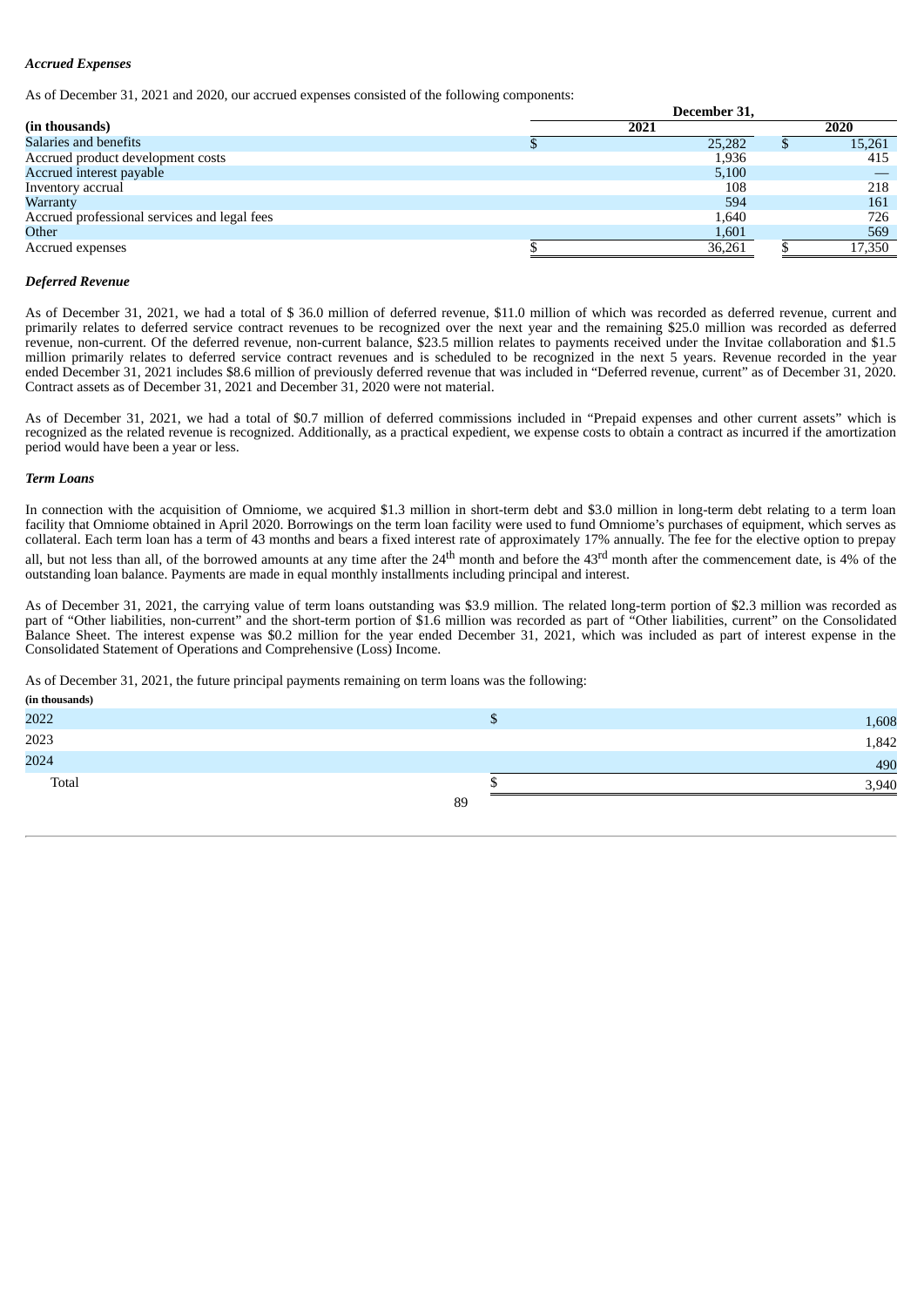## *Accrued Expenses*

As of December 31, 2021 and 2020, our accrued expenses consisted of the following components:

|                                              | ີ |              |             |
|----------------------------------------------|---|--------------|-------------|
|                                              |   | December 31, |             |
| (in thousands)                               |   | 2021         | <b>2020</b> |
| Salaries and benefits                        |   | 25,282       | 15,261      |
| Accrued product development costs            |   | 1,936        | 415         |
| Accrued interest payable                     |   | 5,100        |             |
| Inventory accrual                            |   | 108          | 218         |
| Warranty                                     |   | 594          | 161         |
| Accrued professional services and legal fees |   | 1,640        | 726         |
| Other                                        |   | 1,601        | 569         |
| Accrued expenses                             |   | 36,261       | 17,350      |
|                                              |   |              |             |

#### *Deferred Revenue*

As of December 31, 2021, we had a total of \$ 36.0 million of deferred revenue, \$11.0 million of which was recorded as deferred revenue, current and primarily relates to deferred service contract revenues to be recognized over the next year and the remaining \$25.0 million was recorded as deferred revenue, non-current. Of the deferred revenue, non-current balance, \$23.5 million relates to payments received under the Invitae collaboration and \$1.5 million primarily relates to deferred service contract revenues and is scheduled to be recognized in the next 5 years. Revenue recorded in the year ended December 31, 2021 includes \$8.6 million of previously deferred revenue that was included in "Deferred revenue, current" as of December 31, 2020. Contract assets as of December 31, 2021 and December 31, 2020 were not material.

As of December 31, 2021, we had a total of \$0.7 million of deferred commissions included in "Prepaid expenses and other current assets" which is recognized as the related revenue is recognized. Additionally, as a practical expedient, we expense costs to obtain a contract as incurred if the amortization period would have been a year or less.

#### *Term Loans*

In connection with the acquisition of Omniome, we acquired \$1.3 million in short-term debt and \$3.0 million in long-term debt relating to a term loan facility that Omniome obtained in April 2020. Borrowings on the term loan facility were used to fund Omniome's purchases of equipment, which serves as collateral. Each term loan has a term of 43 months and bears a fixed interest rate of approximately 17% annually. The fee for the elective option to prepay all, but not less than all, of the borrowed amounts at any time after the 24<sup>th</sup> month and before the 43<sup>rd</sup> month after the commencement date, is 4% of the outstanding loan balance. Payments are made in equal monthly installments including principal and interest.

As of December 31, 2021, the carrying value of term loans outstanding was \$3.9 million. The related long-term portion of \$2.3 million was recorded as part of "Other liabilities, non-current" and the short-term portion of \$1.6 million was recorded as part of "Other liabilities, current" on the Consolidated Balance Sheet. The interest expense was \$0.2 million for the year ended December 31, 2021, which was included as part of interest expense in the Consolidated Statement of Operations and Comprehensive (Loss) Income.

As of December 31, 2021, the future principal payments remaining on term loans was the following:

| (in thousands) |    |       |
|----------------|----|-------|
| 2022           |    | 1,608 |
| 2023           |    | 1,842 |
| 2024           |    | 490   |
| Total          |    | 3,940 |
|                | 89 |       |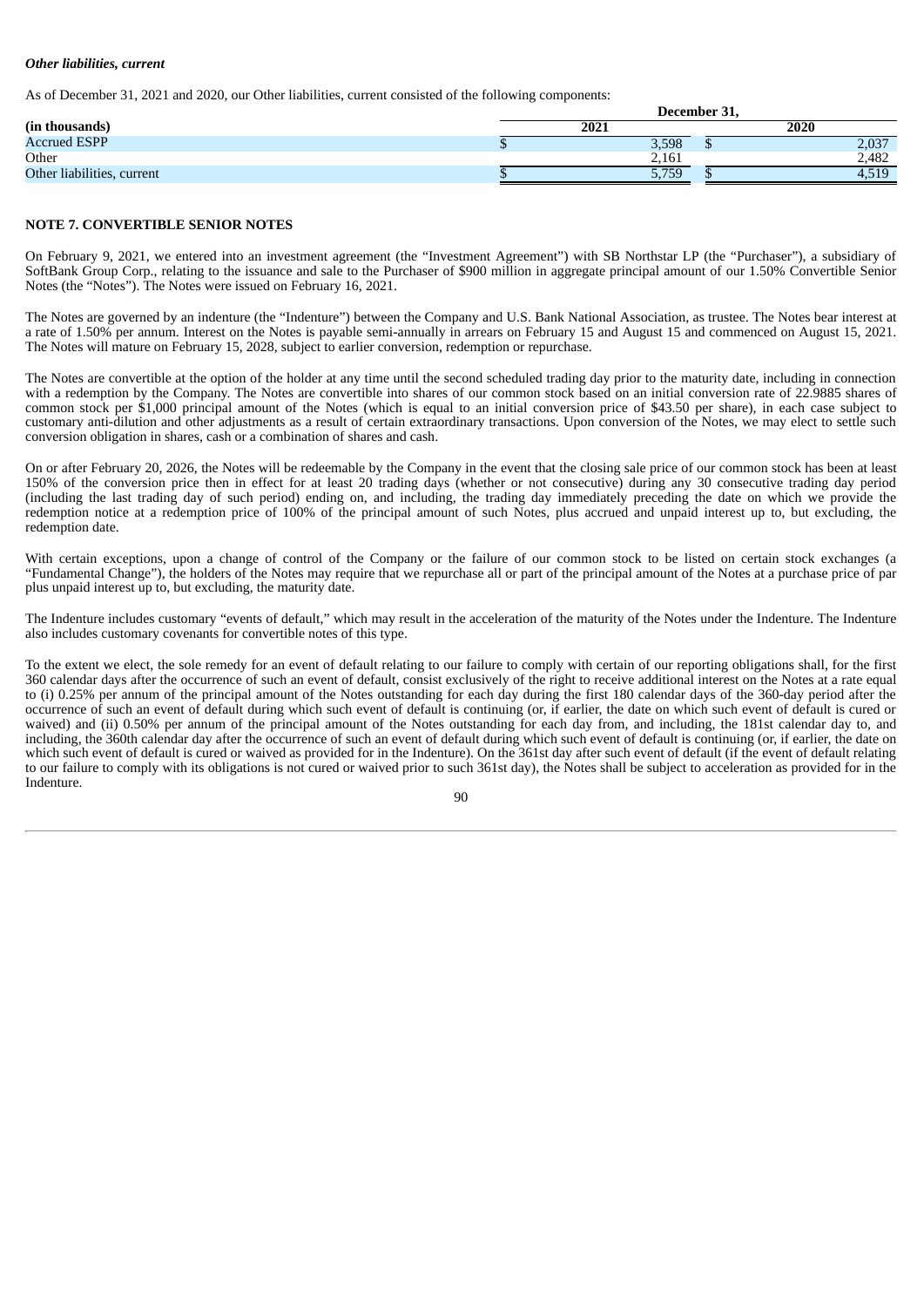### *Other liabilities, current*

As of December 31, 2021 and 2020, our Other liabilities, current consisted of the following components:

|                            | ີ<br>December 31, |       |  |  |
|----------------------------|-------------------|-------|--|--|
| (in thousands)             | 2021              | 2020  |  |  |
| <b>Accrued ESPP</b>        | 3,598             | 2,037 |  |  |
| Other                      | 2,161             | 2,482 |  |  |
| Other liabilities, current | 5,759             | 4,519 |  |  |

## <span id="page-91-0"></span>**NOTE 7. CONVERTIBLE SENIOR NOTES**

On February 9, 2021, we entered into an investment agreement (the "Investment Agreement") with SB Northstar LP (the "Purchaser"), a subsidiary of SoftBank Group Corp., relating to the issuance and sale to the Purchaser of \$900 million in aggregate principal amount of our 1.50% Convertible Senior Notes (the "Notes"). The Notes were issued on February 16, 2021.

The Notes are governed by an indenture (the "Indenture") between the Company and U.S. Bank National Association, as trustee. The Notes bear interest at a rate of 1.50% per annum. Interest on the Notes is payable semi-annually in arrears on February 15 and August 15 and commenced on August 15, 2021. The Notes will mature on February 15, 2028, subject to earlier conversion, redemption or repurchase.

The Notes are convertible at the option of the holder at any time until the second scheduled trading day prior to the maturity date, including in connection with a redemption by the Company. The Notes are convertible into shares of our common stock based on an initial conversion rate of 22.9885 shares of common stock per \$1,000 principal amount of the Notes (which is equal to an initial conversion price of \$43.50 per share), in each case subject to customary anti-dilution and other adjustments as a result of certain extraordinary transactions. Upon conversion of the Notes, we may elect to settle such conversion obligation in shares, cash or a combination of shares and cash.

On or after February 20, 2026, the Notes will be redeemable by the Company in the event that the closing sale price of our common stock has been at least 150% of the conversion price then in effect for at least 20 trading days (whether or not consecutive) during any 30 consecutive trading day period (including the last trading day of such period) ending on, and including, the trading day immediately preceding the date on which we provide the redemption notice at a redemption price of 100% of the principal amount of such Notes, plus accrued and unpaid interest up to, but excluding, the redemption date.

With certain exceptions, upon a change of control of the Company or the failure of our common stock to be listed on certain stock exchanges (a "Fundamental Change"), the holders of the Notes may require that we repurchase all or part of the principal amount of the Notes at a purchase price of par plus unpaid interest up to, but excluding, the maturity date.

The Indenture includes customary "events of default," which may result in the acceleration of the maturity of the Notes under the Indenture. The Indenture also includes customary covenants for convertible notes of this type.

To the extent we elect, the sole remedy for an event of default relating to our failure to comply with certain of our reporting obligations shall, for the first 360 calendar days after the occurrence of such an event of default, consist exclusively of the right to receive additional interest on the Notes at a rate equal to (i) 0.25% per annum of the principal amount of the Notes outstanding for each day during the first 180 calendar days of the 360-day period after the occurrence of such an event of default during which such event of default is continuing (or, if earlier, the date on which such event of default is cured or waived) and (ii) 0.50% per annum of the principal amount of the Notes outstanding for each day from, and including, the 181st calendar day to, and including, the 360th calendar day after the occurrence of such an event of default during which such event of default is continuing (or, if earlier, the date on which such event of default is cured or waived as provided for in the Indenture). On the 361st day after such event of default (if the event of default relating to our failure to comply with its obligations is not cured or waived prior to such 361st day), the Notes shall be subject to acceleration as provided for in the Indenture.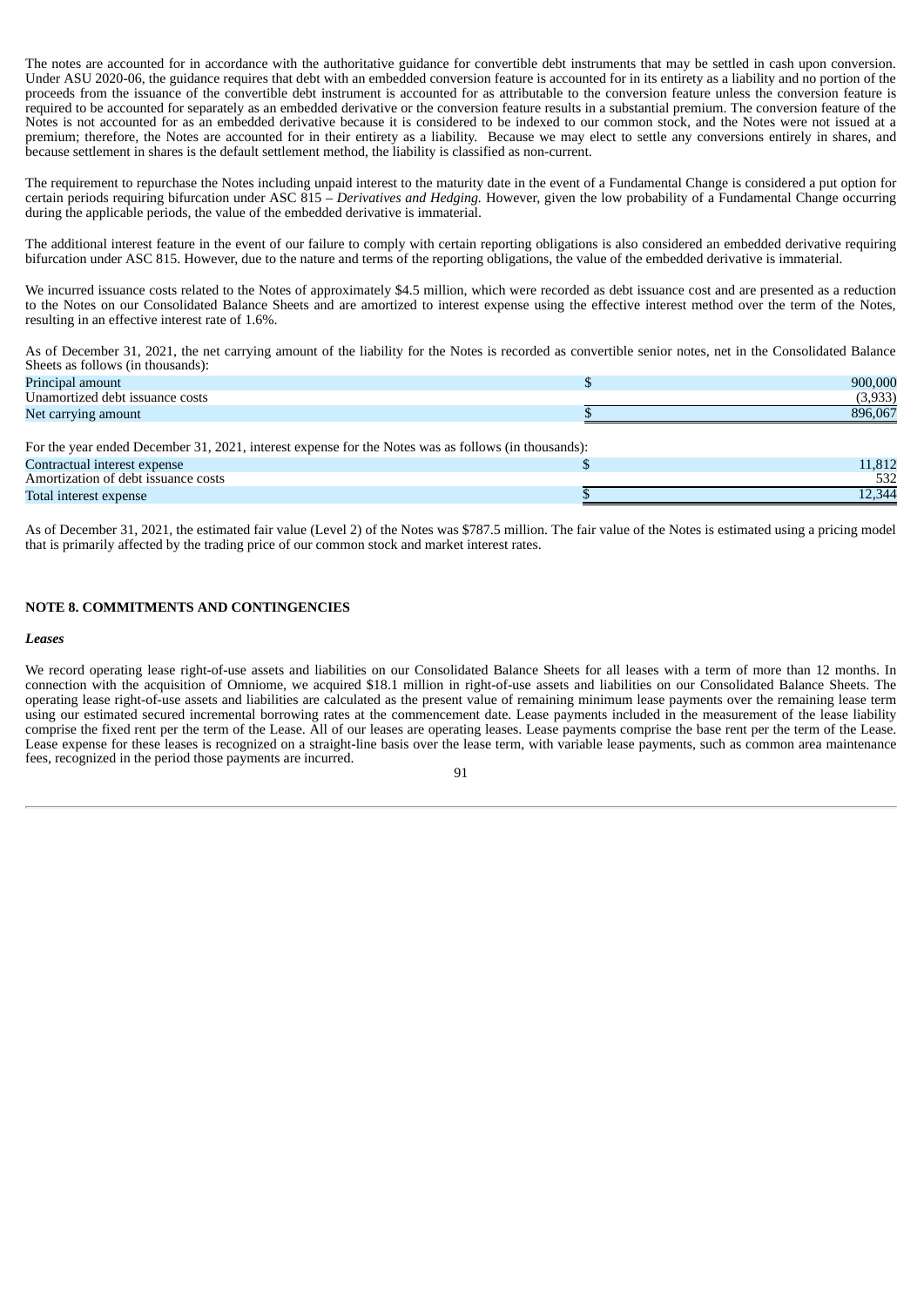The notes are accounted for in accordance with the authoritative guidance for convertible debt instruments that may be settled in cash upon conversion. Under ASU 2020-06, the guidance requires that debt with an embedded conversion feature is accounted for in its entirety as a liability and no portion of the proceeds from the issuance of the convertible debt instrument is accounted for as attributable to the conversion feature unless the conversion feature is required to be accounted for separately as an embedded derivative or the conversion feature results in a substantial premium. The conversion feature of the Notes is not accounted for as an embedded derivative because it is considered to be indexed to our common stock, and the Notes were not issued at a premium; therefore, the Notes are accounted for in their entirety as a liability. Because we may elect to settle any conversions entirely in shares, and because settlement in shares is the default settlement method, the liability is classified as non-current.

The requirement to repurchase the Notes including unpaid interest to the maturity date in the event of a Fundamental Change is considered a put option for certain periods requiring bifurcation under ASC 815 – *Derivatives and Hedging.* However, given the low probability of a Fundamental Change occurring during the applicable periods, the value of the embedded derivative is immaterial.

The additional interest feature in the event of our failure to comply with certain reporting obligations is also considered an embedded derivative requiring bifurcation under ASC 815. However, due to the nature and terms of the reporting obligations, the value of the embedded derivative is immaterial.

We incurred issuance costs related to the Notes of approximately \$4.5 million, which were recorded as debt issuance cost and are presented as a reduction to the Notes on our Consolidated Balance Sheets and are amortized to interest expense using the effective interest method over the term of the Notes, resulting in an effective interest rate of 1.6%.

As of December 31, 2021, the net carrying amount of the liability for the Notes is recorded as convertible senior notes, net in the Consolidated Balance Sheets as follows (in thousands):

| Principal amount                                                                                    | 900,000 |
|-----------------------------------------------------------------------------------------------------|---------|
| Unamortized debt issuance costs                                                                     | (3,933) |
| Net carrying amount                                                                                 | 896.067 |
|                                                                                                     |         |
| For the year ended December 31, 2021, interest expense for the Notes was as follows (in thousands): |         |
| Contractual interest expense                                                                        | 11,812  |
| Amortization of debt issuance costs                                                                 | 532     |
| Total interest expense                                                                              | 12,344  |

As of December 31, 2021, the estimated fair value (Level 2) of the Notes was \$787.5 million. The fair value of the Notes is estimated using a pricing model that is primarily affected by the trading price of our common stock and market interest rates.

## **NOTE 8. COMMITMENTS AND CONTINGENCIES**

#### *Leases*

We record operating lease right-of-use assets and liabilities on our Consolidated Balance Sheets for all leases with a term of more than 12 months. In connection with the acquisition of Omniome, we acquired \$18.1 million in right-of-use assets and liabilities on our Consolidated Balance Sheets. The operating lease right-of-use assets and liabilities are calculated as the present value of remaining minimum lease payments over the remaining lease term using our estimated secured incremental borrowing rates at the commencement date. Lease payments included in the measurement of the lease liability comprise the fixed rent per the term of the Lease. All of our leases are operating leases. Lease payments comprise the base rent per the term of the Lease. Lease expense for these leases is recognized on a straight-line basis over the lease term, with variable lease payments, such as common area maintenance fees, recognized in the period those payments are incurred.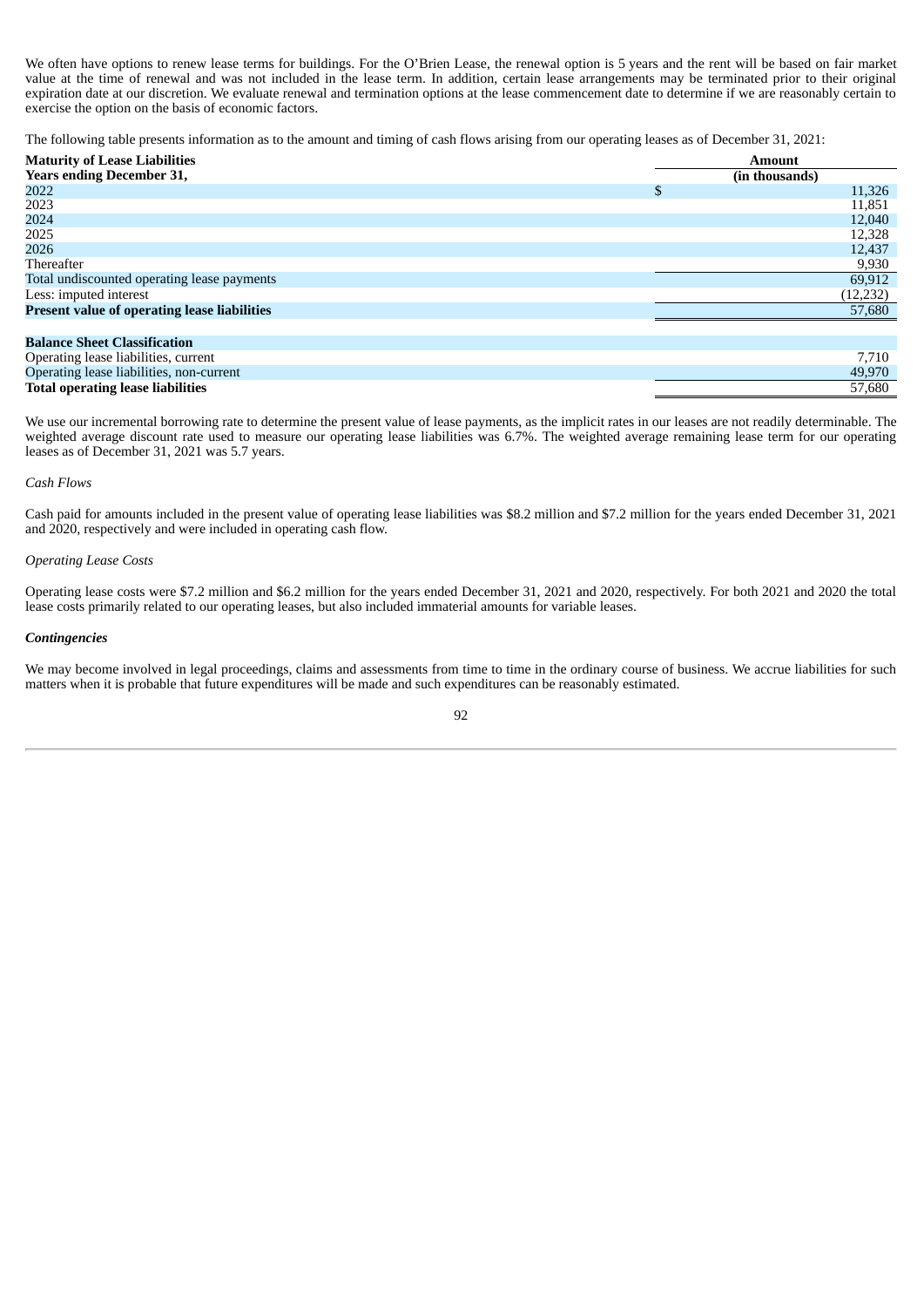We often have options to renew lease terms for buildings. For the O'Brien Lease, the renewal option is 5 years and the rent will be based on fair market value at the time of renewal and was not included in the lease term. In addition, certain lease arrangements may be terminated prior to their original expiration date at our discretion. We evaluate renewal and termination options at the lease commencement date to determine if we are reasonably certain to exercise the option on the basis of economic factors.

The following table presents information as to the amount and timing of cash flows arising from our operating leases as of December 31, 2021:

| <b>Maturity of Lease Liabilities</b>                | <b>Amount</b>  |  |
|-----------------------------------------------------|----------------|--|
| <b>Years ending December 31,</b>                    | (in thousands) |  |
| 2022                                                | \$<br>11,326   |  |
| 2023                                                | 11,851         |  |
| 2024                                                | 12,040         |  |
| 2025                                                | 12,328         |  |
| 2026                                                | 12,437         |  |
| Thereafter                                          | 9,930          |  |
| Total undiscounted operating lease payments         | 69,912         |  |
| Less: imputed interest                              | (12, 232)      |  |
| <b>Present value of operating lease liabilities</b> | 57,680         |  |
|                                                     |                |  |
| <b>Balance Sheet Classification</b>                 |                |  |
| Operating lease liabilities, current                | 7,710          |  |
| Operating lease liabilities, non-current            | 49,970         |  |

# **Total operating lease liabilities** 57,680

We use our incremental borrowing rate to determine the present value of lease payments, as the implicit rates in our leases are not readily determinable. The weighted average discount rate used to measure our operating lease liabilities was 6.7%. The weighted average remaining lease term for our operating leases as of December 31, 2021 was 5.7 years.

## *Cash Flows*

Cash paid for amounts included in the present value of operating lease liabilities was \$8.2 million and \$7.2 million for the years ended December 31, 2021 and 2020, respectively and were included in operating cash flow.

### *Operating Lease Costs*

Operating lease costs were \$7.2 million and \$6.2 million for the years ended December 31, 2021 and 2020, respectively. For both 2021 and 2020 the total lease costs primarily related to our operating leases, but also included immaterial amounts for variable leases.

## *Contingencies*

We may become involved in legal proceedings, claims and assessments from time to time in the ordinary course of business. We accrue liabilities for such matters when it is probable that future expenditures will be made and such expenditures can be reasonably estimated.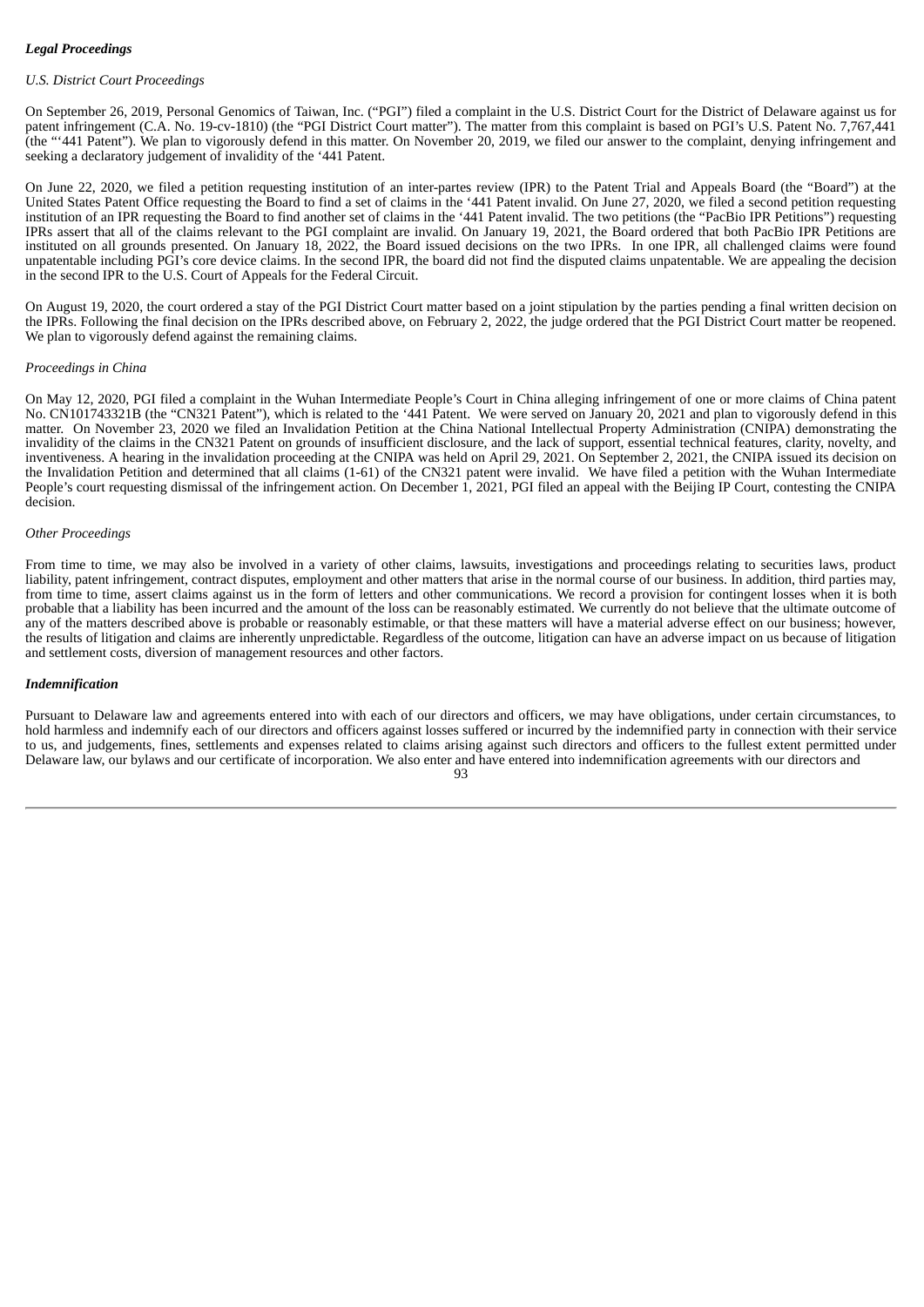## *Legal Proceedings*

#### *U.S. District Court Proceedings*

On September 26, 2019, Personal Genomics of Taiwan, Inc. ("PGI") filed a complaint in the U.S. District Court for the District of Delaware against us for patent infringement (C.A. No. 19-cv-1810) (the "PGI District Court matter"). The matter from this complaint is based on PGI's U.S. Patent No. 7,767,441 (the "'441 Patent"). We plan to vigorously defend in this matter. On November 20, 2019, we filed our answer to the complaint, denying infringement and seeking a declaratory judgement of invalidity of the '441 Patent.

On June 22, 2020, we filed a petition requesting institution of an inter-partes review (IPR) to the Patent Trial and Appeals Board (the "Board") at the United States Patent Office requesting the Board to find a set of claims in the '441 Patent invalid. On June 27, 2020, we filed a second petition requesting institution of an IPR requesting the Board to find another set of claims in the '441 Patent invalid. The two petitions (the "PacBio IPR Petitions") requesting IPRs assert that all of the claims relevant to the PGI complaint are invalid. On January 19, 2021, the Board ordered that both PacBio IPR Petitions are instituted on all grounds presented. On January 18, 2022, the Board issued decisions on the two IPRs. In one IPR, all challenged claims were found unpatentable including PGI's core device claims. In the second IPR, the board did not find the disputed claims unpatentable. We are appealing the decision in the second IPR to the U.S. Court of Appeals for the Federal Circuit.

On August 19, 2020, the court ordered a stay of the PGI District Court matter based on a joint stipulation by the parties pending a final written decision on the IPRs. Following the final decision on the IPRs described above, on February 2, 2022, the judge ordered that the PGI District Court matter be reopened. We plan to vigorously defend against the remaining claims.

#### *Proceedings in China*

On May 12, 2020, PGI filed a complaint in the Wuhan Intermediate People's Court in China alleging infringement of one or more claims of China patent No. CN101743321B (the "CN321 Patent"), which is related to the '441 Patent. We were served on January 20, 2021 and plan to vigorously defend in this matter. On November 23, 2020 we filed an Invalidation Petition at the China National Intellectual Property Administration (CNIPA) demonstrating the invalidity of the claims in the CN321 Patent on grounds of insufficient disclosure, and the lack of support, essential technical features, clarity, novelty, and inventiveness. A hearing in the invalidation proceeding at the CNIPA was held on April 29, 2021. On September 2, 2021, the CNIPA issued its decision on the Invalidation Petition and determined that all claims (1-61) of the CN321 patent were invalid. We have filed a petition with the Wuhan Intermediate People's court requesting dismissal of the infringement action. On December 1, 2021, PGI filed an appeal with the Beijing IP Court, contesting the CNIPA decision.

### *Other Proceedings*

From time to time, we may also be involved in a variety of other claims, lawsuits, investigations and proceedings relating to securities laws, product liability, patent infringement, contract disputes, employment and other matters that arise in the normal course of our business. In addition, third parties may, from time to time, assert claims against us in the form of letters and other communications. We record a provision for contingent losses when it is both probable that a liability has been incurred and the amount of the loss can be reasonably estimated. We currently do not believe that the ultimate outcome of any of the matters described above is probable or reasonably estimable, or that these matters will have a material adverse effect on our business; however, the results of litigation and claims are inherently unpredictable. Regardless of the outcome, litigation can have an adverse impact on us because of litigation and settlement costs, diversion of management resources and other factors.

#### *Indemnification*

Pursuant to Delaware law and agreements entered into with each of our directors and officers, we may have obligations, under certain circumstances, to hold harmless and indemnify each of our directors and officers against losses suffered or incurred by the indemnified party in connection with their service to us, and judgements, fines, settlements and expenses related to claims arising against such directors and officers to the fullest extent permitted under Delaware law, our bylaws and our certificate of incorporation. We also enter and have entered into indemnification agreements with our directors and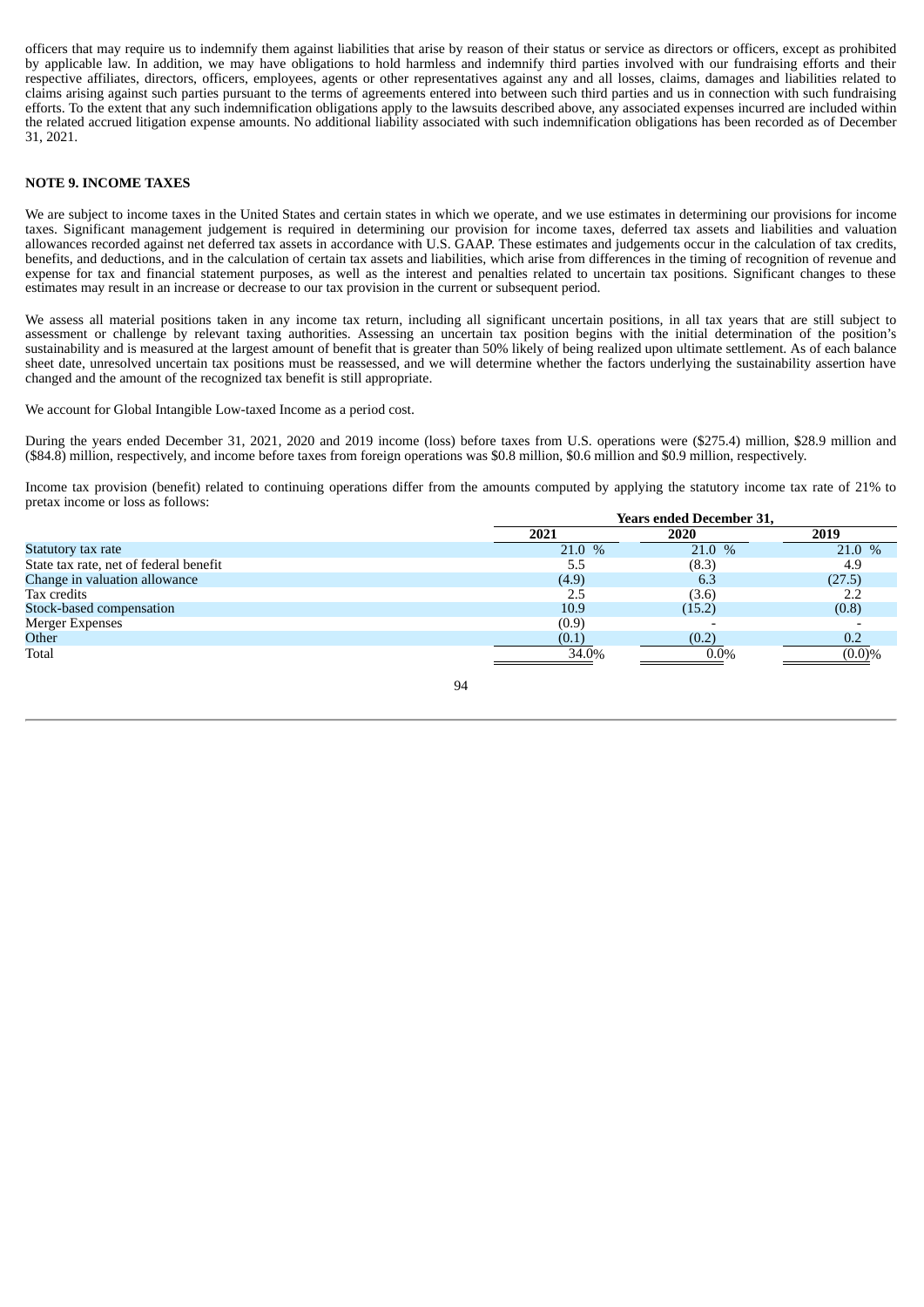officers that may require us to indemnify them against liabilities that arise by reason of their status or service as directors or officers, except as prohibited by applicable law. In addition, we may have obligations to hold harmless and indemnify third parties involved with our fundraising efforts and their respective affiliates, directors, officers, employees, agents or other representatives against any and all losses, claims, damages and liabilities related to claims arising against such parties pursuant to the terms of agreements entered into between such third parties and us in connection with such fundraising efforts. To the extent that any such indemnification obligations apply to the lawsuits described above, any associated expenses incurred are included within the related accrued litigation expense amounts. No additional liability associated with such indemnification obligations has been recorded as of December 31, 2021.

## <span id="page-95-0"></span>**NOTE 9. INCOME TAXES**

We are subject to income taxes in the United States and certain states in which we operate, and we use estimates in determining our provisions for income taxes. Significant management judgement is required in determining our provision for income taxes, deferred tax assets and liabilities and valuation allowances recorded against net deferred tax assets in accordance with U.S. GAAP. These estimates and judgements occur in the calculation of tax credits, benefits, and deductions, and in the calculation of certain tax assets and liabilities, which arise from differences in the timing of recognition of revenue and expense for tax and financial statement purposes, as well as the interest and penalties related to uncertain tax positions. Significant changes to these estimates may result in an increase or decrease to our tax provision in the current or subsequent period.

We assess all material positions taken in any income tax return, including all significant uncertain positions, in all tax years that are still subject to assessment or challenge by relevant taxing authorities. Assessing an uncertain tax position begins with the initial determination of the position's sustainability and is measured at the largest amount of benefit that is greater than 50% likely of being realized upon ultimate settlement. As of each balance sheet date, unresolved uncertain tax positions must be reassessed, and we will determine whether the factors underlying the sustainability assertion have changed and the amount of the recognized tax benefit is still appropriate.

We account for Global Intangible Low-taxed Income as a period cost.

During the years ended December 31, 2021, 2020 and 2019 income (loss) before taxes from U.S. operations were (\$275.4) million, \$28.9 million and (\$84.8) million, respectively, and income before taxes from foreign operations was \$0.8 million, \$0.6 million and \$0.9 million, respectively.

Income tax provision (benefit) related to continuing operations differ from the amounts computed by applying the statutory income tax rate of 21% to pretax income or loss as follows:

|                                        | <b>Years ended December 31,</b> |        |           |  |
|----------------------------------------|---------------------------------|--------|-----------|--|
|                                        | 2021                            | 2020   | 2019      |  |
| Statutory tax rate                     | 21.0 %                          | 21.0 % | 21.0 %    |  |
| State tax rate, net of federal benefit | 5.5                             | (8.3)  | 4.9       |  |
| Change in valuation allowance          | (4.9)                           | 6.3    | (27.5)    |  |
| Tax credits                            | 2.5                             | (3.6)  |           |  |
| Stock-based compensation               | 10.9                            | (15.2) | (0.8)     |  |
| Merger Expenses                        | (0.9)                           |        |           |  |
| Other                                  | (0.1)                           | (0.2)  | 0.2       |  |
| Total                                  | 34.0%                           | 0.0%   | $(0.0)\%$ |  |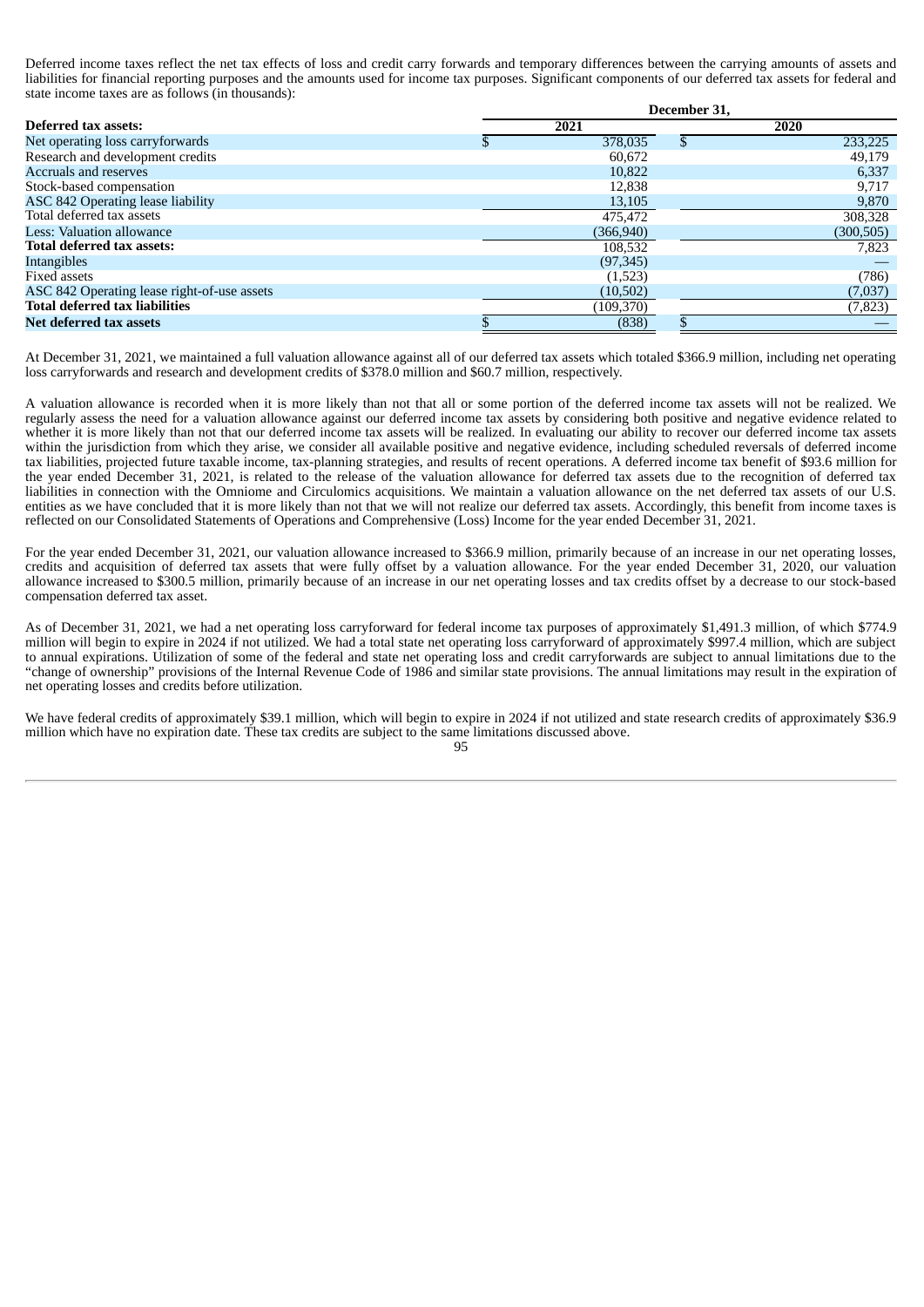Deferred income taxes reflect the net tax effects of loss and credit carry forwards and temporary differences between the carrying amounts of assets and liabilities for financial reporting purposes and the amounts used for income tax purposes. Significant components of our deferred tax assets for federal and state income taxes are as follows (in thousands):

|                                             | December 31. |      |            |  |
|---------------------------------------------|--------------|------|------------|--|
| Deferred tax assets:                        | 2021         | 2020 |            |  |
| Net operating loss carryforwards            | 378,035      | \$   | 233,225    |  |
| Research and development credits            | 60.672       |      | 49,179     |  |
| Accruals and reserves                       | 10,822       |      | 6,337      |  |
| Stock-based compensation                    | 12,838       |      | 9,717      |  |
| ASC 842 Operating lease liability           | 13,105       |      | 9,870      |  |
| Total deferred tax assets                   | 475,472      |      | 308,328    |  |
| Less: Valuation allowance                   | (366, 940)   |      | (300, 505) |  |
| Total deferred tax assets:                  | 108,532      |      | 7,823      |  |
| <b>Intangibles</b>                          | (97, 345)    |      |            |  |
| Fixed assets                                | (1,523)      |      | (786)      |  |
| ASC 842 Operating lease right-of-use assets | (10,502)     |      | (7,037)    |  |
| <b>Total deferred tax liabilities</b>       | (109, 370)   |      | (7, 823)   |  |
| Net deferred tax assets                     | (838)        |      |            |  |

At December 31, 2021, we maintained a full valuation allowance against all of our deferred tax assets which totaled \$366.9 million, including net operating loss carryforwards and research and development credits of \$378.0 million and \$60.7 million, respectively.

A valuation allowance is recorded when it is more likely than not that all or some portion of the deferred income tax assets will not be realized. We regularly assess the need for a valuation allowance against our deferred income tax assets by considering both positive and negative evidence related to whether it is more likely than not that our deferred income tax assets will be realized. In evaluating our ability to recover our deferred income tax assets within the jurisdiction from which they arise, we consider all available positive and negative evidence, including scheduled reversals of deferred income tax liabilities, projected future taxable income, tax-planning strategies, and results of recent operations. A deferred income tax benefit of \$93.6 million for the year ended December 31, 2021, is related to the release of the valuation allowance for deferred tax assets due to the recognition of deferred tax liabilities in connection with the Omniome and Circulomics acquisitions. We maintain a valuation allowance on the net deferred tax assets of our U.S. entities as we have concluded that it is more likely than not that we will not realize our deferred tax assets. Accordingly, this benefit from income taxes is entities as we have concluded that it is more likely than not t reflected on our Consolidated Statements of Operations and Comprehensive (Loss) Income for the year ended December 31, 2021.

For the year ended December 31, 2021, our valuation allowance increased to \$366.9 million, primarily because of an increase in our net operating losses, credits and acquisition of deferred tax assets that were fully offset by a valuation allowance. For the year ended December 31, 2020, our valuation allowance increased to \$300.5 million, primarily because of an increase in our net operating losses and tax credits offset by a decrease to our stock-based compensation deferred tax asset.

As of December 31, 2021, we had a net operating loss carryforward for federal income tax purposes of approximately \$1,491.3 million, of which \$774.9 million will begin to expire in 2024 if not utilized. We had a total state net operating loss carryforward of approximately \$997.4 million, which are subject to annual expirations. Utilization of some of the federal and state net operating loss and credit carryforwards are subject to annual limitations due to the "change of ownership" provisions of the Internal Revenue Code of 1986 and similar state provisions. The annual limitations may result in the expiration of net operating losses and credits before utilization.

We have federal credits of approximately \$39.1 million, which will begin to expire in 2024 if not utilized and state research credits of approximately \$36.9 million which have no expiration date. These tax credits are subject to the same limitations discussed above.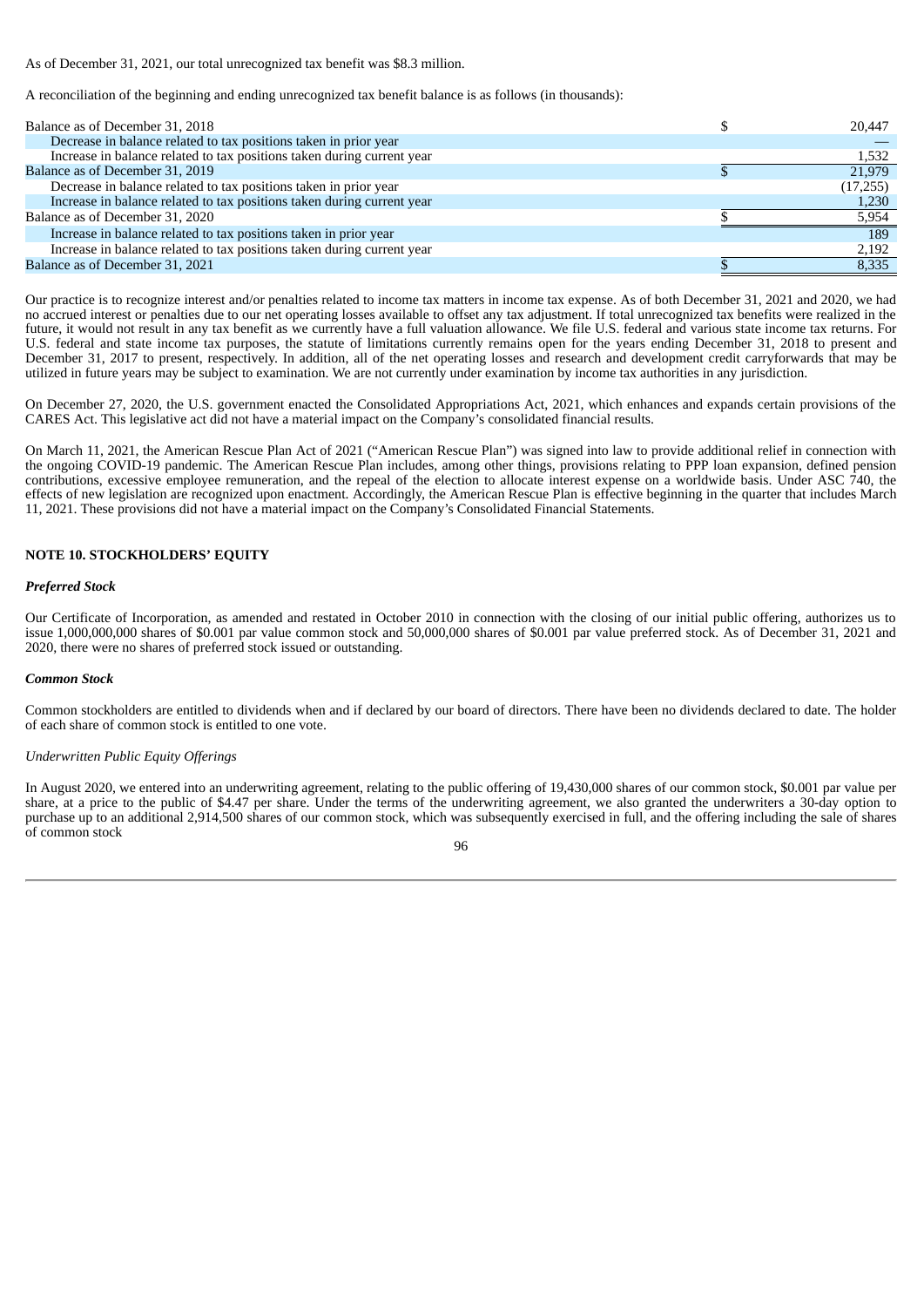As of December 31, 2021, our total unrecognized tax benefit was \$8.3 million.

A reconciliation of the beginning and ending unrecognized tax benefit balance is as follows (in thousands):

| Balance as of December 31, 2018                                        | 20,447   |
|------------------------------------------------------------------------|----------|
| Decrease in balance related to tax positions taken in prior year       |          |
| Increase in balance related to tax positions taken during current year | 1,532    |
| Balance as of December 31, 2019                                        | 21,979   |
| Decrease in balance related to tax positions taken in prior year       | (17,255) |
| Increase in balance related to tax positions taken during current year | 1,230    |
| Balance as of December 31, 2020                                        | 5,954    |
| Increase in balance related to tax positions taken in prior year       | 189      |
| Increase in balance related to tax positions taken during current year | 2,192    |
| Balance as of December 31, 2021                                        | 8,335    |

Our practice is to recognize interest and/or penalties related to income tax matters in income tax expense. As of both December 31, 2021 and 2020, we had no accrued interest or penalties due to our net operating losses available to offset any tax adjustment. If total unrecognized tax benefits were realized in the future, it would not result in any tax benefit as we currently have a full valuation allowance. We file U.S. federal and various state income tax returns. For U.S. federal and state income tax purposes, the statute of limitations currently remains open for the years ending December 31, 2018 to present and December 31, 2017 to present, respectively. In addition, all of the net operating losses and research and development credit carryforwards that may be utilized in future years may be subject to examination. We are not currently under examination by income tax authorities in any jurisdiction.

On December 27, 2020, the U.S. government enacted the Consolidated Appropriations Act, 2021, which enhances and expands certain provisions of the CARES Act. This legislative act did not have a material impact on the Company's consolidated financial results.

On March 11, 2021, the American Rescue Plan Act of 2021 ("American Rescue Plan") was signed into law to provide additional relief in connection with the ongoing COVID-19 pandemic. The American Rescue Plan includes, among other things, provisions relating to PPP loan expansion, defined pension contributions, excessive employee remuneration, and the repeal of the election to allocate interest expense on a worldwide basis. Under ASC 740, the effects of new legislation are recognized upon enactment. Accordingly, the American Rescue Plan is effective beginning in the quarter that includes March 11, 2021. These provisions did not have a material impact on the Company's Consolidated Financial Statements.

## **NOTE 10. STOCKHOLDERS' EQUITY**

### *Preferred Stock*

Our Certificate of Incorporation, as amended and restated in October 2010 in connection with the closing of our initial public offering, authorizes us to issue 1,000,000,000 shares of \$0.001 par value common stock and 50,000,000 shares of \$0.001 par value preferred stock. As of December 31, 2021 and 2020, there were no shares of preferred stock issued or outstanding.

### *Common Stock*

Common stockholders are entitled to dividends when and if declared by our board of directors. There have been no dividends declared to date. The holder of each share of common stock is entitled to one vote.

#### *Underwritten Public Equity Offerings*

In August 2020, we entered into an underwriting agreement, relating to the public offering of 19,430,000 shares of our common stock, \$0.001 par value per share, at a price to the public of \$4.47 per share. Under the terms of the underwriting agreement, we also granted the underwriters a 30-day option to purchase up to an additional 2,914,500 shares of our common stock, which was subsequently exercised in full, and the offering including the sale of shares of common stock

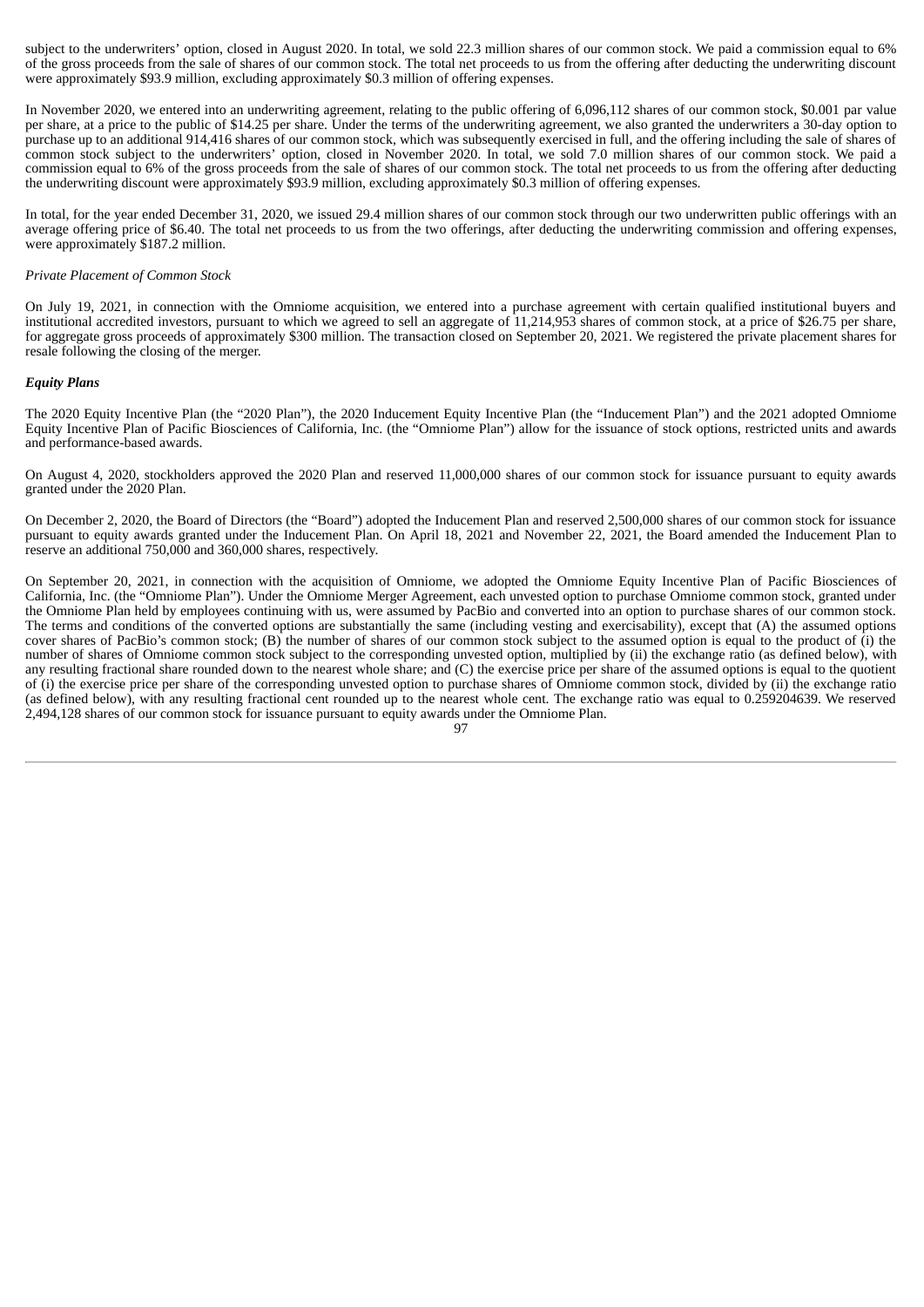subject to the underwriters' option, closed in August 2020. In total, we sold 22.3 million shares of our common stock. We paid a commission equal to 6% of the gross proceeds from the sale of shares of our common stock. The total net proceeds to us from the offering after deducting the underwriting discount were approximately \$93.9 million, excluding approximately \$0.3 million of offering expenses.

In November 2020, we entered into an underwriting agreement, relating to the public offering of 6,096,112 shares of our common stock, \$0.001 par value per share, at a price to the public of \$14.25 per share. Under the terms of the underwriting agreement, we also granted the underwriters a 30-day option to purchase up to an additional 914,416 shares of our common stock, which was subsequently exercised in full, and the offering including the sale of shares of common stock subject to the underwriters' option, closed in November 2020. In total, we sold 7.0 million shares of our common stock. We paid a commission equal to 6% of the gross proceeds from the sale of shares of our common stock. The total net proceeds to us from the offering after deducting the underwriting discount were approximately \$93.9 million, excluding approximately \$0.3 million of offering expenses.

In total, for the year ended December 31, 2020, we issued 29.4 million shares of our common stock through our two underwritten public offerings with an average offering price of \$6.40. The total net proceeds to us from the two offerings, after deducting the underwriting commission and offering expenses, were approximately \$187.2 million.

### *Private Placement of Common Stock*

On July 19, 2021, in connection with the Omniome acquisition, we entered into a purchase agreement with certain qualified institutional buyers and institutional accredited investors, pursuant to which we agreed to sell an aggregate of 11,214,953 shares of common stock, at a price of \$26.75 per share, for aggregate gross proceeds of approximately \$300 million. The transaction closed on September 20, 2021. We registered the private placement shares for resale following the closing of the merger.

## *Equity Plans*

The 2020 Equity Incentive Plan (the "2020 Plan"), the 2020 Inducement Equity Incentive Plan (the "Inducement Plan") and the 2021 adopted Omniome Equity Incentive Plan of Pacific Biosciences of California, Inc. (the "Omniome Plan") allow for the issuance of stock options, restricted units and awards and performance-based awards.

On August 4, 2020, stockholders approved the 2020 Plan and reserved 11,000,000 shares of our common stock for issuance pursuant to equity awards granted under the 2020 Plan.

On December 2, 2020, the Board of Directors (the "Board") adopted the Inducement Plan and reserved 2,500,000 shares of our common stock for issuance pursuant to equity awards granted under the Inducement Plan. On April 18, 2021 and November 22, 2021, the Board amended the Inducement Plan to reserve an additional 750,000 and 360,000 shares, respectively.

On September 20, 2021, in connection with the acquisition of Omniome, we adopted the Omniome Equity Incentive Plan of Pacific Biosciences of California, Inc. (the "Omniome Plan"). Under the Omniome Merger Agreement, each unvested option to purchase Omniome common stock, granted under the Omniome Plan held by employees continuing with us, were assumed by PacBio and converted into an option to purchase shares of our common stock. The terms and conditions of the converted options are substantially the same (including vesting and exercisability), except that (A) the assumed options cover shares of PacBio's common stock; (B) the number of shares of our common stock subject to the assumed option is equal to the product of (i) the number of shares of Omniome common stock subject to the corresponding unvested option, multiplied by (ii) the exchange ratio (as defined below), with any resulting fractional share rounded down to the nearest whole share; and (C) the exercise price per share of the assumed options is equal to the quotient of (i) the exercise price per share of the corresponding unvested option to purchase shares of Omniome common stock, divided by (ii) the exchange ratio (as defined below), with any resulting fractional cent rounded up to the nearest whole cent. The exchange ratio was equal to 0.259204639. We reserved 2,494,128 shares of our common stock for issuance pursuant to equity awards under the Omniome Plan.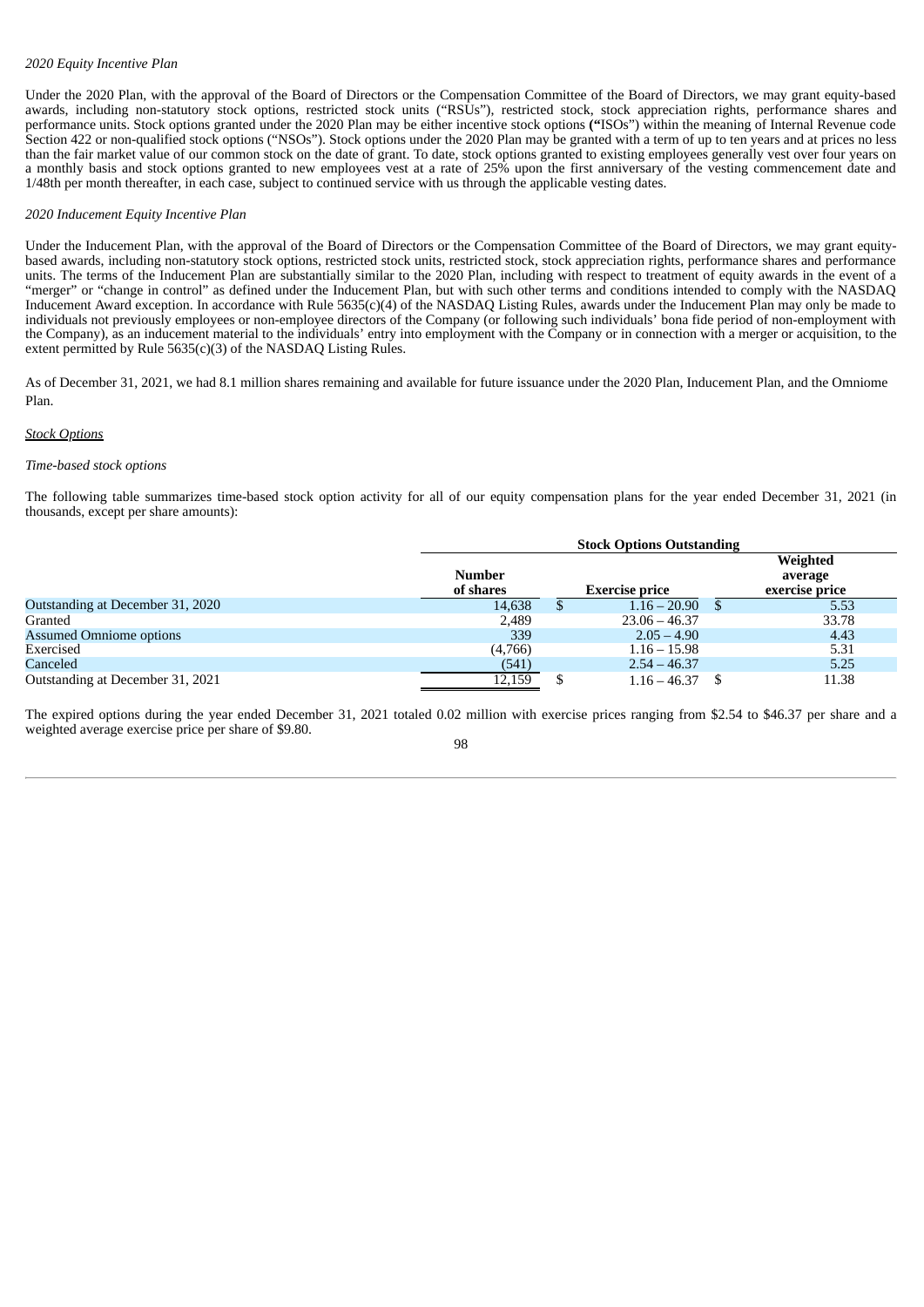### *2020 Equity Incentive Plan*

Under the 2020 Plan, with the approval of the Board of Directors or the Compensation Committee of the Board of Directors, we may grant equity-based awards, including non-statutory stock options, restricted stock units ("RSUs"), restricted stock, stock appreciation rights, performance shares and performance units. Stock options granted under the 2020 Plan may be either incentive stock options **("**ISOs") within the meaning of Internal Revenue code Section 422 or non-qualified stock options ("NSOs"). Stock options under the 2020 Plan may be granted with a term of up to ten years and at prices no less than the fair market value of our common stock on the date of grant. To date, stock options granted to existing employees generally vest over four years on a monthly basis and stock options granted to new employees vest at a rate of 25% upon the first anniversary of the vesting commencement date and 1/48th per month thereafter, in each case, subject to continued service with us through the applicable vesting dates.

#### *2020 Inducement Equity Incentive Plan*

Under the Inducement Plan, with the approval of the Board of Directors or the Compensation Committee of the Board of Directors, we may grant equitybased awards, including non-statutory stock options, restricted stock units, restricted stock, stock appreciation rights, performance shares and performance units. The terms of the Inducement Plan are substantially similar to the 2020 Plan, including with respect to treatment of equity awards in the event of a "merger" or "change in control" as defined under the Inducement Plan, but with such other terms and conditions intended to comply with the NASDAQ Inducement Award exception. In accordance with Rule 5635(c)(4) of the NASDAQ Listing Rules, awards under the Inducement Plan may only be made to individuals not previously employees or non-employee directors of the Company (or following such individuals' bona fide period of non-employment with the Company), as an inducement material to the individuals' entry into employment with the Company or in connection with a merger or acquisition, to the extent permitted by Rule 5635(c)(3) of the NASDAQ Listing Rules.

As of December 31, 2021, we had 8.1 million shares remaining and available for future issuance under the 2020 Plan, Inducement Plan, and the Omniome Plan.

### *Stock Options*

## *Time-based stock options*

The following table summarizes time-based stock option activity for all of our equity compensation plans for the year ended December 31, 2021 (in thousands, except per share amounts):

|                                  | <b>Stock Options Outstanding</b> |  |                       |  |                                       |  |
|----------------------------------|----------------------------------|--|-----------------------|--|---------------------------------------|--|
|                                  | <b>Number</b><br>of shares       |  | <b>Exercise price</b> |  | Weighted<br>average<br>exercise price |  |
| Outstanding at December 31, 2020 | 14,638                           |  | $1.16 - 20.90$        |  | 5.53                                  |  |
| Granted                          | 2,489                            |  | $23.06 - 46.37$       |  | 33.78                                 |  |
| <b>Assumed Omniome options</b>   | 339                              |  | $2.05 - 4.90$         |  | 4.43                                  |  |
| Exercised                        | (4,766)                          |  | $1.16 - 15.98$        |  | 5.31                                  |  |
| Canceled                         | (541)                            |  | $2.54 - 46.37$        |  | 5.25                                  |  |
| Outstanding at December 31, 2021 | 12,159                           |  | $1.16 - 46.37$        |  | 11.38                                 |  |

The expired options during the year ended December 31, 2021 totaled 0.02 million with exercise prices ranging from \$2.54 to \$46.37 per share and a weighted average exercise price per share of \$9.80.

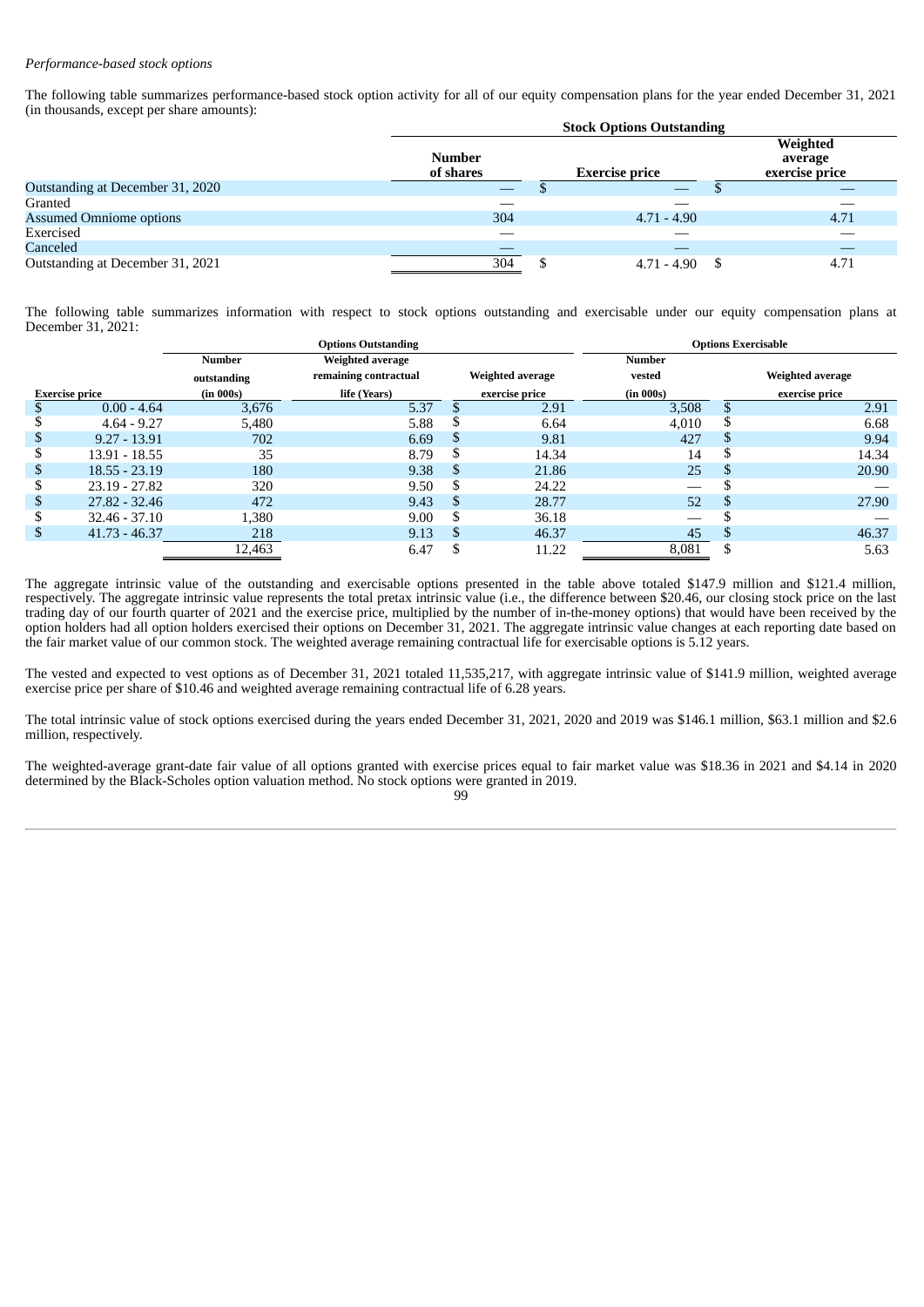## *Performance-based stock options*

The following table summarizes performance-based stock option activity for all of our equity compensation plans for the year ended December 31, 2021 (in thousands, except per share amounts): **Stock Options Outstanding**

|                                  | <b>Stock Options Outstanding</b> |  |                       |  |                                       |  |  |
|----------------------------------|----------------------------------|--|-----------------------|--|---------------------------------------|--|--|
|                                  | <b>Number</b><br>of shares       |  | <b>Exercise price</b> |  | Weighted<br>average<br>exercise price |  |  |
| Outstanding at December 31, 2020 |                                  |  |                       |  |                                       |  |  |
| Granted                          |                                  |  |                       |  |                                       |  |  |
| <b>Assumed Omniome options</b>   | 304                              |  | $4.71 - 4.90$         |  | 4.71                                  |  |  |
| Exercised                        |                                  |  |                       |  |                                       |  |  |
| Canceled                         |                                  |  |                       |  |                                       |  |  |
| Outstanding at December 31, 2021 | 304                              |  | $4.71 - 4.90$         |  | 4.71                                  |  |  |

The following table summarizes information with respect to stock options outstanding and exercisable under our equity compensation plans at December 31, 2021:

|    |                       |               | <b>Options Outstanding</b> |              |                  |           |     | <b>Options Exercisable</b> |
|----|-----------------------|---------------|----------------------------|--------------|------------------|-----------|-----|----------------------------|
|    |                       | <b>Number</b> | Weighted average           |              |                  | Number    |     |                            |
|    |                       | outstanding   | remaining contractual      |              | Weighted average | vested    |     | <b>Weighted average</b>    |
|    | <b>Exercise price</b> | (in 000s)     | life (Years)               |              | exercise price   | (in 000s) |     | exercise price             |
|    | $0.00 - 4.64$         | 3,676         | 5.37                       |              | 2.91             | 3,508     |     | 2.91                       |
|    | $4.64 - 9.27$         | 5,480         | 5.88                       | Œ            | 6.64             | 4,010     | S   | 6.68                       |
| S  | $9.27 - 13.91$        | 702           | 6.69                       | S            | 9.81             | 427       | \$  | 9.94                       |
|    | 13.91 - 18.55         | 35            | 8.79                       |              | 14.34            | 14        | \$. | 14.34                      |
| \$ | $18.55 - 23.19$       | 180           | 9.38                       | <sup>S</sup> | 21.86            | 25        | \$  | 20.90                      |
|    | 23.19 - 27.82         | 320           | 9.50                       |              | 24.22            |           |     |                            |
| \$ | 27.82 - 32.46         | 472           | 9.43                       |              | 28.77            | 52        | \$  | 27.90                      |
|    | $32.46 - 37.10$       | 1,380         | 9.00                       | ъ            | 36.18            |           |     |                            |
| \$ | $41.73 - 46.37$       | 218           | 9.13                       | S            | 46.37            | 45        | \$  | 46.37                      |
|    |                       | 12,463        | 6.47                       | D            | 11.22            | 8,081     | S   | 5.63                       |

The aggregate intrinsic value of the outstanding and exercisable options presented in the table above totaled \$147.9 million and \$121.4 million, respectively. The aggregate intrinsic value represents the total pretax intrinsic value (i.e., the difference between \$20.46, our closing stock price on the last trading day of our fourth quarter of 2021 and the exercise price, multiplied by the number of in-the-money options) that would have been received by the option holders had all option holders exercised their options on December 31, 2021. The aggregate intrinsic value changes at each reporting date based on the fair market value of our common stock. The weighted average remaining contractual life for exercisable options is 5.12 years.

The vested and expected to vest options as of December 31, 2021 totaled 11,535,217, with aggregate intrinsic value of \$141.9 million, weighted average exercise price per share of \$10.46 and weighted average remaining contractual life of 6.28 years.

The total intrinsic value of stock options exercised during the years ended December 31, 2021, 2020 and 2019 was \$146.1 million, \$63.1 million and \$2.6 million, respectively.

The weighted-average grant-date fair value of all options granted with exercise prices equal to fair market value was \$18.36 in 2021 and \$4.14 in 2020 determined by the Black-Scholes option valuation method. No stock options were granted in 2019.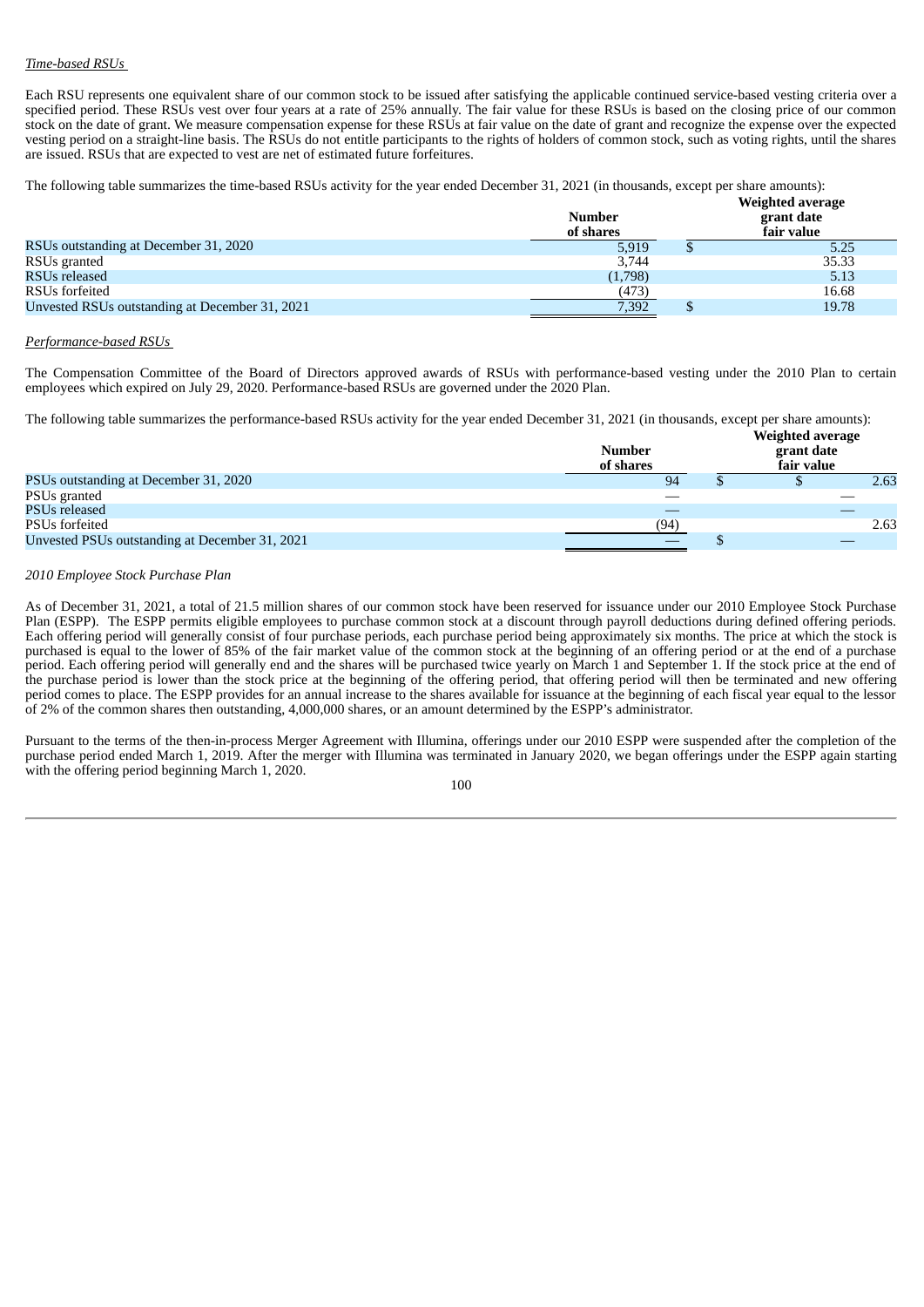#### *Time-based RSUs*

Each RSU represents one equivalent share of our common stock to be issued after satisfying the applicable continued service-based vesting criteria over a specified period. These RSUs vest over four years at a rate of 25% annually. The fair value for these RSUs is based on the closing price of our common stock on the date of grant. We measure compensation expense for these RSUs at fair value on the date of grant and recognize the expense over the expected vesting period on a straight-line basis. The RSUs do not entitle participants to the rights of holders of common stock, such as voting rights, until the shares are issued. RSUs that are expected to vest are net of estimated future forfeitures.

The following table summarizes the time-based RSUs activity for the year ended December 31, 2021 (in thousands, except per share amounts):

|                                                | Number<br>of shares | Weighted average<br>grant date<br>fair value |
|------------------------------------------------|---------------------|----------------------------------------------|
| RSUs outstanding at December 31, 2020          | 5,919               | 5.25                                         |
| RSUs granted                                   | 3.744               | 35.33                                        |
| RSUs released                                  | (1,798)             | 5.13                                         |
| RSUs forfeited                                 | (473)               | 16.68                                        |
| Unvested RSUs outstanding at December 31, 2021 | 7,392               | 19.78                                        |

#### *Performance-based RSUs*

The Compensation Committee of the Board of Directors approved awards of RSUs with performance-based vesting under the 2010 Plan to certain employees which expired on July 29, 2020. Performance-based RSUs are governed under the 2020 Plan.

The following table summarizes the performance-based RSUs activity for the year ended December 31, 2021 (in thousands, except per share amounts):

|                                                | <b>Number</b><br>of shares | Weighted average<br>grant date<br>fair value |      |
|------------------------------------------------|----------------------------|----------------------------------------------|------|
| PSUs outstanding at December 31, 2020          | 94                         |                                              | 2.63 |
| PSU <sub>s</sub> granted                       |                            |                                              |      |
| <b>PSUs released</b>                           |                            |                                              |      |
| <b>PSUs forfeited</b>                          | (94)                       |                                              | 2.63 |
| Unvested PSUs outstanding at December 31, 2021 |                            |                                              |      |

## *2010 Employee Stock Purchase Plan*

As of December 31, 2021, a total of 21.5 million shares of our common stock have been reserved for issuance under our 2010 Employee Stock Purchase Plan (ESPP). The ESPP permits eligible employees to purchase common stock at a discount through payroll deductions during defined offering periods. Each offering period will generally consist of four purchase periods, each purchase period being approximately six months. The price at which the stock is purchased is equal to the lower of 85% of the fair market value of the common stock at the beginning of an offering period or at the end of a purchase period. Each offering period will generally end and the shares will be purchased twice yearly on March 1 and September 1. If the stock price at the end of the purchase period is lower than the stock price at the beginning of the offering period, that offering period will then be terminated and new offering period comes to place. The ESPP provides for an annual increase to the shares available for issuance at the beginning of each fiscal year equal to the lessor of 2% of the common shares then outstanding, 4,000,000 shares, or an amount determined by the ESPP's administrator.

Pursuant to the terms of the then-in-process Merger Agreement with Illumina, offerings under our 2010 ESPP were suspended after the completion of the purchase period ended March 1, 2019. After the merger with Illumina was terminated in January 2020, we began offerings under the ESPP again starting with the offering period beginning March 1, 2020.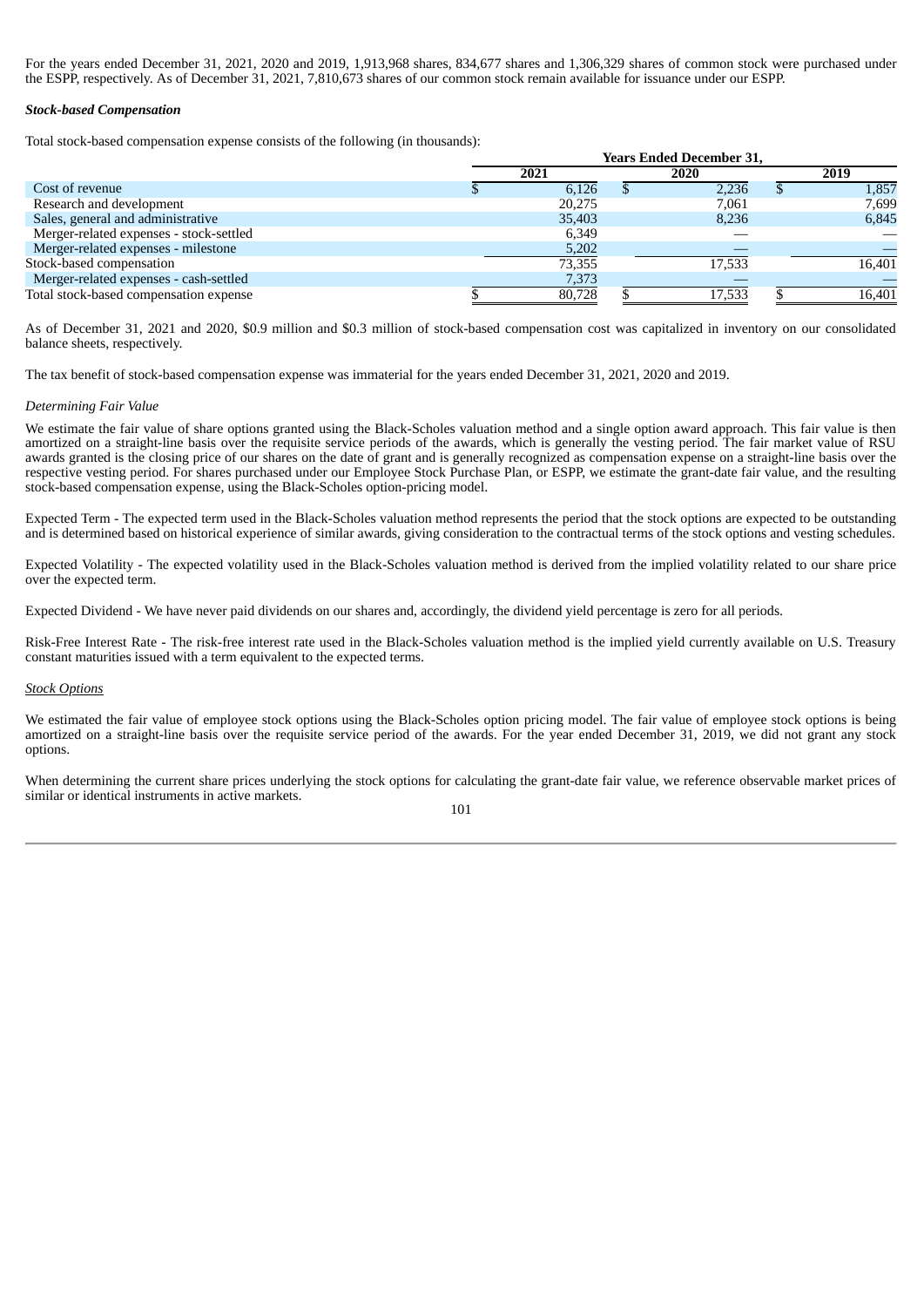For the years ended December 31, 2021, 2020 and 2019, 1,913,968 shares, 834,677 shares and 1,306,329 shares of common stock were purchased under the ESPP, respectively. As of December 31, 2021, 7,810,673 shares of our common stock remain available for issuance under our ESPP.

## *Stock-based Compensation*

Total stock-based compensation expense consists of the following (in thousands):

|                                         | <b>Years Ended December 31,</b> |        |  |        |  |        |
|-----------------------------------------|---------------------------------|--------|--|--------|--|--------|
|                                         |                                 | 2021   |  | 2020   |  | 2019   |
| Cost of revenue                         |                                 | 6.126  |  | 2.236  |  | 1,857  |
| Research and development                |                                 | 20,275 |  | 7.061  |  | 7,699  |
| Sales, general and administrative       |                                 | 35,403 |  | 8,236  |  | 6,845  |
| Merger-related expenses - stock-settled |                                 | 6,349  |  |        |  |        |
| Merger-related expenses - milestone     |                                 | 5,202  |  |        |  |        |
| Stock-based compensation                |                                 | 73,355 |  | 17,533 |  | 16,401 |
| Merger-related expenses - cash-settled  |                                 | 7,373  |  |        |  |        |
| Total stock-based compensation expense  |                                 | 80,728 |  | 17,533 |  | 16,401 |

As of December 31, 2021 and 2020, \$0.9 million and \$0.3 million of stock-based compensation cost was capitalized in inventory on our consolidated balance sheets, respectively.

The tax benefit of stock-based compensation expense was immaterial for the years ended December 31, 2021, 2020 and 2019.

## *Determining Fair Value*

We estimate the fair value of share options granted using the Black-Scholes valuation method and a single option award approach. This fair value is then amortized on a straight-line basis over the requisite service periods of the awards, which is generally the vesting period. The fair market value of RSU awards granted is the closing price of our shares on the date of grant and is generally recognized as compensation expense on a straight-line basis over the respective vesting period. For shares purchased under our Employee Stock Purchase Plan, or ESPP, we estimate the grant-date fair value, and the resulting stock-based compensation expense, using the Black-Scholes option-pricing model.

Expected Term - The expected term used in the Black-Scholes valuation method represents the period that the stock options are expected to be outstanding and is determined based on historical experience of similar awards, giving consideration to the contractual terms of the stock options and vesting schedules.

Expected Volatility - The expected volatility used in the Black-Scholes valuation method is derived from the implied volatility related to our share price over the expected term.

Expected Dividend - We have never paid dividends on our shares and, accordingly, the dividend yield percentage is zero for all periods.

Risk-Free Interest Rate - The risk-free interest rate used in the Black-Scholes valuation method is the implied yield currently available on U.S. Treasury constant maturities issued with a term equivalent to the expected terms.

## *Stock Options*

We estimated the fair value of employee stock options using the Black-Scholes option pricing model. The fair value of employee stock options is being amortized on a straight-line basis over the requisite service period of the awards. For the year ended December 31, 2019, we did not grant any stock options.

When determining the current share prices underlying the stock options for calculating the grant-date fair value, we reference observable market prices of similar or identical instruments in active markets.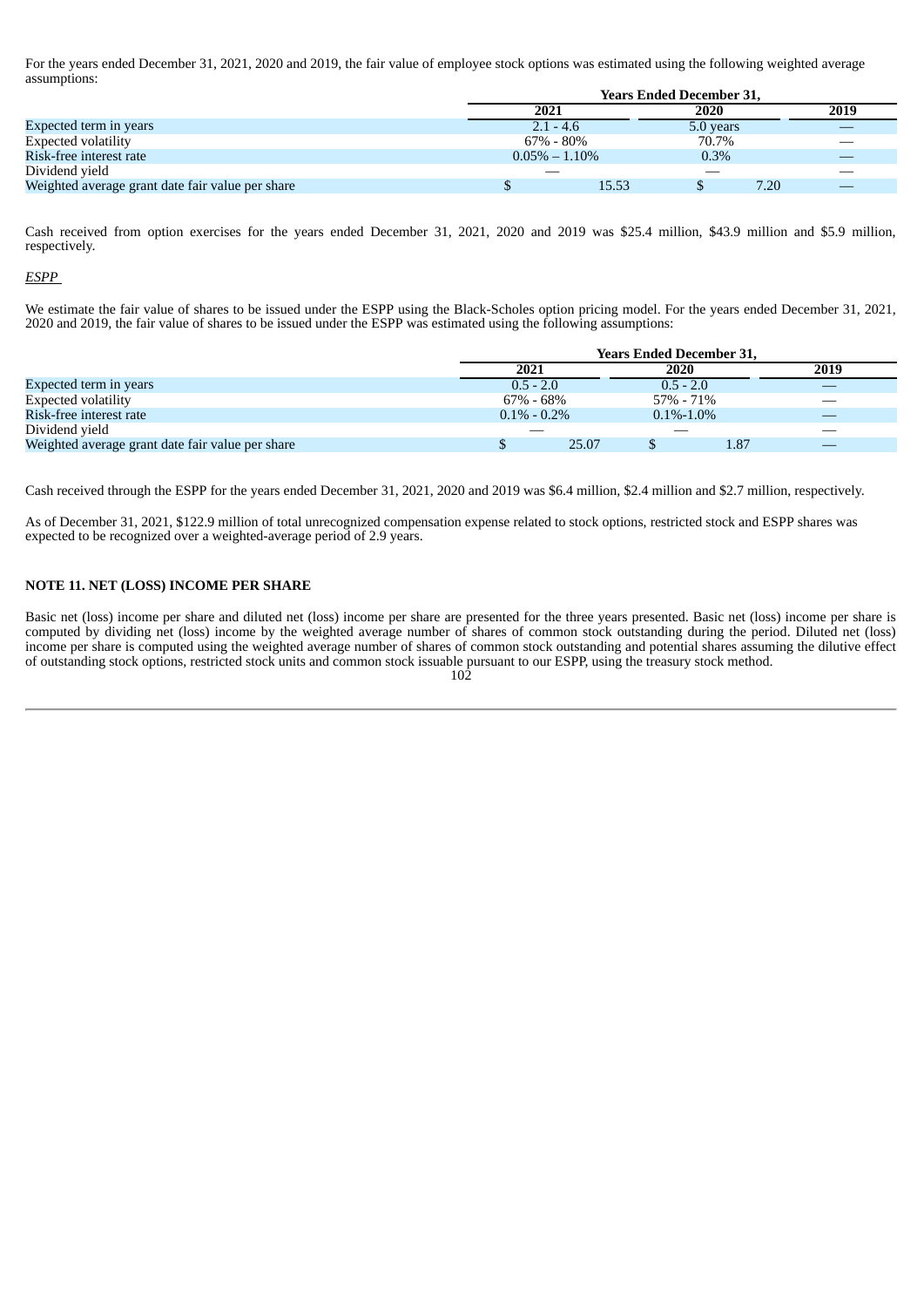For the years ended December 31, 2021, 2020 and 2019, the fair value of employee stock options was estimated using the following weighted average assumptions:

|                                                  |                   | <b>Years Ended December 31.</b> |           |      |                               |  |
|--------------------------------------------------|-------------------|---------------------------------|-----------|------|-------------------------------|--|
|                                                  | 2021              |                                 | 2020      |      | 2019                          |  |
| Expected term in years                           | $2.1 - 4.6$       |                                 | 5.0 years |      |                               |  |
| Expected volatility                              | $67\% - 80\%$     |                                 | 70.7%     |      |                               |  |
| Risk-free interest rate                          | $0.05\% - 1.10\%$ |                                 | 0.3%      |      |                               |  |
| Dividend vield                                   |                   |                                 |           |      | $\overbrace{\phantom{aaaaa}}$ |  |
| Weighted average grant date fair value per share |                   | 15.53                           |           | 7.20 |                               |  |

Cash received from option exercises for the years ended December 31, 2021, 2020 and 2019 was \$25.4 million, \$43.9 million and \$5.9 million, respectively.

## *ESPP*

We estimate the fair value of shares to be issued under the ESPP using the Black-Scholes option pricing model. For the years ended December 31, 2021, 2020 and 2019, the fair value of shares to be issued under the ESPP was estimated using the following assumptions:

|                                                  | <b>Years Ended December 31.</b> |       |                 |      |      |
|--------------------------------------------------|---------------------------------|-------|-----------------|------|------|
|                                                  | 2021                            |       | 2020            |      | 2019 |
| Expected term in years                           | $0.5 - 2.0$                     |       | $0.5 - 2.0$     |      |      |
| Expected volatility                              | $67\% - 68\%$                   |       | 57% - 71%       |      |      |
| Risk-free interest rate                          | $0.1\% - 0.2\%$                 |       | $0.1\% - 1.0\%$ |      |      |
| Dividend yield                                   |                                 |       |                 |      |      |
| Weighted average grant date fair value per share |                                 | 25.07 |                 | 1.87 |      |

Cash received through the ESPP for the years ended December 31, 2021, 2020 and 2019 was \$6.4 million, \$2.4 million and \$2.7 million, respectively.

As of December 31, 2021, \$122.9 million of total unrecognized compensation expense related to stock options, restricted stock and ESPP shares was expected to be recognized over a weighted-average period of 2.9 years.

# **NOTE 11. NET (LOSS) INCOME PER SHARE**

Basic net (loss) income per share and diluted net (loss) income per share are presented for the three years presented. Basic net (loss) income per share is computed by dividing net (loss) income by the weighted average number of shares of common stock outstanding during the period. Diluted net (loss) income per share is computed using the weighted average number of shares of common stock outstanding and potential shares assuming the dilutive effect of outstanding stock options, restricted stock units and common stock issuable pursuant to our ESPP, using the treasury stock method.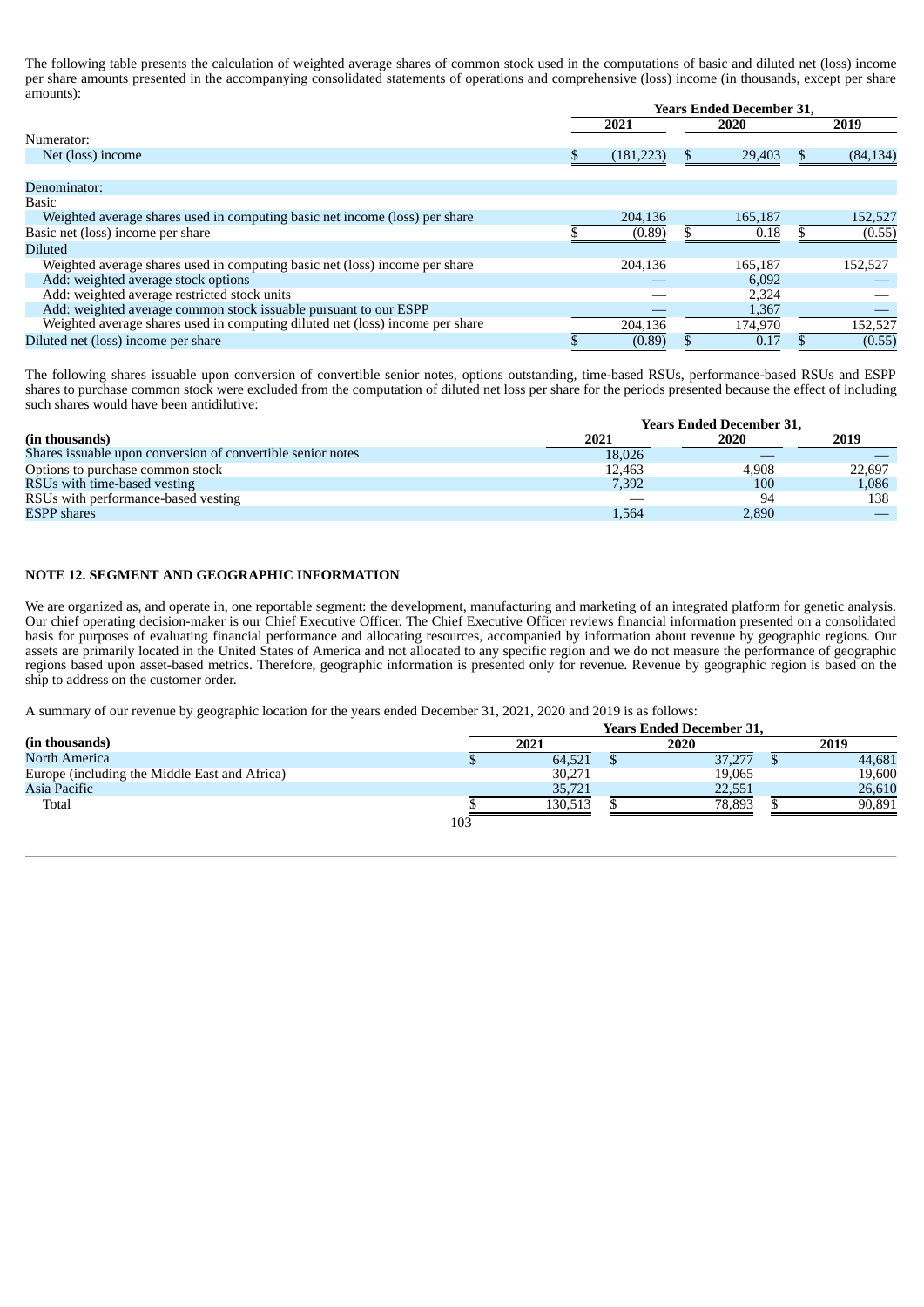The following table presents the calculation of weighted average shares of common stock used in the computations of basic and diluted net (loss) income per share amounts presented in the accompanying consolidated statements of operations and comprehensive (loss) income (in thousands, except per share amounts):

|                                                                               | <b>Years Ended December 31.</b> |            |  |         |   |           |
|-------------------------------------------------------------------------------|---------------------------------|------------|--|---------|---|-----------|
|                                                                               |                                 | 2021       |  | 2020    |   | 2019      |
| Numerator:                                                                    |                                 |            |  |         |   |           |
| Net (loss) income                                                             |                                 | (181, 223) |  | 29,403  | S | (84, 134) |
|                                                                               |                                 |            |  |         |   |           |
| Denominator:                                                                  |                                 |            |  |         |   |           |
| <b>Basic</b>                                                                  |                                 |            |  |         |   |           |
| Weighted average shares used in computing basic net income (loss) per share   |                                 | 204,136    |  | 165,187 |   | 152,527   |
| Basic net (loss) income per share                                             |                                 | (0.89)     |  | 0.18    |   | (0.55)    |
| <b>Diluted</b>                                                                |                                 |            |  |         |   |           |
| Weighted average shares used in computing basic net (loss) income per share   |                                 | 204.136    |  | 165.187 |   | 152,527   |
| Add: weighted average stock options                                           |                                 |            |  | 6,092   |   |           |
| Add: weighted average restricted stock units                                  |                                 |            |  | 2,324   |   |           |
| Add: weighted average common stock issuable pursuant to our ESPP              |                                 |            |  | 1,367   |   |           |
| Weighted average shares used in computing diluted net (loss) income per share |                                 | 204.136    |  | 174.970 |   | 152,527   |
| Diluted net (loss) income per share                                           |                                 | (0.89)     |  | 0.17    |   | (0.55)    |

The following shares issuable upon conversion of convertible senior notes, options outstanding, time-based RSUs, performance-based RSUs and ESPP shares to purchase common stock were excluded from the computation of diluted net loss per share for the periods presented because the effect of including such shares would have been antidilutive:

|                                                             | <b>Years Ended December 31,</b> |       |        |  |  |  |
|-------------------------------------------------------------|---------------------------------|-------|--------|--|--|--|
| (in thousands)                                              | 2021                            | 2020  | 2019   |  |  |  |
| Shares issuable upon conversion of convertible senior notes | 18,026                          |       |        |  |  |  |
| Options to purchase common stock                            | 12,463                          | 4.908 | 22,697 |  |  |  |
| RSUs with time-based vesting                                | 7,392                           | 100   | 1,086  |  |  |  |
| RSUs with performance-based vesting                         |                                 | 94    | 138    |  |  |  |
| ESPP shares                                                 | 1,564                           | 2,890 |        |  |  |  |

## **NOTE 12. SEGMENT AND GEOGRAPHIC INFORMATION**

We are organized as, and operate in, one reportable segment: the development, manufacturing and marketing of an integrated platform for genetic analysis. Our chief operating decision-maker is our Chief Executive Officer. The Chief Executive Officer reviews financial information presented on a consolidated basis for purposes of evaluating financial performance and allocating resources, accompanied by information about revenue by geographic regions. Our assets are primarily located in the United States of America and not allocated to any specific region and we do not measure the performance of geographic regions based upon asset-based metrics. Therefore, geographic information is presented only for revenue. Revenue by geographic region is based on the ship to address on the customer order.

A summary of our revenue by geographic location for the years ended December 31, 2021, 2020 and 2019 is as follows:

|                                               |     |         | <b>Years Ended December 31,</b> |        |
|-----------------------------------------------|-----|---------|---------------------------------|--------|
| (in thousands)                                |     | 2021    | 2020                            | 2019   |
| North America                                 |     | 64,521  | 37,277                          | 44,681 |
| Europe (including the Middle East and Africa) |     | 30.271  | 19.065                          | 19,600 |
| Asia Pacific                                  |     | 35,721  | 22,551                          | 26,610 |
| Total                                         |     | 130,513 | 78,893                          | 90,891 |
|                                               | 103 |         |                                 |        |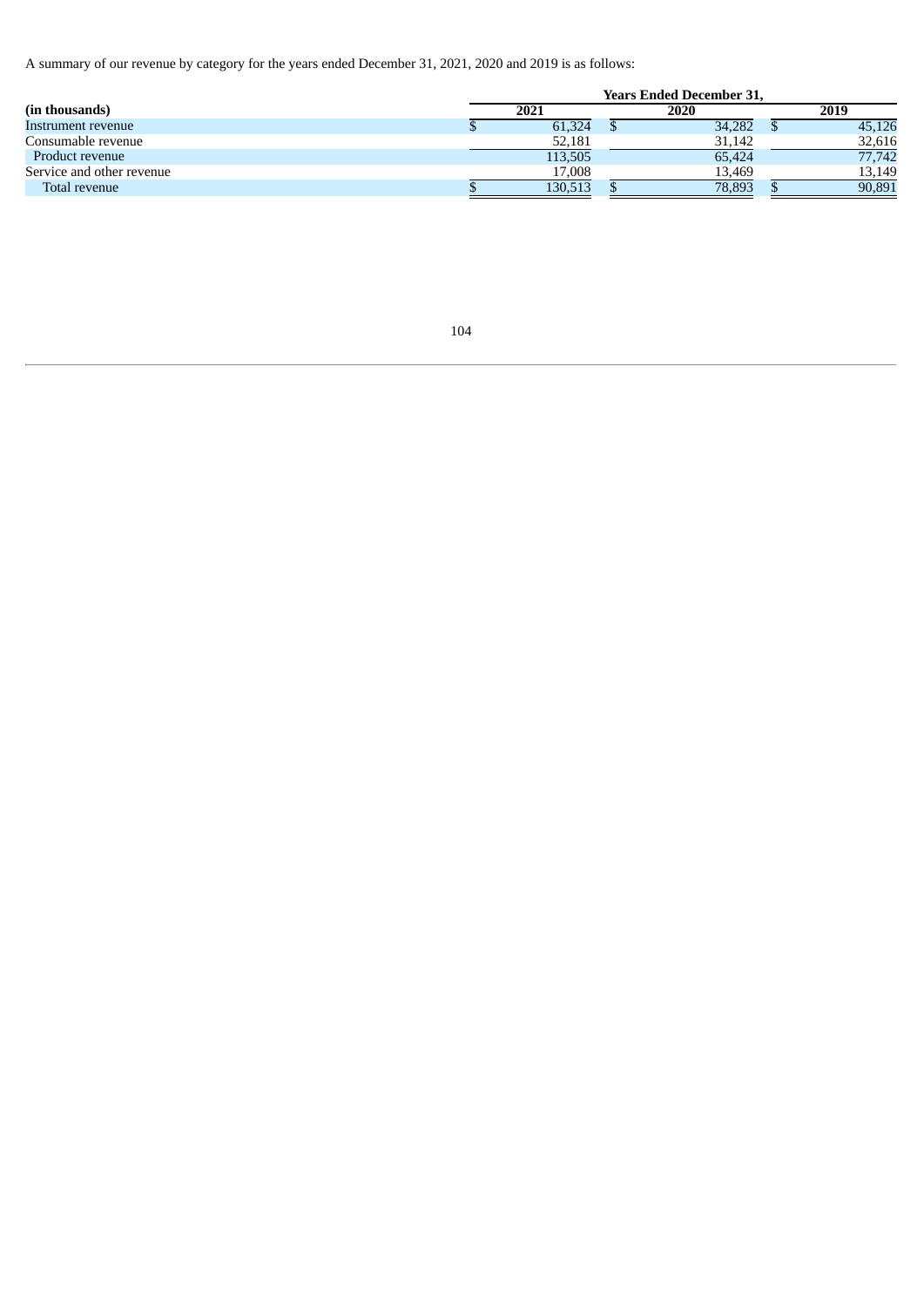A summary of our revenue by category for the years ended December 31, 2021, 2020 and 2019 is as follows:

|                           | <b>Years Ended December 31,</b> |         |  |        |  |        |
|---------------------------|---------------------------------|---------|--|--------|--|--------|
| (in thousands)            |                                 | 2021    |  | 2020   |  | 2019   |
| Instrument revenue        |                                 | 61,324  |  | 34,282 |  | 45,126 |
| Consumable revenue        |                                 | 52,181  |  | 31,142 |  | 32,616 |
| Product revenue           |                                 | 113,505 |  | 65,424 |  | 77,742 |
| Service and other revenue |                                 | 17,008  |  | 13,469 |  | 13,149 |
| Total revenue             |                                 | 130,513 |  | 78,893 |  | 90,891 |

| i<br>۰.<br>× |  |
|--------------|--|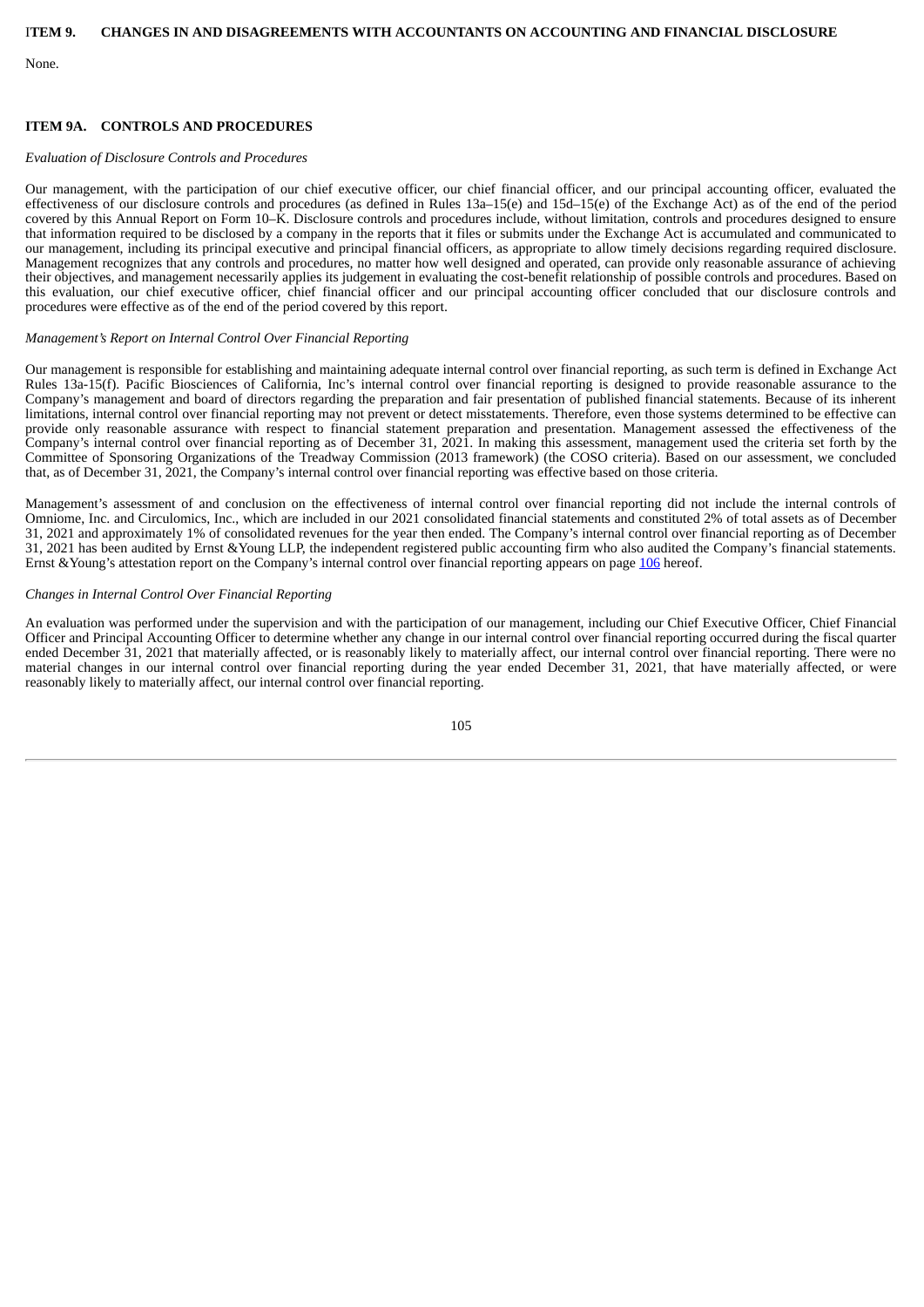None.

#### **ITEM 9A. CONTROLS AND PROCEDURES**

#### *Evaluation of Disclosure Controls and Procedures*

Our management, with the participation of our chief executive officer, our chief financial officer, and our principal accounting officer, evaluated the effectiveness of our disclosure controls and procedures (as defined in Rules 13a–15(e) and 15d–15(e) of the Exchange Act) as of the end of the period covered by this Annual Report on Form 10–K. Disclosure controls and procedures include, without limitation, controls and procedures designed to ensure that information required to be disclosed by a company in the reports that it files or submits under the Exchange Act is accumulated and communicated to our management, including its principal executive and principal financial officers, as appropriate to allow timely decisions regarding required disclosure. Management recognizes that any controls and procedures, no matter how well designed and operated, can provide only reasonable assurance of achieving their objectives, and management necessarily applies its judgement in evaluating the cost-benefit relationship of possible controls and procedures. Based on this evaluation, our chief executive officer, chief financial officer and our principal accounting officer concluded that our disclosure controls and procedures were effective as of the end of the period covered by this report.

#### *Management's Report on Internal Control Over Financial Reporting*

Our management is responsible for establishing and maintaining adequate internal control over financial reporting, as such term is defined in Exchange Act Rules 13a-15(f). Pacific Biosciences of California, Inc's internal control over financial reporting is designed to provide reasonable assurance to the Company's management and board of directors regarding the preparation and fair presentation of published financial statements. Because of its inherent limitations, internal control over financial reporting may not prevent or detect misstatements. Therefore, even those systems determined to be effective can provide only reasonable assurance with respect to financial statement preparation and presentation. Management assessed the effectiveness of the Company's internal control over financial reporting as of December 31, 2021. In making this assessment, management used the criteria set forth by the Committee of Sponsoring Organizations of the Treadway Commission (2013 framework) (the COSO criteria). Based on our assessment, we concluded that, as of December 31, 2021, the Company's internal control over financial reporting was effective based on those criteria.

Management's assessment of and conclusion on the effectiveness of internal control over financial reporting did not include the internal controls of Omniome, Inc. and Circulomics, Inc., which are included in our 2021 consolidated financial statements and constituted 2% of total assets as of December 31, 2021 and approximately 1% of consolidated revenues for the year then ended. The Company's internal control over financial reporting as of December 31, 2021 has been audited by Ernst &Young LLP, the independent registered public accounting firm who also audited the Company's financial statements. Ernst &Young's attestation report on the Company's internal control over financial reporting appears on page [106](#page-106-0) hereof.

#### *Changes in Internal Control Over Financial Reporting*

<span id="page-106-0"></span>An evaluation was performed under the supervision and with the participation of our management, including our Chief Executive Officer, Chief Financial Officer and Principal Accounting Officer to determine whether any change in our internal control over financial reporting occurred during the fiscal quarter ended December 31, 2021 that materially affected, or is reasonably likely to materially affect, our internal control over financial reporting. There were no material changes in our internal control over financial reporting during the year ended December 31, 2021, that have materially affected, or were reasonably likely to materially affect, our internal control over financial reporting.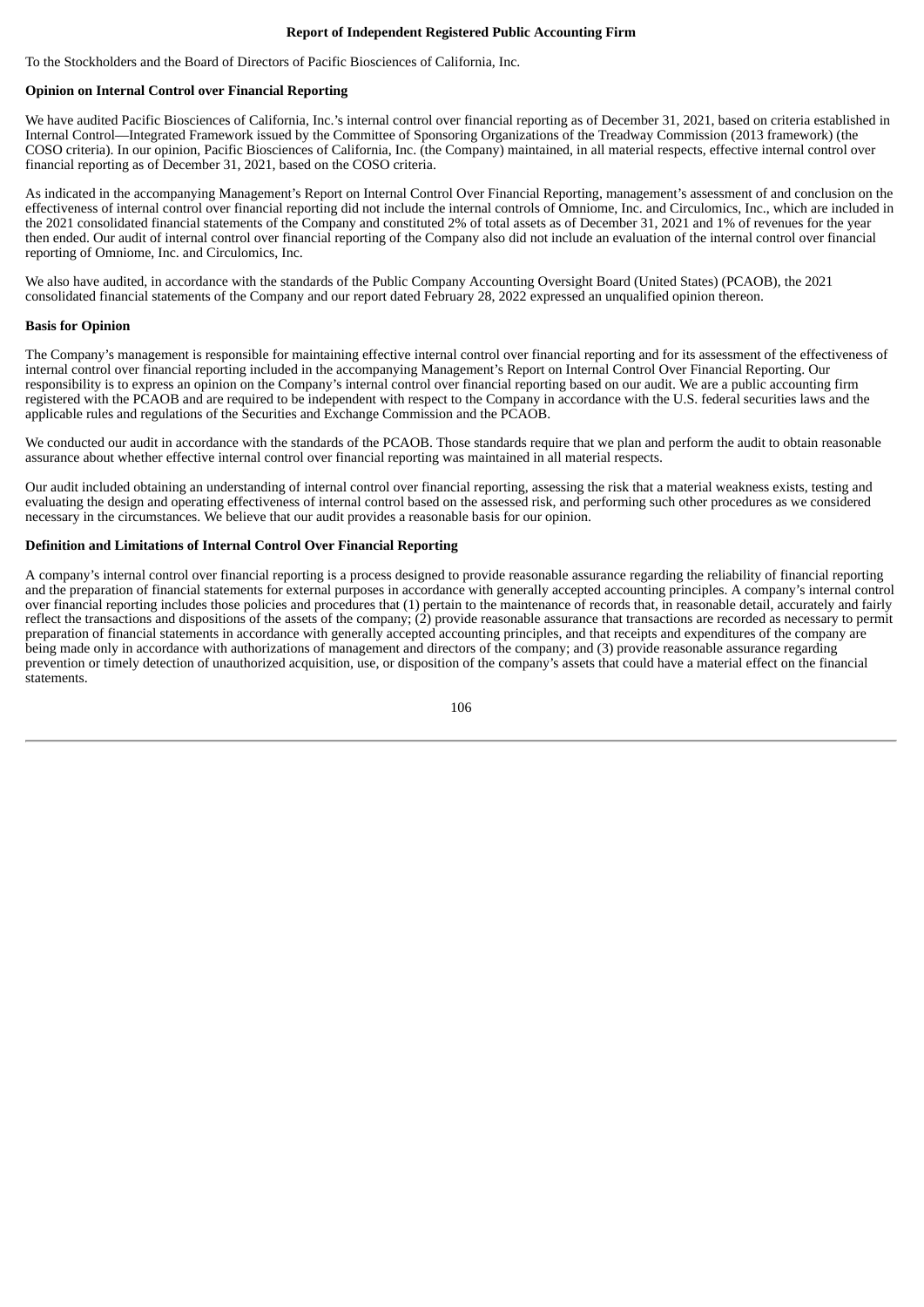### **Report of Independent Registered Public Accounting Firm**

To the Stockholders and the Board of Directors of Pacific Biosciences of California, Inc.

## **Opinion on Internal Control over Financial Reporting**

We have audited Pacific Biosciences of California, Inc.'s internal control over financial reporting as of December 31, 2021, based on criteria established in Internal Control—Integrated Framework issued by the Committee of Sponsoring Organizations of the Treadway Commission (2013 framework) (the COSO criteria). In our opinion, Pacific Biosciences of California, Inc. (the Company) maintained, in all material respects, effective internal control over financial reporting as of December 31, 2021, based on the COSO criteria.

As indicated in the accompanying Management's Report on Internal Control Over Financial Reporting, management's assessment of and conclusion on the effectiveness of internal control over financial reporting did not include the internal controls of Omniome, Inc. and Circulomics, Inc., which are included in the 2021 consolidated financial statements of the Company and constituted 2% of total assets as of December 31, 2021 and 1% of revenues for the year then ended. Our audit of internal control over financial reporting of the Company also did not include an evaluation of the internal control over financial reporting of Omniome, Inc. and Circulomics, Inc.

We also have audited, in accordance with the standards of the Public Company Accounting Oversight Board (United States) (PCAOB), the 2021 consolidated financial statements of the Company and our report dated February 28, 2022 expressed an unqualified opinion thereon.

### **Basis for Opinion**

The Company's management is responsible for maintaining effective internal control over financial reporting and for its assessment of the effectiveness of internal control over financial reporting included in the accompanying Management's Report on Internal Control Over Financial Reporting. Our responsibility is to express an opinion on the Company's internal control over financial reporting based on our audit. We are a public accounting firm registered with the PCAOB and are required to be independent with respect to the Company in accordance with the U.S. federal securities laws and the applicable rules and regulations of the Securities and Exchange Commission and the PCAOB.

We conducted our audit in accordance with the standards of the PCAOB. Those standards require that we plan and perform the audit to obtain reasonable assurance about whether effective internal control over financial reporting was maintained in all material respects.

Our audit included obtaining an understanding of internal control over financial reporting, assessing the risk that a material weakness exists, testing and evaluating the design and operating effectiveness of internal control based on the assessed risk, and performing such other procedures as we considered necessary in the circumstances. We believe that our audit provides a reasonable basis for our opinion.

## **Definition and Limitations of Internal Control Over Financial Reporting**

A company's internal control over financial reporting is a process designed to provide reasonable assurance regarding the reliability of financial reporting and the preparation of financial statements for external purposes in accordance with generally accepted accounting principles. A company's internal control over financial reporting includes those policies and procedures that (1) pertain to the maintenance of records that, in reasonable detail, accurately and fairly reflect the transactions and dispositions of the assets of the company; (2) provide reasonable assurance that transactions are recorded as necessary to permit preparation of financial statements in accordance with generally accepted accounting principles, and that receipts and expenditures of the company are being made only in accordance with authorizations of management and directors of the company; and (3) provide reasonable assurance regarding prevention or timely detection of unauthorized acquisition, use, or disposition of the company's assets that could have a material effect on the financial statements.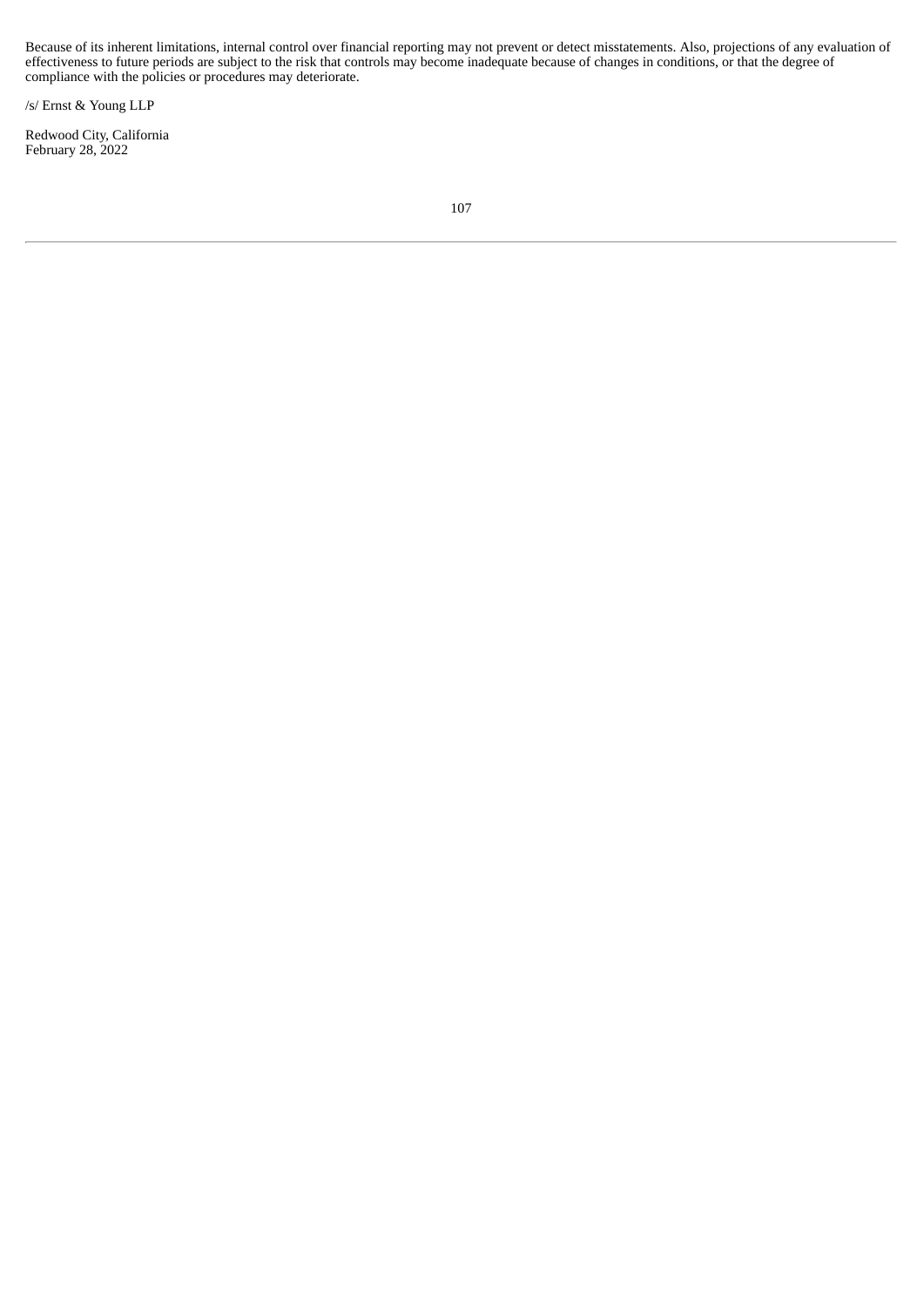Because of its inherent limitations, internal control over financial reporting may not prevent or detect misstatements. Also, projections of any evaluation of effectiveness to future periods are subject to the risk that controls may become inadequate because of changes in conditions, or that the degree of compliance with the policies or procedures may deteriorate.

/s/ Ernst & Young LLP

Redwood City, California February 28, 2022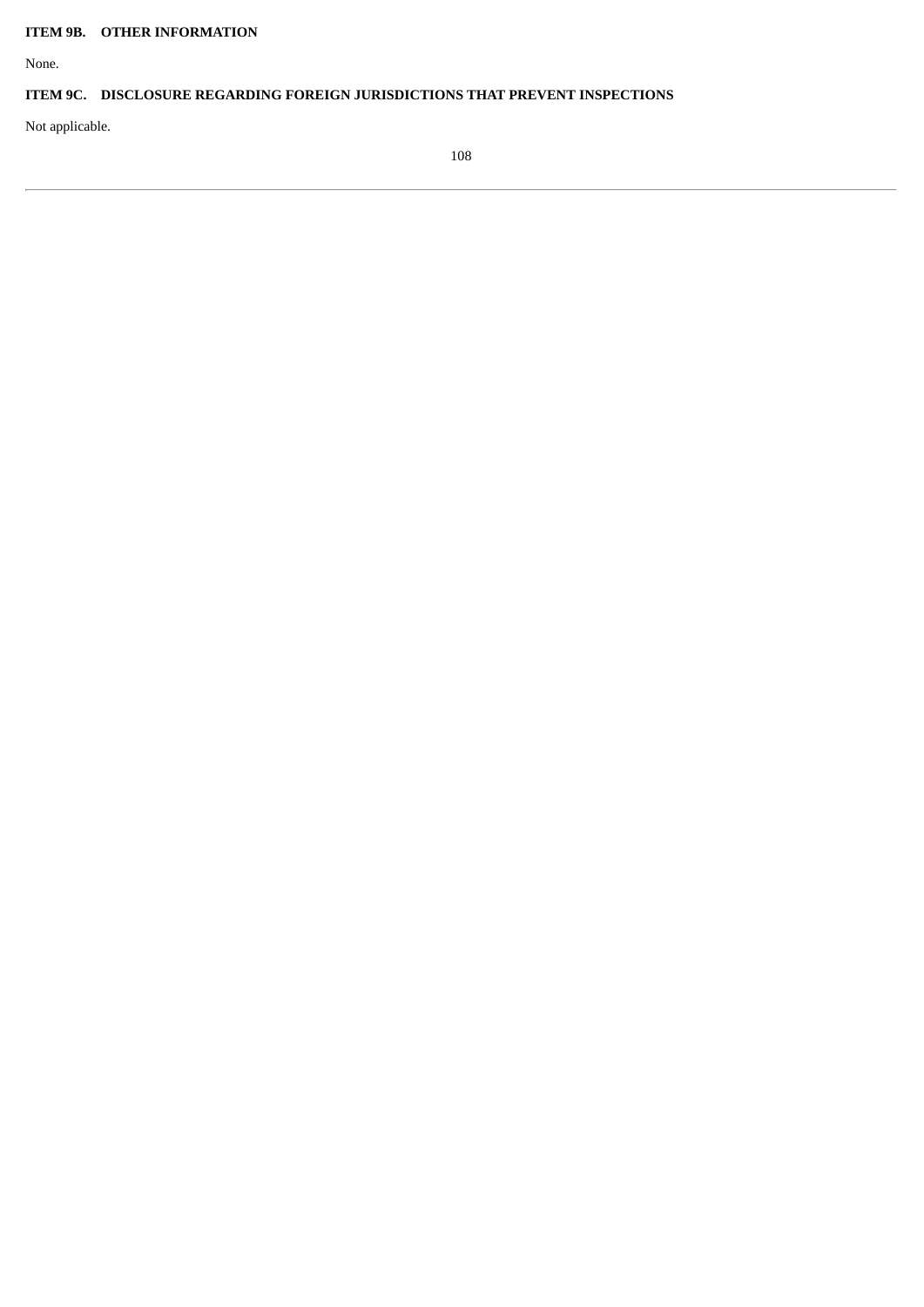# **ITEM 9B. OTHER INFORMATION**

None.

# **ITEM 9C. DISCLOSURE REGARDING FOREIGN JURISDICTIONS THAT PREVENT INSPECTIONS**

Not applicable.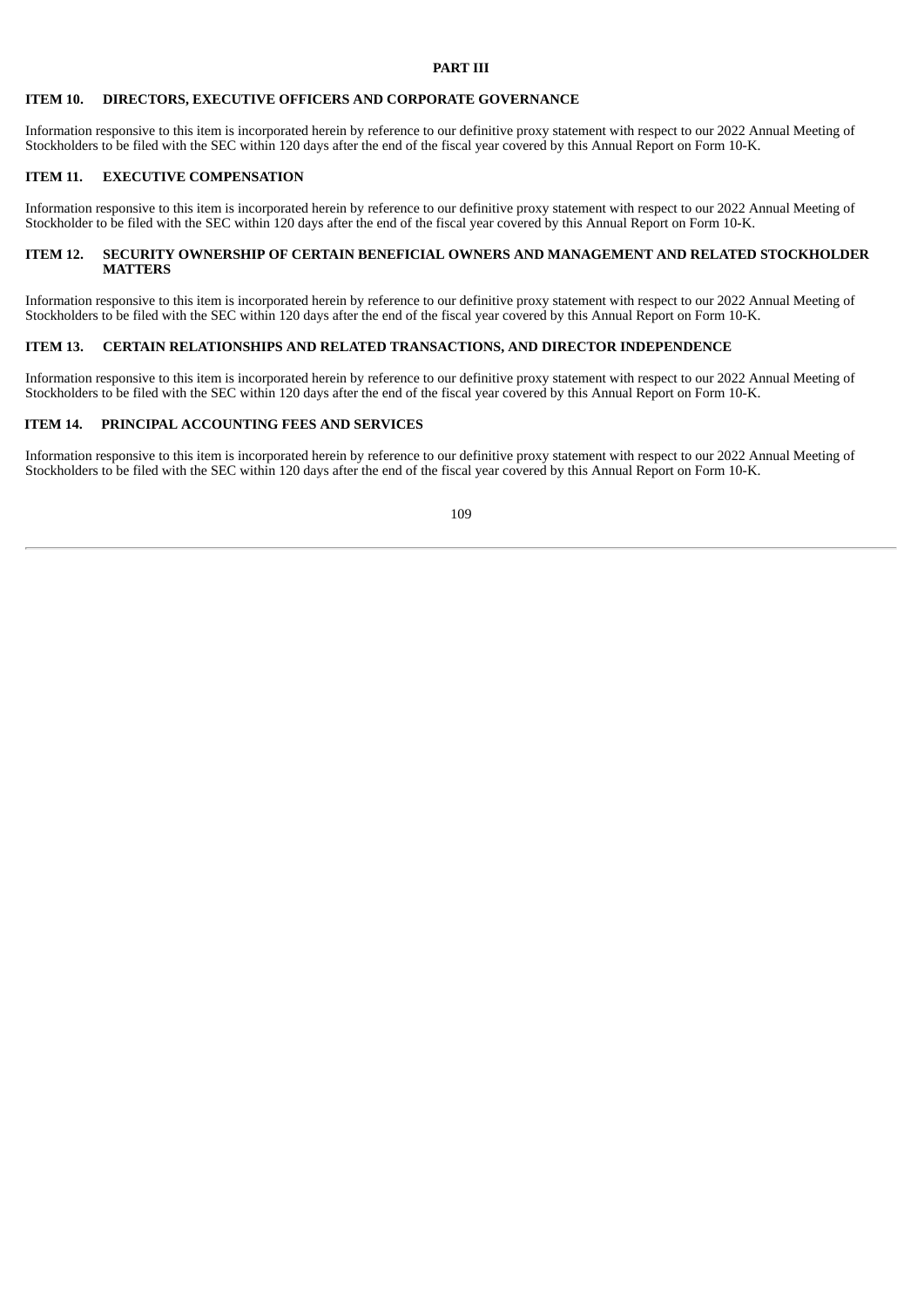### **PART III**

### **ITEM 10. DIRECTORS, EXECUTIVE OFFICERS AND CORPORATE GOVERNANCE**

Information responsive to this item is incorporated herein by reference to our definitive proxy statement with respect to our 2022 Annual Meeting of Stockholders to be filed with the SEC within 120 days after the end of the fiscal year covered by this Annual Report on Form 10-K.

## **ITEM 11. EXECUTIVE COMPENSATION**

Information responsive to this item is incorporated herein by reference to our definitive proxy statement with respect to our 2022 Annual Meeting of Stockholder to be filed with the SEC within 120 days after the end of the fiscal year covered by this Annual Report on Form 10-K.

### **ITEM 12. SECURITY OWNERSHIP OF CERTAIN BENEFICIAL OWNERS AND MANAGEMENT AND RELATED STOCKHOLDER MATTERS**

Information responsive to this item is incorporated herein by reference to our definitive proxy statement with respect to our 2022 Annual Meeting of Stockholders to be filed with the SEC within 120 days after the end of the fiscal year covered by this Annual Report on Form 10-K.

## **ITEM 13. CERTAIN RELATIONSHIPS AND RELATED TRANSACTIONS, AND DIRECTOR INDEPENDENCE**

Information responsive to this item is incorporated herein by reference to our definitive proxy statement with respect to our 2022 Annual Meeting of Stockholders to be filed with the SEC within 120 days after the end of the fiscal year covered by this Annual Report on Form 10-K.

## **ITEM 14. PRINCIPAL ACCOUNTING FEES AND SERVICES**

Information responsive to this item is incorporated herein by reference to our definitive proxy statement with respect to our 2022 Annual Meeting of Stockholders to be filed with the SEC within 120 days after the end of the fiscal year covered by this Annual Report on Form 10-K.

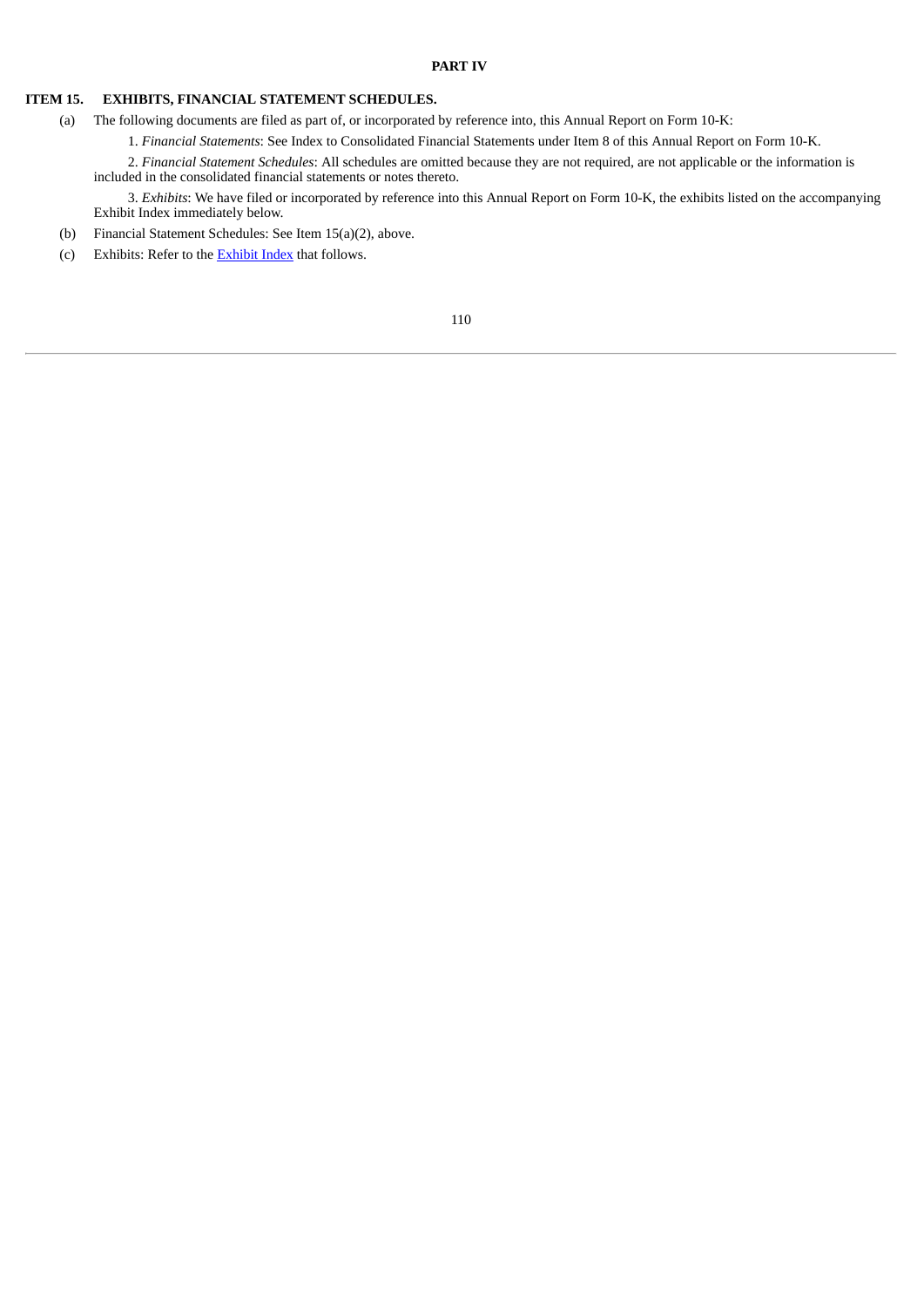### **ITEM 15. EXHIBITS, FINANCIAL STATEMENT SCHEDULES.**

(a) The following documents are filed as part of, or incorporated by reference into, this Annual Report on Form 10-K:

1. *Financial Statements*: See Index to Consolidated Financial Statements under Item 8 of this Annual Report on Form 10-K.

2. *Financial Statement Schedules*: All schedules are omitted because they are not required, are not applicable or the information is included in the consolidated financial statements or notes thereto.

3. *Exhibits*: We have filed or incorporated by reference into this Annual Report on Form 10-K, the exhibits listed on the accompanying Exhibit Index immediately below.

(b) Financial Statement Schedules: See Item 15(a)(2), above.

(c) Exhibits: Refer to the [Exhibit](#page-112-0) Index that follows.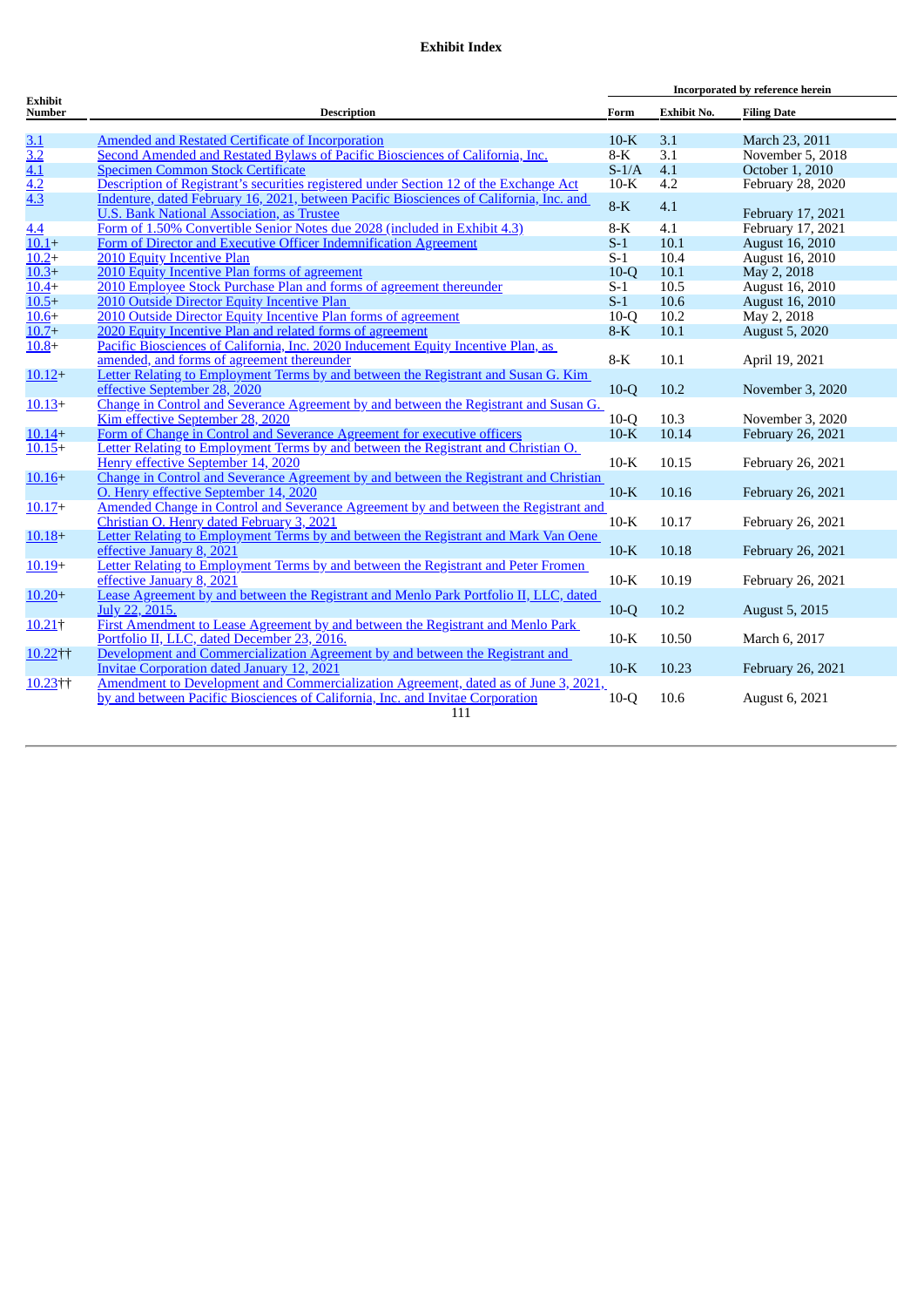# <span id="page-112-0"></span>**Exhibit Index**

|                                                             |                                                                                                                                                                       | Incorporated by reference herein |                  |                        |
|-------------------------------------------------------------|-----------------------------------------------------------------------------------------------------------------------------------------------------------------------|----------------------------------|------------------|------------------------|
| Exhibit<br>Number                                           | <b>Description</b>                                                                                                                                                    | Form                             | Exhibit No.      | <b>Filing Date</b>     |
|                                                             |                                                                                                                                                                       |                                  |                  |                        |
| $\frac{3.1}{3.2}$<br>$\frac{4.1}{4.2}$<br>$\frac{4.2}{4.3}$ | Amended and Restated Certificate of Incorporation                                                                                                                     | $10-K$                           | 3.1              | March 23, 2011         |
|                                                             | Second Amended and Restated Bylaws of Pacific Biosciences of California, Inc.                                                                                         | $8-K$                            | $\overline{3.1}$ | November 5, 2018       |
|                                                             | <b>Specimen Common Stock Certificate</b>                                                                                                                              | $S-1/A$                          | 4.1              | October 1, 2010        |
|                                                             | Description of Registrant's securities registered under Section 12 of the Exchange Act                                                                                | $10-K$                           | 4.2              | February 28, 2020      |
|                                                             | Indenture, dated February 16, 2021, between Pacific Biosciences of California, Inc. and<br><b>U.S. Bank National Association, as Trustee</b>                          | $8-K$                            | 4.1              | February 17, 2021      |
| 4.4                                                         | Form of 1.50% Convertible Senior Notes due 2028 (included in Exhibit 4.3)                                                                                             | $8-K$                            | 4.1              | February 17, 2021      |
| $10.1+$                                                     | Form of Director and Executive Officer Indemnification Agreement                                                                                                      | $S-1$                            | 10.1             | August 16, 2010        |
| $10.2+$                                                     | 2010 Equity Incentive Plan                                                                                                                                            | $S-1$                            | 10.4             | August 16, 2010        |
| $10.3+$                                                     | 2010 Equity Incentive Plan forms of agreement                                                                                                                         | $10 - Q$                         | 10.1             | May 2, 2018            |
| $10.4+$                                                     | 2010 Employee Stock Purchase Plan and forms of agreement thereunder                                                                                                   | $S-1$                            | 10.5             | <b>August 16, 2010</b> |
| $10.5+$                                                     | 2010 Outside Director Equity Incentive Plan                                                                                                                           | $S-1$                            | 10.6             | August 16, 2010        |
| $10.6+$                                                     | 2010 Outside Director Equity Incentive Plan forms of agreement                                                                                                        | $10-Q$                           | 10.2             | May 2, 2018            |
| $10.7+$                                                     | 2020 Equity Incentive Plan and related forms of agreement                                                                                                             | $8-K$                            | 10.1             | <b>August 5, 2020</b>  |
| $10.8+$                                                     | Pacific Biosciences of California, Inc. 2020 Inducement Equity Incentive Plan, as<br>amended, and forms of agreement thereunder                                       | $8-K$                            | 10.1             | April 19, 2021         |
| $10.12+$                                                    | Letter Relating to Employment Terms by and between the Registrant and Susan G. Kim                                                                                    |                                  |                  |                        |
|                                                             | effective September 28, 2020                                                                                                                                          | $10-Q$                           | 10.2             | November 3, 2020       |
| $10.13+$                                                    | Change in Control and Severance Agreement by and between the Registrant and Susan G.                                                                                  |                                  |                  |                        |
|                                                             | Kim effective September 28, 2020                                                                                                                                      | $10-o$                           | 10.3             | November 3, 2020       |
| $10.14+$                                                    | Form of Change in Control and Severance Agreement for executive officers                                                                                              | $10-K$                           | 10.14            | February 26, 2021      |
| $10.15+$                                                    | Letter Relating to Employment Terms by and between the Registrant and Christian O.                                                                                    |                                  |                  |                        |
|                                                             | Henry effective September 14, 2020                                                                                                                                    | $10-K$                           | 10.15            | February 26, 2021      |
| $10.16+$                                                    | Change in Control and Severance Agreement by and between the Registrant and Christian                                                                                 |                                  |                  |                        |
|                                                             | O. Henry effective September 14, 2020                                                                                                                                 | $10-K$                           | 10.16            | February 26, 2021      |
| $10.17+$                                                    | Amended Change in Control and Severance Agreement by and between the Registrant and<br>Christian O. Henry dated February 3, 2021                                      | $10-K$                           | 10.17            | February 26, 2021      |
| $10.18+$                                                    | Letter Relating to Employment Terms by and between the Registrant and Mark Van Oene                                                                                   |                                  |                  |                        |
|                                                             | effective January 8, 2021                                                                                                                                             | $10-K$                           | 10.18            | February 26, 2021      |
| $10.19+$                                                    | Letter Relating to Employment Terms by and between the Registrant and Peter Fromen                                                                                    |                                  | 10.19            |                        |
|                                                             | effective January 8, 2021                                                                                                                                             | $10-K$                           |                  | February 26, 2021      |
| $10.20+$                                                    | Lease Agreement by and between the Registrant and Menlo Park Portfolio II, LLC, dated<br>July 22, 2015.                                                               | $10 - Q$                         | 10.2             | August 5, 2015         |
| $10.21$ <sup>+</sup>                                        | First Amendment to Lease Agreement by and between the Registrant and Menlo Park                                                                                       |                                  |                  |                        |
|                                                             | Portfolio II, LLC, dated December 23, 2016.                                                                                                                           | $10-K$                           | 10.50            | March 6, 2017          |
| 10.22++                                                     | Development and Commercialization Agreement by and between the Registrant and<br><b>Invitae Corporation dated January 12, 2021</b>                                    | $10-K$                           | 10.23            | February 26, 2021      |
| $10.23$ <sup>++</sup>                                       | Amendment to Development and Commercialization Agreement, dated as of June 3, 2021,<br>by and between Pacific Biosciences of California, Inc. and Invitae Corporation | $10-Q$                           | 10.6             | August 6, 2021         |
|                                                             | 111                                                                                                                                                                   |                                  |                  |                        |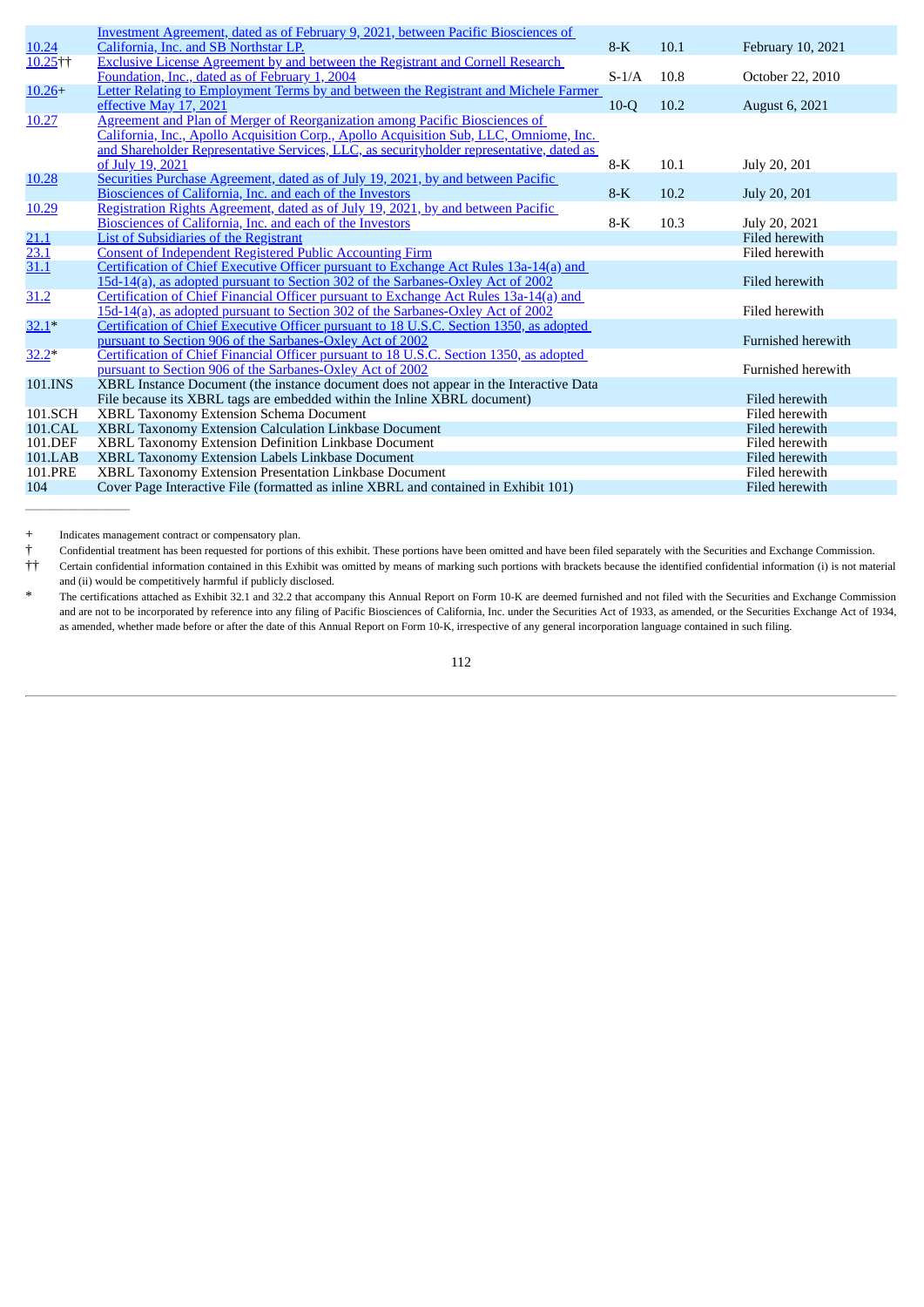|                     | <b>Investment Agreement, dated as of February 9, 2021, between Pacific Biosciences of</b> |         |      |                       |
|---------------------|-------------------------------------------------------------------------------------------|---------|------|-----------------------|
| 10.24               | California, Inc. and SB Northstar LP.                                                     | $8-K$   | 10.1 | February 10, 2021     |
| $10.25$   $+$       | <b>Exclusive License Agreement by and between the Registrant and Cornell Research</b>     |         |      |                       |
|                     | Foundation, Inc., dated as of February 1, 2004                                            | $S-1/A$ | 10.8 | October 22, 2010      |
| $10.26+$            | Letter Relating to Employment Terms by and between the Registrant and Michele Farmer      |         |      |                       |
|                     | effective May 17, 2021                                                                    | $10-Q$  | 10.2 | August 6, 2021        |
| 10.27               | Agreement and Plan of Merger of Reorganization among Pacific Biosciences of               |         |      |                       |
|                     | California, Inc., Apollo Acquisition Corp., Apollo Acquisition Sub, LLC, Omniome, Inc.    |         |      |                       |
|                     | and Shareholder Representative Services, LLC, as securityholder representative, dated as  |         |      |                       |
|                     | of July 19, 2021                                                                          | $8-K$   | 10.1 | July 20, 201          |
| 10.28               | Securities Purchase Agreement, dated as of July 19, 2021, by and between Pacific          |         |      |                       |
|                     | Biosciences of California, Inc. and each of the Investors                                 | $8-K$   | 10.2 | July 20, 201          |
| 10.29               | Registration Rights Agreement, dated as of July 19, 2021, by and between Pacific          |         |      |                       |
|                     | Biosciences of California, Inc. and each of the Investors                                 | 8-K     | 10.3 | July 20, 2021         |
| 21.1                | <b>List of Subsidiaries of the Registrant</b>                                             |         |      | <b>Filed herewith</b> |
| $\frac{23.1}{31.1}$ | <b>Consent of Independent Registered Public Accounting Firm</b>                           |         |      | Filed herewith        |
|                     | Certification of Chief Executive Officer pursuant to Exchange Act Rules 13a-14(a) and     |         |      |                       |
|                     | 15d-14(a), as adopted pursuant to Section 302 of the Sarbanes-Oxley Act of 2002           |         |      | <b>Filed herewith</b> |
| 31.2                | Certification of Chief Financial Officer pursuant to Exchange Act Rules 13a-14(a) and     |         |      |                       |
|                     | 15d-14(a), as adopted pursuant to Section 302 of the Sarbanes-Oxley Act of 2002           |         |      | Filed herewith        |
| $32.1*$             | Certification of Chief Executive Officer pursuant to 18 U.S.C. Section 1350, as adopted   |         |      |                       |
|                     | pursuant to Section 906 of the Sarbanes-Oxley Act of 2002                                 |         |      | Furnished herewith    |
| $32.2*$             | Certification of Chief Financial Officer pursuant to 18 U.S.C. Section 1350, as adopted   |         |      |                       |
|                     | pursuant to Section 906 of the Sarbanes-Oxley Act of 2002                                 |         |      | Furnished herewith    |
| 101.INS             | XBRL Instance Document (the instance document does not appear in the Interactive Data     |         |      |                       |
|                     | File because its XBRL tags are embedded within the Inline XBRL document)                  |         |      | Filed herewith        |
| 101.SCH             | XBRL Taxonomy Extension Schema Document                                                   |         |      | Filed herewith        |
| 101.CAL             | XBRL Taxonomy Extension Calculation Linkbase Document                                     |         |      | Filed herewith        |
| 101.DEF             | XBRL Taxonomy Extension Definition Linkbase Document                                      |         |      | Filed herewith        |
| 101.LAB             | XBRL Taxonomy Extension Labels Linkbase Document                                          |         |      | Filed herewith        |
| 101.PRE             | XBRL Taxonomy Extension Presentation Linkbase Document                                    |         |      | Filed herewith        |
| 104                 | Cover Page Interactive File (formatted as inline XBRL and contained in Exhibit 101)       |         |      | Filed herewith        |

+ Indicates management contract or compensatory plan.

 $\mathcal{L}=\mathcal{L}=\mathcal{L}=\mathcal{L}=\mathcal{L}=\mathcal{L}=\mathcal{L}=\mathcal{L}=\mathcal{L}=\mathcal{L}=\mathcal{L}=\mathcal{L}=\mathcal{L}=\mathcal{L}=\mathcal{L}=\mathcal{L}=\mathcal{L}=\mathcal{L}=\mathcal{L}=\mathcal{L}=\mathcal{L}=\mathcal{L}=\mathcal{L}=\mathcal{L}=\mathcal{L}=\mathcal{L}=\mathcal{L}=\mathcal{L}=\mathcal{L}=\mathcal{L}=\mathcal{L}=\mathcal{L}=\mathcal{L}=\mathcal{L}=\mathcal{L}=\mathcal{L}=\mathcal{$ 

† Confidential treatment has been requested for portions of this exhibit. These portions have been omitted and have been filed separately with the Securities and Exchange Commission.

†† Certain confidential information contained in this Exhibit was omitted by means of marking such portions with brackets because the identified confidential information (i) is not material

and (ii) would be competitively harmful if publicly disclosed. The certifications attached as Exhibit 32.1 and 32.2 that accompany this Annual Report on Form 10-K are deemed furnished and not filed with the Securities and Exchange Commission and are not to be incorporated by reference into any filing of Pacific Biosciences of California, Inc. under the Securities Act of 1933, as amended, or the Securities Exchange Act of 1934, as amended, whether made before or after the date of this Annual Report on Form 10-K, irrespective of any general incorporation language contained in such filing.

112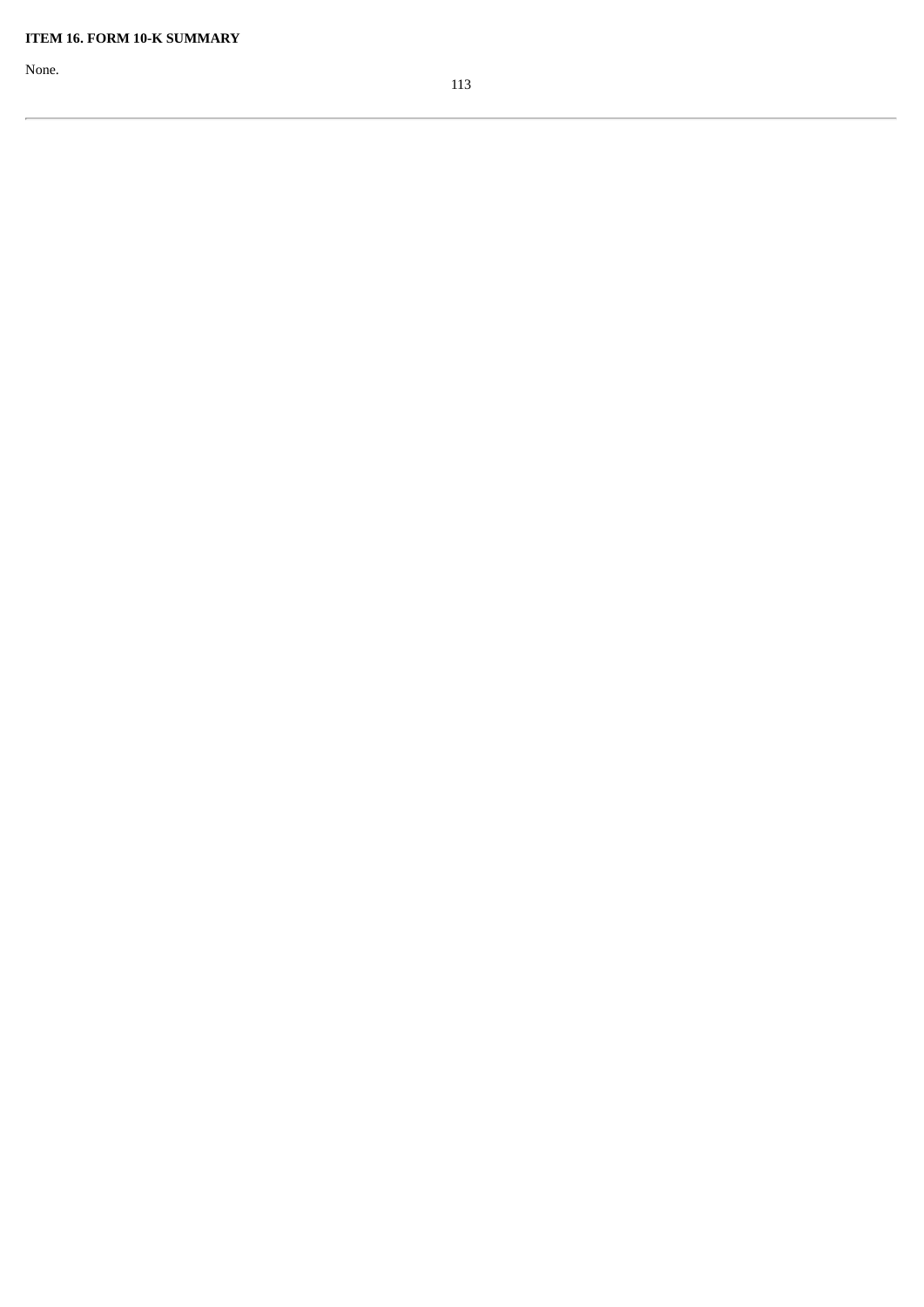### **ITEM 16. FORM 10-K SUMMARY**

None.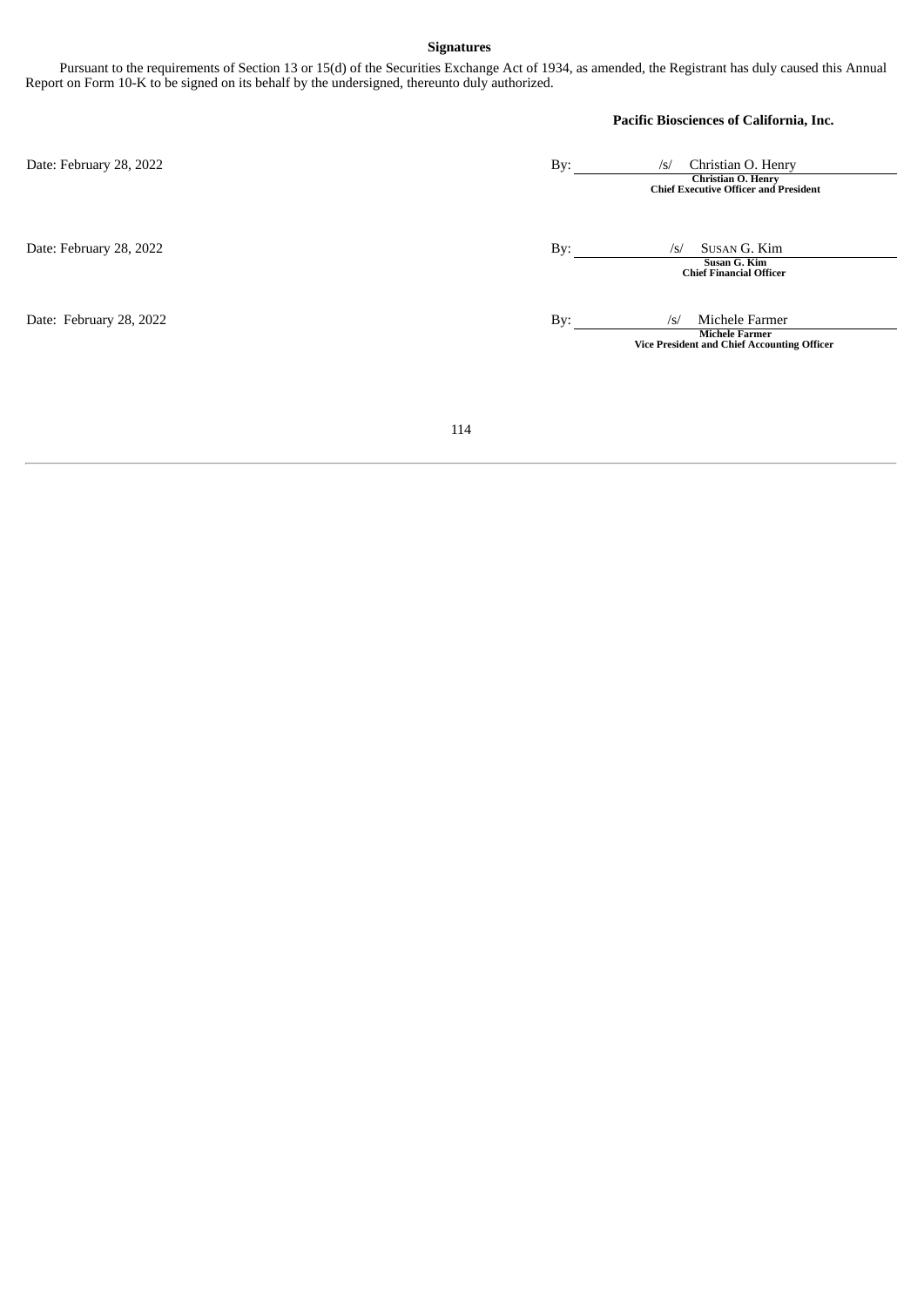## **Signatures**

Pursuant to the requirements of Section 13 or 15(d) of the Securities Exchange Act of 1934, as amended, the Registrant has duly caused this Annual Report on Form 10-K to be signed on its behalf by the undersigned, thereunto duly authorized.

|                         |     |     | Pacific Biosciences of California, Inc.                                                                       |
|-------------------------|-----|-----|---------------------------------------------------------------------------------------------------------------|
| Date: February 28, 2022 |     | By: | Christian O. Henry<br>$\sqrt{s}$<br><b>Christian O. Henry</b><br><b>Chief Executive Officer and President</b> |
| Date: February 28, 2022 |     | By: | SUSAN G. Kim<br>$\sqrt{s}$<br>Susan G. Kim<br><b>Chief Financial Officer</b>                                  |
| Date: February 28, 2022 |     | By: | Michele Farmer<br>$\sqrt{s}$<br><b>Michele Farmer</b><br>Vice President and Chief Accounting Officer          |
|                         | 114 |     |                                                                                                               |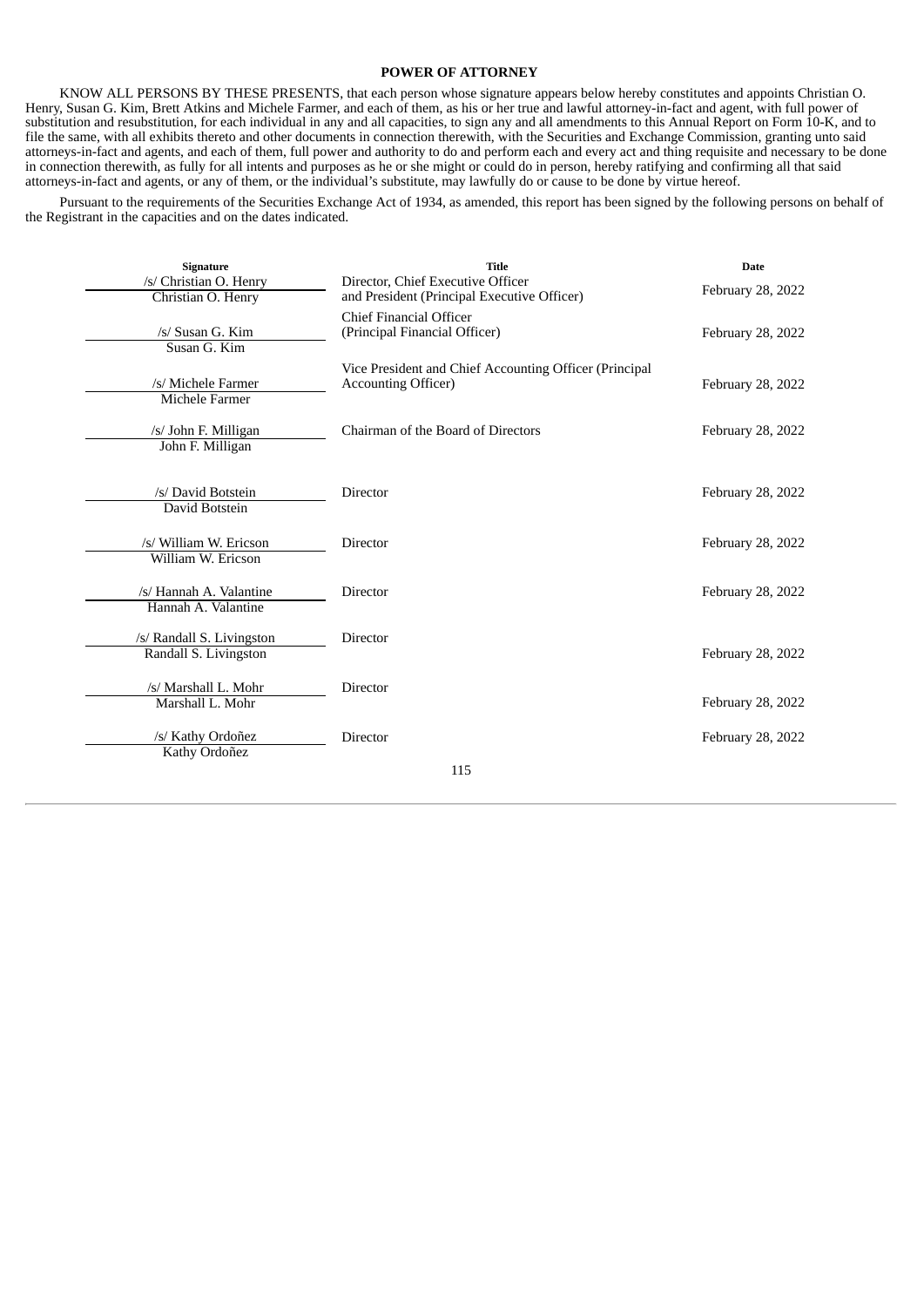### **POWER OF ATTORNEY**

KNOW ALL PERSONS BY THESE PRESENTS, that each person whose signature appears below hereby constitutes and appoints Christian O. Henry, Susan G. Kim, Brett Atkins and Michele Farmer, and each of them, as his or her true and lawful attorney-in-fact and agent, with full power of substitution and resubstitution, for each individual in any and all capacities, to sign any and all amendments to this Annual Report on Form 10-K, and to file the same, with all exhibits thereto and other documents in connection therewith, with the Securities and Exchange Commission, granting unto said attorneys-in-fact and agents, and each of them, full power and authority to do and perform each and every act and thing requisite and necessary to be done in connection therewith, as fully for all intents and purposes as he or she might or could do in person, hereby ratifying and confirming all that said attorneys-in-fact and agents, or any of them, or the individual's substitute, may lawfully do or cause to be done by virtue hereof.

Pursuant to the requirements of the Securities Exchange Act of 1934, as amended, this report has been signed by the following persons on behalf of the Registrant in the capacities and on the dates indicated.

| Signature<br>/s/ Christian O. Henry                | <b>Title</b><br>Director, Chief Executive Officer                                    | <b>Date</b>       |
|----------------------------------------------------|--------------------------------------------------------------------------------------|-------------------|
| Christian O. Henry                                 | and President (Principal Executive Officer)                                          | February 28, 2022 |
| /s/ Susan G. Kim<br>Susan G. Kim                   | <b>Chief Financial Officer</b><br>(Principal Financial Officer)                      | February 28, 2022 |
| /s/ Michele Farmer<br>Michele Farmer               | Vice President and Chief Accounting Officer (Principal<br><b>Accounting Officer)</b> | February 28, 2022 |
| /s/ John F. Milligan<br>John F. Milligan           | Chairman of the Board of Directors                                                   | February 28, 2022 |
| /s/ David Botstein<br>David Botstein               | Director                                                                             | February 28, 2022 |
| /s/ William W. Ericson<br>William W. Ericson       | Director                                                                             | February 28, 2022 |
| /s/ Hannah A. Valantine<br>Hannah A. Valantine     | Director                                                                             | February 28, 2022 |
| /s/ Randall S. Livingston<br>Randall S. Livingston | Director                                                                             | February 28, 2022 |
| /s/ Marshall L. Mohr<br>Marshall L. Mohr           | Director                                                                             | February 28, 2022 |
| /s/ Kathy Ordoñez<br>Kathy Ordoñez                 | <b>Director</b>                                                                      | February 28, 2022 |
|                                                    | 115                                                                                  |                   |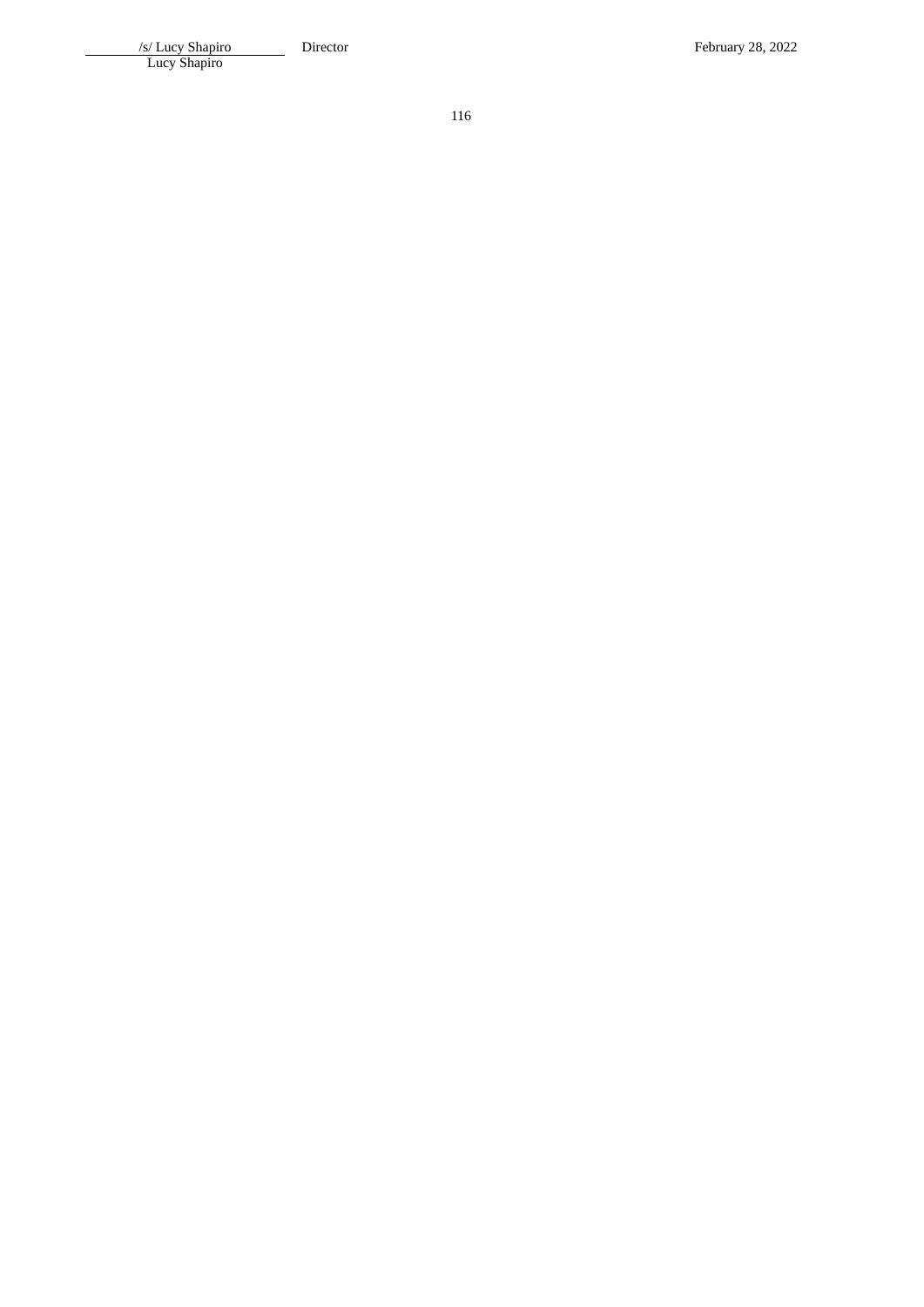/s/ Lucy Shapiro

Director

Lucy Shapiro

1 1 6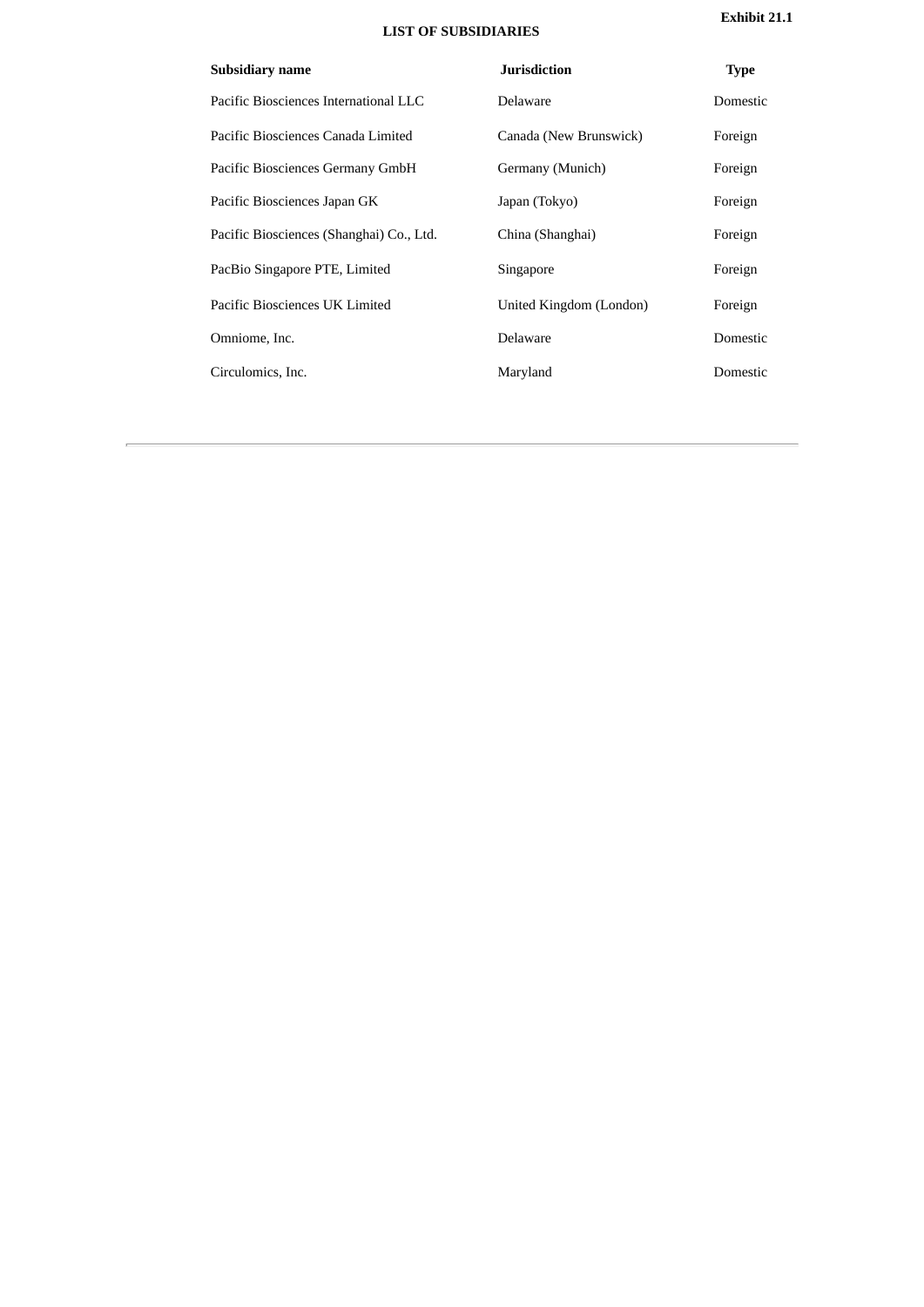# **LIST OF SUBSIDIARIES**

<span id="page-118-0"></span>

| Subsidiary name                          | <b>Jurisdiction</b>     | <b>Type</b> |
|------------------------------------------|-------------------------|-------------|
| Pacific Biosciences International LLC    | Delaware                | Domestic    |
| Pacific Biosciences Canada Limited       | Canada (New Brunswick)  | Foreign     |
| Pacific Biosciences Germany GmbH         | Germany (Munich)        | Foreign     |
| Pacific Biosciences Japan GK             | Japan (Tokyo)           | Foreign     |
| Pacific Biosciences (Shanghai) Co., Ltd. | China (Shanghai)        | Foreign     |
| PacBio Singapore PTE, Limited            | Singapore               | Foreign     |
| Pacific Biosciences UK Limited           | United Kingdom (London) | Foreign     |
| Omniome, Inc.                            | Delaware                | Domestic    |
| Circulomics, Inc.                        | Maryland                | Domestic    |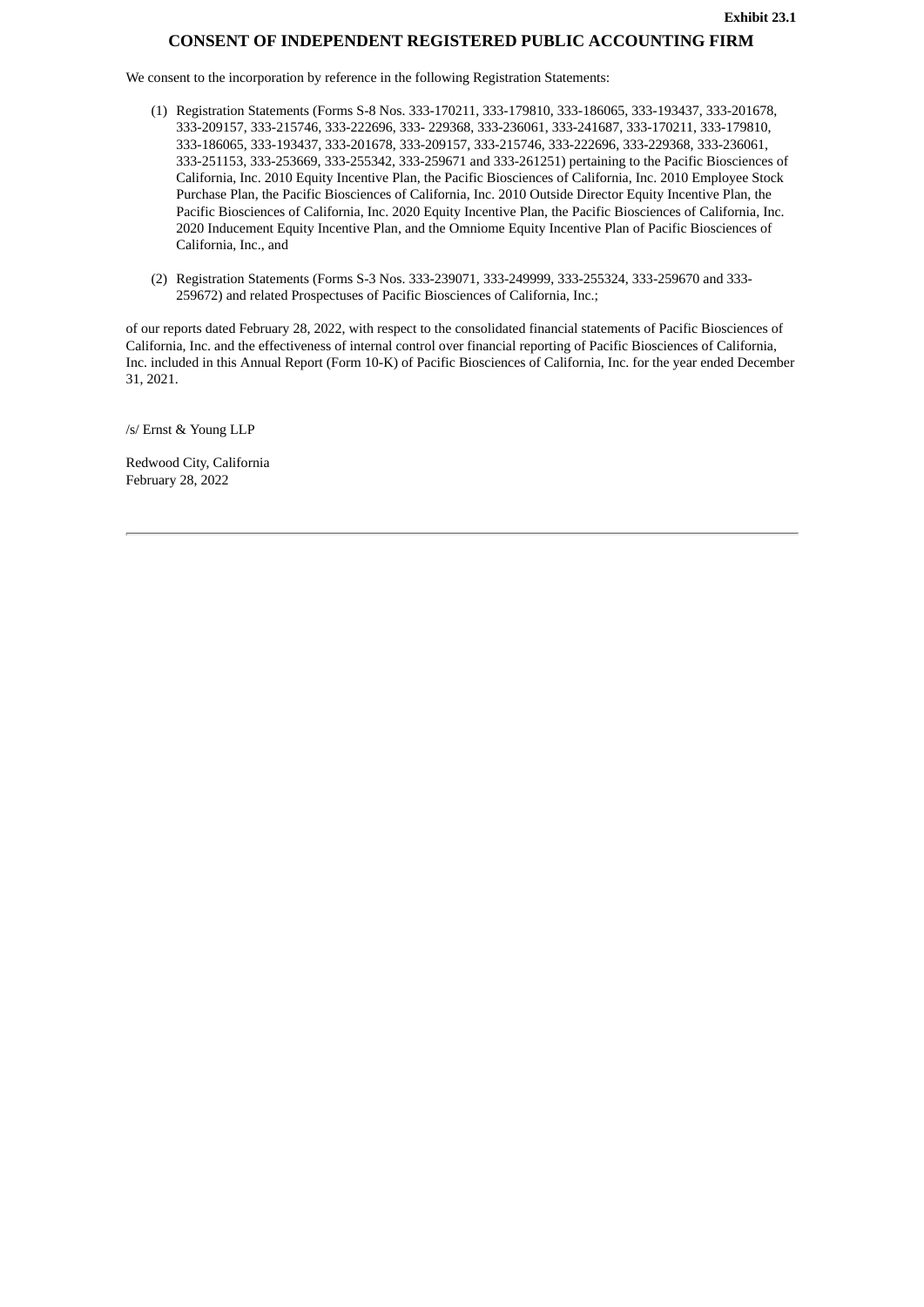# **CONSENT OF INDEPENDENT REGISTERED PUBLIC ACCOUNTING FIRM**

<span id="page-119-0"></span>We consent to the incorporation by reference in the following Registration Statements:

- (1) Registration Statements (Forms S-8 Nos. 333-170211, 333-179810, 333-186065, 333-193437, 333-201678, 333-209157, 333-215746, 333-222696, 333- 229368, 333-236061, 333-241687, 333-170211, 333-179810, 333-186065, 333-193437, 333-201678, 333-209157, 333-215746, 333-222696, 333-229368, 333-236061, 333-251153, 333-253669, 333-255342, 333-259671 and 333-261251) pertaining to the Pacific Biosciences of California, Inc. 2010 Equity Incentive Plan, the Pacific Biosciences of California, Inc. 2010 Employee Stock Purchase Plan, the Pacific Biosciences of California, Inc. 2010 Outside Director Equity Incentive Plan, the Pacific Biosciences of California, Inc. 2020 Equity Incentive Plan, the Pacific Biosciences of California, Inc. 2020 Inducement Equity Incentive Plan, and the Omniome Equity Incentive Plan of Pacific Biosciences of California, Inc., and
- (2) Registration Statements (Forms S-3 Nos. 333-239071, 333-249999, 333-255324, 333-259670 and 333- 259672) and related Prospectuses of Pacific Biosciences of California, Inc.;

of our reports dated February 28, 2022, with respect to the consolidated financial statements of Pacific Biosciences of California, Inc. and the effectiveness of internal control over financial reporting of Pacific Biosciences of California, Inc. included in this Annual Report (Form 10-K) of Pacific Biosciences of California, Inc. for the year ended December 31, 2021.

/s/ Ernst & Young LLP

Redwood City, California February 28, 2022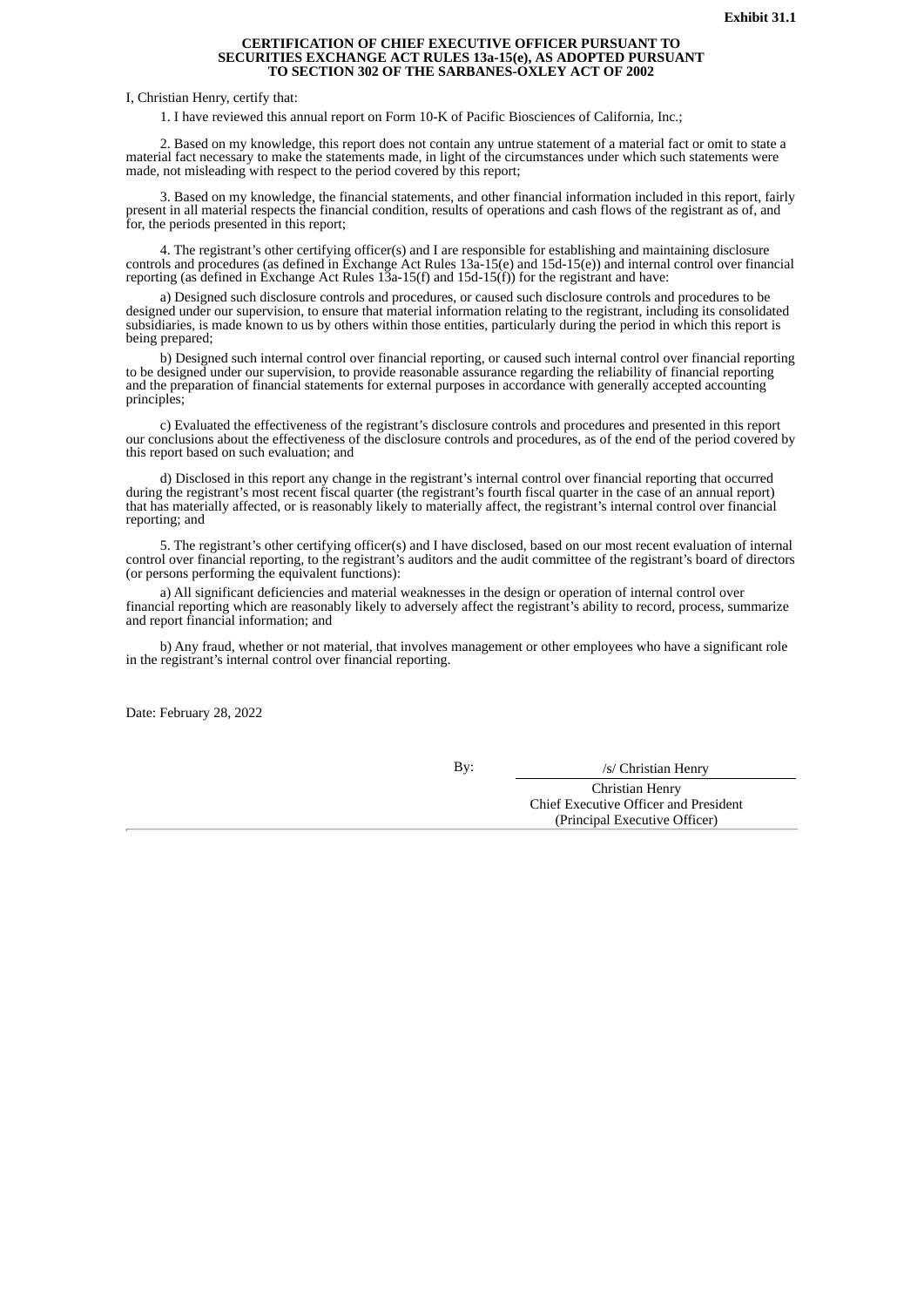#### **CERTIFICATION OF CHIEF EXECUTIVE OFFICER PURSUANT TO SECURITIES EXCHANGE ACT RULES 13a-15(e), AS ADOPTED PURSUANT TO SECTION 302 OF THE SARBANES-OXLEY ACT OF 2002**

#### <span id="page-120-0"></span>I, Christian Henry, certify that:

1. I have reviewed this annual report on Form 10-K of Pacific Biosciences of California, Inc.;

2. Based on my knowledge, this report does not contain any untrue statement of a material fact or omit to state a material fact necessary to make the statements made, in light of the circumstances under which such statements were made, not misleading with respect to the period covered by this report;

3. Based on my knowledge, the financial statements, and other financial information included in this report, fairly present in all material respects the financial condition, results of operations and cash flows of the registrant as of, and for, the periods presented in this report;

4. The registrant's other certifying officer(s) and I are responsible for establishing and maintaining disclosure controls and procedures (as defined in Exchange Act Rules 13a-15(e) and 15d-15(e)) and internal control over financial reporting (as defined in Exchange Act Rules  $13a-15(f)$  and  $15d-15(f)$ ) for the registrant and have:

a) Designed such disclosure controls and procedures, or caused such disclosure controls and procedures to be designed under our supervision, to ensure that material information relating to the registrant, including its consolidated subsidiaries, is made known to us by others within those entities, particularly during the period in which this report is being prepared;

b) Designed such internal control over financial reporting, or caused such internal control over financial reporting to be designed under our supervision, to provide reasonable assurance regarding the reliability of financial reporting and the preparation of financial statements for external purposes in accordance with generally accepted accounting principles;

c) Evaluated the effectiveness of the registrant's disclosure controls and procedures and presented in this report our conclusions about the effectiveness of the disclosure controls and procedures, as of the end of the period covered by this report based on such evaluation; and

d) Disclosed in this report any change in the registrant's internal control over financial reporting that occurred during the registrant's most recent fiscal quarter (the registrant's fourth fiscal quarter in the case of an annual report) that has materially affected, or is reasonably likely to materially affect, the registrant's internal control over financial reporting; and

5. The registrant's other certifying officer(s) and I have disclosed, based on our most recent evaluation of internal control over financial reporting, to the registrant's auditors and the audit committee of the registrant's board of directors (or persons performing the equivalent functions):

a) All significant deficiencies and material weaknesses in the design or operation of internal control over financial reporting which are reasonably likely to adversely affect the registrant's ability to record, process, summarize and report financial information; and

b) Any fraud, whether or not material, that involves management or other employees who have a significant role in the registrant's internal control over financial reporting.

Date: February 28, 2022

By: /s/ Christian Henry

Christian Henry Chief Executive Officer and President (Principal Executive Officer)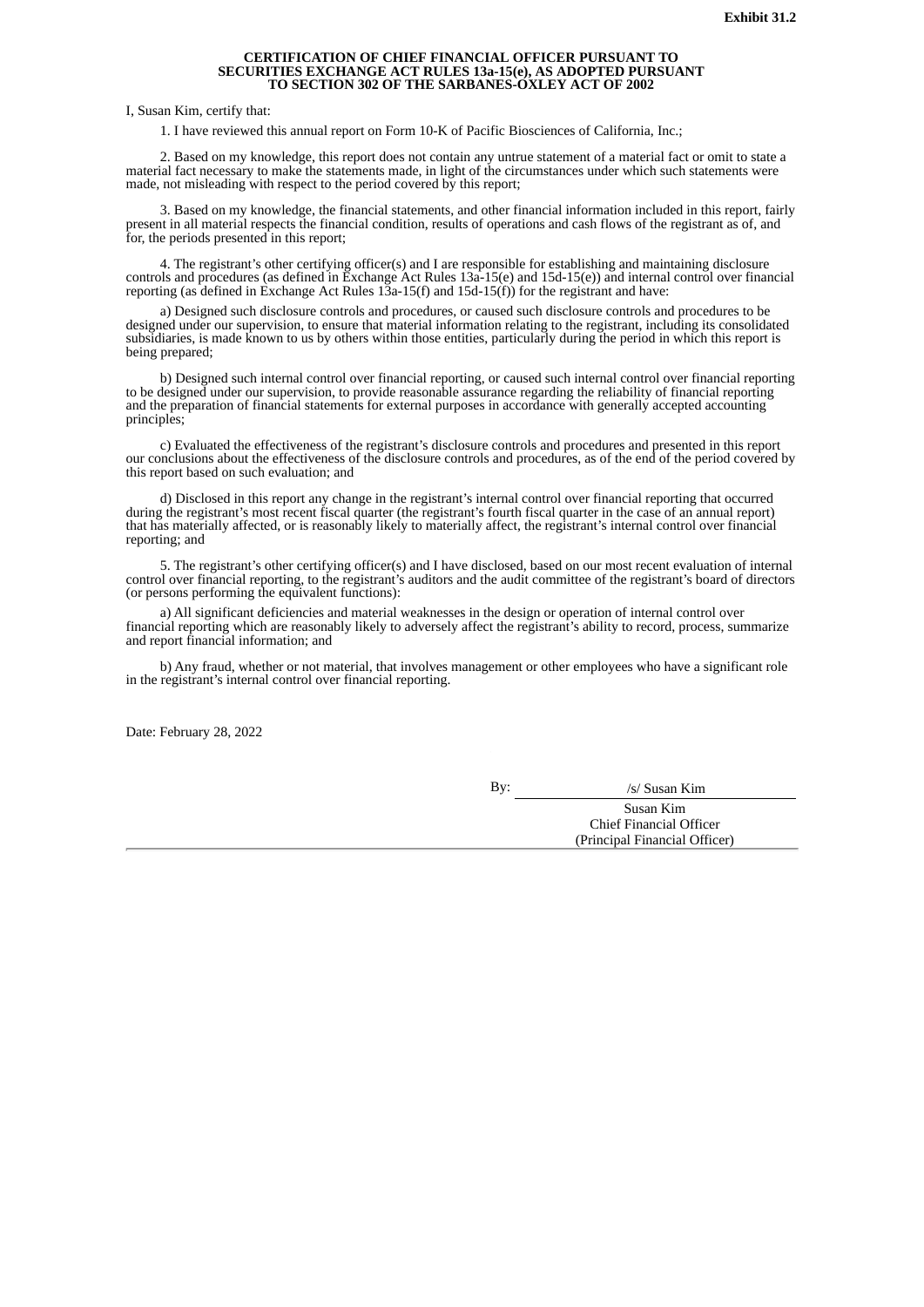#### **CERTIFICATION OF CHIEF FINANCIAL OFFICER PURSUANT TO SECURITIES EXCHANGE ACT RULES 13a-15(e), AS ADOPTED PURSUANT TO SECTION 302 OF THE SARBANES-OXLEY ACT OF 2002**

#### <span id="page-121-0"></span>I, Susan Kim, certify that:

1. I have reviewed this annual report on Form 10-K of Pacific Biosciences of California, Inc.;

2. Based on my knowledge, this report does not contain any untrue statement of a material fact or omit to state a material fact necessary to make the statements made, in light of the circumstances under which such statements were made, not misleading with respect to the period covered by this report;

3. Based on my knowledge, the financial statements, and other financial information included in this report, fairly present in all material respects the financial condition, results of operations and cash flows of the registrant as of, and for, the periods presented in this report;

4. The registrant's other certifying officer(s) and I are responsible for establishing and maintaining disclosure controls and procedures (as defined in Exchange Act Rules 13a-15(e) and 15d-15(e)) and internal control over financial reporting (as defined in Exchange Act Rules 13a-15(f) and 15d-15(f)) for the registrant and have:

a) Designed such disclosure controls and procedures, or caused such disclosure controls and procedures to be designed under our supervision, to ensure that material information relating to the registrant, including its consolidated subsidiaries, is made known to us by others within those entities, particularly during the period in which this report is being prepared;

b) Designed such internal control over financial reporting, or caused such internal control over financial reporting to be designed under our supervision, to provide reasonable assurance regarding the reliability of financial reporting and the preparation of financial statements for external purposes in accordance with generally accepted accounting principles;

c) Evaluated the effectiveness of the registrant's disclosure controls and procedures and presented in this report our conclusions about the effectiveness of the disclosure controls and procedures, as of the end of the period covered by this report based on such evaluation; and

d) Disclosed in this report any change in the registrant's internal control over financial reporting that occurred during the registrant's most recent fiscal quarter (the registrant's fourth fiscal quarter in the case of an annual report) that has materially affected, or is reasonably likely to materially affect, the registrant's internal control over financial reporting; and

5. The registrant's other certifying officer(s) and I have disclosed, based on our most recent evaluation of internal control over financial reporting, to the registrant's auditors and the audit committee of the registrant's board of directors (or persons performing the equivalent functions):

a) All significant deficiencies and material weaknesses in the design or operation of internal control over financial reporting which are reasonably likely to adversely affect the registrant's ability to record, process, summarize and report financial information; and

b) Any fraud, whether or not material, that involves management or other employees who have a significant role in the registrant's internal control over financial reporting.

Date: February 28, 2022

By: /s/ Susan Kim

Susan Kim Chief Financial Officer (Principal Financial Officer)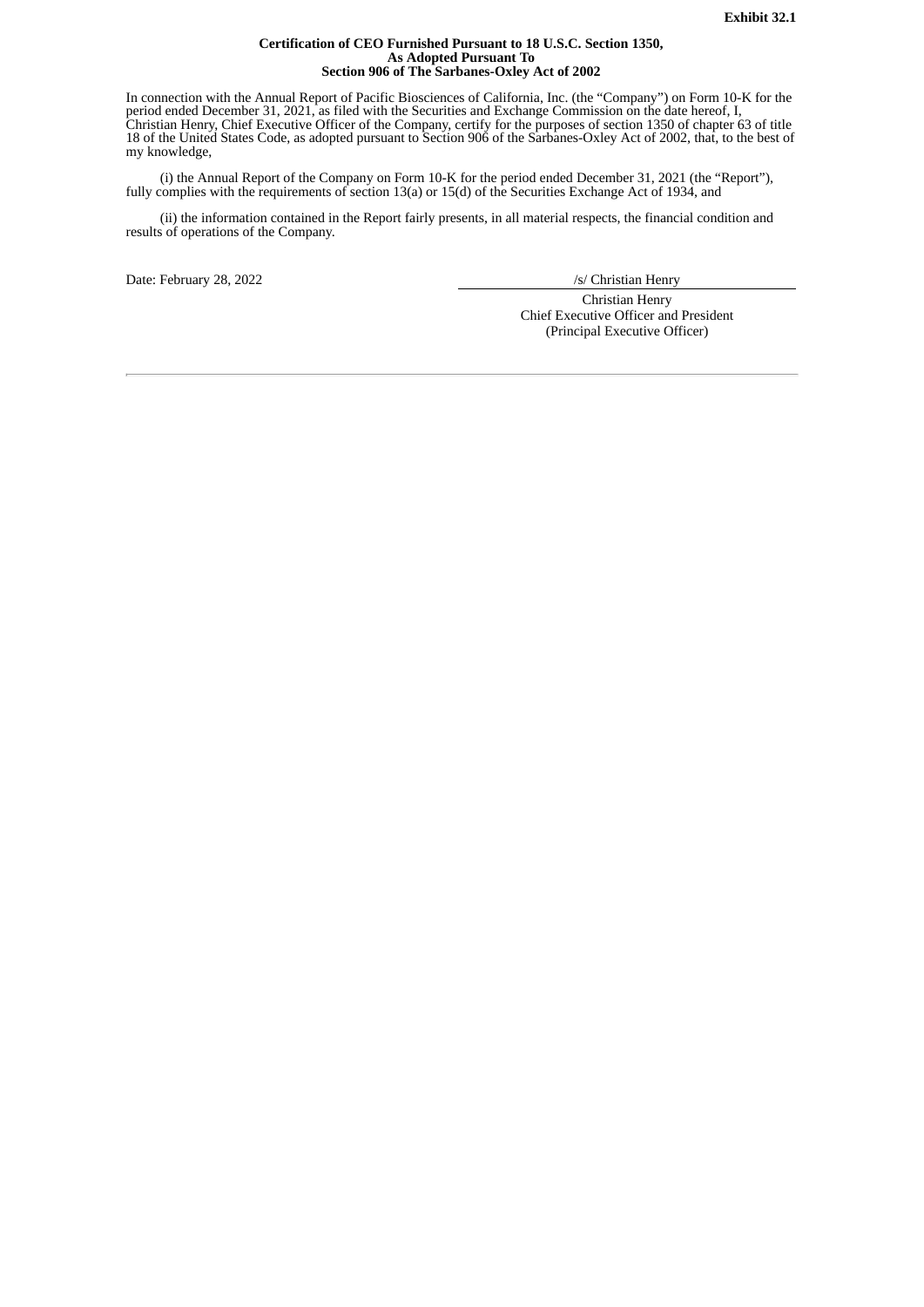#### **Certification of CEO Furnished Pursuant to 18 U.S.C. Section 1350, As Adopted Pursuant To Section 906 of The Sarbanes-Oxley Act of 2002**

<span id="page-122-0"></span>In connection with the Annual Report of Pacific Biosciences of California, Inc. (the "Company") on Form 10-K for the period ended December 31, 2021, as filed with the Securities and Exchange Commission on the date hereof, I, Christian Henry, Chief Executive Officer of the Company, certify for the purposes of section 1350 of chapter 63 of title 18 of the United States Code, as adopted pursuant to Section 906 of the Sarbanes-Oxley Act of 2002, that, to the best of my knowledge,

(i) the Annual Report of the Company on Form 10-K for the period ended December 31, 2021 (the "Report"), fully complies with the requirements of section 13(a) or 15(d) of the Securities Exchange Act of 1934, and

(ii) the information contained in the Report fairly presents, in all material respects, the financial condition and results of operations of the Company.

Date: February 28, 2022 /s/ Christian Henry

Christian Henry Chief Executive Officer and President (Principal Executive Officer)